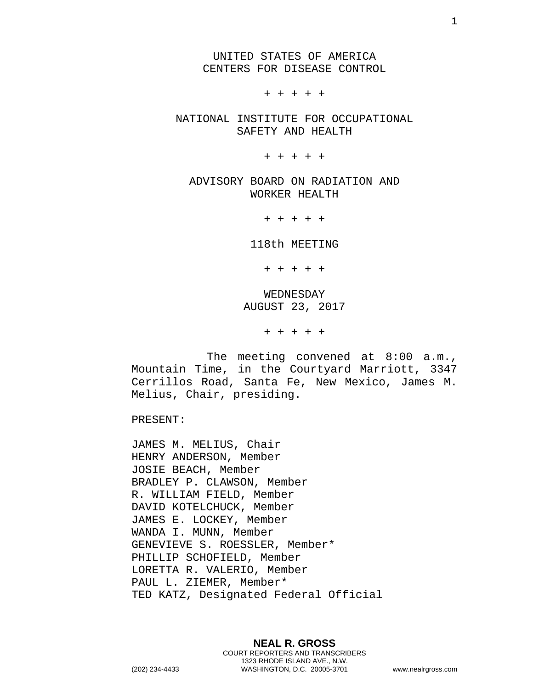UNITED STATES OF AMERICA CENTERS FOR DISEASE CONTROL

+ + + + +

NATIONAL INSTITUTE FOR OCCUPATIONAL SAFETY AND HEALTH

+ + + + +

ADVISORY BOARD ON RADIATION AND WORKER HEALTH

+ + + + +

118th MEETING

+ + + + +

WEDNESDAY AUGUST 23, 2017

+ + + + +

The meeting convened at 8:00 a.m., Mountain Time, in the Courtyard Marriott, 3347 Cerrillos Road, Santa Fe, New Mexico, James M. Melius, Chair, presiding.

PRESENT:

JAMES M. MELIUS, Chair HENRY ANDERSON, Member JOSIE BEACH, Member BRADLEY P. CLAWSON, Member R. WILLIAM FIELD, Member DAVID KOTELCHUCK, Member JAMES E. LOCKEY, Member WANDA I. MUNN, Member GENEVIEVE S. ROESSLER, Member\* PHILLIP SCHOFIELD, Member LORETTA R. VALERIO, Member PAUL L. ZIEMER, Member\* TED KATZ, Designated Federal Official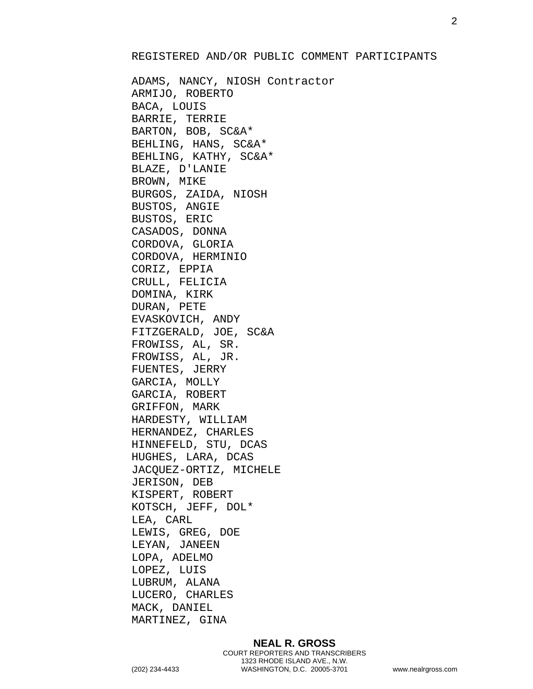## REGISTERED AND/OR PUBLIC COMMENT PARTICIPANTS

ADAMS, NANCY, NIOSH Contractor ARMIJO, ROBERTO BACA, LOUIS BARRIE, TERRIE BARTON, BOB, SC&A\* BEHLING, HANS, SC&A\* BEHLING, KATHY, SC&A\* BLAZE, D'LANIE BROWN, MIKE BURGOS, ZAIDA, NIOSH BUSTOS, ANGIE BUSTOS, ERIC CASADOS, DONNA CORDOVA, GLORIA CORDOVA, HERMINIO CORIZ, EPPIA CRULL, FELICIA DOMINA, KIRK DURAN, PETE EVASKOVICH, ANDY FITZGERALD, JOE, SC&A FROWISS, AL, SR. FROWISS, AL, JR. FUENTES, JERRY GARCIA, MOLLY GARCIA, ROBERT GRIFFON, MARK HARDESTY, WILLIAM HERNANDEZ, CHARLES HINNEFELD, STU, DCAS HUGHES, LARA, DCAS JACQUEZ-ORTIZ, MICHELE JERISON, DEB KISPERT, ROBERT KOTSCH, JEFF, DOL\* LEA, CARL LEWIS, GREG, DOE LEYAN, JANEEN LOPA, ADELMO LOPEZ, LUIS LUBRUM, ALANA LUCERO, CHARLES MACK, DANIEL MARTINEZ, GINA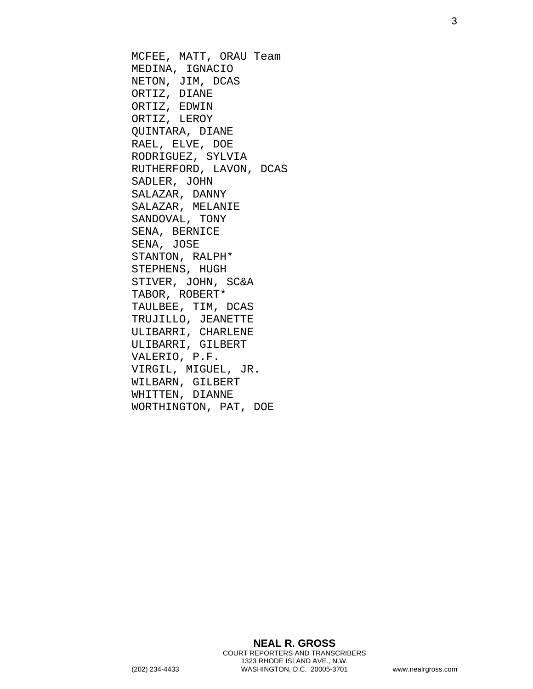MCFEE, MATT, ORAU Team MEDINA, IGNACIO NETON, JIM, DCAS ORTIZ, DIANE ORTIZ, EDWIN ORTIZ, LEROY QUINTARA, DIANE RAEL, ELVE, DOE RODRIGUEZ, SYLVIA RUTHERFORD, LAVON, DCAS SADLER, JOHN SALAZAR, DANNY SALAZAR, MELANIE SANDOVAL, TONY SENA, BERNICE SENA, JOSE STANTON, RALPH\* STEPHENS, HUGH STIVER, JOHN, SC&A TABOR, ROBERT\* TAULBEE, TIM, DCAS TRUJILLO, JEANETTE ULIBARRI, CHARLENE ULIBARRI, GILBERT VALERIO, P.F. VIRGIL, MIGUEL, JR. WILBARN, GILBERT WHITTEN, DIANNE WORTHINGTON, PAT, DOE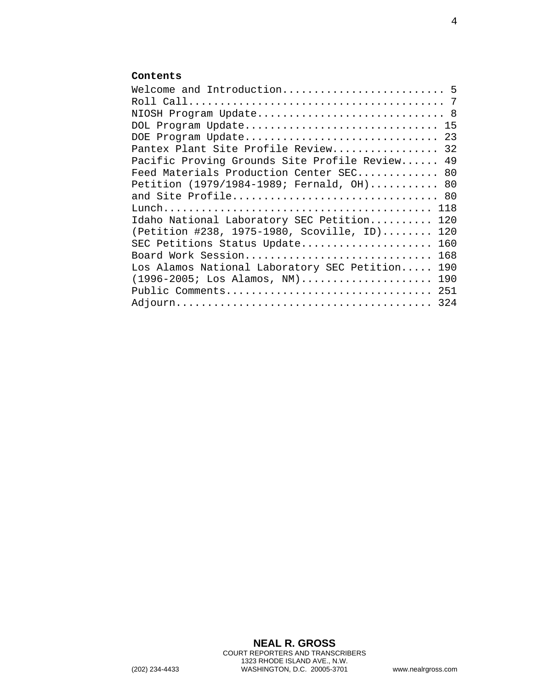## **Contents**

| Welcome and Introduction 5                         |    |
|----------------------------------------------------|----|
|                                                    |    |
| NIOSH Program Update 8                             |    |
| DOL Program Update                                 | 15 |
| DOE Program Update                                 | 23 |
| Pantex Plant Site Profile Review                   | 32 |
| Pacific Proving Grounds Site Profile Review        | 49 |
| Feed Materials Production Center SEC 80            |    |
| Petition (1979/1984-1989; Fernald, OH) 80          |    |
| and Site Profile 80                                |    |
| 118                                                |    |
| Idaho National Laboratory SEC Petition<br>120      |    |
| (Petition #238, 1975-1980, Scoville, ID)<br>120    |    |
| SEC Petitions Status Update<br>160                 |    |
| Board Work Session<br>168                          |    |
| Los Alamos National Laboratory SEC Petition<br>190 |    |
| $(1996 - 2005;$ Los Alamos, NM)<br>190             |    |
| Public Comments<br>251                             |    |
| 324                                                |    |
|                                                    |    |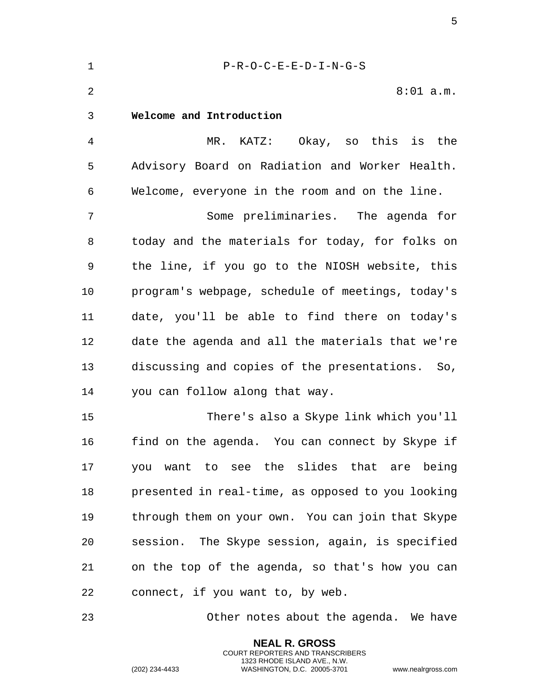<span id="page-4-0"></span>

| $\mathbf 1$    | $P-R-O-C-E-E-D-I-N-G-S$                           |
|----------------|---------------------------------------------------|
| $\overline{2}$ | $8:01$ a.m.                                       |
| 3              | Welcome and Introduction                          |
| 4              | MR. KATZ: Okay, so this is the                    |
| 5              | Advisory Board on Radiation and Worker Health.    |
| 6              | Welcome, everyone in the room and on the line.    |
| 7              | Some preliminaries. The agenda for                |
| 8              | today and the materials for today, for folks on   |
| 9              | the line, if you go to the NIOSH website, this    |
| 10             | program's webpage, schedule of meetings, today's  |
| 11             | date, you'll be able to find there on today's     |
| 12             | date the agenda and all the materials that we're  |
| 13             | discussing and copies of the presentations. So,   |
| 14             | you can follow along that way.                    |
| 15             | There's also a Skype link which you'll            |
| 16             | find on the agenda. You can connect by Skype if   |
| 17             | you want to see the slides that are being         |
| 18             | presented in real-time, as opposed to you looking |
| 19             | through them on your own. You can join that Skype |
| 20             | session. The Skype session, again, is specified   |
| 21             | on the top of the agenda, so that's how you can   |
| 22             | connect, if you want to, by web.                  |
| 23             | Other notes about the agenda. We have             |

**NEAL R. GROSS** COURT REPORTERS AND TRANSCRIBERS 1323 RHODE ISLAND AVE., N.W.

(202) 234-4433 WASHINGTON, D.C. 20005-3701 www.nealrgross.com

5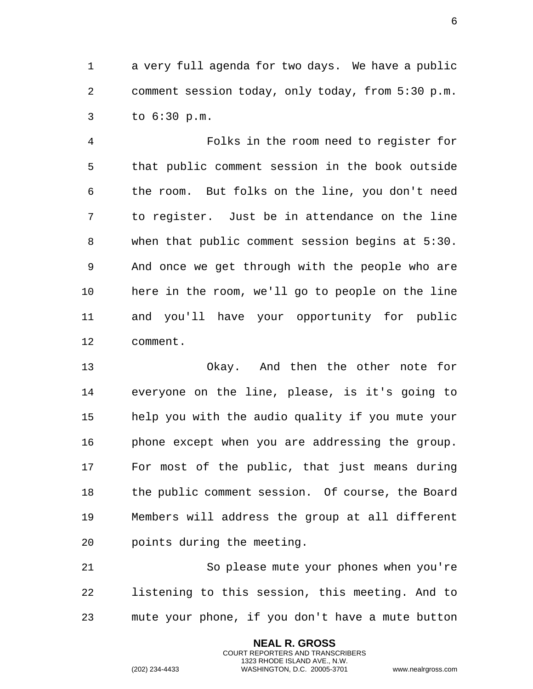a very full agenda for two days. We have a public comment session today, only today, from 5:30 p.m. to 6:30 p.m.

 Folks in the room need to register for that public comment session in the book outside the room. But folks on the line, you don't need to register. Just be in attendance on the line when that public comment session begins at 5:30. And once we get through with the people who are here in the room, we'll go to people on the line and you'll have your opportunity for public comment.

 Okay. And then the other note for everyone on the line, please, is it's going to help you with the audio quality if you mute your phone except when you are addressing the group. For most of the public, that just means during the public comment session. Of course, the Board Members will address the group at all different points during the meeting.

 So please mute your phones when you're listening to this session, this meeting. And to mute your phone, if you don't have a mute button

> **NEAL R. GROSS** COURT REPORTERS AND TRANSCRIBERS 1323 RHODE ISLAND AVE., N.W.

(202) 234-4433 WASHINGTON, D.C. 20005-3701 www.nealrgross.com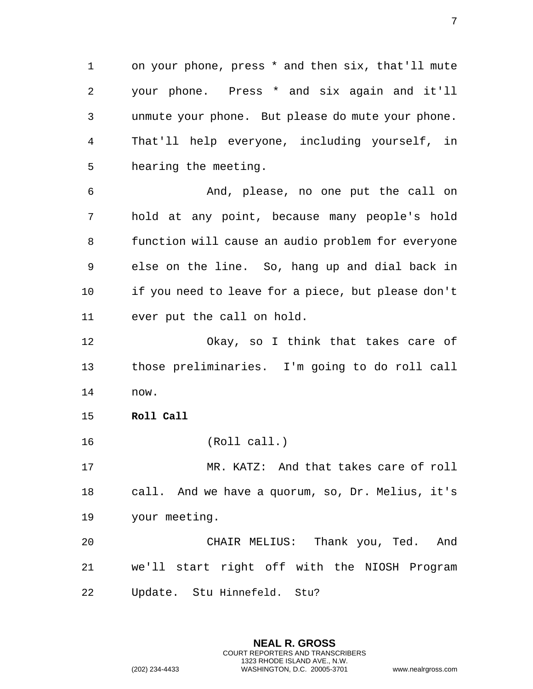1 on your phone, press \* and then six, that'll mute 2 your phone. Press \* and six again and it'll 3 unmute your phone. But please do mute your phone. 4 That'll help everyone, including yourself, in 5 hearing the meeting.

6 And, please, no one put the call on 7 hold at any point, because many people's hold 8 function will cause an audio problem for everyone 9 else on the line. So, hang up and dial back in 10 if you need to leave for a piece, but please don't 11 ever put the call on hold.

12 Okay, so I think that takes care of 13 those preliminaries. I'm going to do roll call 14 now.

- <span id="page-6-0"></span>15 **Roll Call**
- 16 (Roll call.)

17 MR. KATZ: And that takes care of roll 18 call. And we have a quorum, so, Dr. Melius, it's 19 your meeting.

20 CHAIR MELIUS: Thank you, Ted. And 21 we'll start right off with the NIOSH Program 22 Update. Stu Hinnefeld. Stu?

> **NEAL R. GROSS** COURT REPORTERS AND TRANSCRIBERS 1323 RHODE ISLAND AVE., N.W. (202) 234-4433 WASHINGTON, D.C. 20005-3701 www.nealrgross.com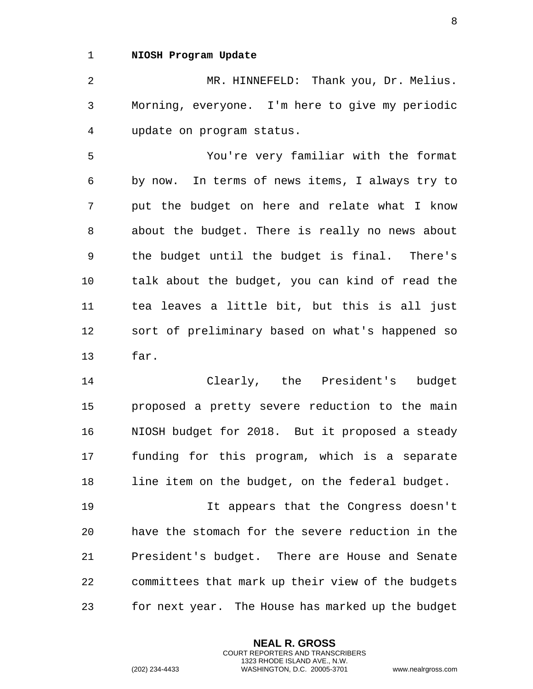## <span id="page-7-0"></span>1 **NIOSH Program Update**

2 MR. HINNEFELD: Thank you, Dr. Melius. 3 Morning, everyone. I'm here to give my periodic 4 update on program status.

5 You're very familiar with the format 6 by now. In terms of news items, I always try to 7 put the budget on here and relate what I know 8 about the budget. There is really no news about 9 the budget until the budget is final. There's 10 talk about the budget, you can kind of read the 11 tea leaves a little bit, but this is all just 12 sort of preliminary based on what's happened so 13 far.

14 Clearly, the President's budget 15 proposed a pretty severe reduction to the main 16 NIOSH budget for 2018. But it proposed a steady 17 funding for this program, which is a separate 18 line item on the budget, on the federal budget.

19 It appears that the Congress doesn't 20 have the stomach for the severe reduction in the 21 President's budget. There are House and Senate 22 committees that mark up their view of the budgets 23 for next year. The House has marked up the budget

> **NEAL R. GROSS** COURT REPORTERS AND TRANSCRIBERS 1323 RHODE ISLAND AVE., N.W.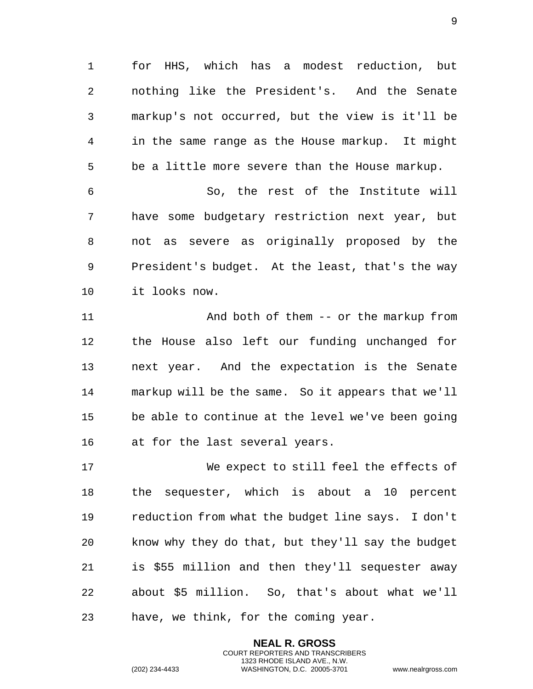for HHS, which has a modest reduction, but nothing like the President's. And the Senate markup's not occurred, but the view is it'll be in the same range as the House markup. It might be a little more severe than the House markup.

 So, the rest of the Institute will have some budgetary restriction next year, but not as severe as originally proposed by the President's budget. At the least, that's the way it looks now.

 And both of them -- or the markup from the House also left our funding unchanged for next year. And the expectation is the Senate markup will be the same. So it appears that we'll be able to continue at the level we've been going at for the last several years.

 We expect to still feel the effects of the sequester, which is about a 10 percent reduction from what the budget line says. I don't know why they do that, but they'll say the budget is \$55 million and then they'll sequester away about \$5 million. So, that's about what we'll have, we think, for the coming year.

> **NEAL R. GROSS** COURT REPORTERS AND TRANSCRIBERS 1323 RHODE ISLAND AVE., N.W.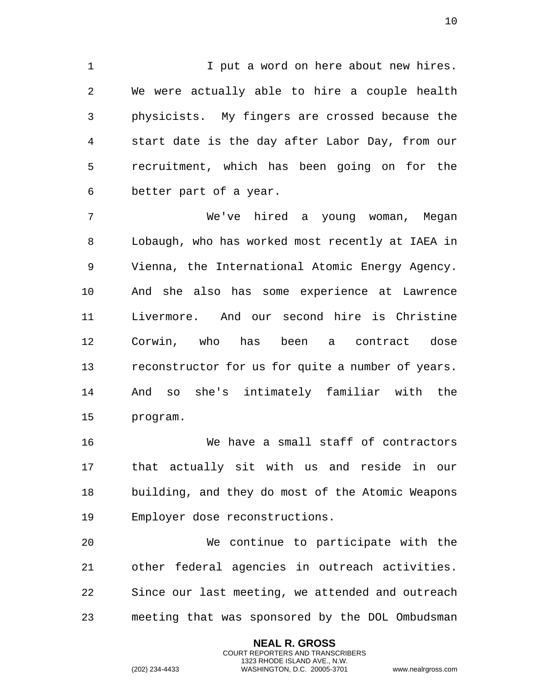1 1 I put a word on here about new hires. We were actually able to hire a couple health physicists. My fingers are crossed because the start date is the day after Labor Day, from our recruitment, which has been going on for the better part of a year.

 We've hired a young woman, Megan Lobaugh, who has worked most recently at IAEA in Vienna, the International Atomic Energy Agency. And she also has some experience at Lawrence Livermore. And our second hire is Christine Corwin, who has been a contract dose reconstructor for us for quite a number of years. And so she's intimately familiar with the program.

 We have a small staff of contractors that actually sit with us and reside in our building, and they do most of the Atomic Weapons Employer dose reconstructions.

 We continue to participate with the other federal agencies in outreach activities. Since our last meeting, we attended and outreach meeting that was sponsored by the DOL Ombudsman

> **NEAL R. GROSS** COURT REPORTERS AND TRANSCRIBERS 1323 RHODE ISLAND AVE., N.W.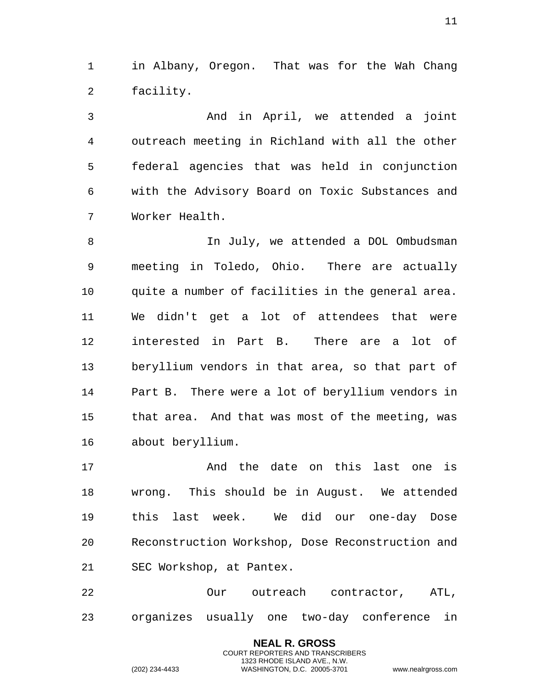in Albany, Oregon. That was for the Wah Chang facility.

 And in April, we attended a joint outreach meeting in Richland with all the other federal agencies that was held in conjunction with the Advisory Board on Toxic Substances and Worker Health.

 In July, we attended a DOL Ombudsman meeting in Toledo, Ohio. There are actually quite a number of facilities in the general area. We didn't get a lot of attendees that were interested in Part B. There are a lot of beryllium vendors in that area, so that part of Part B. There were a lot of beryllium vendors in that area. And that was most of the meeting, was about beryllium.

17 The date on this last one is wrong. This should be in August. We attended this last week. We did our one-day Dose Reconstruction Workshop, Dose Reconstruction and SEC Workshop, at Pantex.

 Our outreach contractor, ATL, organizes usually one two-day conference in

> **NEAL R. GROSS** COURT REPORTERS AND TRANSCRIBERS 1323 RHODE ISLAND AVE., N.W.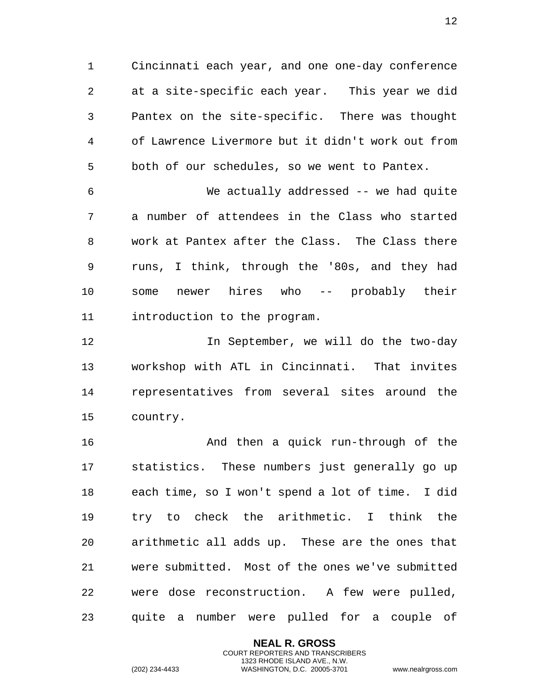Cincinnati each year, and one one-day conference at a site-specific each year. This year we did Pantex on the site-specific. There was thought of Lawrence Livermore but it didn't work out from both of our schedules, so we went to Pantex.

 We actually addressed -- we had quite a number of attendees in the Class who started work at Pantex after the Class. The Class there runs, I think, through the '80s, and they had some newer hires who -- probably their introduction to the program.

 In September, we will do the two-day workshop with ATL in Cincinnati. That invites representatives from several sites around the country.

 And then a quick run-through of the statistics. These numbers just generally go up each time, so I won't spend a lot of time. I did try to check the arithmetic. I think the arithmetic all adds up. These are the ones that were submitted. Most of the ones we've submitted were dose reconstruction. A few were pulled, quite a number were pulled for a couple of

> **NEAL R. GROSS** COURT REPORTERS AND TRANSCRIBERS 1323 RHODE ISLAND AVE., N.W.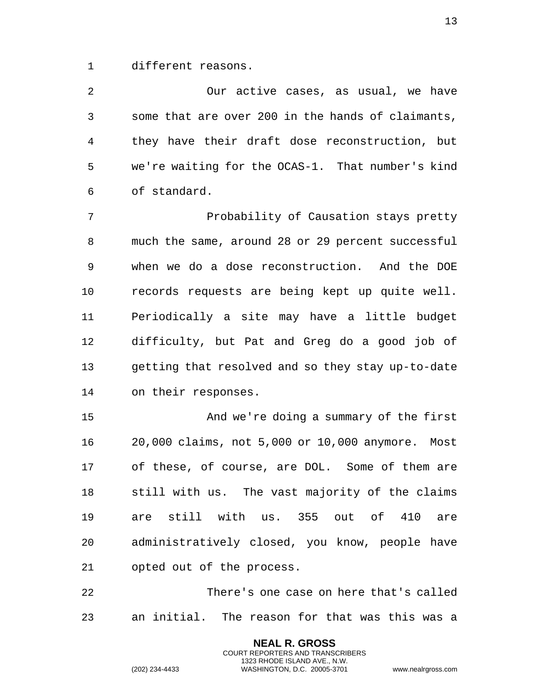different reasons.

 Our active cases, as usual, we have some that are over 200 in the hands of claimants, they have their draft dose reconstruction, but we're waiting for the OCAS-1. That number's kind of standard.

 Probability of Causation stays pretty much the same, around 28 or 29 percent successful when we do a dose reconstruction. And the DOE records requests are being kept up quite well. Periodically a site may have a little budget difficulty, but Pat and Greg do a good job of getting that resolved and so they stay up-to-date on their responses.

 And we're doing a summary of the first 20,000 claims, not 5,000 or 10,000 anymore. Most of these, of course, are DOL. Some of them are still with us. The vast majority of the claims are still with us. 355 out of 410 are administratively closed, you know, people have opted out of the process.

 There's one case on here that's called an initial. The reason for that was this was a

> **NEAL R. GROSS** COURT REPORTERS AND TRANSCRIBERS 1323 RHODE ISLAND AVE., N.W.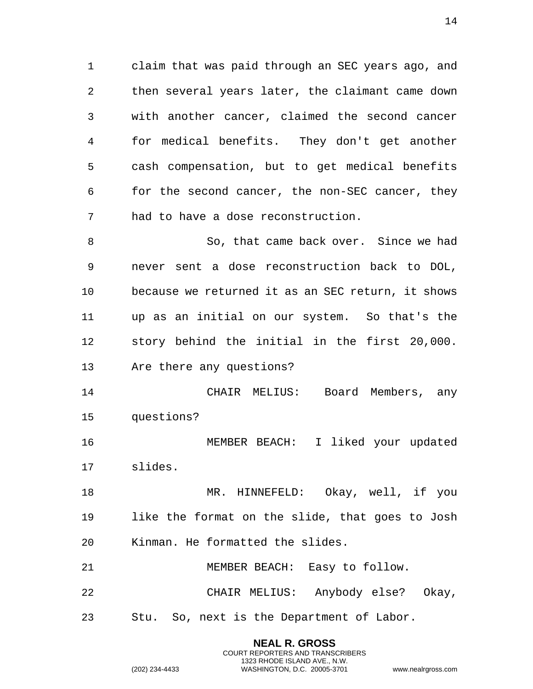claim that was paid through an SEC years ago, and then several years later, the claimant came down with another cancer, claimed the second cancer for medical benefits. They don't get another cash compensation, but to get medical benefits for the second cancer, the non-SEC cancer, they had to have a dose reconstruction.

 So, that came back over. Since we had never sent a dose reconstruction back to DOL, because we returned it as an SEC return, it shows up as an initial on our system. So that's the story behind the initial in the first 20,000. Are there any questions?

 CHAIR MELIUS: Board Members, any questions?

 MEMBER BEACH: I liked your updated slides.

 MR. HINNEFELD: Okay, well, if you like the format on the slide, that goes to Josh Kinman. He formatted the slides.

 MEMBER BEACH: Easy to follow. CHAIR MELIUS: Anybody else? Okay, Stu. So, next is the Department of Labor.

> **NEAL R. GROSS** COURT REPORTERS AND TRANSCRIBERS 1323 RHODE ISLAND AVE., N.W.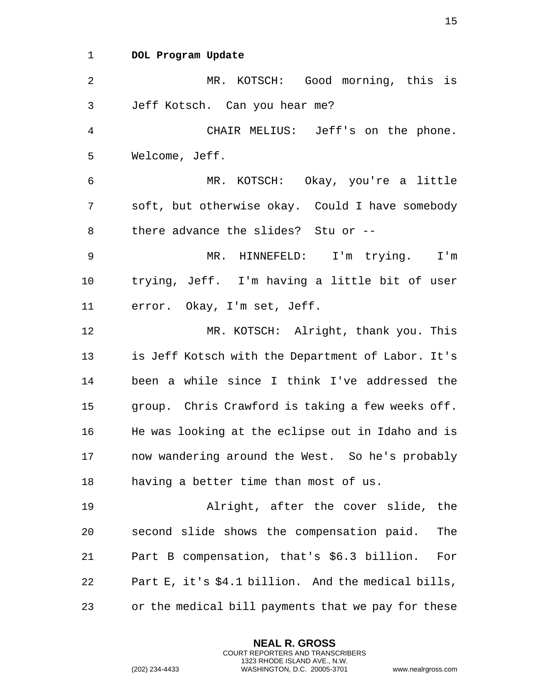<span id="page-14-0"></span>1 **DOL Program Update** 

2 MR. KOTSCH: Good morning, this is 3 Jeff Kotsch. Can you hear me? 4 CHAIR MELIUS: Jeff's on the phone. 5 Welcome, Jeff. 6 MR. KOTSCH: Okay, you're a little 7 soft, but otherwise okay. Could I have somebody 8 there advance the slides? Stu or -- 9 MR. HINNEFELD: I'm trying. I'm 10 trying, Jeff. I'm having a little bit of user 11 error. Okay, I'm set, Jeff. 12 MR. KOTSCH: Alright, thank you. This 13 is Jeff Kotsch with the Department of Labor. It's 14 been a while since I think I've addressed the 15 group. Chris Crawford is taking a few weeks off. 16 He was looking at the eclipse out in Idaho and is 17 now wandering around the West. So he's probably 18 having a better time than most of us. 19 Alright, after the cover slide, the 20 second slide shows the compensation paid. The 21 Part B compensation, that's \$6.3 billion. For 22 Part E, it's \$4.1 billion. And the medical bills, 23 or the medical bill payments that we pay for these

> **NEAL R. GROSS** COURT REPORTERS AND TRANSCRIBERS 1323 RHODE ISLAND AVE., N.W.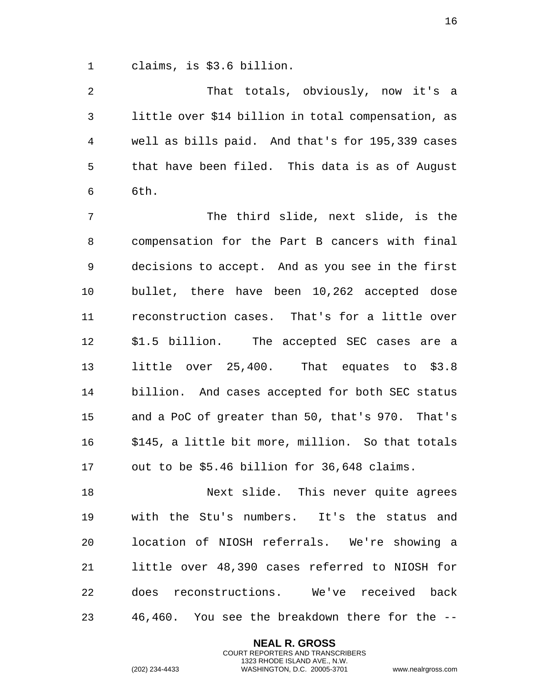claims, is \$3.6 billion.

 That totals, obviously, now it's a little over \$14 billion in total compensation, as well as bills paid. And that's for 195,339 cases that have been filed. This data is as of August 6th.

 The third slide, next slide, is the compensation for the Part B cancers with final decisions to accept. And as you see in the first bullet, there have been 10,262 accepted dose reconstruction cases. That's for a little over \$1.5 billion. The accepted SEC cases are a little over 25,400. That equates to \$3.8 billion. And cases accepted for both SEC status and a PoC of greater than 50, that's 970. That's \$145, a little bit more, million. So that totals out to be \$5.46 billion for 36,648 claims.

18 Next slide. This never quite agrees with the Stu's numbers. It's the status and location of NIOSH referrals. We're showing a little over 48,390 cases referred to NIOSH for does reconstructions. We've received back 46,460. You see the breakdown there for the --

> **NEAL R. GROSS** COURT REPORTERS AND TRANSCRIBERS 1323 RHODE ISLAND AVE., N.W.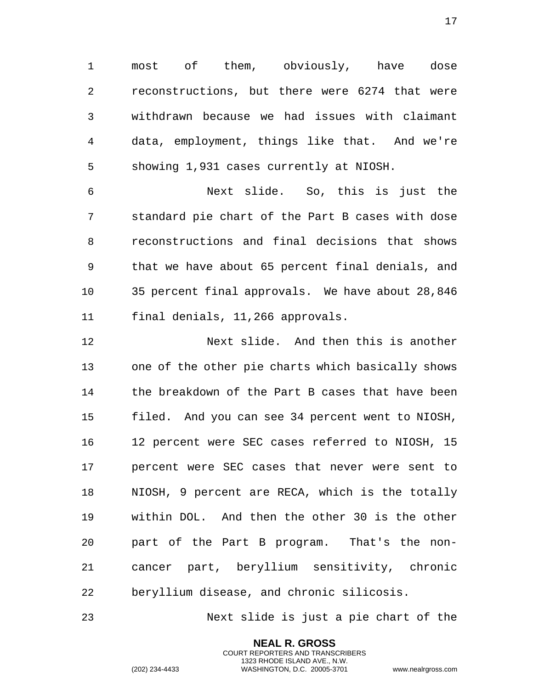most of them, obviously, have dose reconstructions, but there were 6274 that were withdrawn because we had issues with claimant data, employment, things like that. And we're showing 1,931 cases currently at NIOSH.

 Next slide. So, this is just the standard pie chart of the Part B cases with dose reconstructions and final decisions that shows that we have about 65 percent final denials, and 35 percent final approvals. We have about 28,846 final denials, 11,266 approvals.

 Next slide. And then this is another one of the other pie charts which basically shows the breakdown of the Part B cases that have been filed. And you can see 34 percent went to NIOSH, 12 percent were SEC cases referred to NIOSH, 15 percent were SEC cases that never were sent to NIOSH, 9 percent are RECA, which is the totally within DOL. And then the other 30 is the other part of the Part B program. That's the non- cancer part, beryllium sensitivity, chronic beryllium disease, and chronic silicosis.

Next slide is just a pie chart of the

**NEAL R. GROSS** COURT REPORTERS AND TRANSCRIBERS 1323 RHODE ISLAND AVE., N.W.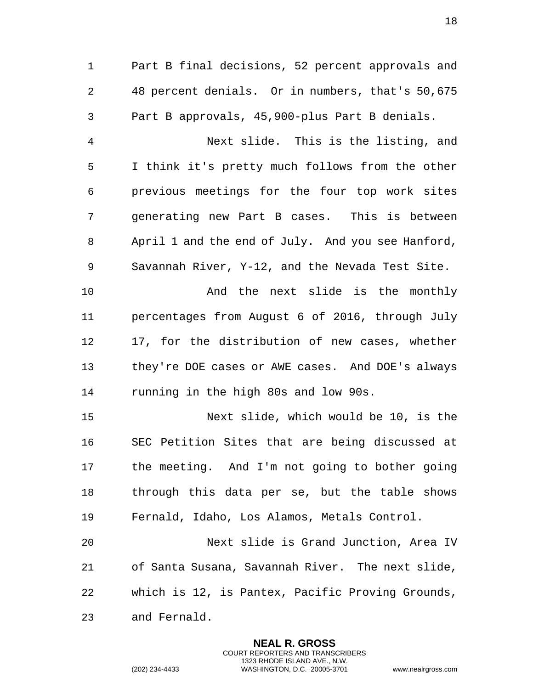Part B final decisions, 52 percent approvals and 48 percent denials. Or in numbers, that's 50,675 Part B approvals, 45,900-plus Part B denials.

 Next slide. This is the listing, and I think it's pretty much follows from the other previous meetings for the four top work sites generating new Part B cases. This is between April 1 and the end of July. And you see Hanford, Savannah River, Y-12, and the Nevada Test Site.

10 And the next slide is the monthly percentages from August 6 of 2016, through July 17, for the distribution of new cases, whether they're DOE cases or AWE cases. And DOE's always running in the high 80s and low 90s.

 Next slide, which would be 10, is the SEC Petition Sites that are being discussed at the meeting. And I'm not going to bother going through this data per se, but the table shows Fernald, Idaho, Los Alamos, Metals Control.

 Next slide is Grand Junction, Area IV of Santa Susana, Savannah River. The next slide, which is 12, is Pantex, Pacific Proving Grounds, and Fernald.

> **NEAL R. GROSS** COURT REPORTERS AND TRANSCRIBERS 1323 RHODE ISLAND AVE., N.W.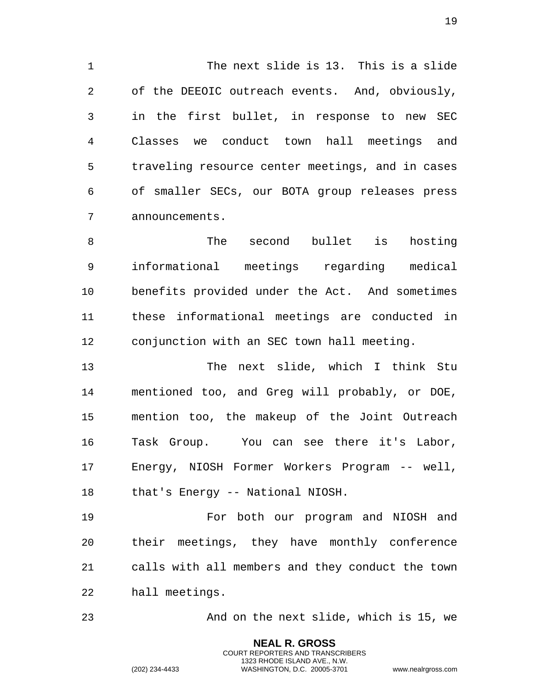The next slide is 13. This is a slide of the DEEOIC outreach events. And, obviously, in the first bullet, in response to new SEC Classes we conduct town hall meetings and traveling resource center meetings, and in cases of smaller SECs, our BOTA group releases press announcements.

 The second bullet is hosting informational meetings regarding medical benefits provided under the Act. And sometimes these informational meetings are conducted in conjunction with an SEC town hall meeting.

 The next slide, which I think Stu mentioned too, and Greg will probably, or DOE, mention too, the makeup of the Joint Outreach Task Group. You can see there it's Labor, Energy, NIOSH Former Workers Program -- well, that's Energy -- National NIOSH.

 For both our program and NIOSH and their meetings, they have monthly conference calls with all members and they conduct the town hall meetings.

And on the next slide, which is 15, we

**NEAL R. GROSS** COURT REPORTERS AND TRANSCRIBERS 1323 RHODE ISLAND AVE., N.W.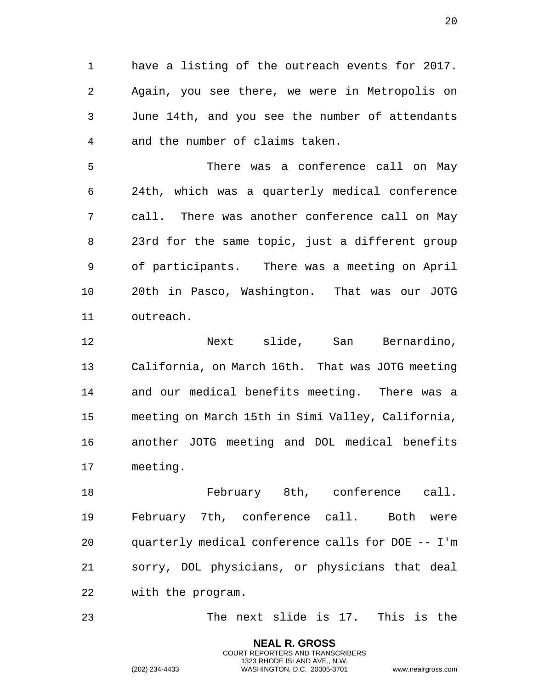have a listing of the outreach events for 2017. Again, you see there, we were in Metropolis on June 14th, and you see the number of attendants and the number of claims taken.

 There was a conference call on May 24th, which was a quarterly medical conference call. There was another conference call on May 23rd for the same topic, just a different group of participants. There was a meeting on April 20th in Pasco, Washington. That was our JOTG outreach.

 Next slide, San Bernardino, California, on March 16th. That was JOTG meeting and our medical benefits meeting. There was a meeting on March 15th in Simi Valley, California, another JOTG meeting and DOL medical benefits meeting.

 February 8th, conference call. February 7th, conference call. Both were quarterly medical conference calls for DOE -- I'm sorry, DOL physicians, or physicians that deal with the program.

The next slide is 17. This is the

**NEAL R. GROSS** COURT REPORTERS AND TRANSCRIBERS 1323 RHODE ISLAND AVE., N.W.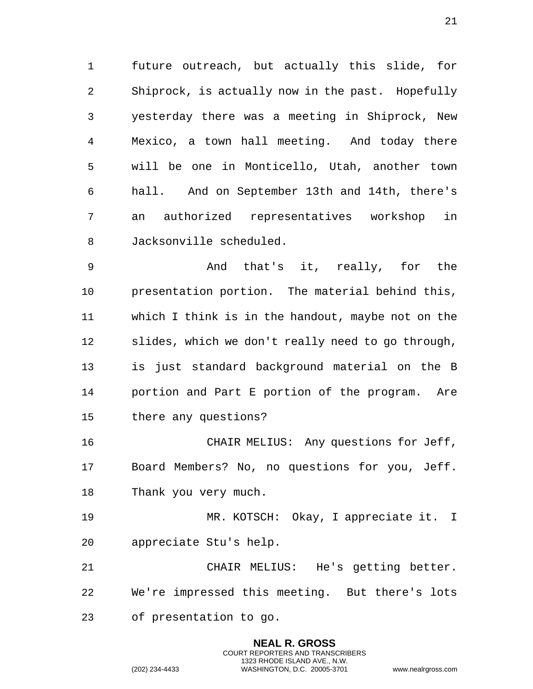future outreach, but actually this slide, for Shiprock, is actually now in the past. Hopefully yesterday there was a meeting in Shiprock, New Mexico, a town hall meeting. And today there will be one in Monticello, Utah, another town hall. And on September 13th and 14th, there's an authorized representatives workshop in Jacksonville scheduled.

 And that's it, really, for the presentation portion. The material behind this, which I think is in the handout, maybe not on the slides, which we don't really need to go through, is just standard background material on the B portion and Part E portion of the program. Are there any questions?

 CHAIR MELIUS: Any questions for Jeff, Board Members? No, no questions for you, Jeff. Thank you very much.

 MR. KOTSCH: Okay, I appreciate it. I appreciate Stu's help.

 CHAIR MELIUS: He's getting better. We're impressed this meeting. But there's lots of presentation to go.

> **NEAL R. GROSS** COURT REPORTERS AND TRANSCRIBERS 1323 RHODE ISLAND AVE., N.W.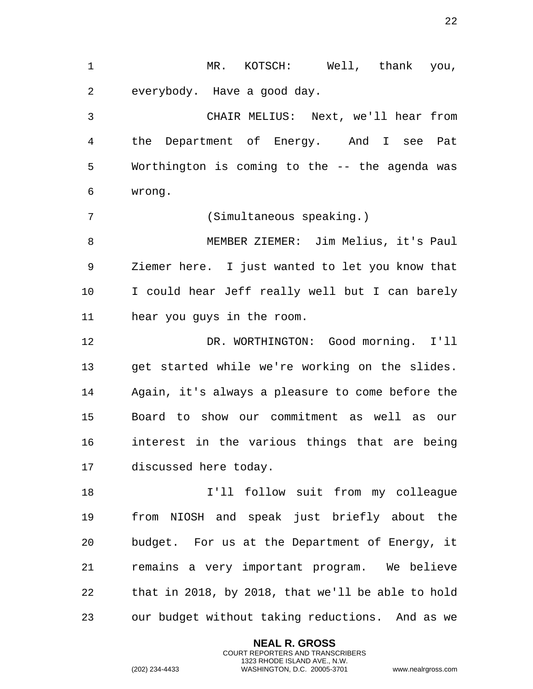1 MR. KOTSCH: Well, thank you, everybody. Have a good day. CHAIR MELIUS: Next, we'll hear from the Department of Energy. And I see Pat Worthington is coming to the -- the agenda was wrong. (Simultaneous speaking.) MEMBER ZIEMER: Jim Melius, it's Paul Ziemer here. I just wanted to let you know that I could hear Jeff really well but I can barely hear you guys in the room. DR. WORTHINGTON: Good morning. I'll get started while we're working on the slides. Again, it's always a pleasure to come before the Board to show our commitment as well as our interest in the various things that are being discussed here today. I'll follow suit from my colleague from NIOSH and speak just briefly about the budget. For us at the Department of Energy, it remains a very important program. We believe that in 2018, by 2018, that we'll be able to hold our budget without taking reductions. And as we

> **NEAL R. GROSS** COURT REPORTERS AND TRANSCRIBERS 1323 RHODE ISLAND AVE., N.W.

(202) 234-4433 WASHINGTON, D.C. 20005-3701 www.nealrgross.com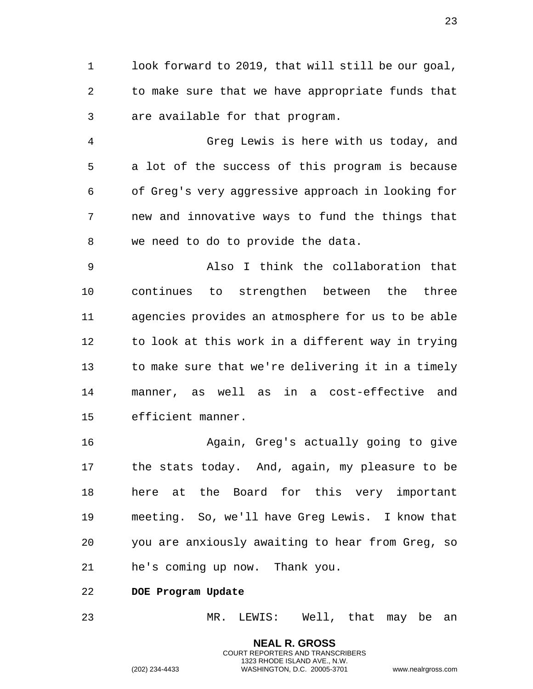1 look forward to 2019, that will still be our goal, 2 to make sure that we have appropriate funds that 3 are available for that program.

4 Greg Lewis is here with us today, and 5 a lot of the success of this program is because 6 of Greg's very aggressive approach in looking for 7 new and innovative ways to fund the things that 8 we need to do to provide the data.

9 Also I think the collaboration that 10 continues to strengthen between the three 11 agencies provides an atmosphere for us to be able 12 to look at this work in a different way in trying 13 to make sure that we're delivering it in a timely 14 manner, as well as in a cost-effective and 15 efficient manner.

16 Again, Greg's actually going to give 17 the stats today. And, again, my pleasure to be 18 here at the Board for this very important 19 meeting. So, we'll have Greg Lewis. I know that 20 you are anxiously awaiting to hear from Greg, so 21 he's coming up now. Thank you.

<span id="page-22-0"></span>22 **DOE Program Update** 

23 MR. LEWIS: Well, that may be an

**NEAL R. GROSS** COURT REPORTERS AND TRANSCRIBERS 1323 RHODE ISLAND AVE., N.W.

23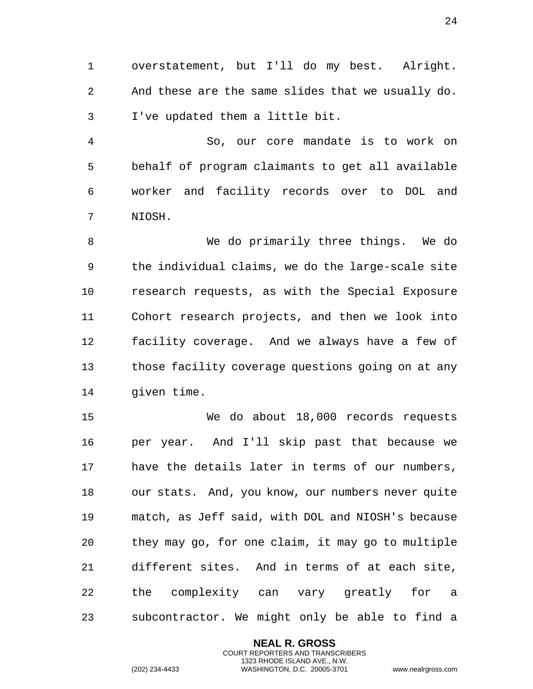1 overstatement, but I'll do my best. Alright. 2 And these are the same slides that we usually do. 3 I've updated them a little bit.

4 So, our core mandate is to work on 5 behalf of program claimants to get all available 6 worker and facility records over to DOL and 7 NIOSH.

8 We do primarily three things. We do 9 the individual claims, we do the large-scale site 10 research requests, as with the Special Exposure 11 Cohort research projects, and then we look into 12 facility coverage. And we always have a few of 13 those facility coverage questions going on at any 14 given time.

15 We do about 18,000 records requests 16 per year. And I'll skip past that because we 17 have the details later in terms of our numbers, 18 our stats. And, you know, our numbers never quite 19 match, as Jeff said, with DOL and NIOSH's because 20 they may go, for one claim, it may go to multiple 21 different sites. And in terms of at each site, 22 the complexity can vary greatly for a 23 subcontractor. We might only be able to find a

> **NEAL R. GROSS** COURT REPORTERS AND TRANSCRIBERS 1323 RHODE ISLAND AVE., N.W.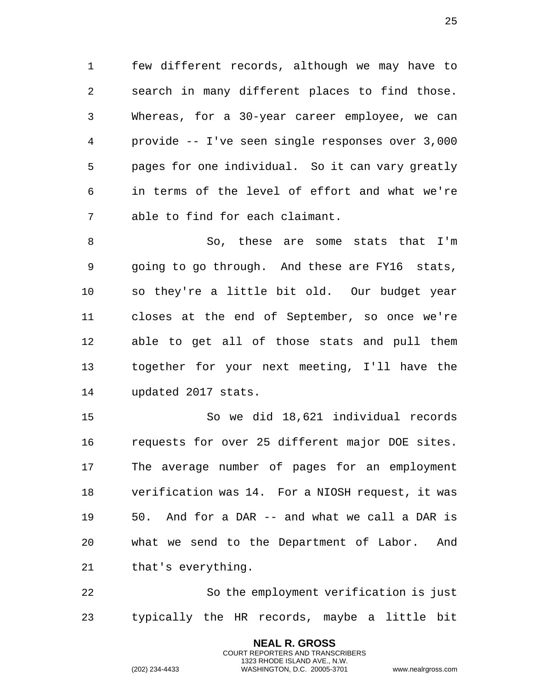few different records, although we may have to search in many different places to find those. Whereas, for a 30-year career employee, we can provide -- I've seen single responses over 3,000 pages for one individual. So it can vary greatly in terms of the level of effort and what we're able to find for each claimant.

8 So, these are some stats that I'm going to go through. And these are FY16 stats, so they're a little bit old. Our budget year closes at the end of September, so once we're able to get all of those stats and pull them together for your next meeting, I'll have the updated 2017 stats.

 So we did 18,621 individual records requests for over 25 different major DOE sites. The average number of pages for an employment verification was 14. For a NIOSH request, it was 50. And for a DAR -- and what we call a DAR is what we send to the Department of Labor. And that's everything.

 So the employment verification is just typically the HR records, maybe a little bit

> **NEAL R. GROSS** COURT REPORTERS AND TRANSCRIBERS 1323 RHODE ISLAND AVE., N.W.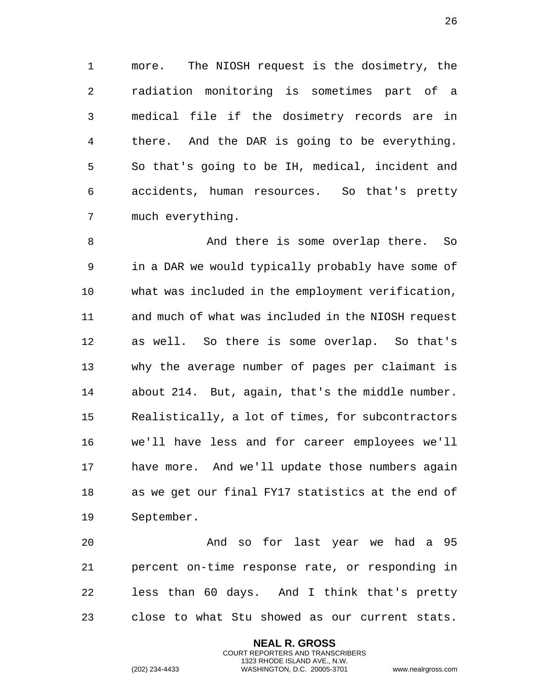more. The NIOSH request is the dosimetry, the radiation monitoring is sometimes part of a medical file if the dosimetry records are in there. And the DAR is going to be everything. So that's going to be IH, medical, incident and accidents, human resources. So that's pretty much everything.

8 And there is some overlap there. So in a DAR we would typically probably have some of what was included in the employment verification, and much of what was included in the NIOSH request as well. So there is some overlap. So that's why the average number of pages per claimant is about 214. But, again, that's the middle number. Realistically, a lot of times, for subcontractors we'll have less and for career employees we'll have more. And we'll update those numbers again as we get our final FY17 statistics at the end of September.

 And so for last year we had a 95 percent on-time response rate, or responding in less than 60 days. And I think that's pretty close to what Stu showed as our current stats.

> **NEAL R. GROSS** COURT REPORTERS AND TRANSCRIBERS 1323 RHODE ISLAND AVE., N.W.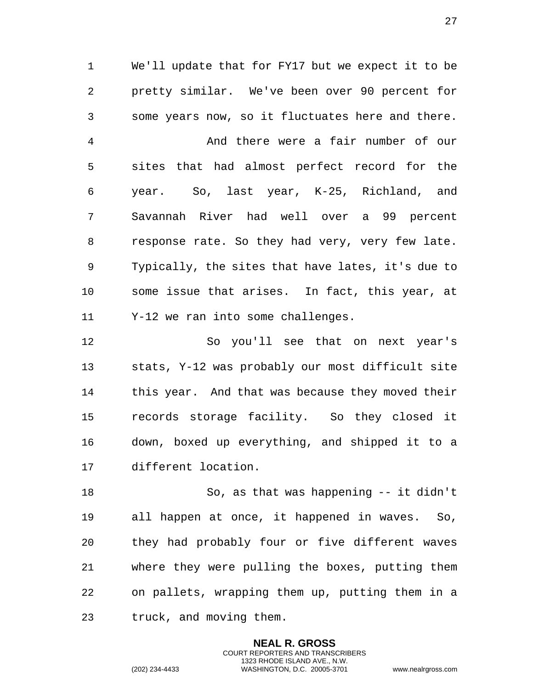We'll update that for FY17 but we expect it to be pretty similar. We've been over 90 percent for some years now, so it fluctuates here and there.

 And there were a fair number of our sites that had almost perfect record for the year. So, last year, K-25, Richland, and Savannah River had well over a 99 percent response rate. So they had very, very few late. Typically, the sites that have lates, it's due to some issue that arises. In fact, this year, at Y-12 we ran into some challenges.

 So you'll see that on next year's stats, Y-12 was probably our most difficult site this year. And that was because they moved their records storage facility. So they closed it down, boxed up everything, and shipped it to a different location.

 So, as that was happening -- it didn't all happen at once, it happened in waves. So, they had probably four or five different waves where they were pulling the boxes, putting them on pallets, wrapping them up, putting them in a truck, and moving them.

> **NEAL R. GROSS** COURT REPORTERS AND TRANSCRIBERS 1323 RHODE ISLAND AVE., N.W.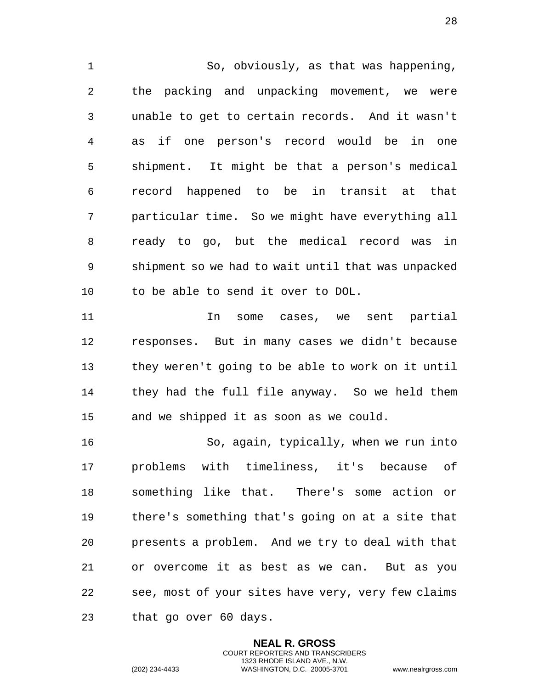So, obviously, as that was happening, the packing and unpacking movement, we were unable to get to certain records. And it wasn't as if one person's record would be in one shipment. It might be that a person's medical record happened to be in transit at that particular time. So we might have everything all ready to go, but the medical record was in shipment so we had to wait until that was unpacked to be able to send it over to DOL.

 In some cases, we sent partial responses. But in many cases we didn't because they weren't going to be able to work on it until they had the full file anyway. So we held them and we shipped it as soon as we could.

 So, again, typically, when we run into problems with timeliness, it's because of something like that. There's some action or there's something that's going on at a site that presents a problem. And we try to deal with that or overcome it as best as we can. But as you see, most of your sites have very, very few claims that go over 60 days.

> **NEAL R. GROSS** COURT REPORTERS AND TRANSCRIBERS 1323 RHODE ISLAND AVE., N.W.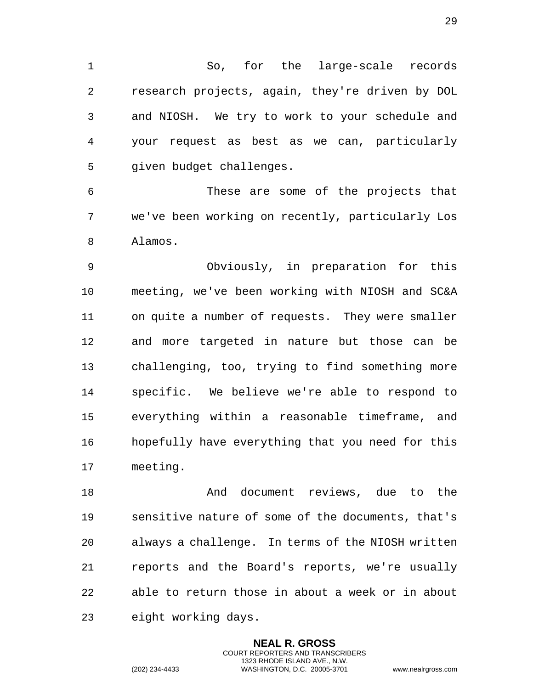So, for the large-scale records research projects, again, they're driven by DOL and NIOSH. We try to work to your schedule and your request as best as we can, particularly given budget challenges.

 These are some of the projects that we've been working on recently, particularly Los Alamos.

 Obviously, in preparation for this meeting, we've been working with NIOSH and SC&A on quite a number of requests. They were smaller and more targeted in nature but those can be challenging, too, trying to find something more specific. We believe we're able to respond to everything within a reasonable timeframe, and hopefully have everything that you need for this meeting.

 And document reviews, due to the sensitive nature of some of the documents, that's always a challenge. In terms of the NIOSH written reports and the Board's reports, we're usually able to return those in about a week or in about eight working days.

> **NEAL R. GROSS** COURT REPORTERS AND TRANSCRIBERS 1323 RHODE ISLAND AVE., N.W.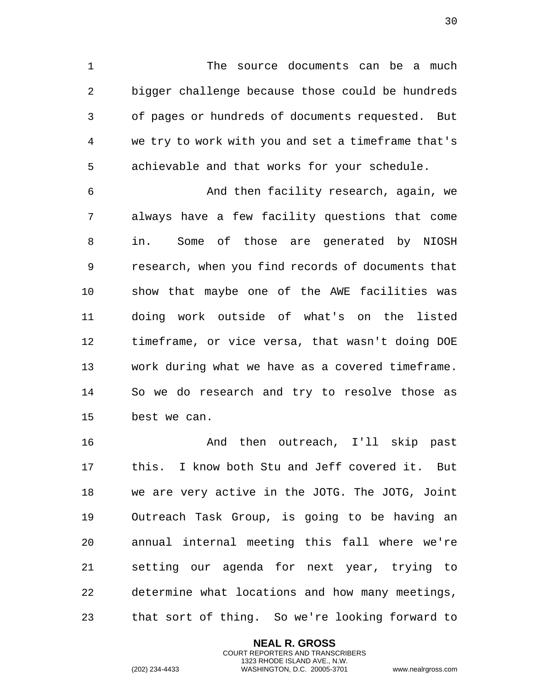The source documents can be a much bigger challenge because those could be hundreds of pages or hundreds of documents requested. But we try to work with you and set a timeframe that's achievable and that works for your schedule.

 And then facility research, again, we always have a few facility questions that come in. Some of those are generated by NIOSH research, when you find records of documents that show that maybe one of the AWE facilities was doing work outside of what's on the listed timeframe, or vice versa, that wasn't doing DOE work during what we have as a covered timeframe. So we do research and try to resolve those as best we can.

 And then outreach, I'll skip past this. I know both Stu and Jeff covered it. But we are very active in the JOTG. The JOTG, Joint Outreach Task Group, is going to be having an annual internal meeting this fall where we're setting our agenda for next year, trying to determine what locations and how many meetings, that sort of thing. So we're looking forward to

> **NEAL R. GROSS** COURT REPORTERS AND TRANSCRIBERS 1323 RHODE ISLAND AVE., N.W.

(202) 234-4433 WASHINGTON, D.C. 20005-3701 www.nealrgross.com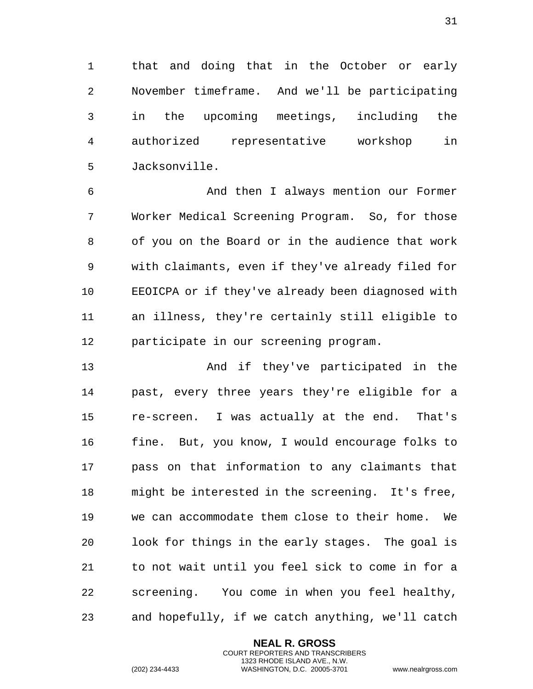that and doing that in the October or early November timeframe. And we'll be participating in the upcoming meetings, including the authorized representative workshop in Jacksonville.

 And then I always mention our Former Worker Medical Screening Program. So, for those of you on the Board or in the audience that work with claimants, even if they've already filed for EEOICPA or if they've already been diagnosed with an illness, they're certainly still eligible to participate in our screening program.

 And if they've participated in the past, every three years they're eligible for a re-screen. I was actually at the end. That's fine. But, you know, I would encourage folks to pass on that information to any claimants that might be interested in the screening. It's free, we can accommodate them close to their home. We look for things in the early stages. The goal is to not wait until you feel sick to come in for a screening. You come in when you feel healthy, and hopefully, if we catch anything, we'll catch

> **NEAL R. GROSS** COURT REPORTERS AND TRANSCRIBERS 1323 RHODE ISLAND AVE., N.W.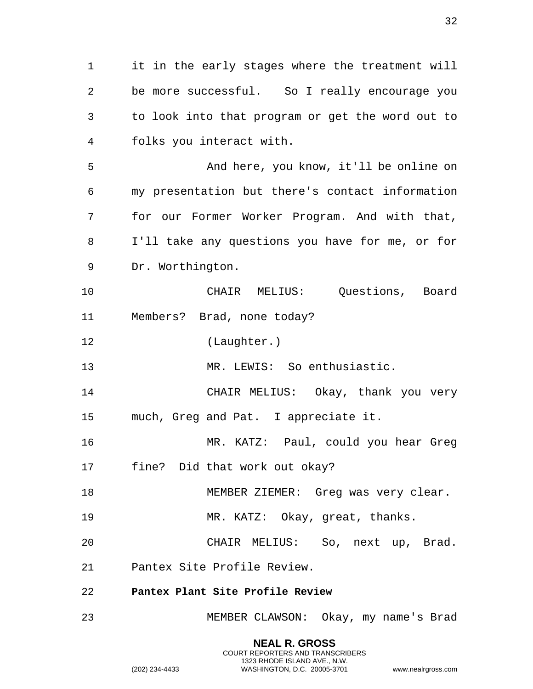**NEAL R. GROSS** 1 it in the early stages where the treatment will 2 be more successful. So I really encourage you 3 to look into that program or get the word out to 4 folks you interact with. 5 And here, you know, it'll be online on 6 my presentation but there's contact information 7 for our Former Worker Program. And with that, 8 I'll take any questions you have for me, or for 9 Dr. Worthington. 10 CHAIR MELIUS: Questions, Board 11 Members? Brad, none today? 12 (Laughter.) 13 MR. LEWIS: So enthusiastic. 14 CHAIR MELIUS: Okay, thank you very 15 much, Greg and Pat. I appreciate it. 16 MR. KATZ: Paul, could you hear Greg 17 fine? Did that work out okay? 18 MEMBER ZIEMER: Greg was very clear. 19 MR. KATZ: Okay, great, thanks. 20 CHAIR MELIUS: So, next up, Brad. 21 Pantex Site Profile Review. 22 **Pantex Plant Site Profile Review**  23 MEMBER CLAWSON: Okay, my name's Brad

> COURT REPORTERS AND TRANSCRIBERS 1323 RHODE ISLAND AVE., N.W.

<span id="page-31-0"></span>(202) 234-4433 WASHINGTON, D.C. 20005-3701 www.nealrgross.com

32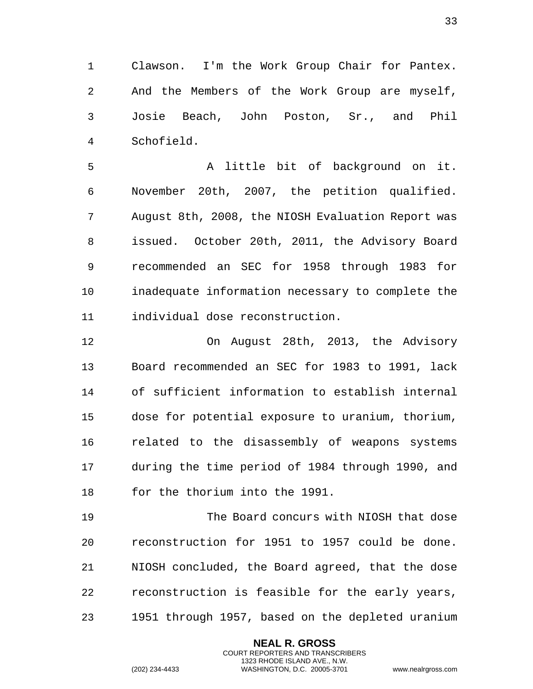1 Clawson. I'm the Work Group Chair for Pantex. 2 And the Members of the Work Group are myself, 3 Josie Beach, John Poston, Sr., and Phil 4 Schofield.

5 A little bit of background on it. 6 November 20th, 2007, the petition qualified. 7 August 8th, 2008, the NIOSH Evaluation Report was 8 issued. October 20th, 2011, the Advisory Board 9 recommended an SEC for 1958 through 1983 for 10 inadequate information necessary to complete the 11 individual dose reconstruction.

12 On August 28th, 2013, the Advisory 13 Board recommended an SEC for 1983 to 1991, lack 14 of sufficient information to establish internal 15 dose for potential exposure to uranium, thorium, 16 related to the disassembly of weapons systems 17 during the time period of 1984 through 1990, and 18 for the thorium into the 1991.

19 The Board concurs with NIOSH that dose 20 reconstruction for 1951 to 1957 could be done. 21 NIOSH concluded, the Board agreed, that the dose 22 reconstruction is feasible for the early years, 23 1951 through 1957, based on the depleted uranium

> **NEAL R. GROSS** COURT REPORTERS AND TRANSCRIBERS 1323 RHODE ISLAND AVE., N.W.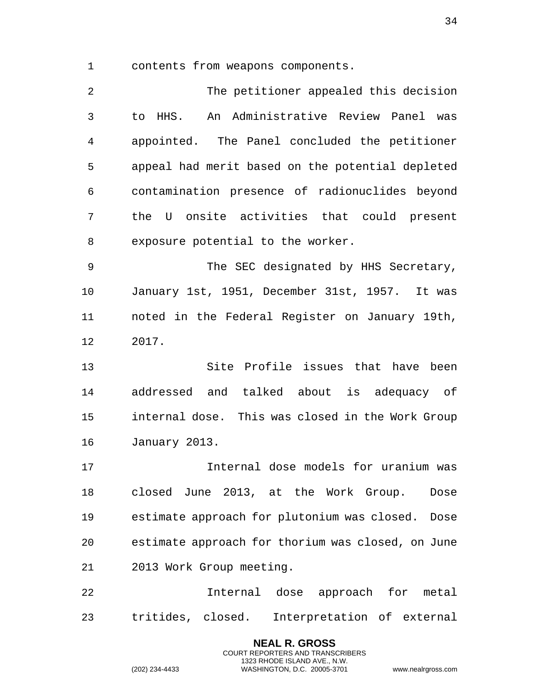contents from weapons components.

 The petitioner appealed this decision to HHS. An Administrative Review Panel was appointed. The Panel concluded the petitioner appeal had merit based on the potential depleted contamination presence of radionuclides beyond the U onsite activities that could present exposure potential to the worker.

 The SEC designated by HHS Secretary, January 1st, 1951, December 31st, 1957. It was noted in the Federal Register on January 19th, 2017.

 Site Profile issues that have been addressed and talked about is adequacy of internal dose. This was closed in the Work Group January 2013.

 Internal dose models for uranium was closed June 2013, at the Work Group. Dose estimate approach for plutonium was closed. Dose estimate approach for thorium was closed, on June 2013 Work Group meeting.

 Internal dose approach for metal tritides, closed. Interpretation of external

> **NEAL R. GROSS** COURT REPORTERS AND TRANSCRIBERS 1323 RHODE ISLAND AVE., N.W.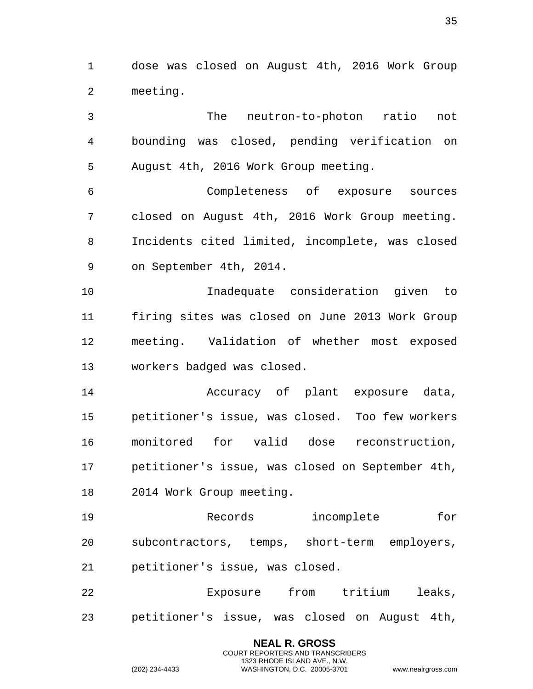dose was closed on August 4th, 2016 Work Group meeting.

 The neutron-to-photon ratio not bounding was closed, pending verification on August 4th, 2016 Work Group meeting. Completeness of exposure sources closed on August 4th, 2016 Work Group meeting. Incidents cited limited, incomplete, was closed on September 4th, 2014. Inadequate consideration given to firing sites was closed on June 2013 Work Group meeting. Validation of whether most exposed workers badged was closed. Accuracy of plant exposure data, petitioner's issue, was closed. Too few workers monitored for valid dose reconstruction, petitioner's issue, was closed on September 4th, 2014 Work Group meeting. Records incomplete for subcontractors, temps, short-term employers, petitioner's issue, was closed. Exposure from tritium leaks,

petitioner's issue, was closed on August 4th,

**NEAL R. GROSS** COURT REPORTERS AND TRANSCRIBERS 1323 RHODE ISLAND AVE., N.W.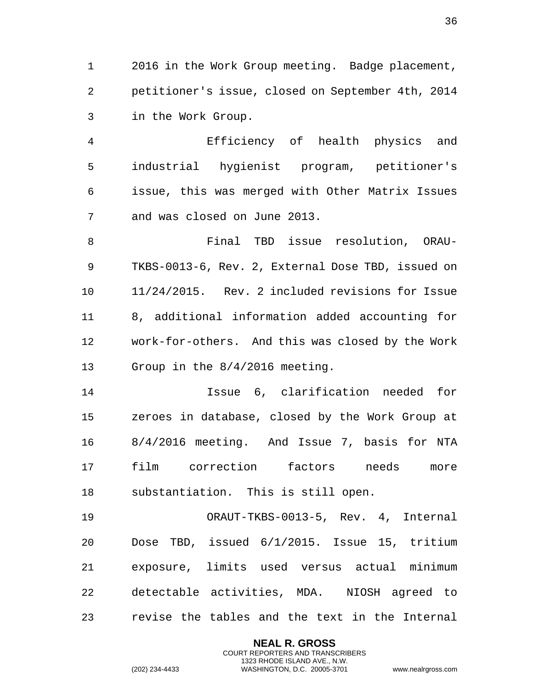2016 in the Work Group meeting. Badge placement, petitioner's issue, closed on September 4th, 2014 in the Work Group.

 Efficiency of health physics and industrial hygienist program, petitioner's issue, this was merged with Other Matrix Issues and was closed on June 2013.

 Final TBD issue resolution, ORAU- TKBS-0013-6, Rev. 2, External Dose TBD, issued on 11/24/2015. Rev. 2 included revisions for Issue 8, additional information added accounting for work-for-others. And this was closed by the Work Group in the 8/4/2016 meeting.

 Issue 6, clarification needed for zeroes in database, closed by the Work Group at 8/4/2016 meeting. And Issue 7, basis for NTA film correction factors needs more substantiation. This is still open.

 ORAUT-TKBS-0013-5, Rev. 4, Internal Dose TBD, issued 6/1/2015. Issue 15, tritium exposure, limits used versus actual minimum detectable activities, MDA. NIOSH agreed to revise the tables and the text in the Internal

> **NEAL R. GROSS** COURT REPORTERS AND TRANSCRIBERS 1323 RHODE ISLAND AVE., N.W.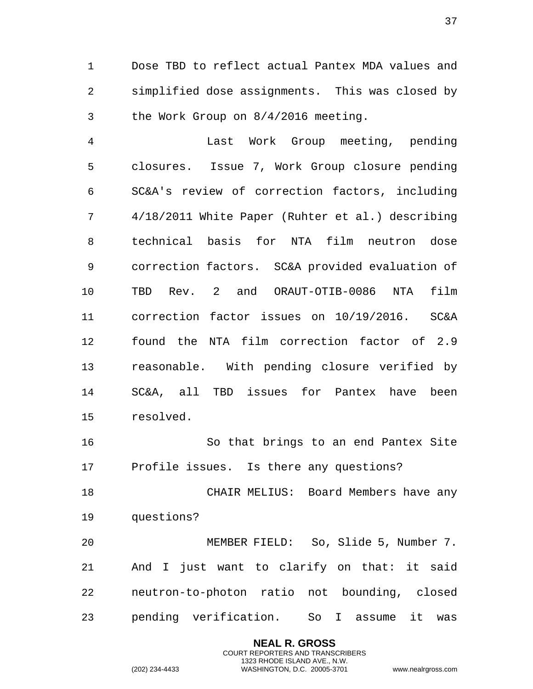Dose TBD to reflect actual Pantex MDA values and simplified dose assignments. This was closed by the Work Group on 8/4/2016 meeting.

 Last Work Group meeting, pending closures. Issue 7, Work Group closure pending SC&A's review of correction factors, including 4/18/2011 White Paper (Ruhter et al.) describing technical basis for NTA film neutron dose correction factors. SC&A provided evaluation of TBD Rev. 2 and ORAUT-OTIB-0086 NTA film correction factor issues on 10/19/2016. SC&A found the NTA film correction factor of 2.9 reasonable. With pending closure verified by SC&A, all TBD issues for Pantex have been resolved.

 So that brings to an end Pantex Site Profile issues. Is there any questions?

 CHAIR MELIUS: Board Members have any questions?

 MEMBER FIELD: So, Slide 5, Number 7. And I just want to clarify on that: it said neutron-to-photon ratio not bounding, closed pending verification. So I assume it was

> **NEAL R. GROSS** COURT REPORTERS AND TRANSCRIBERS 1323 RHODE ISLAND AVE., N.W.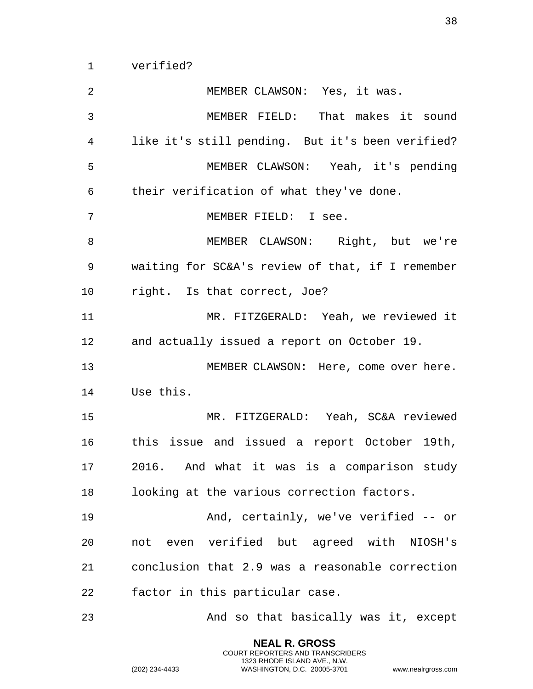verified?

 MEMBER CLAWSON: Yes, it was. MEMBER FIELD: That makes it sound like it's still pending. But it's been verified? MEMBER CLAWSON: Yeah, it's pending their verification of what they've done. MEMBER FIELD: I see. MEMBER CLAWSON: Right, but we're waiting for SC&A's review of that, if I remember right. Is that correct, Joe? MR. FITZGERALD: Yeah, we reviewed it and actually issued a report on October 19. MEMBER CLAWSON: Here, come over here. Use this. MR. FITZGERALD: Yeah, SC&A reviewed this issue and issued a report October 19th, 2016. And what it was is a comparison study looking at the various correction factors. And, certainly, we've verified -- or not even verified but agreed with NIOSH's conclusion that 2.9 was a reasonable correction factor in this particular case. And so that basically was it, except

> **NEAL R. GROSS** COURT REPORTERS AND TRANSCRIBERS 1323 RHODE ISLAND AVE., N.W.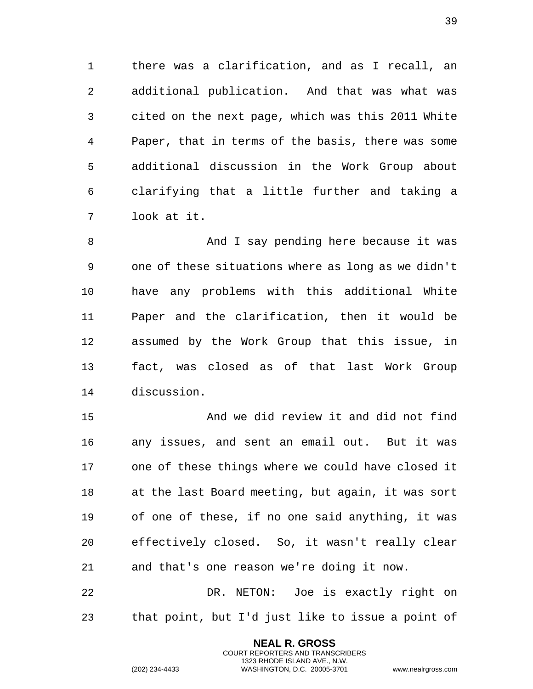there was a clarification, and as I recall, an additional publication. And that was what was cited on the next page, which was this 2011 White Paper, that in terms of the basis, there was some additional discussion in the Work Group about clarifying that a little further and taking a look at it.

8 And I say pending here because it was one of these situations where as long as we didn't have any problems with this additional White Paper and the clarification, then it would be assumed by the Work Group that this issue, in fact, was closed as of that last Work Group discussion.

 And we did review it and did not find any issues, and sent an email out. But it was one of these things where we could have closed it at the last Board meeting, but again, it was sort of one of these, if no one said anything, it was effectively closed. So, it wasn't really clear and that's one reason we're doing it now.

 DR. NETON: Joe is exactly right on that point, but I'd just like to issue a point of

> **NEAL R. GROSS** COURT REPORTERS AND TRANSCRIBERS 1323 RHODE ISLAND AVE., N.W.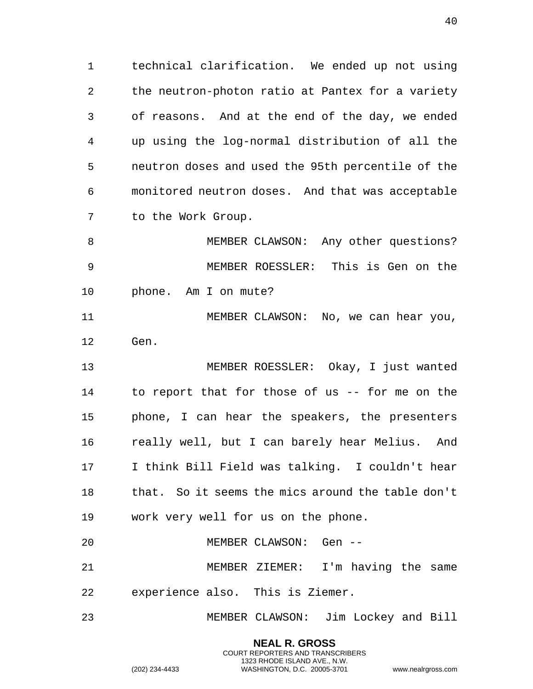technical clarification. We ended up not using the neutron-photon ratio at Pantex for a variety of reasons. And at the end of the day, we ended up using the log-normal distribution of all the neutron doses and used the 95th percentile of the monitored neutron doses. And that was acceptable to the Work Group.

 MEMBER CLAWSON: Any other questions? MEMBER ROESSLER: This is Gen on the phone. Am I on mute?

 MEMBER CLAWSON: No, we can hear you, Gen.

 MEMBER ROESSLER: Okay, I just wanted to report that for those of us -- for me on the phone, I can hear the speakers, the presenters really well, but I can barely hear Melius. And I think Bill Field was talking. I couldn't hear that. So it seems the mics around the table don't work very well for us on the phone.

 MEMBER CLAWSON: Gen -- MEMBER ZIEMER: I'm having the same

experience also. This is Ziemer.

MEMBER CLAWSON: Jim Lockey and Bill

**NEAL R. GROSS** COURT REPORTERS AND TRANSCRIBERS 1323 RHODE ISLAND AVE., N.W.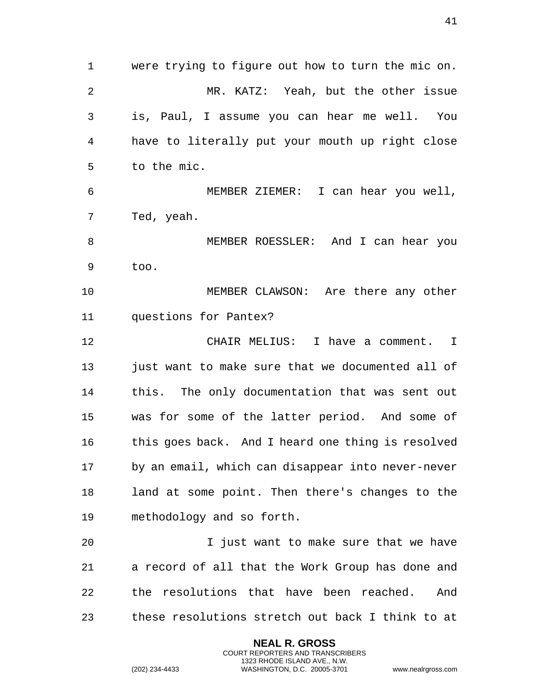were trying to figure out how to turn the mic on. MR. KATZ: Yeah, but the other issue is, Paul, I assume you can hear me well. You have to literally put your mouth up right close to the mic. MEMBER ZIEMER: I can hear you well, Ted, yeah. MEMBER ROESSLER: And I can hear you too. MEMBER CLAWSON: Are there any other questions for Pantex? CHAIR MELIUS: I have a comment. I just want to make sure that we documented all of this. The only documentation that was sent out was for some of the latter period. And some of this goes back. And I heard one thing is resolved by an email, which can disappear into never-never land at some point. Then there's changes to the methodology and so forth. I just want to make sure that we have a record of all that the Work Group has done and the resolutions that have been reached. And

these resolutions stretch out back I think to at

**NEAL R. GROSS** COURT REPORTERS AND TRANSCRIBERS 1323 RHODE ISLAND AVE., N.W.

(202) 234-4433 WASHINGTON, D.C. 20005-3701 www.nealrgross.com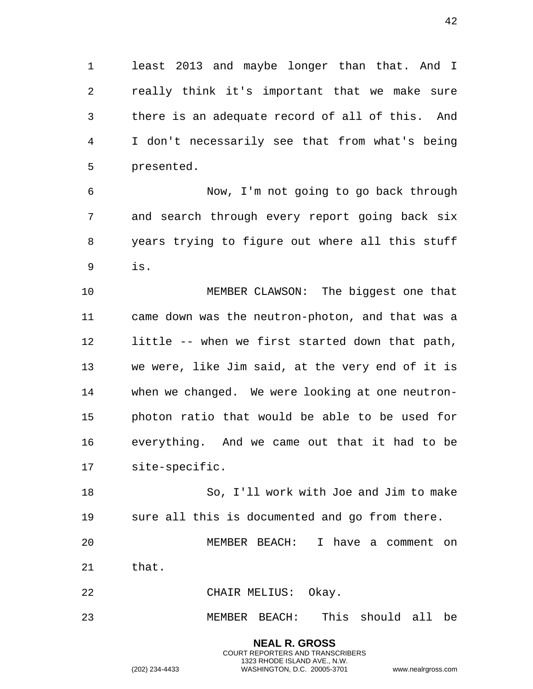least 2013 and maybe longer than that. And I really think it's important that we make sure there is an adequate record of all of this. And I don't necessarily see that from what's being presented.

 Now, I'm not going to go back through and search through every report going back six years trying to figure out where all this stuff is.

 MEMBER CLAWSON: The biggest one that came down was the neutron-photon, and that was a little -- when we first started down that path, we were, like Jim said, at the very end of it is when we changed. We were looking at one neutron- photon ratio that would be able to be used for everything. And we came out that it had to be site-specific.

 So, I'll work with Joe and Jim to make sure all this is documented and go from there.

 MEMBER BEACH: I have a comment on that.

CHAIR MELIUS: Okay.

MEMBER BEACH: This should all be

**NEAL R. GROSS** COURT REPORTERS AND TRANSCRIBERS 1323 RHODE ISLAND AVE., N.W.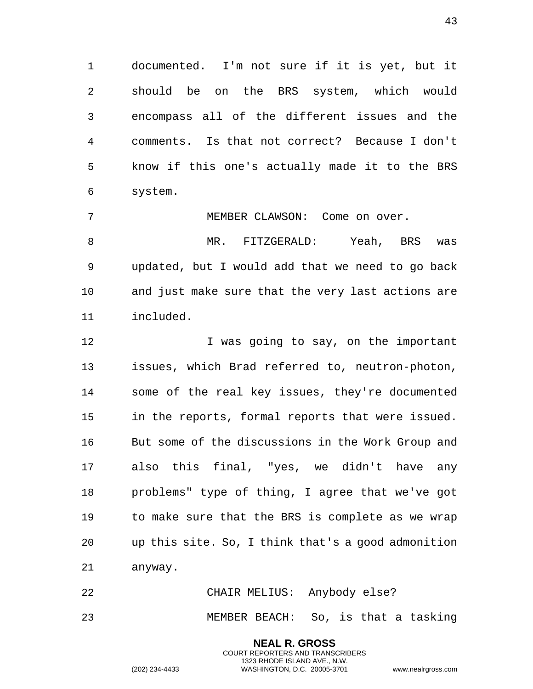documented. I'm not sure if it is yet, but it should be on the BRS system, which would encompass all of the different issues and the comments. Is that not correct? Because I don't know if this one's actually made it to the BRS system.

MEMBER CLAWSON: Come on over.

8 MR. FITZGERALD: Yeah, BRS was updated, but I would add that we need to go back and just make sure that the very last actions are included.

12 12 I was going to say, on the important issues, which Brad referred to, neutron-photon, some of the real key issues, they're documented in the reports, formal reports that were issued. But some of the discussions in the Work Group and also this final, "yes, we didn't have any problems" type of thing, I agree that we've got to make sure that the BRS is complete as we wrap up this site. So, I think that's a good admonition anyway.

 CHAIR MELIUS: Anybody else? MEMBER BEACH: So, is that a tasking

> **NEAL R. GROSS** COURT REPORTERS AND TRANSCRIBERS 1323 RHODE ISLAND AVE., N.W.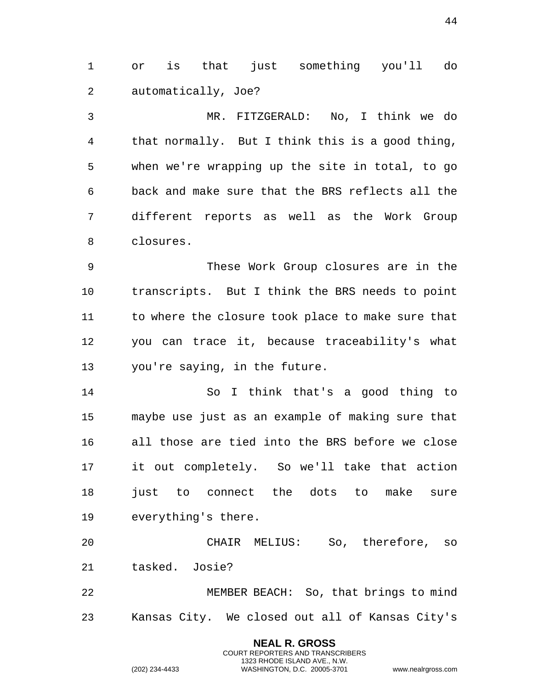or is that just something you'll do automatically, Joe?

 MR. FITZGERALD: No, I think we do that normally. But I think this is a good thing, when we're wrapping up the site in total, to go back and make sure that the BRS reflects all the different reports as well as the Work Group closures.

 These Work Group closures are in the transcripts. But I think the BRS needs to point to where the closure took place to make sure that you can trace it, because traceability's what you're saying, in the future.

 So I think that's a good thing to maybe use just as an example of making sure that all those are tied into the BRS before we close it out completely. So we'll take that action 18 just to connect the dots to make sure everything's there.

 CHAIR MELIUS: So, therefore, so tasked. Josie?

 MEMBER BEACH: So, that brings to mind Kansas City. We closed out all of Kansas City's

> **NEAL R. GROSS** COURT REPORTERS AND TRANSCRIBERS 1323 RHODE ISLAND AVE., N.W.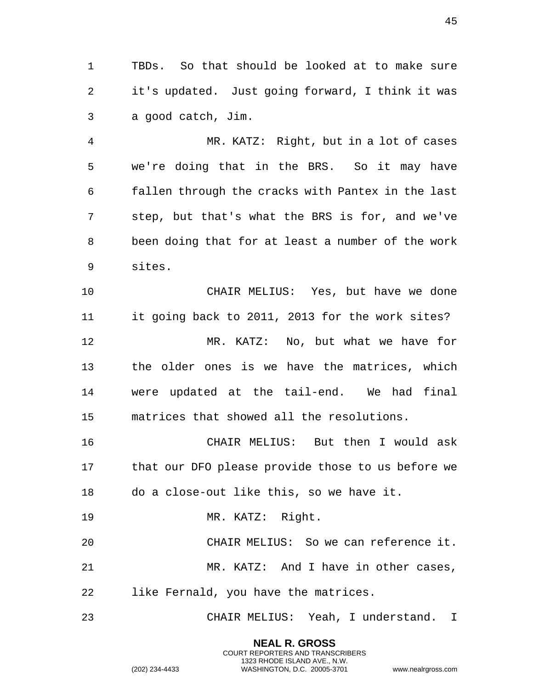TBDs. So that should be looked at to make sure it's updated. Just going forward, I think it was a good catch, Jim.

 MR. KATZ: Right, but in a lot of cases we're doing that in the BRS. So it may have fallen through the cracks with Pantex in the last step, but that's what the BRS is for, and we've been doing that for at least a number of the work sites.

 CHAIR MELIUS: Yes, but have we done it going back to 2011, 2013 for the work sites? MR. KATZ: No, but what we have for the older ones is we have the matrices, which were updated at the tail-end. We had final matrices that showed all the resolutions.

 CHAIR MELIUS: But then I would ask that our DFO please provide those to us before we do a close-out like this, so we have it.

MR. KATZ: Right.

 CHAIR MELIUS: So we can reference it. MR. KATZ: And I have in other cases, like Fernald, you have the matrices.

CHAIR MELIUS: Yeah, I understand. I

**NEAL R. GROSS** COURT REPORTERS AND TRANSCRIBERS 1323 RHODE ISLAND AVE., N.W.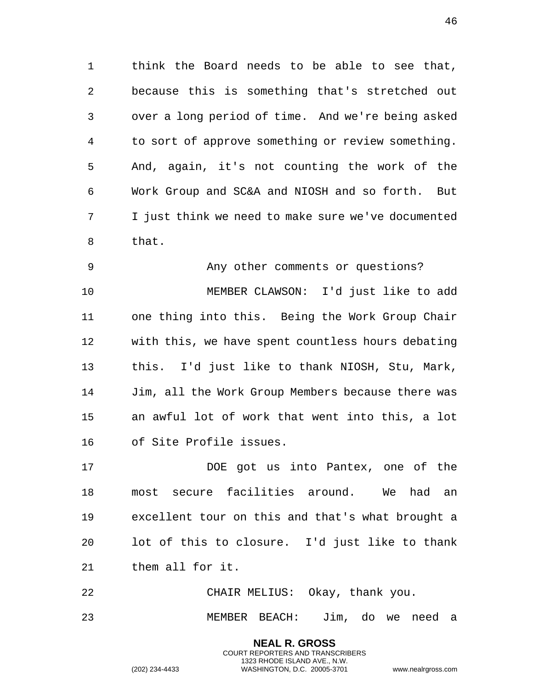think the Board needs to be able to see that, because this is something that's stretched out over a long period of time. And we're being asked to sort of approve something or review something. And, again, it's not counting the work of the Work Group and SC&A and NIOSH and so forth. But I just think we need to make sure we've documented that.

 Any other comments or questions? MEMBER CLAWSON: I'd just like to add one thing into this. Being the Work Group Chair with this, we have spent countless hours debating this. I'd just like to thank NIOSH, Stu, Mark, Jim, all the Work Group Members because there was an awful lot of work that went into this, a lot of Site Profile issues.

17 DOE got us into Pantex, one of the most secure facilities around. We had an excellent tour on this and that's what brought a lot of this to closure. I'd just like to thank them all for it.

 CHAIR MELIUS: Okay, thank you. MEMBER BEACH: Jim, do we need a

> **NEAL R. GROSS** COURT REPORTERS AND TRANSCRIBERS 1323 RHODE ISLAND AVE., N.W.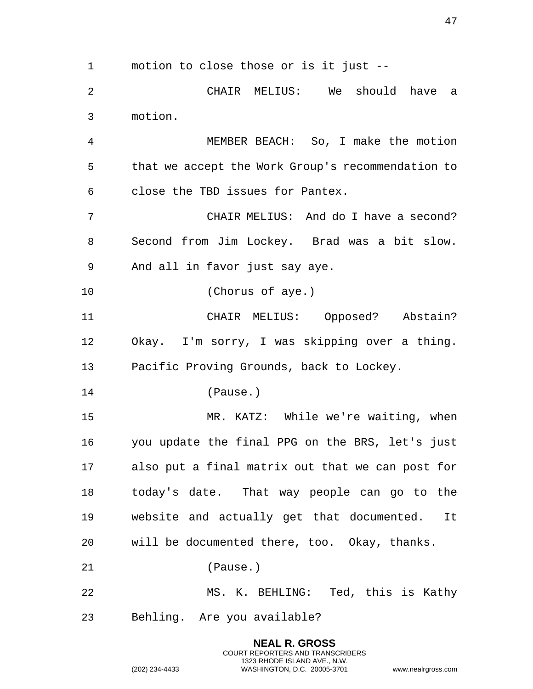motion to close those or is it just -- CHAIR MELIUS: We should have a motion. MEMBER BEACH: So, I make the motion that we accept the Work Group's recommendation to close the TBD issues for Pantex. CHAIR MELIUS: And do I have a second? Second from Jim Lockey. Brad was a bit slow. And all in favor just say aye. (Chorus of aye.) CHAIR MELIUS: Opposed? Abstain? Okay. I'm sorry, I was skipping over a thing. Pacific Proving Grounds, back to Lockey. (Pause.) MR. KATZ: While we're waiting, when you update the final PPG on the BRS, let's just also put a final matrix out that we can post for today's date. That way people can go to the website and actually get that documented. It will be documented there, too. Okay, thanks. (Pause.) MS. K. BEHLING: Ted, this is Kathy Behling. Are you available?

> **NEAL R. GROSS** COURT REPORTERS AND TRANSCRIBERS 1323 RHODE ISLAND AVE., N.W.

(202) 234-4433 WASHINGTON, D.C. 20005-3701 www.nealrgross.com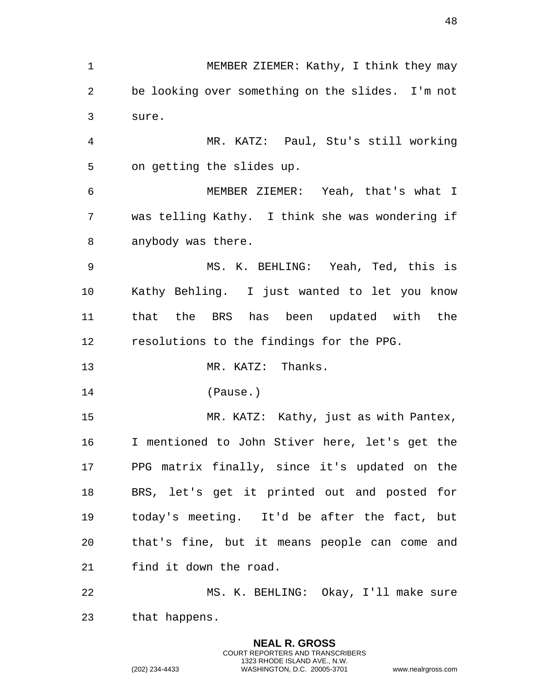MEMBER ZIEMER: Kathy, I think they may be looking over something on the slides. I'm not sure. MR. KATZ: Paul, Stu's still working on getting the slides up. MEMBER ZIEMER: Yeah, that's what I was telling Kathy. I think she was wondering if anybody was there. MS. K. BEHLING: Yeah, Ted, this is Kathy Behling. I just wanted to let you know that the BRS has been updated with the resolutions to the findings for the PPG. 13 MR. KATZ: Thanks. (Pause.) MR. KATZ: Kathy, just as with Pantex, I mentioned to John Stiver here, let's get the PPG matrix finally, since it's updated on the BRS, let's get it printed out and posted for today's meeting. It'd be after the fact, but that's fine, but it means people can come and find it down the road. MS. K. BEHLING: Okay, I'll make sure that happens.

> **NEAL R. GROSS** COURT REPORTERS AND TRANSCRIBERS 1323 RHODE ISLAND AVE., N.W.

(202) 234-4433 WASHINGTON, D.C. 20005-3701 www.nealrgross.com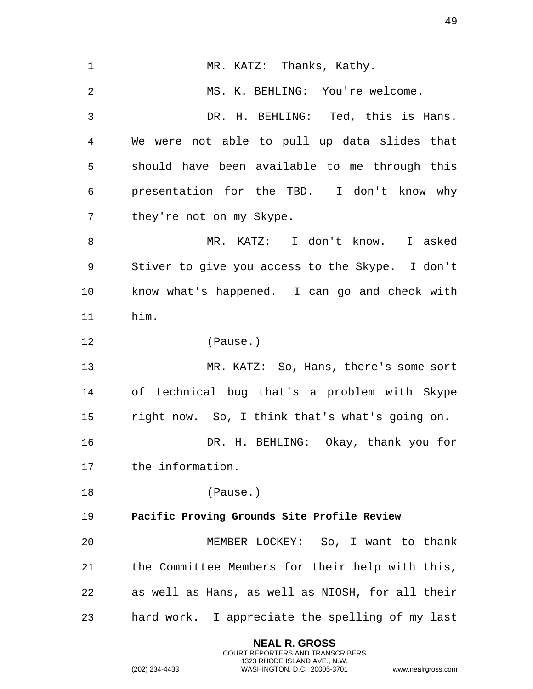1 MR. KATZ: Thanks, Kathy. 2 MS. K. BEHLING: You're welcome. 3 DR. H. BEHLING: Ted, this is Hans. 4 We were not able to pull up data slides that 5 should have been available to me through this 6 presentation for the TBD. I don't know why 7 they're not on my Skype. 8 MR. KATZ: I don't know. I asked 9 Stiver to give you access to the Skype. I don't 10 know what's happened. I can go and check with 11 him. 12 (Pause.) 13 MR. KATZ: So, Hans, there's some sort 14 of technical bug that's a problem with Skype 15 right now. So, I think that's what's going on. 16 DR. H. BEHLING: Okay, thank you for 17 the information. 18 (Pause.) 19 **Pacific Proving Grounds Site Profile Review**  20 MEMBER LOCKEY: So, I want to thank 21 the Committee Members for their help with this, 22 as well as Hans, as well as NIOSH, for all their 23 hard work. I appreciate the spelling of my last

> **NEAL R. GROSS** COURT REPORTERS AND TRANSCRIBERS 1323 RHODE ISLAND AVE., N.W.

(202) 234-4433 WASHINGTON, D.C. 20005-3701 www.nealrgross.com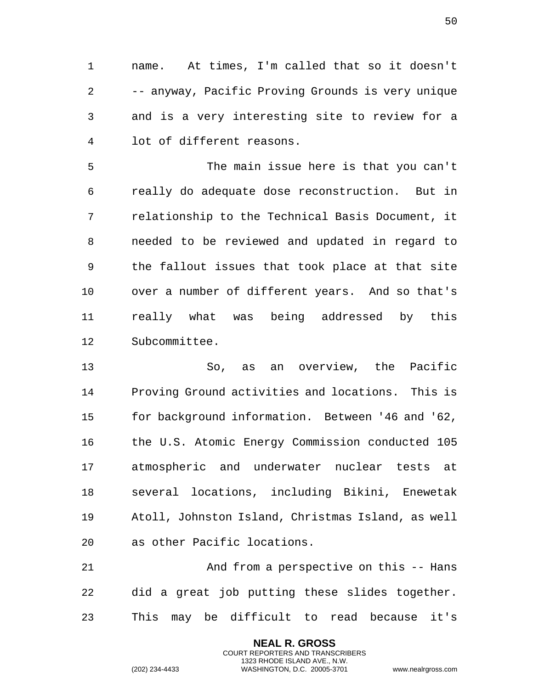1 name. At times, I'm called that so it doesn't 2 -- anyway, Pacific Proving Grounds is very unique 3 and is a very interesting site to review for a 4 lot of different reasons.

5 The main issue here is that you can't 6 really do adequate dose reconstruction. But in 7 relationship to the Technical Basis Document, it 8 needed to be reviewed and updated in regard to 9 the fallout issues that took place at that site 10 over a number of different years. And so that's 11 really what was being addressed by this 12 Subcommittee.

13 So, as an overview, the Pacific 14 Proving Ground activities and locations. This is 15 for background information. Between '46 and '62, 16 the U.S. Atomic Energy Commission conducted 105 17 atmospheric and underwater nuclear tests at 18 several locations, including Bikini, Enewetak 19 Atoll, Johnston Island, Christmas Island, as well 20 as other Pacific locations.

21 And from a perspective on this -- Hans 22 did a great job putting these slides together. 23 This may be difficult to read because it's

> **NEAL R. GROSS** COURT REPORTERS AND TRANSCRIBERS 1323 RHODE ISLAND AVE., N.W.

(202) 234-4433 WASHINGTON, D.C. 20005-3701 www.nealrgross.com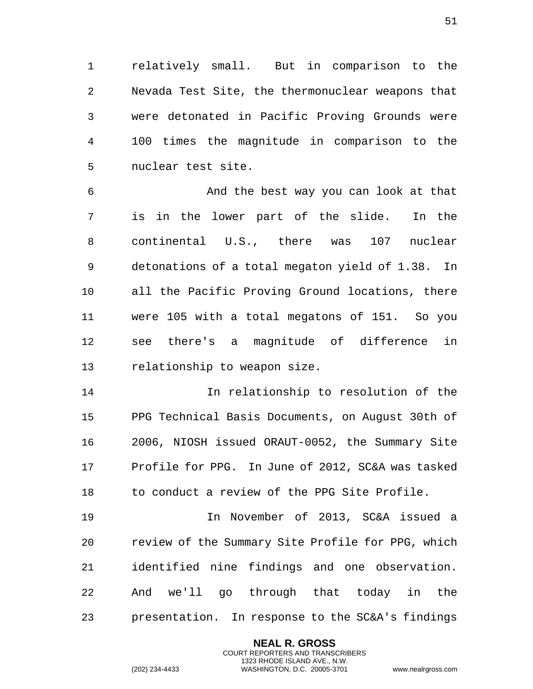relatively small. But in comparison to the Nevada Test Site, the thermonuclear weapons that were detonated in Pacific Proving Grounds were 100 times the magnitude in comparison to the nuclear test site.

 And the best way you can look at that is in the lower part of the slide. In the continental U.S., there was 107 nuclear detonations of a total megaton yield of 1.38. In all the Pacific Proving Ground locations, there were 105 with a total megatons of 151. So you see there's a magnitude of difference in relationship to weapon size.

 In relationship to resolution of the PPG Technical Basis Documents, on August 30th of 2006, NIOSH issued ORAUT-0052, the Summary Site Profile for PPG. In June of 2012, SC&A was tasked to conduct a review of the PPG Site Profile.

 In November of 2013, SC&A issued a review of the Summary Site Profile for PPG, which identified nine findings and one observation. And we'll go through that today in the presentation. In response to the SC&A's findings

> **NEAL R. GROSS** COURT REPORTERS AND TRANSCRIBERS 1323 RHODE ISLAND AVE., N.W.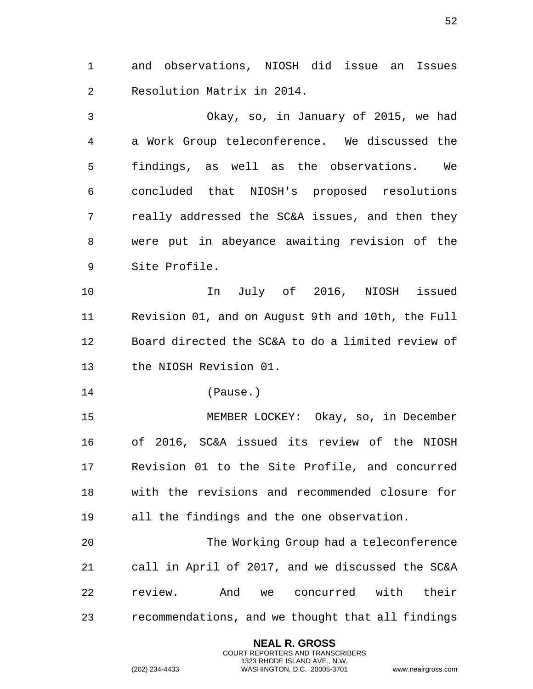and observations, NIOSH did issue an Issues Resolution Matrix in 2014.

 Okay, so, in January of 2015, we had a Work Group teleconference. We discussed the findings, as well as the observations. We concluded that NIOSH's proposed resolutions really addressed the SC&A issues, and then they were put in abeyance awaiting revision of the Site Profile.

 In July of 2016, NIOSH issued Revision 01, and on August 9th and 10th, the Full Board directed the SC&A to do a limited review of the NIOSH Revision 01.

(Pause.)

 MEMBER LOCKEY: Okay, so, in December of 2016, SC&A issued its review of the NIOSH Revision 01 to the Site Profile, and concurred with the revisions and recommended closure for all the findings and the one observation.

 The Working Group had a teleconference call in April of 2017, and we discussed the SC&A review. And we concurred with their recommendations, and we thought that all findings

> **NEAL R. GROSS** COURT REPORTERS AND TRANSCRIBERS 1323 RHODE ISLAND AVE., N.W.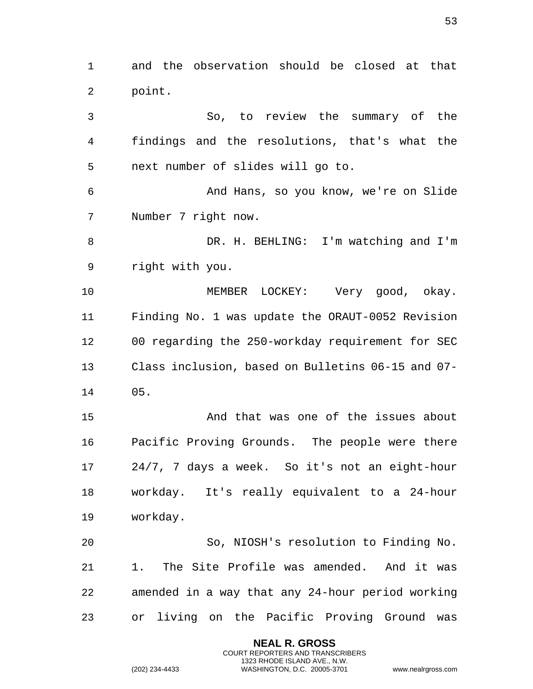and the observation should be closed at that point.

 So, to review the summary of the findings and the resolutions, that's what the next number of slides will go to. And Hans, so you know, we're on Slide Number 7 right now. DR. H. BEHLING: I'm watching and I'm right with you. MEMBER LOCKEY: Very good, okay. Finding No. 1 was update the ORAUT-0052 Revision 00 regarding the 250-workday requirement for SEC Class inclusion, based on Bulletins 06-15 and 07- 05. And that was one of the issues about Pacific Proving Grounds. The people were there 24/7, 7 days a week. So it's not an eight-hour workday. It's really equivalent to a 24-hour workday. So, NIOSH's resolution to Finding No. 1. The Site Profile was amended. And it was amended in a way that any 24-hour period working

> **NEAL R. GROSS** COURT REPORTERS AND TRANSCRIBERS 1323 RHODE ISLAND AVE., N.W.

or living on the Pacific Proving Ground was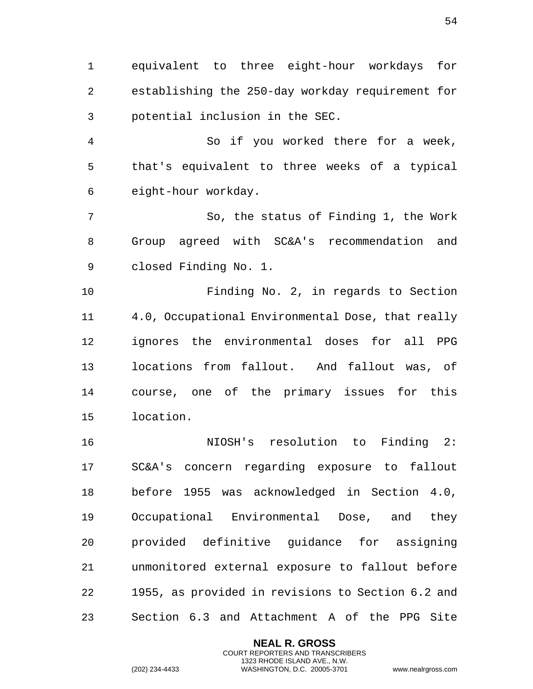equivalent to three eight-hour workdays for establishing the 250-day workday requirement for potential inclusion in the SEC.

 So if you worked there for a week, that's equivalent to three weeks of a typical eight-hour workday.

 So, the status of Finding 1, the Work Group agreed with SC&A's recommendation and closed Finding No. 1.

 Finding No. 2, in regards to Section 4.0, Occupational Environmental Dose, that really ignores the environmental doses for all PPG locations from fallout. And fallout was, of course, one of the primary issues for this location.

 NIOSH's resolution to Finding 2: SC&A's concern regarding exposure to fallout before 1955 was acknowledged in Section 4.0, Occupational Environmental Dose, and they provided definitive guidance for assigning unmonitored external exposure to fallout before 1955, as provided in revisions to Section 6.2 and Section 6.3 and Attachment A of the PPG Site

> **NEAL R. GROSS** COURT REPORTERS AND TRANSCRIBERS 1323 RHODE ISLAND AVE., N.W.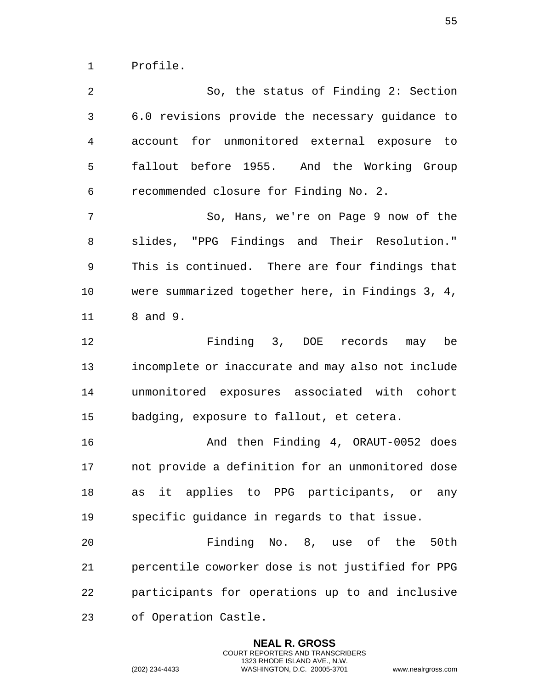Profile.

 So, the status of Finding 2: Section 6.0 revisions provide the necessary guidance to account for unmonitored external exposure to fallout before 1955. And the Working Group recommended closure for Finding No. 2. So, Hans, we're on Page 9 now of the slides, "PPG Findings and Their Resolution." This is continued. There are four findings that were summarized together here, in Findings 3, 4, 8 and 9. Finding 3, DOE records may be incomplete or inaccurate and may also not include unmonitored exposures associated with cohort badging, exposure to fallout, et cetera. And then Finding 4, ORAUT-0052 does not provide a definition for an unmonitored dose as it applies to PPG participants, or any specific guidance in regards to that issue. Finding No. 8, use of the 50th percentile coworker dose is not justified for PPG participants for operations up to and inclusive of Operation Castle.

> **NEAL R. GROSS** COURT REPORTERS AND TRANSCRIBERS 1323 RHODE ISLAND AVE., N.W.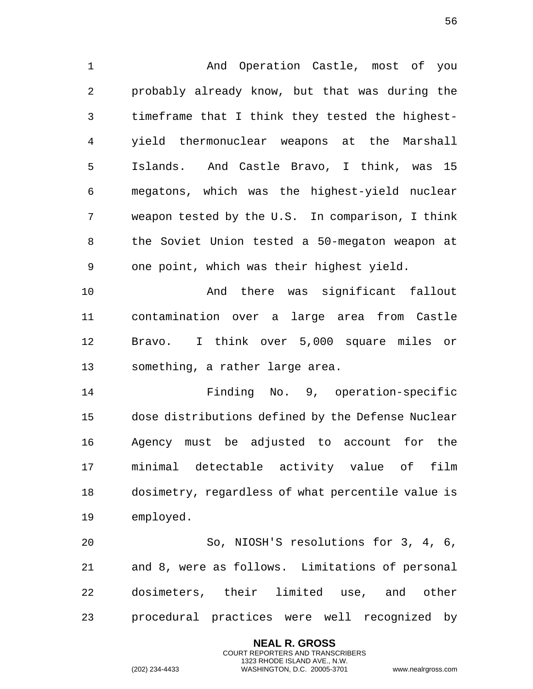And Operation Castle, most of you probably already know, but that was during the timeframe that I think they tested the highest- yield thermonuclear weapons at the Marshall Islands. And Castle Bravo, I think, was 15 megatons, which was the highest-yield nuclear weapon tested by the U.S. In comparison, I think the Soviet Union tested a 50-megaton weapon at one point, which was their highest yield.

 And there was significant fallout contamination over a large area from Castle Bravo. I think over 5,000 square miles or something, a rather large area.

 Finding No. 9, operation-specific dose distributions defined by the Defense Nuclear Agency must be adjusted to account for the minimal detectable activity value of film dosimetry, regardless of what percentile value is employed.

 So, NIOSH'S resolutions for 3, 4, 6, and 8, were as follows. Limitations of personal dosimeters, their limited use, and other procedural practices were well recognized by

> **NEAL R. GROSS** COURT REPORTERS AND TRANSCRIBERS 1323 RHODE ISLAND AVE., N.W.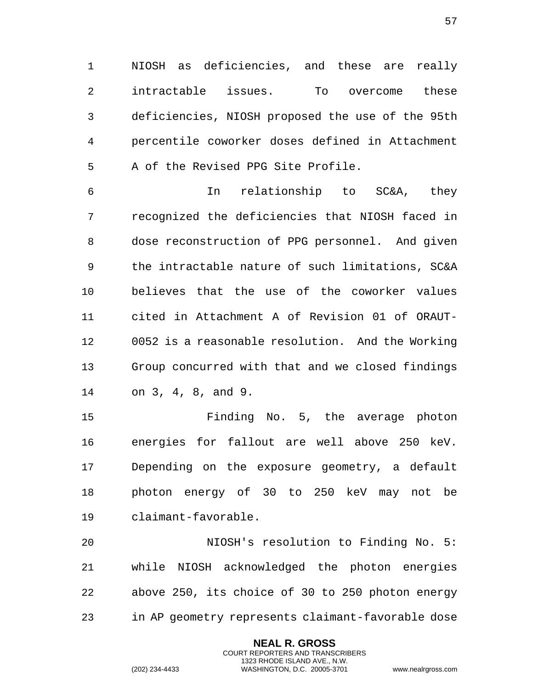NIOSH as deficiencies, and these are really intractable issues. To overcome these deficiencies, NIOSH proposed the use of the 95th percentile coworker doses defined in Attachment A of the Revised PPG Site Profile.

 In relationship to SC&A, they recognized the deficiencies that NIOSH faced in dose reconstruction of PPG personnel. And given the intractable nature of such limitations, SC&A believes that the use of the coworker values cited in Attachment A of Revision 01 of ORAUT- 0052 is a reasonable resolution. And the Working Group concurred with that and we closed findings on 3, 4, 8, and 9.

 Finding No. 5, the average photon energies for fallout are well above 250 keV. Depending on the exposure geometry, a default photon energy of 30 to 250 keV may not be claimant-favorable.

 NIOSH's resolution to Finding No. 5: while NIOSH acknowledged the photon energies above 250, its choice of 30 to 250 photon energy in AP geometry represents claimant-favorable dose

> **NEAL R. GROSS** COURT REPORTERS AND TRANSCRIBERS 1323 RHODE ISLAND AVE., N.W.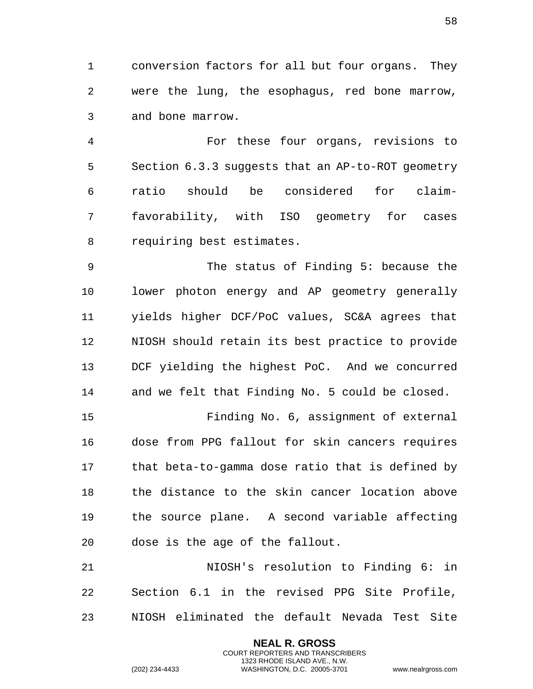conversion factors for all but four organs. They were the lung, the esophagus, red bone marrow, and bone marrow.

 For these four organs, revisions to Section 6.3.3 suggests that an AP-to-ROT geometry ratio should be considered for claim- favorability, with ISO geometry for cases requiring best estimates.

 The status of Finding 5: because the lower photon energy and AP geometry generally yields higher DCF/PoC values, SC&A agrees that NIOSH should retain its best practice to provide DCF yielding the highest PoC. And we concurred and we felt that Finding No. 5 could be closed.

 Finding No. 6, assignment of external dose from PPG fallout for skin cancers requires that beta-to-gamma dose ratio that is defined by the distance to the skin cancer location above the source plane. A second variable affecting dose is the age of the fallout.

 NIOSH's resolution to Finding 6: in Section 6.1 in the revised PPG Site Profile, NIOSH eliminated the default Nevada Test Site

> **NEAL R. GROSS** COURT REPORTERS AND TRANSCRIBERS 1323 RHODE ISLAND AVE., N.W.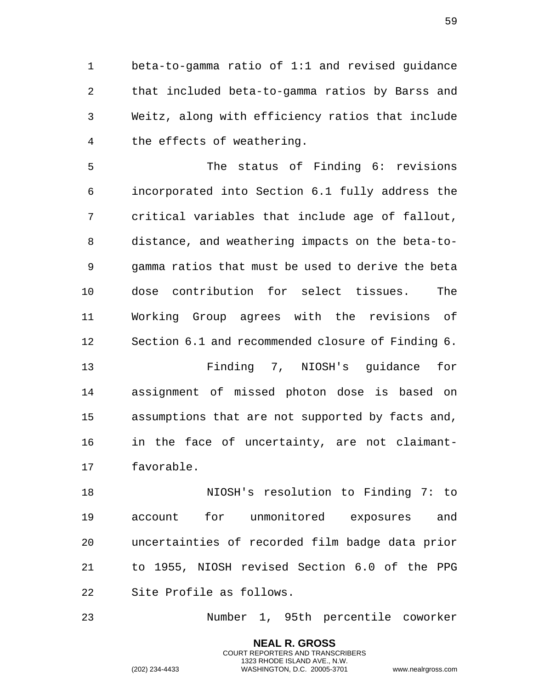beta-to-gamma ratio of 1:1 and revised guidance that included beta-to-gamma ratios by Barss and Weitz, along with efficiency ratios that include the effects of weathering.

 The status of Finding 6: revisions incorporated into Section 6.1 fully address the critical variables that include age of fallout, distance, and weathering impacts on the beta-to- gamma ratios that must be used to derive the beta dose contribution for select tissues. The Working Group agrees with the revisions of Section 6.1 and recommended closure of Finding 6.

 Finding 7, NIOSH's guidance for assignment of missed photon dose is based on assumptions that are not supported by facts and, in the face of uncertainty, are not claimant-favorable.

 NIOSH's resolution to Finding 7: to account for unmonitored exposures and uncertainties of recorded film badge data prior to 1955, NIOSH revised Section 6.0 of the PPG Site Profile as follows.

Number 1, 95th percentile coworker

**NEAL R. GROSS** COURT REPORTERS AND TRANSCRIBERS 1323 RHODE ISLAND AVE., N.W.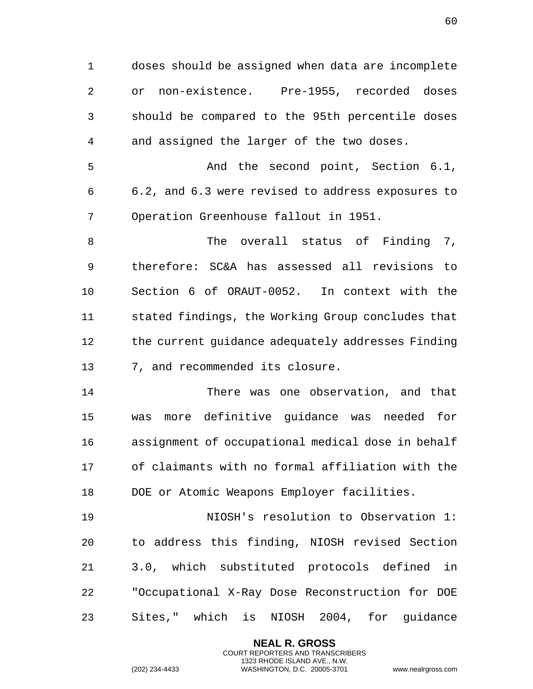doses should be assigned when data are incomplete or non-existence. Pre-1955, recorded doses should be compared to the 95th percentile doses and assigned the larger of the two doses.

 And the second point, Section 6.1, 6.2, and 6.3 were revised to address exposures to Operation Greenhouse fallout in 1951.

8 The overall status of Finding 7, therefore: SC&A has assessed all revisions to Section 6 of ORAUT-0052. In context with the stated findings, the Working Group concludes that the current guidance adequately addresses Finding 7, and recommended its closure.

 There was one observation, and that was more definitive guidance was needed for assignment of occupational medical dose in behalf of claimants with no formal affiliation with the DOE or Atomic Weapons Employer facilities.

 NIOSH's resolution to Observation 1: to address this finding, NIOSH revised Section 3.0, which substituted protocols defined in "Occupational X-Ray Dose Reconstruction for DOE Sites," which is NIOSH 2004, for guidance

> **NEAL R. GROSS** COURT REPORTERS AND TRANSCRIBERS 1323 RHODE ISLAND AVE., N.W.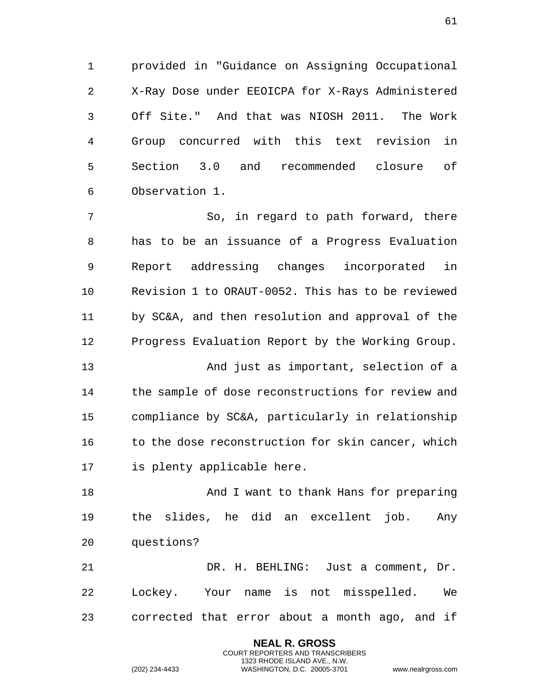provided in "Guidance on Assigning Occupational X-Ray Dose under EEOICPA for X-Rays Administered Off Site." And that was NIOSH 2011. The Work Group concurred with this text revision in Section 3.0 and recommended closure of Observation 1.

 So, in regard to path forward, there has to be an issuance of a Progress Evaluation Report addressing changes incorporated in Revision 1 to ORAUT-0052. This has to be reviewed by SC&A, and then resolution and approval of the Progress Evaluation Report by the Working Group.

 And just as important, selection of a the sample of dose reconstructions for review and compliance by SC&A, particularly in relationship 16 to the dose reconstruction for skin cancer, which is plenty applicable here.

18 And I want to thank Hans for preparing the slides, he did an excellent job. Any questions?

 DR. H. BEHLING: Just a comment, Dr. Lockey. Your name is not misspelled. We corrected that error about a month ago, and if

> **NEAL R. GROSS** COURT REPORTERS AND TRANSCRIBERS 1323 RHODE ISLAND AVE., N.W.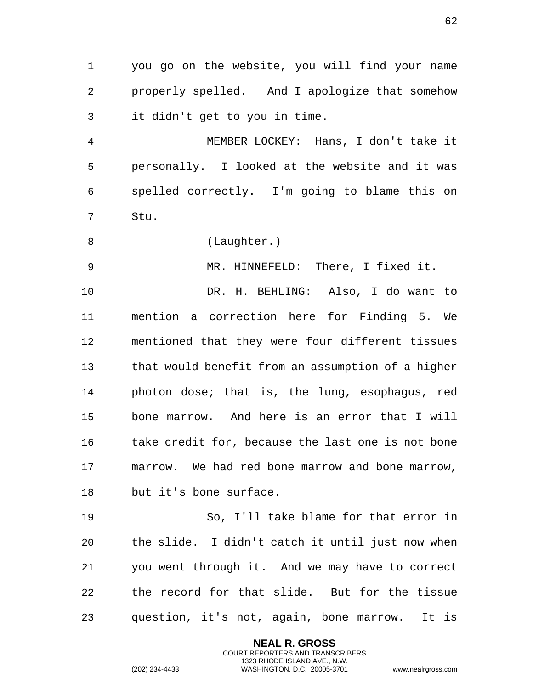you go on the website, you will find your name properly spelled. And I apologize that somehow it didn't get to you in time.

 MEMBER LOCKEY: Hans, I don't take it personally. I looked at the website and it was spelled correctly. I'm going to blame this on Stu.

8 (Laughter.)

MR. HINNEFELD: There, I fixed it.

 DR. H. BEHLING: Also, I do want to mention a correction here for Finding 5. We mentioned that they were four different tissues that would benefit from an assumption of a higher photon dose; that is, the lung, esophagus, red bone marrow. And here is an error that I will 16 take credit for, because the last one is not bone marrow. We had red bone marrow and bone marrow, but it's bone surface.

 So, I'll take blame for that error in the slide. I didn't catch it until just now when you went through it. And we may have to correct the record for that slide. But for the tissue question, it's not, again, bone marrow. It is

> **NEAL R. GROSS** COURT REPORTERS AND TRANSCRIBERS 1323 RHODE ISLAND AVE., N.W.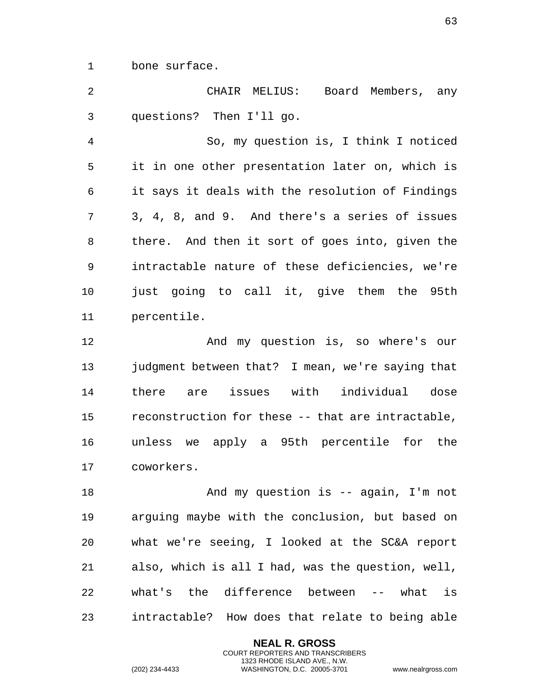bone surface.

 CHAIR MELIUS: Board Members, any questions? Then I'll go. So, my question is, I think I noticed it in one other presentation later on, which is it says it deals with the resolution of Findings 3, 4, 8, and 9. And there's a series of issues there. And then it sort of goes into, given the intractable nature of these deficiencies, we're just going to call it, give them the 95th percentile. And my question is, so where's our judgment between that? I mean, we're saying that there are issues with individual dose reconstruction for these -- that are intractable, unless we apply a 95th percentile for the

coworkers.

18 And my question is -- again, I'm not arguing maybe with the conclusion, but based on what we're seeing, I looked at the SC&A report also, which is all I had, was the question, well, what's the difference between -- what is intractable? How does that relate to being able

> **NEAL R. GROSS** COURT REPORTERS AND TRANSCRIBERS 1323 RHODE ISLAND AVE., N.W.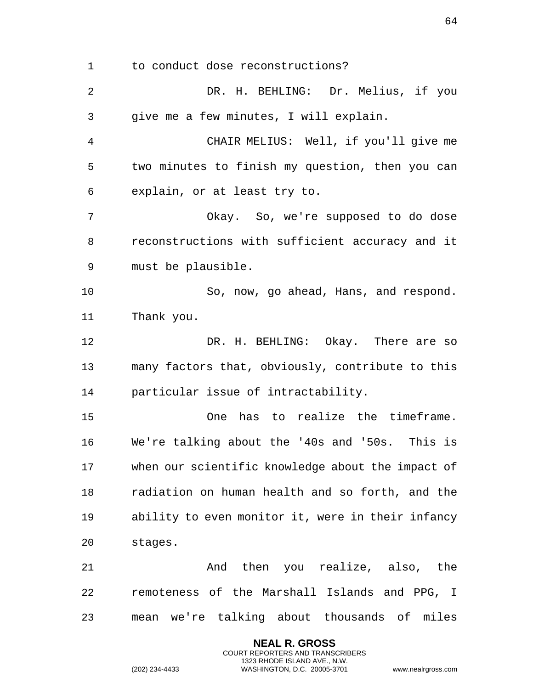to conduct dose reconstructions?

 DR. H. BEHLING: Dr. Melius, if you give me a few minutes, I will explain. CHAIR MELIUS: Well, if you'll give me two minutes to finish my question, then you can explain, or at least try to. Okay. So, we're supposed to do dose reconstructions with sufficient accuracy and it must be plausible. So, now, go ahead, Hans, and respond. Thank you. DR. H. BEHLING: Okay. There are so many factors that, obviously, contribute to this particular issue of intractability. One has to realize the timeframe. We're talking about the '40s and '50s. This is when our scientific knowledge about the impact of radiation on human health and so forth, and the ability to even monitor it, were in their infancy stages. And then you realize, also, the remoteness of the Marshall Islands and PPG, I mean we're talking about thousands of miles

> **NEAL R. GROSS** COURT REPORTERS AND TRANSCRIBERS 1323 RHODE ISLAND AVE., N.W.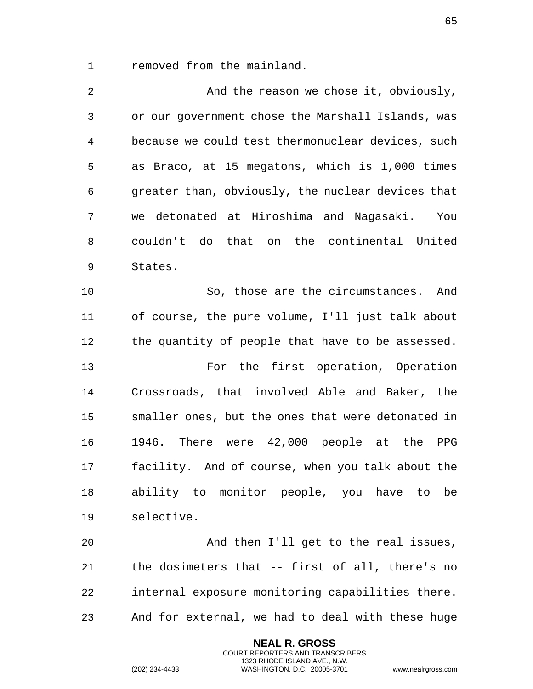removed from the mainland.

 And the reason we chose it, obviously, or our government chose the Marshall Islands, was because we could test thermonuclear devices, such as Braco, at 15 megatons, which is 1,000 times greater than, obviously, the nuclear devices that we detonated at Hiroshima and Nagasaki. You couldn't do that on the continental United States. So, those are the circumstances. And

 of course, the pure volume, I'll just talk about the quantity of people that have to be assessed.

 For the first operation, Operation Crossroads, that involved Able and Baker, the smaller ones, but the ones that were detonated in 1946. There were 42,000 people at the PPG facility. And of course, when you talk about the ability to monitor people, you have to be selective.

 And then I'll get to the real issues, the dosimeters that -- first of all, there's no internal exposure monitoring capabilities there. And for external, we had to deal with these huge

> **NEAL R. GROSS** COURT REPORTERS AND TRANSCRIBERS 1323 RHODE ISLAND AVE., N.W.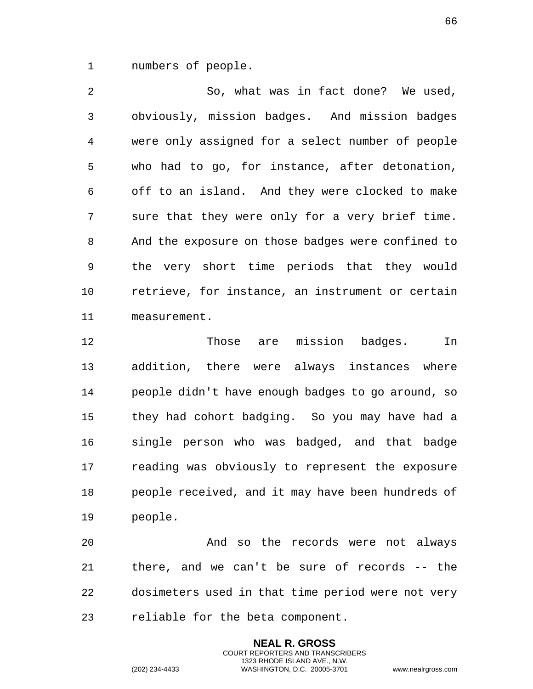numbers of people.

 So, what was in fact done? We used, obviously, mission badges. And mission badges were only assigned for a select number of people who had to go, for instance, after detonation, off to an island. And they were clocked to make sure that they were only for a very brief time. And the exposure on those badges were confined to the very short time periods that they would retrieve, for instance, an instrument or certain measurement.

 Those are mission badges. In addition, there were always instances where people didn't have enough badges to go around, so they had cohort badging. So you may have had a single person who was badged, and that badge reading was obviously to represent the exposure people received, and it may have been hundreds of people.

 And so the records were not always there, and we can't be sure of records -- the dosimeters used in that time period were not very reliable for the beta component.

> **NEAL R. GROSS** COURT REPORTERS AND TRANSCRIBERS 1323 RHODE ISLAND AVE., N.W.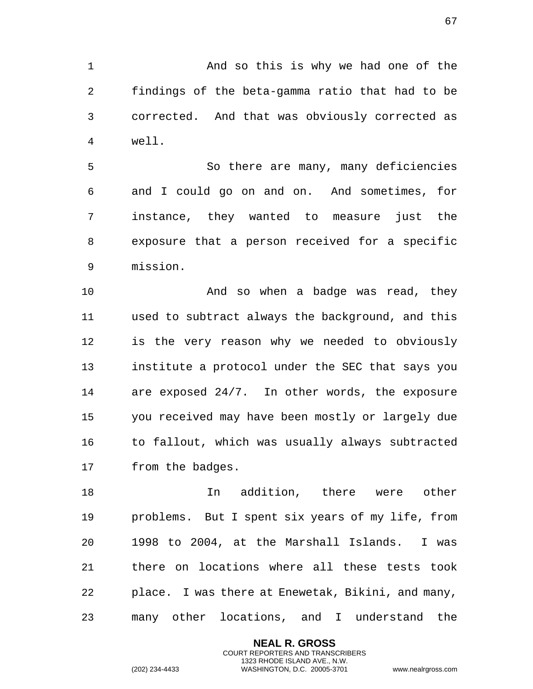1 And so this is why we had one of the findings of the beta-gamma ratio that had to be corrected. And that was obviously corrected as well.

 So there are many, many deficiencies and I could go on and on. And sometimes, for instance, they wanted to measure just the exposure that a person received for a specific mission.

10 And so when a badge was read, they used to subtract always the background, and this is the very reason why we needed to obviously institute a protocol under the SEC that says you are exposed 24/7. In other words, the exposure you received may have been mostly or largely due to fallout, which was usually always subtracted from the badges.

 In addition, there were other problems. But I spent six years of my life, from 1998 to 2004, at the Marshall Islands. I was there on locations where all these tests took place. I was there at Enewetak, Bikini, and many, many other locations, and I understand the

> **NEAL R. GROSS** COURT REPORTERS AND TRANSCRIBERS 1323 RHODE ISLAND AVE., N.W.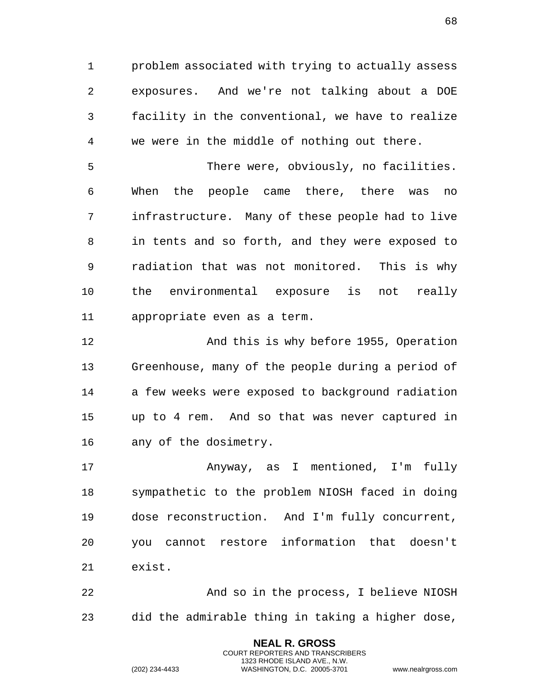problem associated with trying to actually assess exposures. And we're not talking about a DOE facility in the conventional, we have to realize we were in the middle of nothing out there.

 There were, obviously, no facilities. When the people came there, there was no infrastructure. Many of these people had to live in tents and so forth, and they were exposed to radiation that was not monitored. This is why the environmental exposure is not really appropriate even as a term.

 And this is why before 1955, Operation Greenhouse, many of the people during a period of a few weeks were exposed to background radiation up to 4 rem. And so that was never captured in any of the dosimetry.

 Anyway, as I mentioned, I'm fully sympathetic to the problem NIOSH faced in doing dose reconstruction. And I'm fully concurrent, you cannot restore information that doesn't exist.

 And so in the process, I believe NIOSH did the admirable thing in taking a higher dose,

> **NEAL R. GROSS** COURT REPORTERS AND TRANSCRIBERS 1323 RHODE ISLAND AVE., N.W.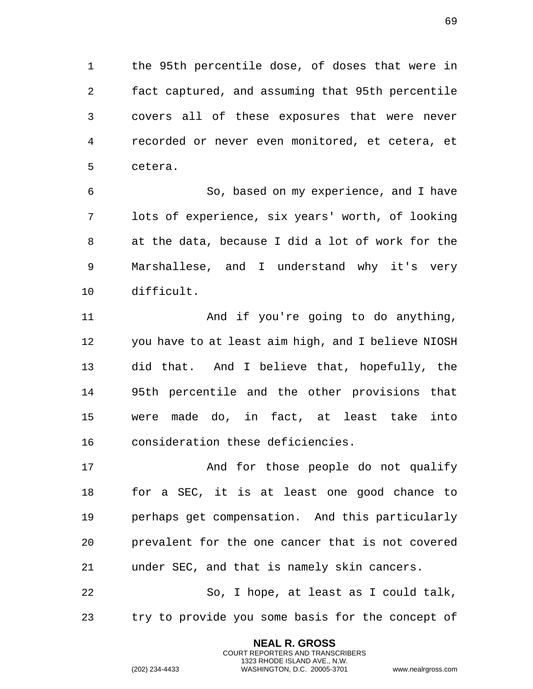the 95th percentile dose, of doses that were in fact captured, and assuming that 95th percentile covers all of these exposures that were never recorded or never even monitored, et cetera, et cetera.

 So, based on my experience, and I have lots of experience, six years' worth, of looking at the data, because I did a lot of work for the Marshallese, and I understand why it's very difficult.

 And if you're going to do anything, you have to at least aim high, and I believe NIOSH did that. And I believe that, hopefully, the 95th percentile and the other provisions that were made do, in fact, at least take into consideration these deficiencies.

17 and for those people do not qualify for a SEC, it is at least one good chance to perhaps get compensation. And this particularly prevalent for the one cancer that is not covered under SEC, and that is namely skin cancers.

 So, I hope, at least as I could talk, try to provide you some basis for the concept of

> **NEAL R. GROSS** COURT REPORTERS AND TRANSCRIBERS 1323 RHODE ISLAND AVE., N.W.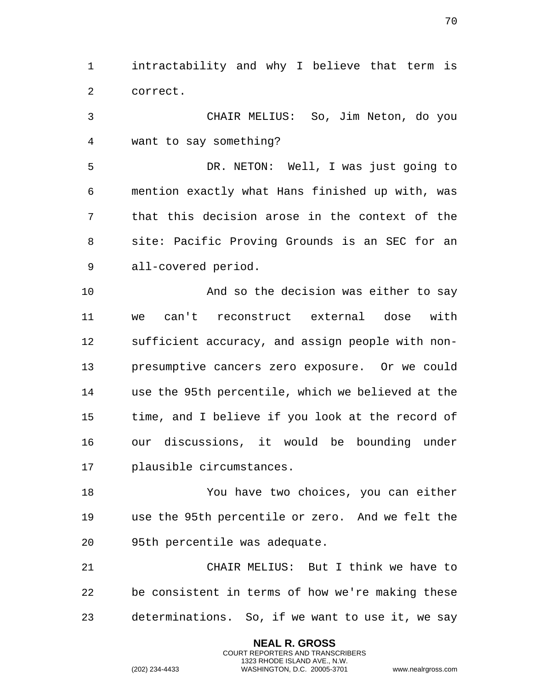intractability and why I believe that term is correct.

 CHAIR MELIUS: So, Jim Neton, do you want to say something?

 DR. NETON: Well, I was just going to mention exactly what Hans finished up with, was that this decision arose in the context of the site: Pacific Proving Grounds is an SEC for an all-covered period.

 And so the decision was either to say we can't reconstruct external dose with sufficient accuracy, and assign people with non- presumptive cancers zero exposure. Or we could use the 95th percentile, which we believed at the time, and I believe if you look at the record of our discussions, it would be bounding under plausible circumstances.

 You have two choices, you can either use the 95th percentile or zero. And we felt the 95th percentile was adequate.

 CHAIR MELIUS: But I think we have to be consistent in terms of how we're making these determinations. So, if we want to use it, we say

> **NEAL R. GROSS** COURT REPORTERS AND TRANSCRIBERS 1323 RHODE ISLAND AVE., N.W.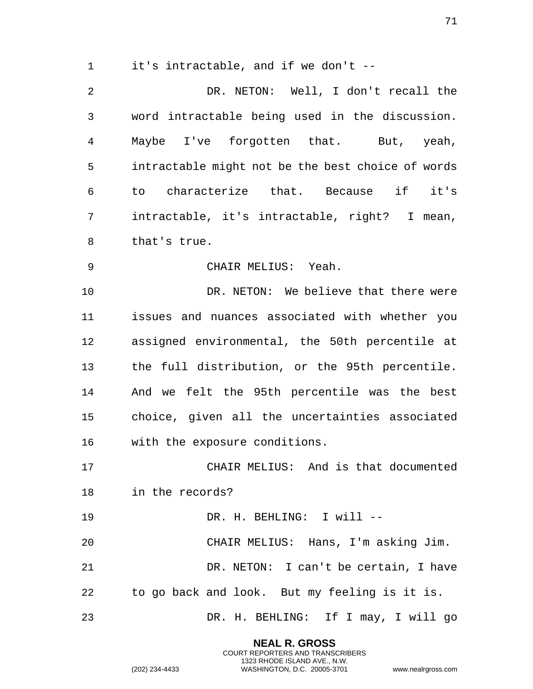it's intractable, and if we don't --

 DR. NETON: Well, I don't recall the word intractable being used in the discussion. Maybe I've forgotten that. But, yeah, intractable might not be the best choice of words to characterize that. Because if it's intractable, it's intractable, right? I mean, that's true.

CHAIR MELIUS: Yeah.

 DR. NETON: We believe that there were issues and nuances associated with whether you assigned environmental, the 50th percentile at the full distribution, or the 95th percentile. And we felt the 95th percentile was the best choice, given all the uncertainties associated with the exposure conditions.

 CHAIR MELIUS: And is that documented in the records?

 DR. H. BEHLING: I will -- CHAIR MELIUS: Hans, I'm asking Jim.

 DR. NETON: I can't be certain, I have to go back and look. But my feeling is it is.

DR. H. BEHLING: If I may, I will go

**NEAL R. GROSS** COURT REPORTERS AND TRANSCRIBERS 1323 RHODE ISLAND AVE., N.W.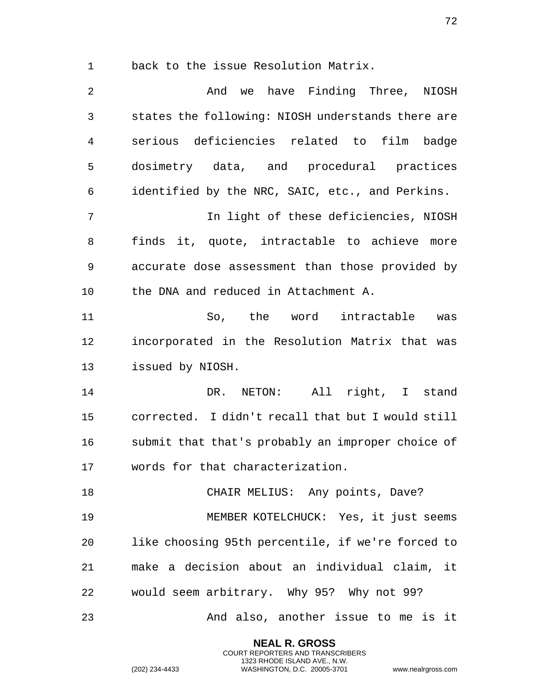back to the issue Resolution Matrix.

 And we have Finding Three, NIOSH states the following: NIOSH understands there are serious deficiencies related to film badge dosimetry data, and procedural practices identified by the NRC, SAIC, etc., and Perkins. In light of these deficiencies, NIOSH finds it, quote, intractable to achieve more accurate dose assessment than those provided by the DNA and reduced in Attachment A. So, the word intractable was incorporated in the Resolution Matrix that was issued by NIOSH. DR. NETON: All right, I stand corrected. I didn't recall that but I would still submit that that's probably an improper choice of words for that characterization. 18 CHAIR MELIUS: Any points, Dave? MEMBER KOTELCHUCK: Yes, it just seems like choosing 95th percentile, if we're forced to make a decision about an individual claim, it would seem arbitrary. Why 95? Why not 99? And also, another issue to me is it

> **NEAL R. GROSS** COURT REPORTERS AND TRANSCRIBERS 1323 RHODE ISLAND AVE., N.W.

(202) 234-4433 WASHINGTON, D.C. 20005-3701 www.nealrgross.com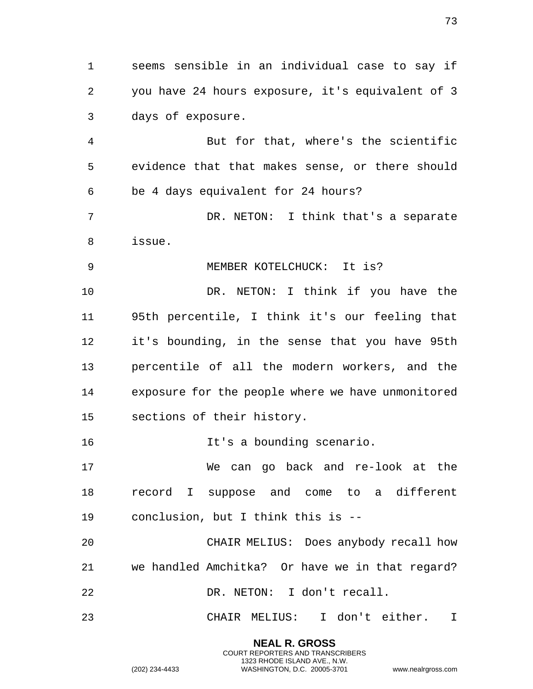seems sensible in an individual case to say if you have 24 hours exposure, it's equivalent of 3 days of exposure.

 But for that, where's the scientific evidence that that makes sense, or there should be 4 days equivalent for 24 hours?

 DR. NETON: I think that's a separate issue.

MEMBER KOTELCHUCK: It is?

 DR. NETON: I think if you have the 95th percentile, I think it's our feeling that it's bounding, in the sense that you have 95th percentile of all the modern workers, and the exposure for the people where we have unmonitored sections of their history.

16 16 It's a bounding scenario.

 We can go back and re-look at the record I suppose and come to a different conclusion, but I think this is --

 CHAIR MELIUS: Does anybody recall how we handled Amchitka? Or have we in that regard? DR. NETON: I don't recall.

CHAIR MELIUS: I don't either. I

**NEAL R. GROSS** COURT REPORTERS AND TRANSCRIBERS 1323 RHODE ISLAND AVE., N.W.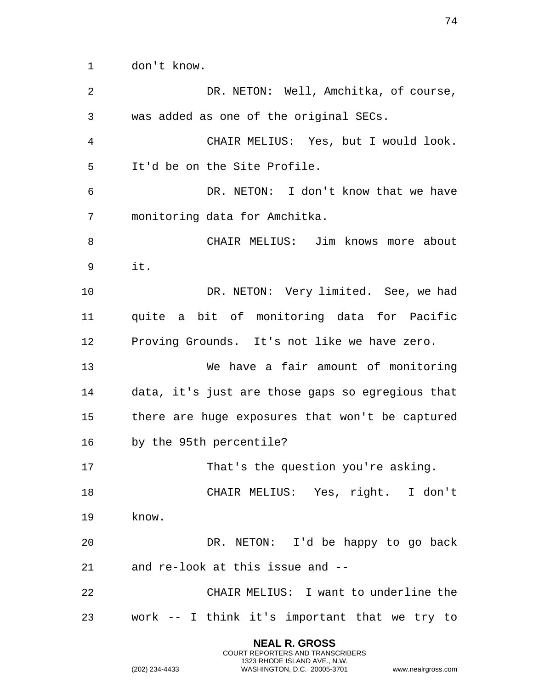don't know.

**NEAL R. GROSS** DR. NETON: Well, Amchitka, of course, was added as one of the original SECs. CHAIR MELIUS: Yes, but I would look. It'd be on the Site Profile. DR. NETON: I don't know that we have monitoring data for Amchitka. CHAIR MELIUS: Jim knows more about it. DR. NETON: Very limited. See, we had quite a bit of monitoring data for Pacific Proving Grounds. It's not like we have zero. We have a fair amount of monitoring data, it's just are those gaps so egregious that there are huge exposures that won't be captured by the 95th percentile? 17 That's the question you're asking. CHAIR MELIUS: Yes, right. I don't know. DR. NETON: I'd be happy to go back and re-look at this issue and -- CHAIR MELIUS: I want to underline the work -- I think it's important that we try to

> COURT REPORTERS AND TRANSCRIBERS 1323 RHODE ISLAND AVE., N.W.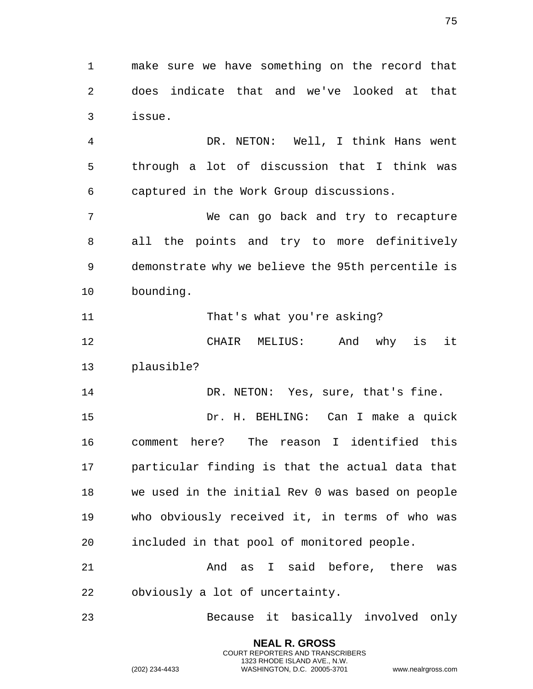make sure we have something on the record that does indicate that and we've looked at that issue.

 DR. NETON: Well, I think Hans went through a lot of discussion that I think was captured in the Work Group discussions.

 We can go back and try to recapture all the points and try to more definitively demonstrate why we believe the 95th percentile is bounding.

11 That's what you're asking?

 CHAIR MELIUS: And why is it plausible?

14 DR. NETON: Yes, sure, that's fine. Dr. H. BEHLING: Can I make a quick comment here? The reason I identified this particular finding is that the actual data that we used in the initial Rev 0 was based on people who obviously received it, in terms of who was included in that pool of monitored people.

 And as I said before, there was obviously a lot of uncertainty.

Because it basically involved only

**NEAL R. GROSS** COURT REPORTERS AND TRANSCRIBERS 1323 RHODE ISLAND AVE., N.W.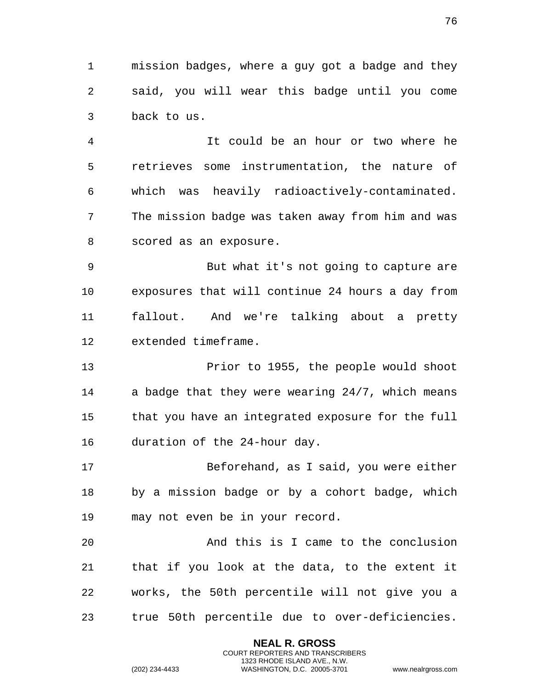mission badges, where a guy got a badge and they said, you will wear this badge until you come back to us.

 It could be an hour or two where he retrieves some instrumentation, the nature of which was heavily radioactively-contaminated. The mission badge was taken away from him and was scored as an exposure.

 But what it's not going to capture are exposures that will continue 24 hours a day from fallout. And we're talking about a pretty extended timeframe.

 Prior to 1955, the people would shoot a badge that they were wearing 24/7, which means that you have an integrated exposure for the full duration of the 24-hour day.

 Beforehand, as I said, you were either by a mission badge or by a cohort badge, which may not even be in your record.

 And this is I came to the conclusion that if you look at the data, to the extent it works, the 50th percentile will not give you a true 50th percentile due to over-deficiencies.

> **NEAL R. GROSS** COURT REPORTERS AND TRANSCRIBERS 1323 RHODE ISLAND AVE., N.W.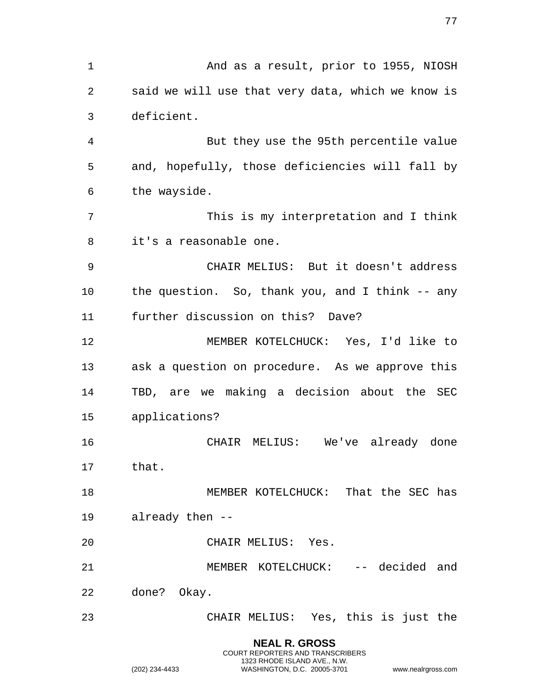**NEAL R. GROSS** And as a result, prior to 1955, NIOSH said we will use that very data, which we know is deficient. But they use the 95th percentile value and, hopefully, those deficiencies will fall by the wayside. This is my interpretation and I think it's a reasonable one. CHAIR MELIUS: But it doesn't address the question. So, thank you, and I think -- any further discussion on this? Dave? MEMBER KOTELCHUCK: Yes, I'd like to ask a question on procedure. As we approve this TBD, are we making a decision about the SEC applications? CHAIR MELIUS: We've already done that. 18 MEMBER KOTELCHUCK: That the SEC has already then -- CHAIR MELIUS: Yes. MEMBER KOTELCHUCK: -- decided and done? Okay. CHAIR MELIUS: Yes, this is just the

> COURT REPORTERS AND TRANSCRIBERS 1323 RHODE ISLAND AVE., N.W.

(202) 234-4433 WASHINGTON, D.C. 20005-3701 www.nealrgross.com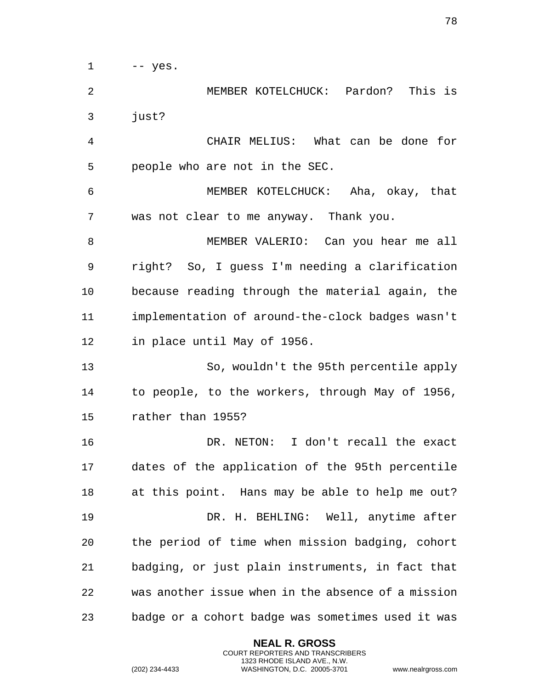-- yes.

 MEMBER KOTELCHUCK: Pardon? This is just?

 CHAIR MELIUS: What can be done for people who are not in the SEC.

 MEMBER KOTELCHUCK: Aha, okay, that was not clear to me anyway. Thank you.

 MEMBER VALERIO: Can you hear me all right? So, I guess I'm needing a clarification because reading through the material again, the implementation of around-the-clock badges wasn't in place until May of 1956.

 So, wouldn't the 95th percentile apply to people, to the workers, through May of 1956, rather than 1955?

 DR. NETON: I don't recall the exact dates of the application of the 95th percentile at this point. Hans may be able to help me out? DR. H. BEHLING: Well, anytime after the period of time when mission badging, cohort badging, or just plain instruments, in fact that was another issue when in the absence of a mission badge or a cohort badge was sometimes used it was

> **NEAL R. GROSS** COURT REPORTERS AND TRANSCRIBERS 1323 RHODE ISLAND AVE., N.W.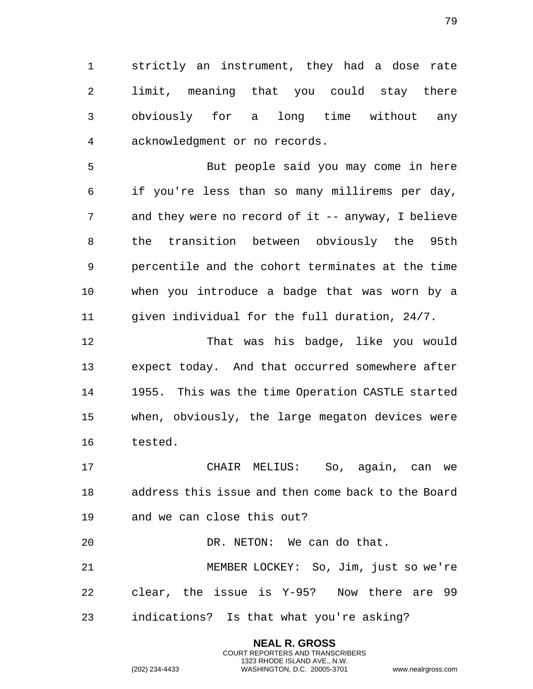strictly an instrument, they had a dose rate limit, meaning that you could stay there obviously for a long time without any acknowledgment or no records.

 But people said you may come in here if you're less than so many millirems per day, and they were no record of it -- anyway, I believe the transition between obviously the 95th percentile and the cohort terminates at the time when you introduce a badge that was worn by a given individual for the full duration, 24/7.

 That was his badge, like you would expect today. And that occurred somewhere after 1955. This was the time Operation CASTLE started when, obviously, the large megaton devices were tested.

 CHAIR MELIUS: So, again, can we address this issue and then come back to the Board and we can close this out?

 DR. NETON: We can do that. MEMBER LOCKEY: So, Jim, just so we're clear, the issue is Y-95? Now there are 99 indications? Is that what you're asking?

> **NEAL R. GROSS** COURT REPORTERS AND TRANSCRIBERS 1323 RHODE ISLAND AVE., N.W.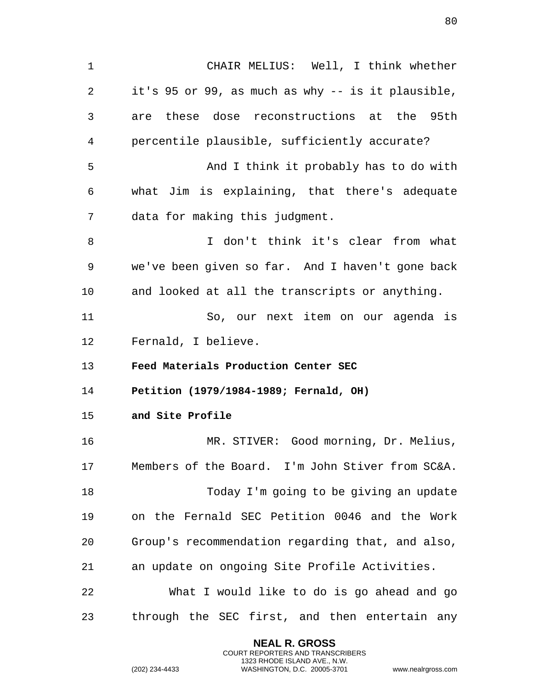1 CHAIR MELIUS: Well, I think whether 2 it's 95 or 99, as much as why -- is it plausible, 3 are these dose reconstructions at the 95th 4 percentile plausible, sufficiently accurate? 5 And I think it probably has to do with 6 what Jim is explaining, that there's adequate 7 data for making this judgment. 8 I don't think it's clear from what 9 we've been given so far. And I haven't gone back 10 and looked at all the transcripts or anything. 11 So, our next item on our agenda is 12 Fernald, I believe. 13 **Feed Materials Production Center SEC**  14 **Petition (1979/1984-1989; Fernald, OH)**  15 **and Site Profile**  16 MR. STIVER: Good morning, Dr. Melius, 17 Members of the Board. I'm John Stiver from SC&A. 18 Today I'm going to be giving an update 19 on the Fernald SEC Petition 0046 and the Work 20 Group's recommendation regarding that, and also, 21 an update on ongoing Site Profile Activities. 22 What I would like to do is go ahead and go 23 through the SEC first, and then entertain any

> **NEAL R. GROSS** COURT REPORTERS AND TRANSCRIBERS 1323 RHODE ISLAND AVE., N.W.

(202) 234-4433 WASHINGTON, D.C. 20005-3701 www.nealrgross.com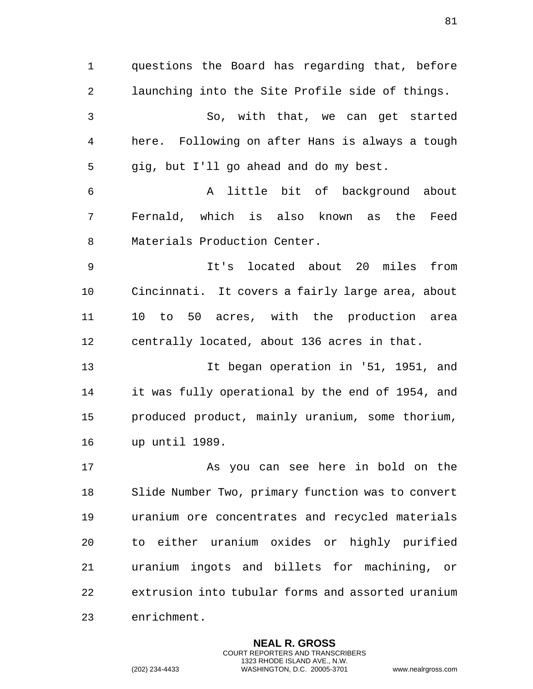1 questions the Board has regarding that, before 2 launching into the Site Profile side of things. 3 So, with that, we can get started 4 here. Following on after Hans is always a tough 5 gig, but I'll go ahead and do my best. 6 A little bit of background about 7 Fernald, which is also known as the Feed 8 Materials Production Center. 9 It's located about 20 miles from 10 Cincinnati. It covers a fairly large area, about 11 10 to 50 acres, with the production area 12 centrally located, about 136 acres in that. 13 It began operation in '51, 1951, and 14 it was fully operational by the end of 1954, and 15 produced product, mainly uranium, some thorium, 16 up until 1989. 17 As you can see here in bold on the 18 Slide Number Two, primary function was to convert 19 uranium ore concentrates and recycled materials 20 to either uranium oxides or highly purified 21 uranium ingots and billets for machining, or 22 extrusion into tubular forms and assorted uranium 23 enrichment.

> **NEAL R. GROSS** COURT REPORTERS AND TRANSCRIBERS 1323 RHODE ISLAND AVE., N.W.

(202) 234-4433 WASHINGTON, D.C. 20005-3701 www.nealrgross.com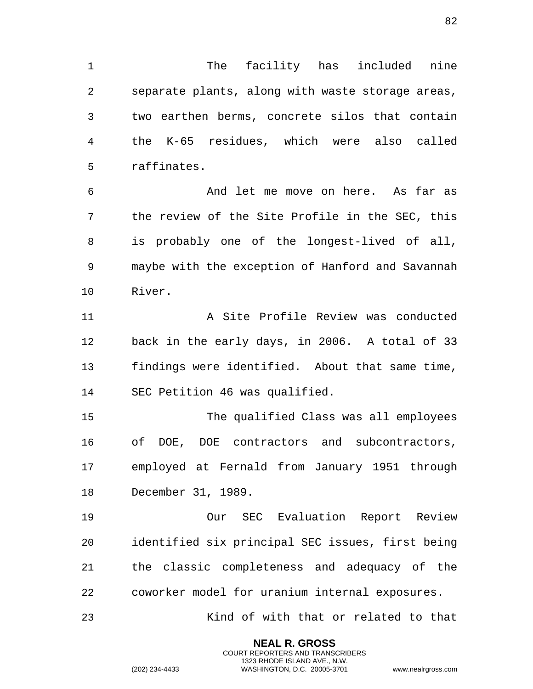The facility has included nine separate plants, along with waste storage areas, two earthen berms, concrete silos that contain the K-65 residues, which were also called raffinates.

 And let me move on here. As far as the review of the Site Profile in the SEC, this is probably one of the longest-lived of all, maybe with the exception of Hanford and Savannah River.

 A Site Profile Review was conducted back in the early days, in 2006. A total of 33 findings were identified. About that same time, SEC Petition 46 was qualified.

 The qualified Class was all employees of DOE, DOE contractors and subcontractors, employed at Fernald from January 1951 through December 31, 1989.

 Our SEC Evaluation Report Review identified six principal SEC issues, first being the classic completeness and adequacy of the coworker model for uranium internal exposures.

Kind of with that or related to that

**NEAL R. GROSS** COURT REPORTERS AND TRANSCRIBERS 1323 RHODE ISLAND AVE., N.W.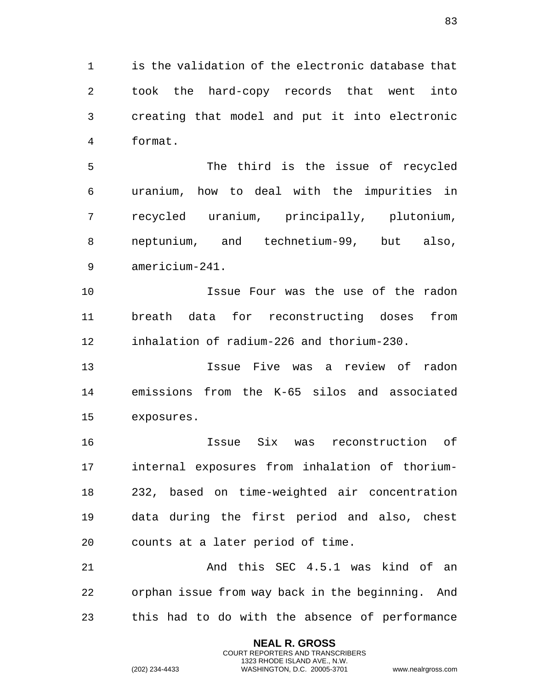is the validation of the electronic database that took the hard-copy records that went into creating that model and put it into electronic format.

 The third is the issue of recycled uranium, how to deal with the impurities in recycled uranium, principally, plutonium, neptunium, and technetium-99, but also, americium-241.

 Issue Four was the use of the radon breath data for reconstructing doses from inhalation of radium-226 and thorium-230.

 Issue Five was a review of radon emissions from the K-65 silos and associated exposures.

 Issue Six was reconstruction of internal exposures from inhalation of thorium- 232, based on time-weighted air concentration data during the first period and also, chest counts at a later period of time.

21 And this SEC 4.5.1 was kind of an orphan issue from way back in the beginning. And this had to do with the absence of performance

> **NEAL R. GROSS** COURT REPORTERS AND TRANSCRIBERS 1323 RHODE ISLAND AVE., N.W.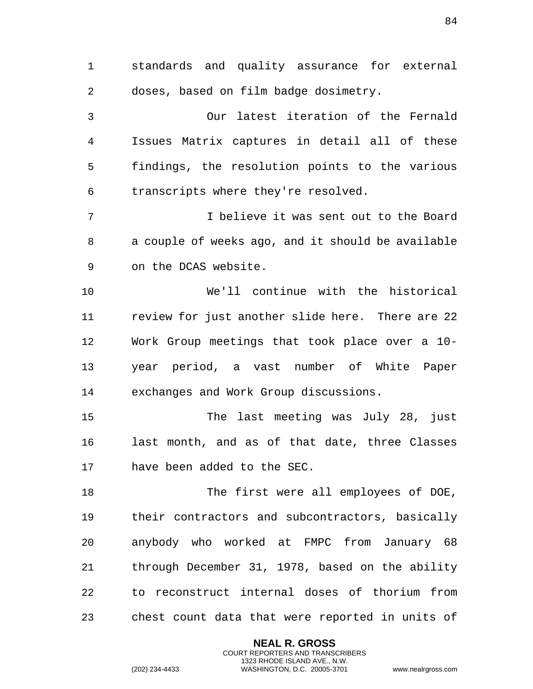standards and quality assurance for external doses, based on film badge dosimetry.

 Our latest iteration of the Fernald Issues Matrix captures in detail all of these findings, the resolution points to the various transcripts where they're resolved.

 I believe it was sent out to the Board a couple of weeks ago, and it should be available on the DCAS website.

 We'll continue with the historical review for just another slide here. There are 22 Work Group meetings that took place over a 10- year period, a vast number of White Paper exchanges and Work Group discussions.

 The last meeting was July 28, just last month, and as of that date, three Classes have been added to the SEC.

 The first were all employees of DOE, their contractors and subcontractors, basically anybody who worked at FMPC from January 68 through December 31, 1978, based on the ability to reconstruct internal doses of thorium from chest count data that were reported in units of

> **NEAL R. GROSS** COURT REPORTERS AND TRANSCRIBERS 1323 RHODE ISLAND AVE., N.W.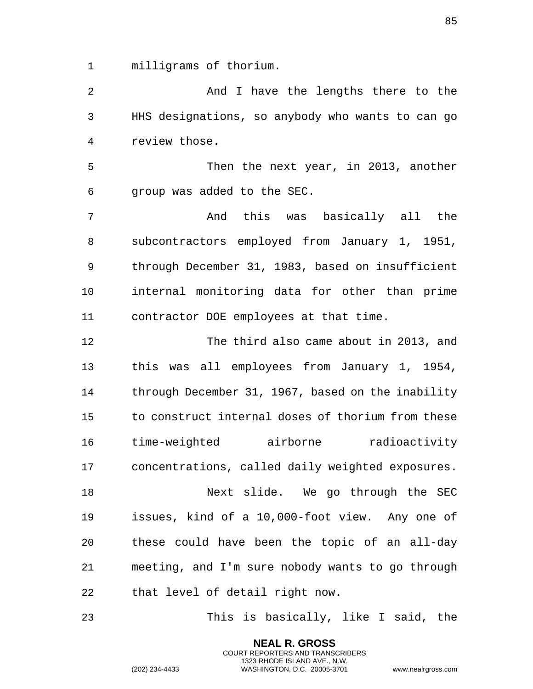milligrams of thorium.

2 And I have the lengths there to the HHS designations, so anybody who wants to can go review those.

 Then the next year, in 2013, another group was added to the SEC.

 And this was basically all the subcontractors employed from January 1, 1951, through December 31, 1983, based on insufficient internal monitoring data for other than prime contractor DOE employees at that time.

 The third also came about in 2013, and this was all employees from January 1, 1954, through December 31, 1967, based on the inability to construct internal doses of thorium from these time-weighted airborne radioactivity concentrations, called daily weighted exposures.

 Next slide. We go through the SEC issues, kind of a 10,000-foot view. Any one of these could have been the topic of an all-day meeting, and I'm sure nobody wants to go through that level of detail right now.

This is basically, like I said, the

**NEAL R. GROSS** COURT REPORTERS AND TRANSCRIBERS 1323 RHODE ISLAND AVE., N.W.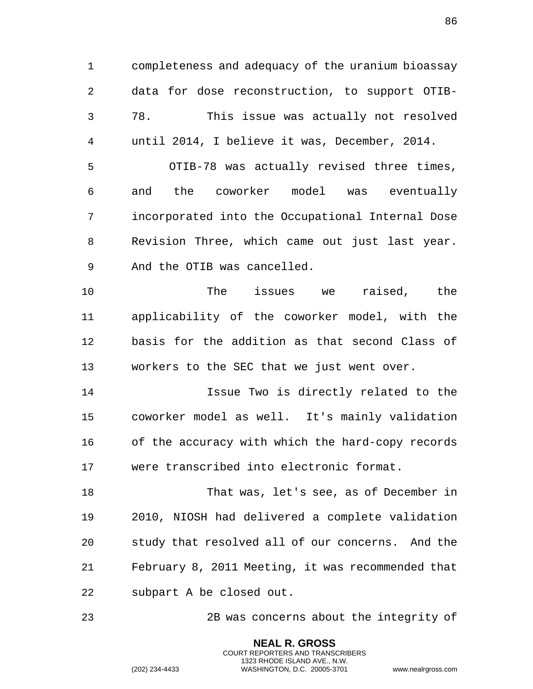completeness and adequacy of the uranium bioassay data for dose reconstruction, to support OTIB- 78. This issue was actually not resolved until 2014, I believe it was, December, 2014.

 OTIB-78 was actually revised three times, and the coworker model was eventually incorporated into the Occupational Internal Dose Revision Three, which came out just last year. And the OTIB was cancelled.

 The issues we raised, the applicability of the coworker model, with the basis for the addition as that second Class of workers to the SEC that we just went over.

 Issue Two is directly related to the coworker model as well. It's mainly validation of the accuracy with which the hard-copy records were transcribed into electronic format.

 That was, let's see, as of December in 2010, NIOSH had delivered a complete validation study that resolved all of our concerns. And the February 8, 2011 Meeting, it was recommended that subpart A be closed out.

2B was concerns about the integrity of

**NEAL R. GROSS** COURT REPORTERS AND TRANSCRIBERS 1323 RHODE ISLAND AVE., N.W.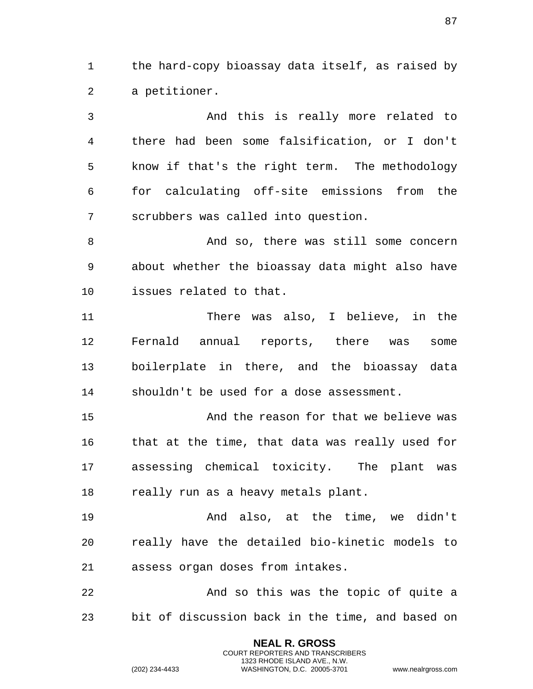the hard-copy bioassay data itself, as raised by a petitioner.

 And this is really more related to there had been some falsification, or I don't know if that's the right term. The methodology for calculating off-site emissions from the scrubbers was called into question.

8 And so, there was still some concern about whether the bioassay data might also have issues related to that.

 There was also, I believe, in the Fernald annual reports, there was some boilerplate in there, and the bioassay data shouldn't be used for a dose assessment.

 And the reason for that we believe was that at the time, that data was really used for assessing chemical toxicity. The plant was 18 really run as a heavy metals plant.

 And also, at the time, we didn't really have the detailed bio-kinetic models to assess organ doses from intakes.

 And so this was the topic of quite a bit of discussion back in the time, and based on

> **NEAL R. GROSS** COURT REPORTERS AND TRANSCRIBERS 1323 RHODE ISLAND AVE., N.W.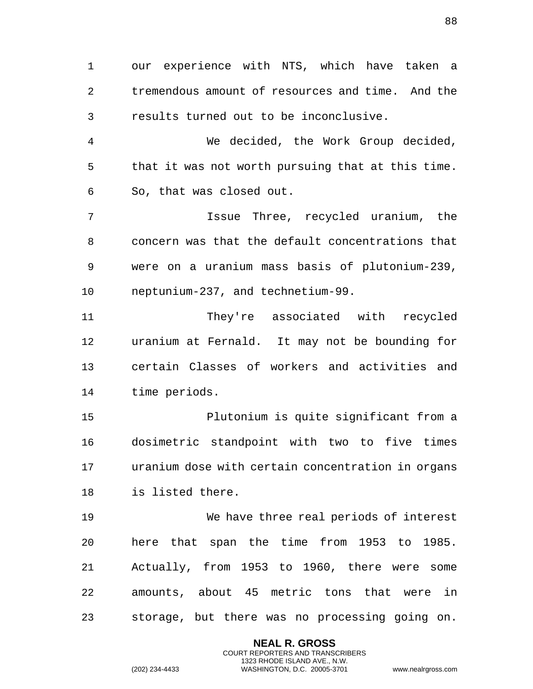our experience with NTS, which have taken a tremendous amount of resources and time. And the results turned out to be inconclusive.

 We decided, the Work Group decided, that it was not worth pursuing that at this time. So, that was closed out.

 Issue Three, recycled uranium, the concern was that the default concentrations that were on a uranium mass basis of plutonium-239, neptunium-237, and technetium-99.

 They're associated with recycled uranium at Fernald. It may not be bounding for certain Classes of workers and activities and time periods.

 Plutonium is quite significant from a dosimetric standpoint with two to five times uranium dose with certain concentration in organs is listed there.

 We have three real periods of interest here that span the time from 1953 to 1985. Actually, from 1953 to 1960, there were some amounts, about 45 metric tons that were in storage, but there was no processing going on.

> **NEAL R. GROSS** COURT REPORTERS AND TRANSCRIBERS 1323 RHODE ISLAND AVE., N.W.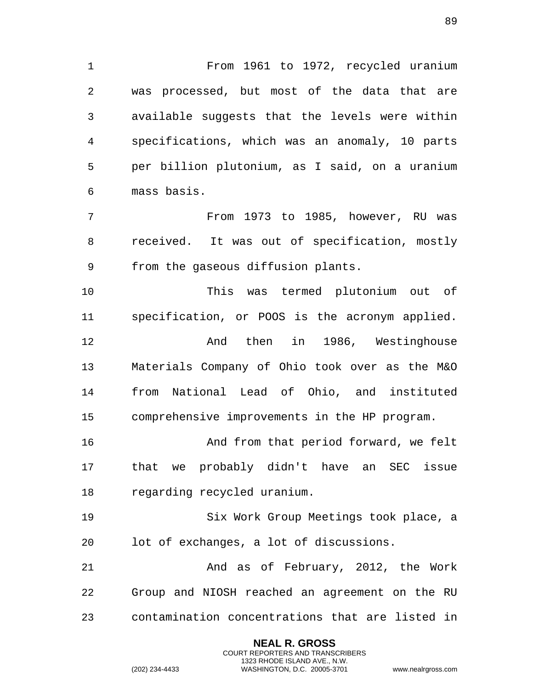From 1961 to 1972, recycled uranium was processed, but most of the data that are available suggests that the levels were within specifications, which was an anomaly, 10 parts per billion plutonium, as I said, on a uranium mass basis.

 From 1973 to 1985, however, RU was received. It was out of specification, mostly from the gaseous diffusion plants.

 This was termed plutonium out of specification, or POOS is the acronym applied. 12 And then in 1986, Westinghouse Materials Company of Ohio took over as the M&O from National Lead of Ohio, and instituted comprehensive improvements in the HP program.

 And from that period forward, we felt that we probably didn't have an SEC issue regarding recycled uranium.

 Six Work Group Meetings took place, a lot of exchanges, a lot of discussions.

 And as of February, 2012, the Work Group and NIOSH reached an agreement on the RU contamination concentrations that are listed in

> **NEAL R. GROSS** COURT REPORTERS AND TRANSCRIBERS 1323 RHODE ISLAND AVE., N.W.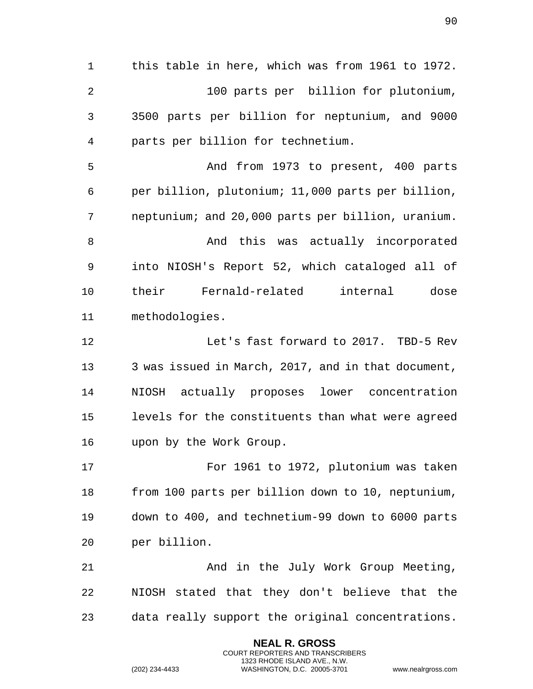this table in here, which was from 1961 to 1972. 100 parts per billion for plutonium, 3500 parts per billion for neptunium, and 9000 parts per billion for technetium. And from 1973 to present, 400 parts per billion, plutonium; 11,000 parts per billion, neptunium; and 20,000 parts per billion, uranium. 8 And this was actually incorporated into NIOSH's Report 52, which cataloged all of their Fernald-related internal dose methodologies. Let's fast forward to 2017. TBD-5 Rev 3 was issued in March, 2017, and in that document, NIOSH actually proposes lower concentration levels for the constituents than what were agreed upon by the Work Group. For 1961 to 1972, plutonium was taken from 100 parts per billion down to 10, neptunium, down to 400, and technetium-99 down to 6000 parts per billion. And in the July Work Group Meeting, NIOSH stated that they don't believe that the data really support the original concentrations.

> **NEAL R. GROSS** COURT REPORTERS AND TRANSCRIBERS 1323 RHODE ISLAND AVE., N.W.

(202) 234-4433 WASHINGTON, D.C. 20005-3701 www.nealrgross.com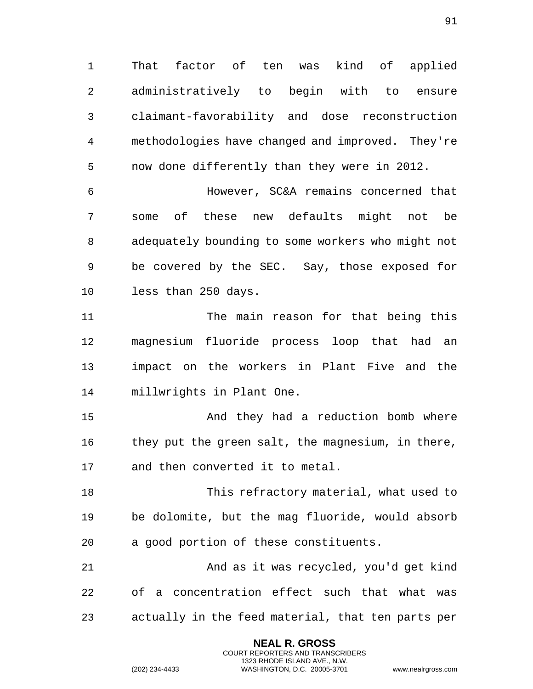That factor of ten was kind of applied administratively to begin with to ensure claimant-favorability and dose reconstruction methodologies have changed and improved. They're now done differently than they were in 2012.

 However, SC&A remains concerned that some of these new defaults might not be adequately bounding to some workers who might not be covered by the SEC. Say, those exposed for less than 250 days.

 The main reason for that being this magnesium fluoride process loop that had an impact on the workers in Plant Five and the millwrights in Plant One.

15 And they had a reduction bomb where they put the green salt, the magnesium, in there, and then converted it to metal.

 This refractory material, what used to be dolomite, but the mag fluoride, would absorb a good portion of these constituents.

 And as it was recycled, you'd get kind of a concentration effect such that what was actually in the feed material, that ten parts per

> **NEAL R. GROSS** COURT REPORTERS AND TRANSCRIBERS 1323 RHODE ISLAND AVE., N.W.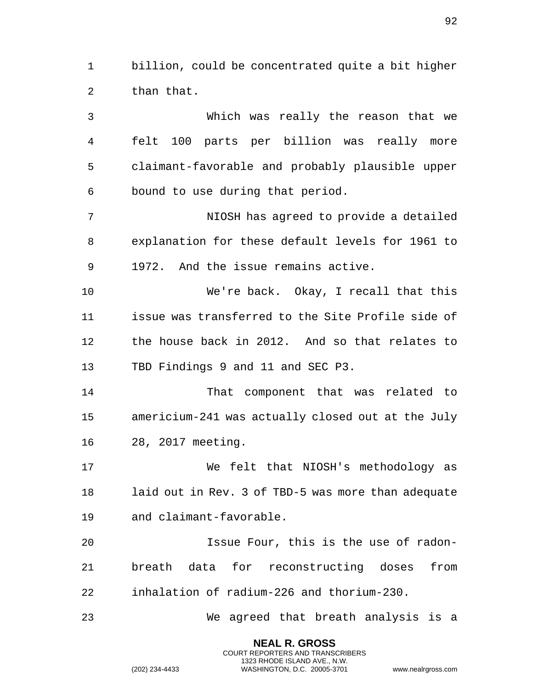billion, could be concentrated quite a bit higher than that.

 Which was really the reason that we felt 100 parts per billion was really more claimant-favorable and probably plausible upper bound to use during that period. NIOSH has agreed to provide a detailed explanation for these default levels for 1961 to 1972. And the issue remains active. We're back. Okay, I recall that this issue was transferred to the Site Profile side of the house back in 2012. And so that relates to TBD Findings 9 and 11 and SEC P3. That component that was related to americium-241 was actually closed out at the July 28, 2017 meeting. We felt that NIOSH's methodology as laid out in Rev. 3 of TBD-5 was more than adequate and claimant-favorable. Issue Four, this is the use of radon- breath data for reconstructing doses from inhalation of radium-226 and thorium-230. We agreed that breath analysis is a

> **NEAL R. GROSS** COURT REPORTERS AND TRANSCRIBERS 1323 RHODE ISLAND AVE., N.W.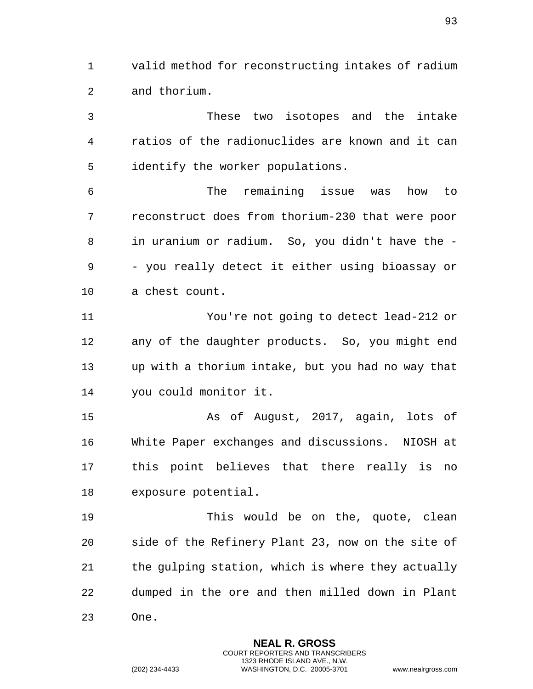valid method for reconstructing intakes of radium and thorium.

 These two isotopes and the intake ratios of the radionuclides are known and it can identify the worker populations.

 The remaining issue was how to reconstruct does from thorium-230 that were poor in uranium or radium. So, you didn't have the - - you really detect it either using bioassay or a chest count.

 You're not going to detect lead-212 or any of the daughter products. So, you might end up with a thorium intake, but you had no way that you could monitor it.

 As of August, 2017, again, lots of White Paper exchanges and discussions. NIOSH at this point believes that there really is no exposure potential.

 This would be on the, quote, clean side of the Refinery Plant 23, now on the site of the gulping station, which is where they actually dumped in the ore and then milled down in Plant One.

> **NEAL R. GROSS** COURT REPORTERS AND TRANSCRIBERS 1323 RHODE ISLAND AVE., N.W.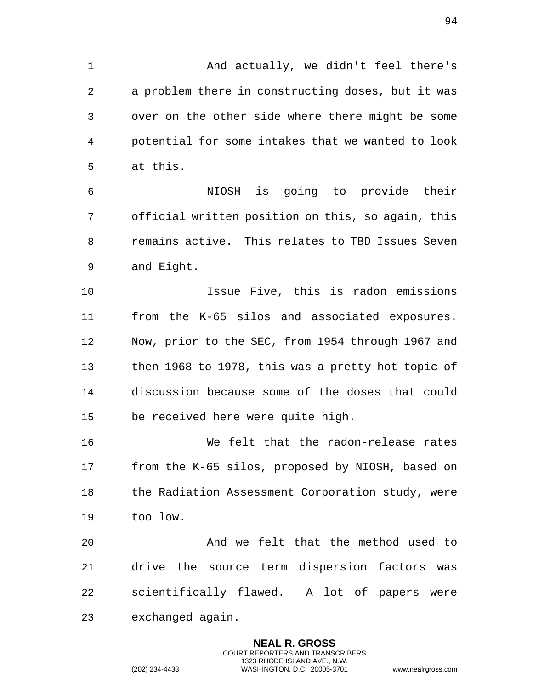1 And actually, we didn't feel there's a problem there in constructing doses, but it was over on the other side where there might be some potential for some intakes that we wanted to look at this.

 NIOSH is going to provide their official written position on this, so again, this remains active. This relates to TBD Issues Seven and Eight.

 Issue Five, this is radon emissions from the K-65 silos and associated exposures. Now, prior to the SEC, from 1954 through 1967 and then 1968 to 1978, this was a pretty hot topic of discussion because some of the doses that could be received here were quite high.

 We felt that the radon-release rates from the K-65 silos, proposed by NIOSH, based on 18 the Radiation Assessment Corporation study, were too low.

 And we felt that the method used to drive the source term dispersion factors was scientifically flawed. A lot of papers were exchanged again.

> **NEAL R. GROSS** COURT REPORTERS AND TRANSCRIBERS 1323 RHODE ISLAND AVE., N.W.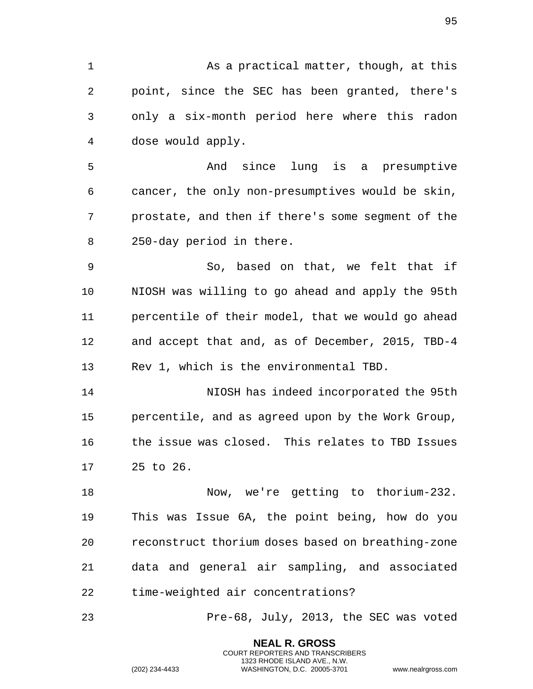1 As a practical matter, though, at this point, since the SEC has been granted, there's only a six-month period here where this radon dose would apply. And since lung is a presumptive cancer, the only non-presumptives would be skin, prostate, and then if there's some segment of the 250-day period in there. So, based on that, we felt that if NIOSH was willing to go ahead and apply the 95th percentile of their model, that we would go ahead and accept that and, as of December, 2015, TBD-4 Rev 1, which is the environmental TBD. NIOSH has indeed incorporated the 95th percentile, and as agreed upon by the Work Group, the issue was closed. This relates to TBD Issues 25 to 26. Now, we're getting to thorium-232. This was Issue 6A, the point being, how do you reconstruct thorium doses based on breathing-zone data and general air sampling, and associated time-weighted air concentrations? Pre-68, July, 2013, the SEC was voted

> **NEAL R. GROSS** COURT REPORTERS AND TRANSCRIBERS 1323 RHODE ISLAND AVE., N.W.

(202) 234-4433 WASHINGTON, D.C. 20005-3701 www.nealrgross.com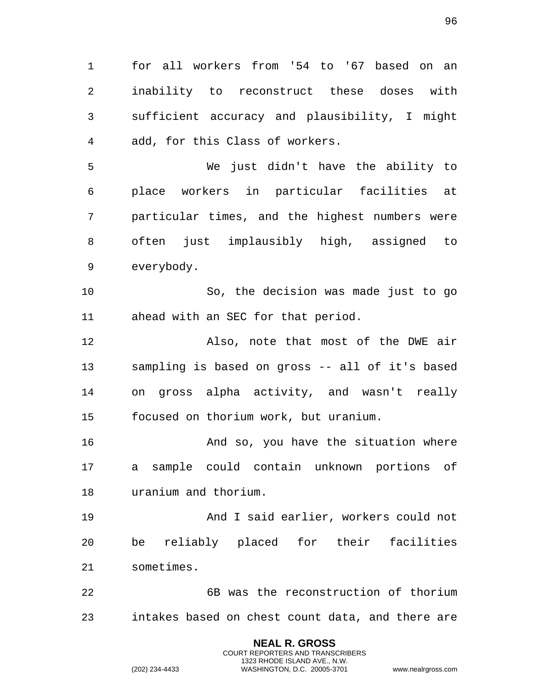for all workers from '54 to '67 based on an inability to reconstruct these doses with sufficient accuracy and plausibility, I might add, for this Class of workers.

 We just didn't have the ability to place workers in particular facilities at particular times, and the highest numbers were often just implausibly high, assigned to everybody.

 So, the decision was made just to go ahead with an SEC for that period.

 Also, note that most of the DWE air sampling is based on gross -- all of it's based on gross alpha activity, and wasn't really focused on thorium work, but uranium.

 And so, you have the situation where a sample could contain unknown portions of uranium and thorium.

 And I said earlier, workers could not be reliably placed for their facilities sometimes.

 6B was the reconstruction of thorium intakes based on chest count data, and there are

> **NEAL R. GROSS** COURT REPORTERS AND TRANSCRIBERS 1323 RHODE ISLAND AVE., N.W.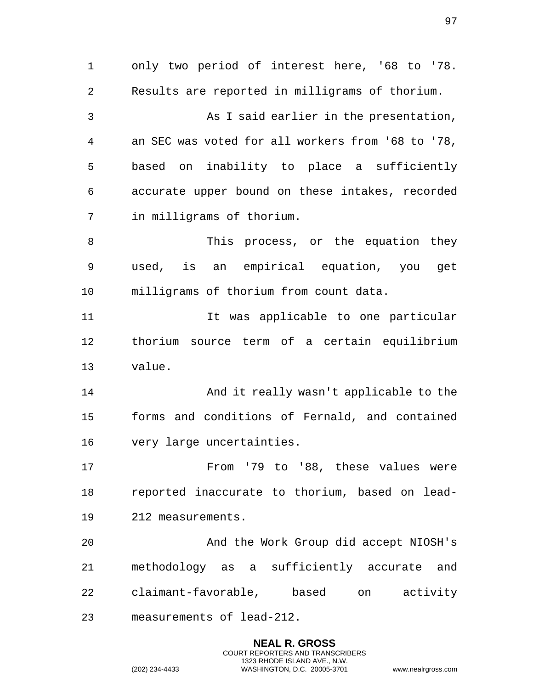only two period of interest here, '68 to '78. Results are reported in milligrams of thorium. As I said earlier in the presentation, an SEC was voted for all workers from '68 to '78, based on inability to place a sufficiently accurate upper bound on these intakes, recorded in milligrams of thorium. 8 This process, or the equation they used, is an empirical equation, you get milligrams of thorium from count data. It was applicable to one particular thorium source term of a certain equilibrium value. And it really wasn't applicable to the forms and conditions of Fernald, and contained very large uncertainties. From '79 to '88, these values were reported inaccurate to thorium, based on lead- 212 measurements. And the Work Group did accept NIOSH's methodology as a sufficiently accurate and claimant-favorable, based on activity measurements of lead-212.

> **NEAL R. GROSS** COURT REPORTERS AND TRANSCRIBERS 1323 RHODE ISLAND AVE., N.W.

(202) 234-4433 WASHINGTON, D.C. 20005-3701 www.nealrgross.com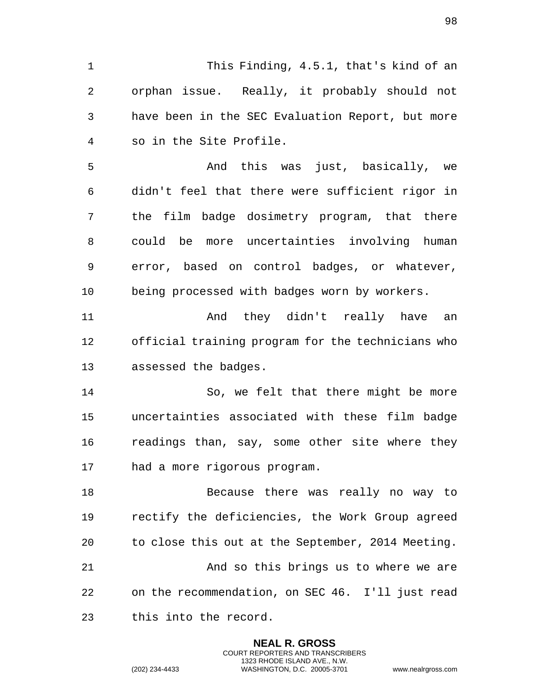This Finding, 4.5.1, that's kind of an orphan issue. Really, it probably should not have been in the SEC Evaluation Report, but more so in the Site Profile.

 And this was just, basically, we didn't feel that there were sufficient rigor in the film badge dosimetry program, that there could be more uncertainties involving human error, based on control badges, or whatever, being processed with badges worn by workers.

11 and they didn't really have an official training program for the technicians who assessed the badges.

 So, we felt that there might be more uncertainties associated with these film badge readings than, say, some other site where they had a more rigorous program.

 Because there was really no way to rectify the deficiencies, the Work Group agreed to close this out at the September, 2014 Meeting. And so this brings us to where we are on the recommendation, on SEC 46. I'll just read this into the record.

> **NEAL R. GROSS** COURT REPORTERS AND TRANSCRIBERS 1323 RHODE ISLAND AVE., N.W.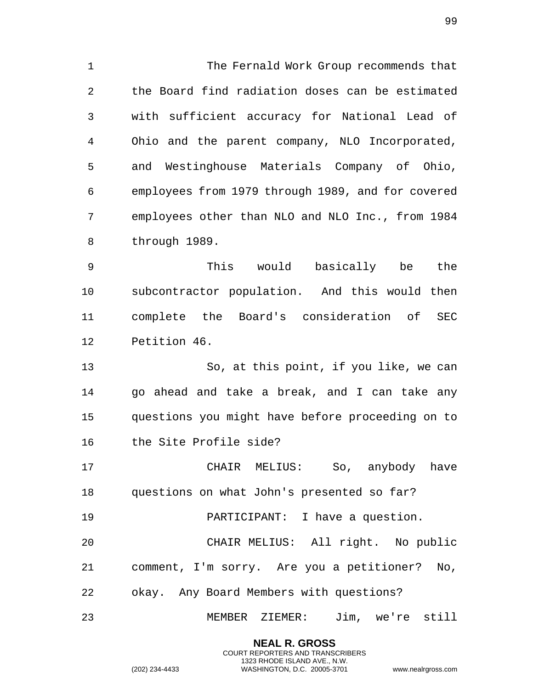The Fernald Work Group recommends that the Board find radiation doses can be estimated with sufficient accuracy for National Lead of Ohio and the parent company, NLO Incorporated, and Westinghouse Materials Company of Ohio, employees from 1979 through 1989, and for covered employees other than NLO and NLO Inc., from 1984 through 1989.

 This would basically be the subcontractor population. And this would then complete the Board's consideration of SEC Petition 46.

 So, at this point, if you like, we can go ahead and take a break, and I can take any questions you might have before proceeding on to the Site Profile side?

 CHAIR MELIUS: So, anybody have questions on what John's presented so far?

PARTICIPANT: I have a question.

 CHAIR MELIUS: All right. No public comment, I'm sorry. Are you a petitioner? No, okay. Any Board Members with questions?

MEMBER ZIEMER: Jim, we're still

**NEAL R. GROSS** COURT REPORTERS AND TRANSCRIBERS 1323 RHODE ISLAND AVE., N.W.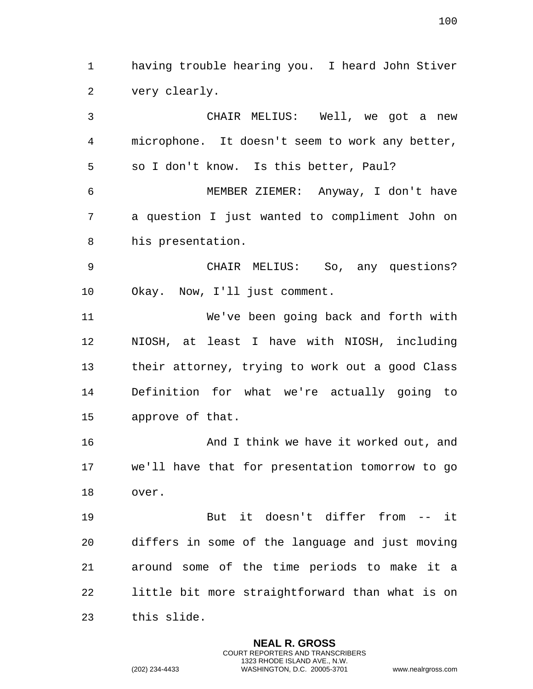having trouble hearing you. I heard John Stiver very clearly.

 CHAIR MELIUS: Well, we got a new microphone. It doesn't seem to work any better, so I don't know. Is this better, Paul? MEMBER ZIEMER: Anyway, I don't have a question I just wanted to compliment John on his presentation. CHAIR MELIUS: So, any questions? Okay. Now, I'll just comment. We've been going back and forth with NIOSH, at least I have with NIOSH, including their attorney, trying to work out a good Class Definition for what we're actually going to approve of that. And I think we have it worked out, and we'll have that for presentation tomorrow to go over. But it doesn't differ from -- it differs in some of the language and just moving around some of the time periods to make it a little bit more straightforward than what is on

> **NEAL R. GROSS** COURT REPORTERS AND TRANSCRIBERS 1323 RHODE ISLAND AVE., N.W.

this slide.

(202) 234-4433 WASHINGTON, D.C. 20005-3701 www.nealrgross.com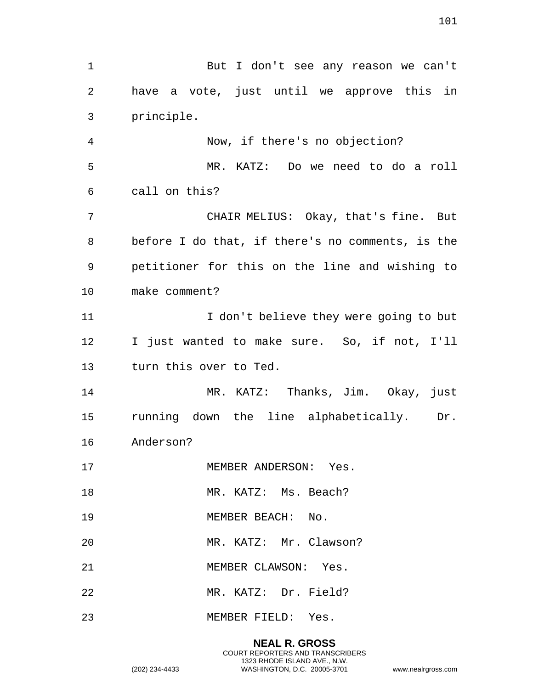But I don't see any reason we can't have a vote, just until we approve this in principle. Now, if there's no objection? MR. KATZ: Do we need to do a roll call on this? CHAIR MELIUS: Okay, that's fine. But before I do that, if there's no comments, is the petitioner for this on the line and wishing to make comment? 11 11 I don't believe they were going to but I just wanted to make sure. So, if not, I'll turn this over to Ted. MR. KATZ: Thanks, Jim. Okay, just running down the line alphabetically. Dr. Anderson? 17 MEMBER ANDERSON: Yes. 18 MR. KATZ: Ms. Beach? 19 MEMBER BEACH: No. MR. KATZ: Mr. Clawson? 21 MEMBER CLAWSON: Yes. MR. KATZ: Dr. Field? MEMBER FIELD: Yes.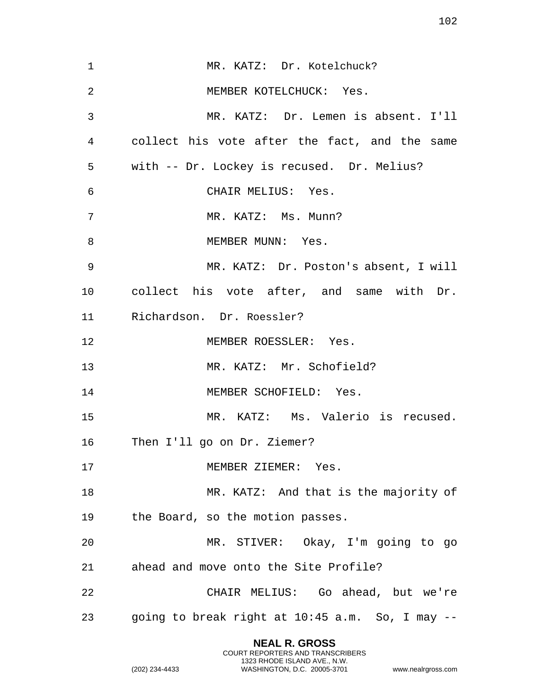| $\mathbf 1$ | MR. KATZ: Dr. Kotelchuck?                       |
|-------------|-------------------------------------------------|
| 2           | MEMBER KOTELCHUCK: Yes.                         |
| 3           | MR. KATZ: Dr. Lemen is absent. I'll             |
| 4           | collect his vote after the fact, and the same   |
| 5           | with -- Dr. Lockey is recused. Dr. Melius?      |
| 6           | CHAIR MELIUS: Yes.                              |
| 7           | MR. KATZ: Ms. Munn?                             |
| 8           | MEMBER MUNN: Yes.                               |
| 9           | MR. KATZ: Dr. Poston's absent, I will           |
| 10          | collect his vote after, and same with Dr.       |
| 11          | Richardson. Dr. Roessler?                       |
| 12          | MEMBER ROESSLER: Yes.                           |
| 13          | MR. KATZ: Mr. Schofield?                        |
| 14          | MEMBER SCHOFIELD: Yes.                          |
| 15          | MR. KATZ: Ms. Valerio is recused.               |
| 16          | Then I'll go on Dr. Ziemer?                     |
| 17          | MEMBER ZIEMER: Yes.                             |
| 18          | MR. KATZ: And that is the majority of           |
| 19          | the Board, so the motion passes.                |
| 20          | MR. STIVER: Okay, I'm going to go               |
| 21          | ahead and move onto the Site Profile?           |
| 22          | CHAIR MELIUS: Go ahead, but we're               |
| 23          | going to break right at 10:45 a.m. So, I may -- |
|             |                                                 |

**NEAL R. GROSS** COURT REPORTERS AND TRANSCRIBERS 1323 RHODE ISLAND AVE., N.W.

(202) 234-4433 WASHINGTON, D.C. 20005-3701 www.nealrgross.com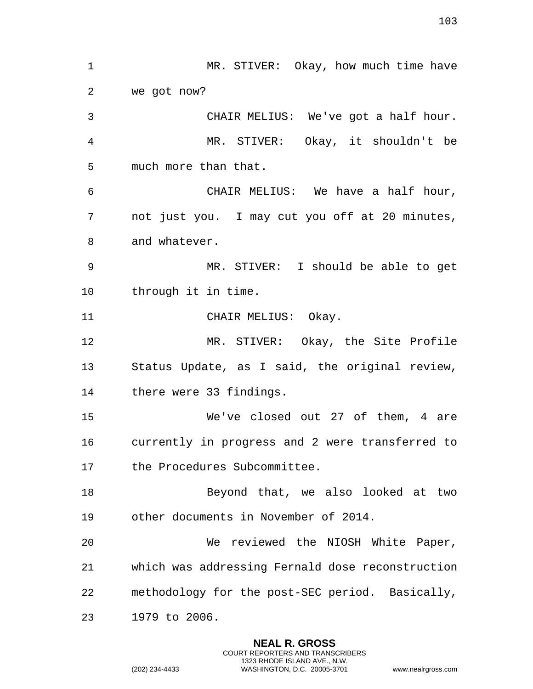1 MR. STIVER: Okay, how much time have we got now? CHAIR MELIUS: We've got a half hour. MR. STIVER: Okay, it shouldn't be much more than that. CHAIR MELIUS: We have a half hour, not just you. I may cut you off at 20 minutes, and whatever. MR. STIVER: I should be able to get through it in time. 11 CHAIR MELIUS: Okay. MR. STIVER: Okay, the Site Profile Status Update, as I said, the original review, there were 33 findings. We've closed out 27 of them, 4 are currently in progress and 2 were transferred to the Procedures Subcommittee. 18 Beyond that, we also looked at two other documents in November of 2014. We reviewed the NIOSH White Paper, which was addressing Fernald dose reconstruction methodology for the post-SEC period. Basically, 1979 to 2006.

> **NEAL R. GROSS** COURT REPORTERS AND TRANSCRIBERS 1323 RHODE ISLAND AVE., N.W.

(202) 234-4433 WASHINGTON, D.C. 20005-3701 www.nealrgross.com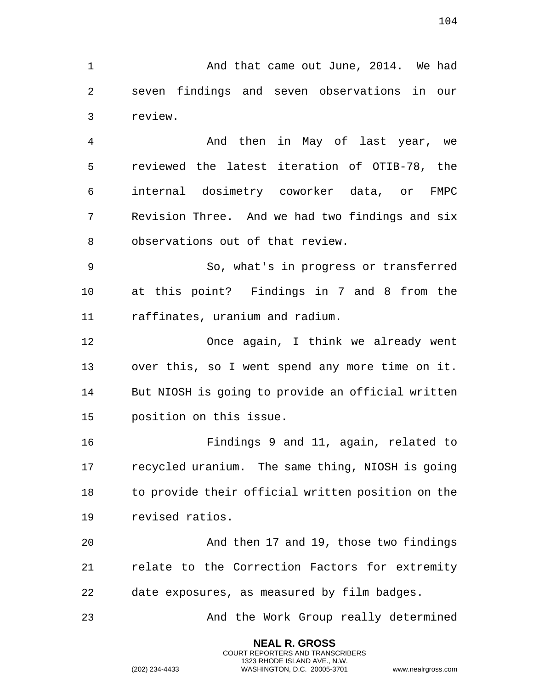1 And that came out June, 2014. We had seven findings and seven observations in our review.

 And then in May of last year, we reviewed the latest iteration of OTIB-78, the internal dosimetry coworker data, or FMPC Revision Three. And we had two findings and six observations out of that review.

 So, what's in progress or transferred at this point? Findings in 7 and 8 from the raffinates, uranium and radium.

 Once again, I think we already went over this, so I went spend any more time on it. But NIOSH is going to provide an official written position on this issue.

 Findings 9 and 11, again, related to recycled uranium. The same thing, NIOSH is going to provide their official written position on the revised ratios.

 And then 17 and 19, those two findings relate to the Correction Factors for extremity date exposures, as measured by film badges.

And the Work Group really determined

**NEAL R. GROSS** COURT REPORTERS AND TRANSCRIBERS 1323 RHODE ISLAND AVE., N.W.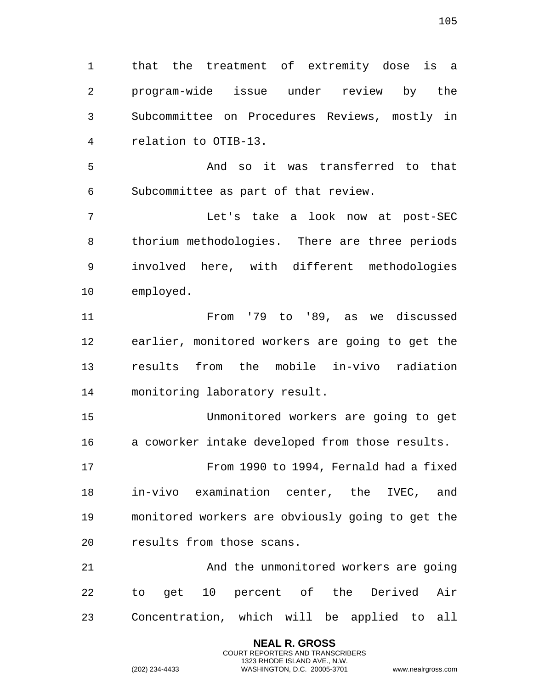that the treatment of extremity dose is a program-wide issue under review by the Subcommittee on Procedures Reviews, mostly in relation to OTIB-13.

 And so it was transferred to that Subcommittee as part of that review.

 Let's take a look now at post-SEC thorium methodologies. There are three periods involved here, with different methodologies employed.

 From '79 to '89, as we discussed earlier, monitored workers are going to get the results from the mobile in-vivo radiation monitoring laboratory result.

 Unmonitored workers are going to get a coworker intake developed from those results.

 From 1990 to 1994, Fernald had a fixed in-vivo examination center, the IVEC, and monitored workers are obviously going to get the results from those scans.

 And the unmonitored workers are going to get 10 percent of the Derived Air Concentration, which will be applied to all

> **NEAL R. GROSS** COURT REPORTERS AND TRANSCRIBERS 1323 RHODE ISLAND AVE., N.W.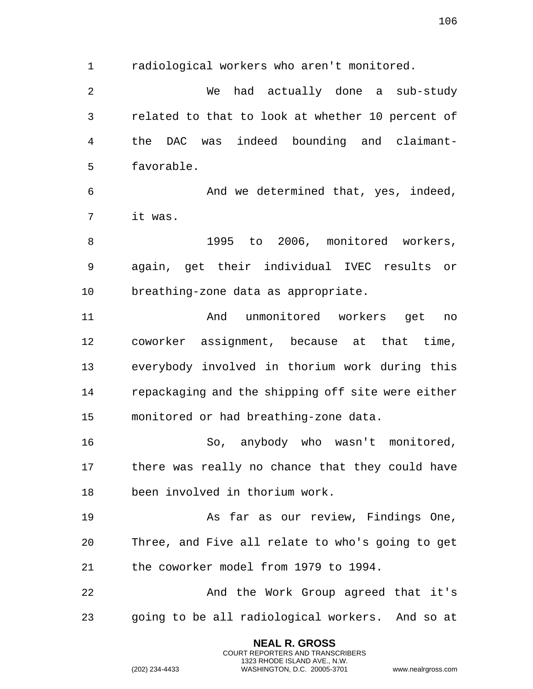radiological workers who aren't monitored.

 We had actually done a sub-study related to that to look at whether 10 percent of the DAC was indeed bounding and claimant-favorable.

 And we determined that, yes, indeed, it was.

 1995 to 2006, monitored workers, again, get their individual IVEC results or breathing-zone data as appropriate.

 And unmonitored workers get no coworker assignment, because at that time, everybody involved in thorium work during this repackaging and the shipping off site were either monitored or had breathing-zone data.

 So, anybody who wasn't monitored, there was really no chance that they could have been involved in thorium work.

 As far as our review, Findings One, Three, and Five all relate to who's going to get the coworker model from 1979 to 1994.

 And the Work Group agreed that it's going to be all radiological workers. And so at

> **NEAL R. GROSS** COURT REPORTERS AND TRANSCRIBERS 1323 RHODE ISLAND AVE., N.W.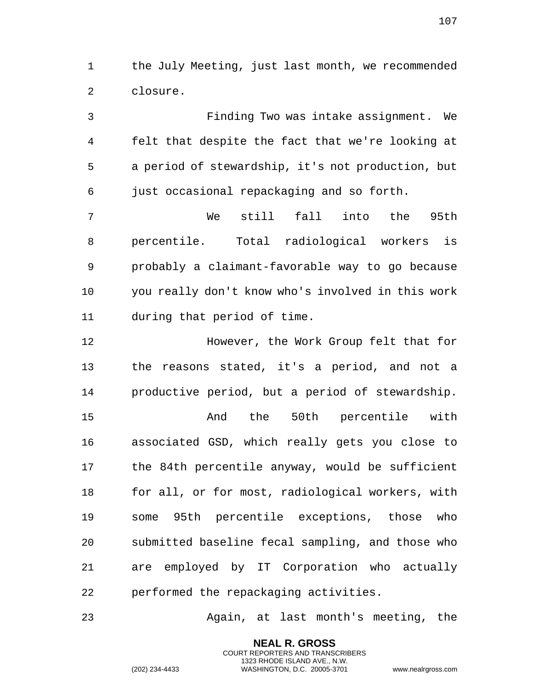the July Meeting, just last month, we recommended closure.

 Finding Two was intake assignment. We felt that despite the fact that we're looking at a period of stewardship, it's not production, but just occasional repackaging and so forth. We still fall into the 95th percentile. Total radiological workers is probably a claimant-favorable way to go because you really don't know who's involved in this work

 However, the Work Group felt that for the reasons stated, it's a period, and not a productive period, but a period of stewardship.

during that period of time.

 And the 50th percentile with associated GSD, which really gets you close to the 84th percentile anyway, would be sufficient for all, or for most, radiological workers, with some 95th percentile exceptions, those who submitted baseline fecal sampling, and those who are employed by IT Corporation who actually performed the repackaging activities.

Again, at last month's meeting, the

**NEAL R. GROSS** COURT REPORTERS AND TRANSCRIBERS 1323 RHODE ISLAND AVE., N.W.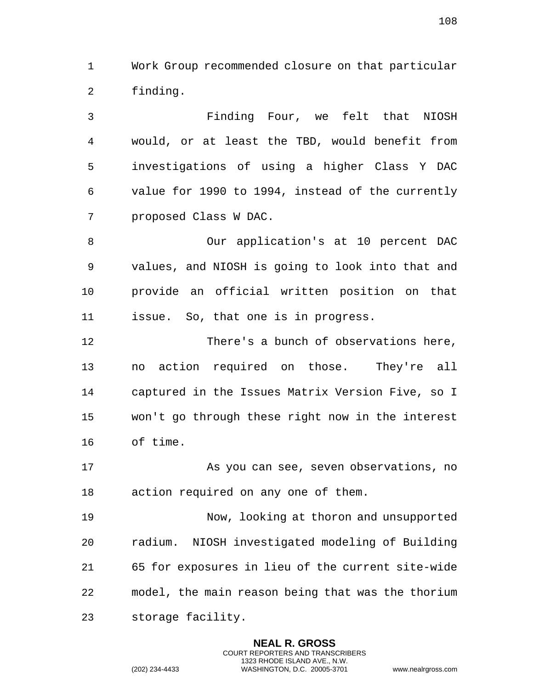Work Group recommended closure on that particular finding.

 Finding Four, we felt that NIOSH would, or at least the TBD, would benefit from investigations of using a higher Class Y DAC value for 1990 to 1994, instead of the currently proposed Class W DAC.

 Our application's at 10 percent DAC values, and NIOSH is going to look into that and provide an official written position on that issue. So, that one is in progress.

 There's a bunch of observations here, no action required on those. They're all captured in the Issues Matrix Version Five, so I won't go through these right now in the interest of time.

 As you can see, seven observations, no action required on any one of them.

 Now, looking at thoron and unsupported radium. NIOSH investigated modeling of Building 65 for exposures in lieu of the current site-wide model, the main reason being that was the thorium storage facility.

> **NEAL R. GROSS** COURT REPORTERS AND TRANSCRIBERS 1323 RHODE ISLAND AVE., N.W.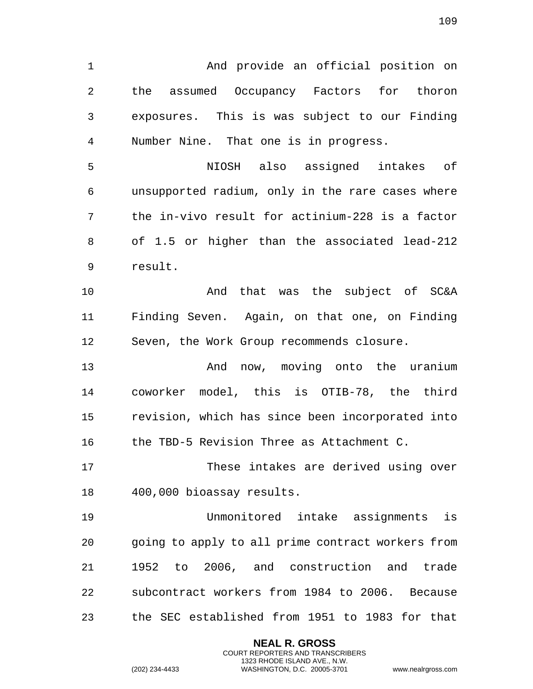And provide an official position on the assumed Occupancy Factors for thoron exposures. This is was subject to our Finding Number Nine. That one is in progress. NIOSH also assigned intakes of unsupported radium, only in the rare cases where the in-vivo result for actinium-228 is a factor of 1.5 or higher than the associated lead-212 result. And that was the subject of SC&A Finding Seven. Again, on that one, on Finding Seven, the Work Group recommends closure. And now, moving onto the uranium coworker model, this is OTIB-78, the third revision, which has since been incorporated into the TBD-5 Revision Three as Attachment C. These intakes are derived using over 400,000 bioassay results.

 Unmonitored intake assignments is going to apply to all prime contract workers from 1952 to 2006, and construction and trade subcontract workers from 1984 to 2006. Because the SEC established from 1951 to 1983 for that

> **NEAL R. GROSS** COURT REPORTERS AND TRANSCRIBERS 1323 RHODE ISLAND AVE., N.W.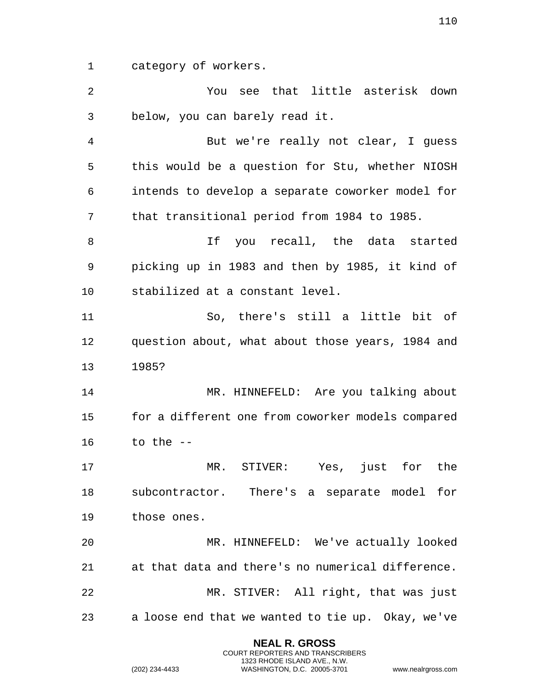category of workers.

 You see that little asterisk down below, you can barely read it. But we're really not clear, I guess this would be a question for Stu, whether NIOSH intends to develop a separate coworker model for that transitional period from 1984 to 1985. 8 1f you recall, the data started picking up in 1983 and then by 1985, it kind of stabilized at a constant level. So, there's still a little bit of question about, what about those years, 1984 and 1985? MR. HINNEFELD: Are you talking about for a different one from coworker models compared to the -- MR. STIVER: Yes, just for the subcontractor. There's a separate model for those ones. MR. HINNEFELD: We've actually looked at that data and there's no numerical difference. MR. STIVER: All right, that was just a loose end that we wanted to tie up. Okay, we've

> **NEAL R. GROSS** COURT REPORTERS AND TRANSCRIBERS 1323 RHODE ISLAND AVE., N.W.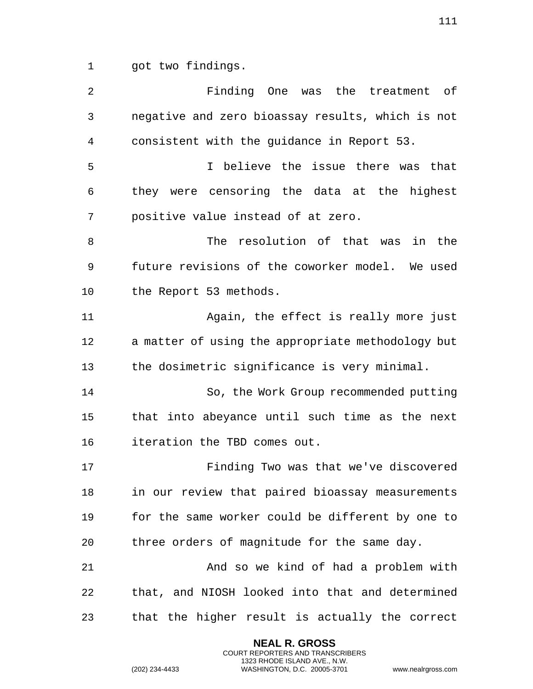got two findings.

 Finding One was the treatment of negative and zero bioassay results, which is not consistent with the guidance in Report 53. I believe the issue there was that they were censoring the data at the highest positive value instead of at zero. The resolution of that was in the future revisions of the coworker model. We used the Report 53 methods. Again, the effect is really more just a matter of using the appropriate methodology but the dosimetric significance is very minimal. So, the Work Group recommended putting that into abeyance until such time as the next iteration the TBD comes out. Finding Two was that we've discovered in our review that paired bioassay measurements for the same worker could be different by one to three orders of magnitude for the same day. And so we kind of had a problem with that, and NIOSH looked into that and determined that the higher result is actually the correct

> **NEAL R. GROSS** COURT REPORTERS AND TRANSCRIBERS 1323 RHODE ISLAND AVE., N.W.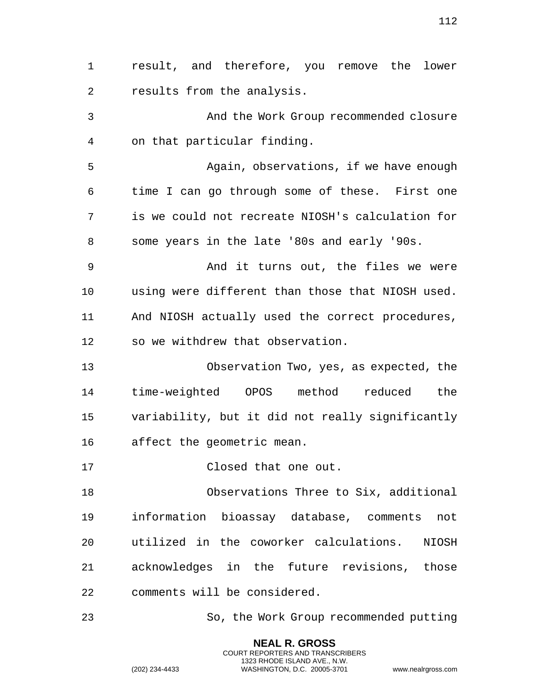result, and therefore, you remove the lower results from the analysis. And the Work Group recommended closure on that particular finding. Again, observations, if we have enough time I can go through some of these. First one is we could not recreate NIOSH's calculation for some years in the late '80s and early '90s. And it turns out, the files we were using were different than those that NIOSH used. And NIOSH actually used the correct procedures, so we withdrew that observation. Observation Two, yes, as expected, the time-weighted OPOS method reduced the variability, but it did not really significantly affect the geometric mean. Closed that one out. Observations Three to Six, additional information bioassay database, comments not utilized in the coworker calculations. NIOSH acknowledges in the future revisions, those comments will be considered. So, the Work Group recommended putting

> **NEAL R. GROSS** COURT REPORTERS AND TRANSCRIBERS 1323 RHODE ISLAND AVE., N.W.

(202) 234-4433 WASHINGTON, D.C. 20005-3701 www.nealrgross.com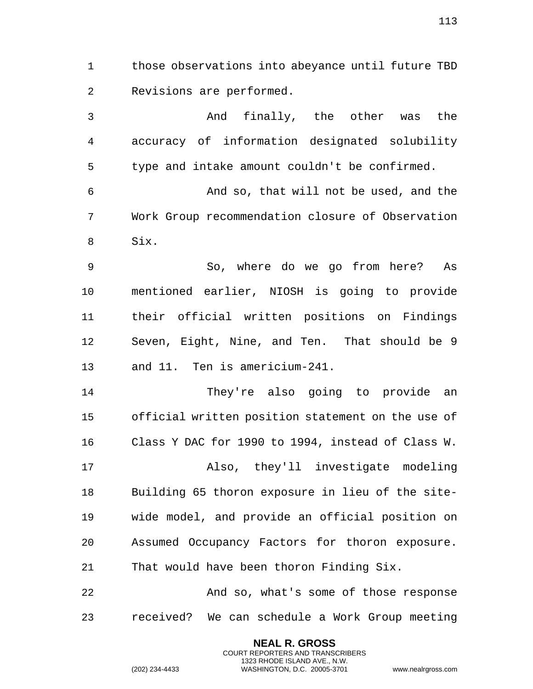those observations into abeyance until future TBD Revisions are performed.

 And finally, the other was the accuracy of information designated solubility type and intake amount couldn't be confirmed. And so, that will not be used, and the

Work Group recommendation closure of Observation

Six.

 So, where do we go from here? As mentioned earlier, NIOSH is going to provide their official written positions on Findings Seven, Eight, Nine, and Ten. That should be 9 and 11. Ten is americium-241.

 They're also going to provide an official written position statement on the use of Class Y DAC for 1990 to 1994, instead of Class W. Also, they'll investigate modeling Building 65 thoron exposure in lieu of the site- wide model, and provide an official position on Assumed Occupancy Factors for thoron exposure. That would have been thoron Finding Six.

 And so, what's some of those response received? We can schedule a Work Group meeting

> **NEAL R. GROSS** COURT REPORTERS AND TRANSCRIBERS 1323 RHODE ISLAND AVE., N.W.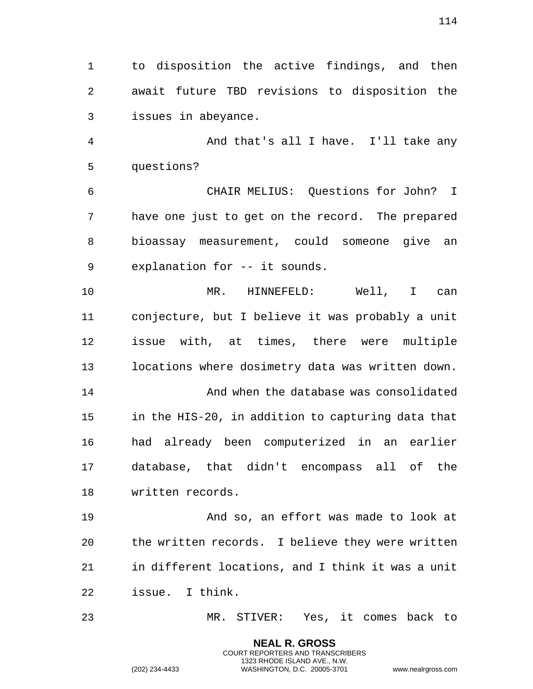to disposition the active findings, and then await future TBD revisions to disposition the issues in abeyance.

 And that's all I have. I'll take any questions?

 CHAIR MELIUS: Questions for John? I have one just to get on the record. The prepared bioassay measurement, could someone give an explanation for -- it sounds.

 MR. HINNEFELD: Well, I can conjecture, but I believe it was probably a unit issue with, at times, there were multiple locations where dosimetry data was written down.

 And when the database was consolidated in the HIS-20, in addition to capturing data that had already been computerized in an earlier database, that didn't encompass all of the written records.

 And so, an effort was made to look at the written records. I believe they were written in different locations, and I think it was a unit issue. I think.

MR. STIVER: Yes, it comes back to

**NEAL R. GROSS** COURT REPORTERS AND TRANSCRIBERS 1323 RHODE ISLAND AVE., N.W.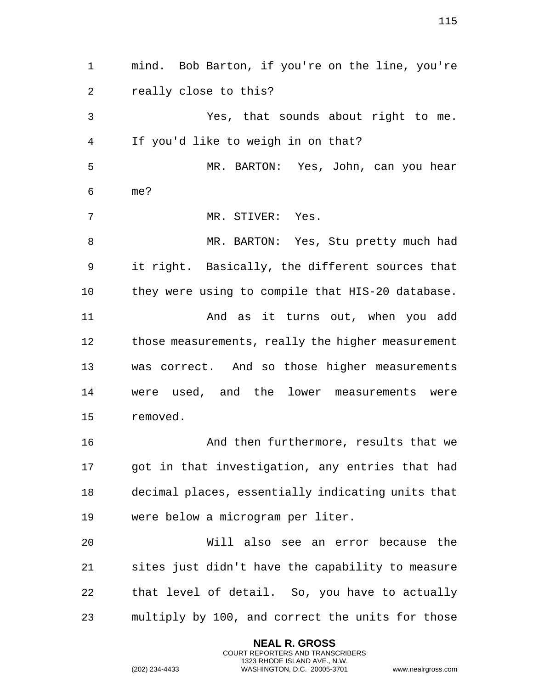mind. Bob Barton, if you're on the line, you're really close to this? Yes, that sounds about right to me. If you'd like to weigh in on that? MR. BARTON: Yes, John, can you hear me? MR. STIVER: Yes. MR. BARTON: Yes, Stu pretty much had it right. Basically, the different sources that they were using to compile that HIS-20 database. And as it turns out, when you add those measurements, really the higher measurement was correct. And so those higher measurements were used, and the lower measurements were removed. And then furthermore, results that we got in that investigation, any entries that had decimal places, essentially indicating units that were below a microgram per liter. Will also see an error because the sites just didn't have the capability to measure that level of detail. So, you have to actually multiply by 100, and correct the units for those

> **NEAL R. GROSS** COURT REPORTERS AND TRANSCRIBERS 1323 RHODE ISLAND AVE., N.W.

(202) 234-4433 WASHINGTON, D.C. 20005-3701 www.nealrgross.com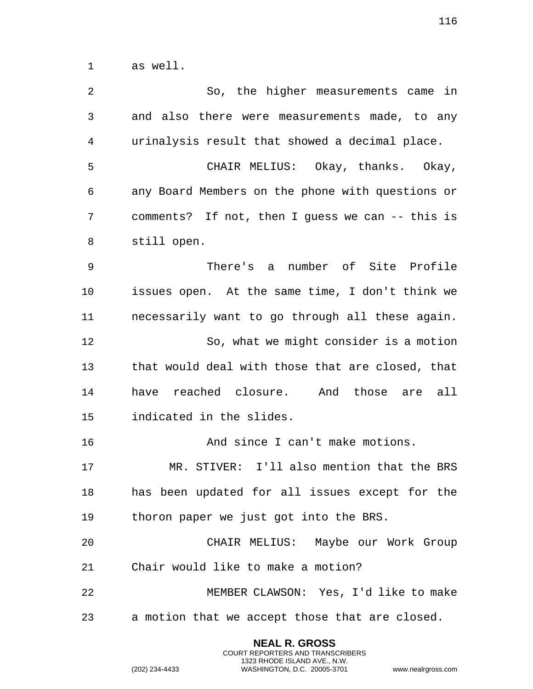as well.

 So, the higher measurements came in and also there were measurements made, to any urinalysis result that showed a decimal place. CHAIR MELIUS: Okay, thanks. Okay, any Board Members on the phone with questions or comments? If not, then I guess we can -- this is still open. There's a number of Site Profile issues open. At the same time, I don't think we necessarily want to go through all these again. So, what we might consider is a motion that would deal with those that are closed, that have reached closure. And those are all indicated in the slides. And since I can't make motions. MR. STIVER: I'll also mention that the BRS has been updated for all issues except for the thoron paper we just got into the BRS. CHAIR MELIUS: Maybe our Work Group Chair would like to make a motion? MEMBER CLAWSON: Yes, I'd like to make a motion that we accept those that are closed.

> **NEAL R. GROSS** COURT REPORTERS AND TRANSCRIBERS 1323 RHODE ISLAND AVE., N.W.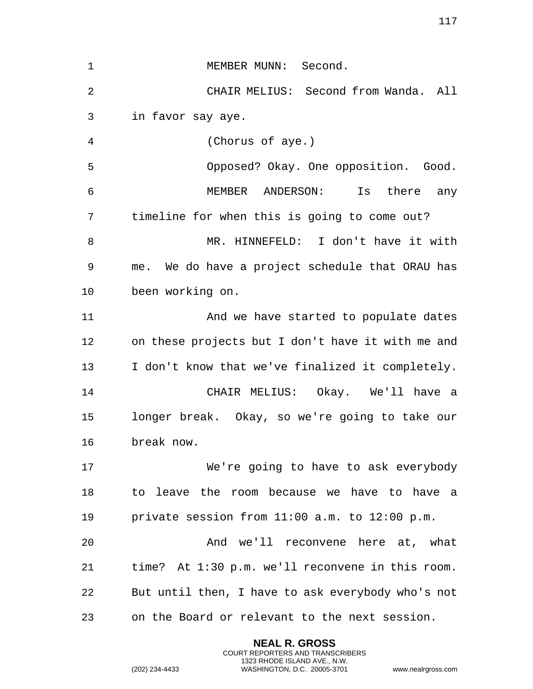| 1              | MEMBER MUNN: Second.                              |
|----------------|---------------------------------------------------|
| $\overline{2}$ | CHAIR MELIUS: Second from Wanda. All              |
| 3              | in favor say aye.                                 |
| 4              | (Chorus of aye.)                                  |
| 5              | Opposed? Okay. One opposition. Good.              |
| 6              | MEMBER ANDERSON: Is there<br>any                  |
| 7              | timeline for when this is going to come out?      |
| 8              | MR. HINNEFELD: I don't have it with               |
| 9              | me. We do have a project schedule that ORAU has   |
| 10             | been working on.                                  |
| 11             | And we have started to populate dates             |
| 12             | on these projects but I don't have it with me and |
| 13             | I don't know that we've finalized it completely.  |
| 14             | CHAIR MELIUS: Okay. We'll have a                  |
| 15             | longer break. Okay, so we're going to take our    |
| 16             | break now.                                        |
| 17             | We're going to have to ask everybody              |
| 18             | to leave the room because we have to have a       |
| 19             | private session from 11:00 a.m. to 12:00 p.m.     |
| 20             | And we'll reconvene here at, what                 |
| 21             | time? At 1:30 p.m. we'll reconvene in this room.  |
| 22             | But until then, I have to ask everybody who's not |
| 23             | on the Board or relevant to the next session.     |

**NEAL R. GROSS** COURT REPORTERS AND TRANSCRIBERS 1323 RHODE ISLAND AVE., N.W.

(202) 234-4433 WASHINGTON, D.C. 20005-3701 www.nealrgross.com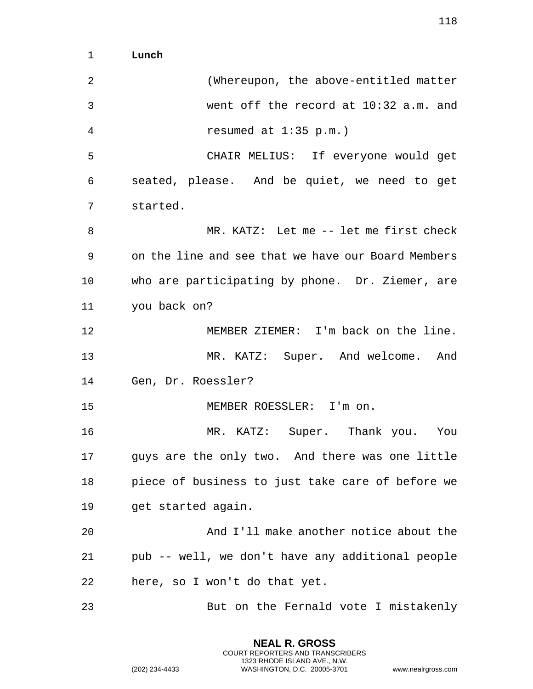1 **Lunch** 

| $\overline{a}$ | (Whereupon, the above-entitled matter              |
|----------------|----------------------------------------------------|
| $\mathfrak{Z}$ | went off the record at 10:32 a.m. and              |
| 4              | resumed at $1:35$ p.m.)                            |
| 5              | CHAIR MELIUS: If everyone would get                |
| 6              | seated, please. And be quiet, we need to get       |
| 7              | started.                                           |
| 8              | MR. KATZ: Let me -- let me first check             |
| 9              | on the line and see that we have our Board Members |
| 10             | who are participating by phone. Dr. Ziemer, are    |
| 11             | you back on?                                       |
| 12             | MEMBER ZIEMER: I'm back on the line.               |
| 13             | MR. KATZ: Super. And welcome. And                  |
| 14             | Gen, Dr. Roessler?                                 |
| 15             | MEMBER ROESSLER: I'm on.                           |
| 16             | MR. KATZ: Super. Thank you. You                    |
| 17             | guys are the only two. And there was one little    |
| 18             | piece of business to just take care of before we   |
| 19             | get started again.                                 |
| 20             | And I'll make another notice about the             |
| 21             | pub -- well, we don't have any additional people   |
| 22             | here, so I won't do that yet.                      |
| 23             | But on the Fernald vote I mistakenly               |

**NEAL R. GROSS** COURT REPORTERS AND TRANSCRIBERS 1323 RHODE ISLAND AVE., N.W.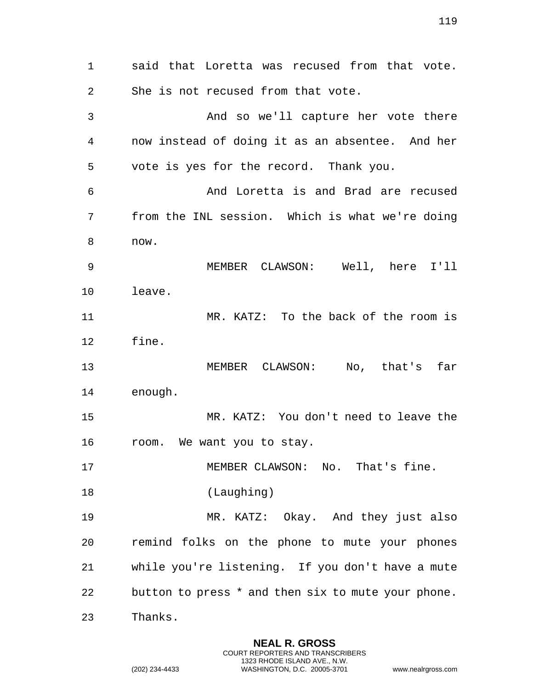said that Loretta was recused from that vote. She is not recused from that vote. And so we'll capture her vote there now instead of doing it as an absentee. And her vote is yes for the record. Thank you. And Loretta is and Brad are recused from the INL session. Which is what we're doing now. MEMBER CLAWSON: Well, here I'll leave. MR. KATZ: To the back of the room is fine. MEMBER CLAWSON: No, that's far enough. MR. KATZ: You don't need to leave the room. We want you to stay. 17 MEMBER CLAWSON: No. That's fine. (Laughing) MR. KATZ: Okay. And they just also remind folks on the phone to mute your phones while you're listening. If you don't have a mute button to press \* and then six to mute your phone. Thanks.

> **NEAL R. GROSS** COURT REPORTERS AND TRANSCRIBERS 1323 RHODE ISLAND AVE., N.W.

(202) 234-4433 WASHINGTON, D.C. 20005-3701 www.nealrgross.com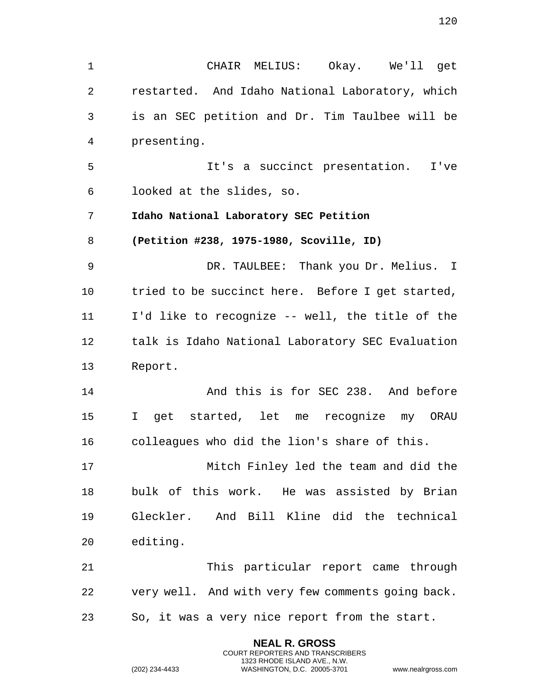1 CHAIR MELIUS: Okay. We'll get 2 restarted. And Idaho National Laboratory, which 3 is an SEC petition and Dr. Tim Taulbee will be 4 presenting. 5 It's a succinct presentation. I've 6 looked at the slides, so. 7 **Idaho National Laboratory SEC Petition**  8 **(Petition #238, 1975-1980, Scoville, ID)**  9 DR. TAULBEE: Thank you Dr. Melius. I 10 tried to be succinct here. Before I get started, 11 I'd like to recognize -- well, the title of the 12 talk is Idaho National Laboratory SEC Evaluation 13 Report. 14 And this is for SEC 238. And before 15 I get started, let me recognize my ORAU 16 colleagues who did the lion's share of this. 17 Mitch Finley led the team and did the 18 bulk of this work. He was assisted by Brian 19 Gleckler. And Bill Kline did the technical 20 editing. 21 This particular report came through 22 very well. And with very few comments going back. 23 So, it was a very nice report from the start.

> **NEAL R. GROSS** COURT REPORTERS AND TRANSCRIBERS 1323 RHODE ISLAND AVE., N.W.

(202) 234-4433 WASHINGTON, D.C. 20005-3701 www.nealrgross.com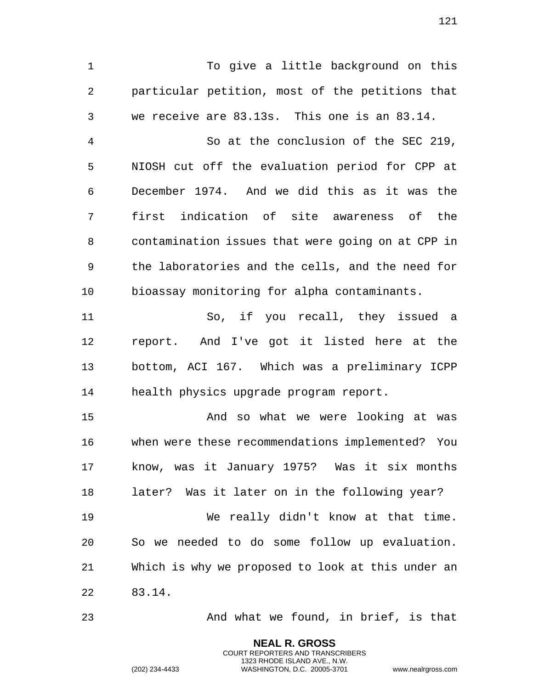To give a little background on this particular petition, most of the petitions that we receive are 83.13s. This one is an 83.14.

 So at the conclusion of the SEC 219, NIOSH cut off the evaluation period for CPP at December 1974. And we did this as it was the first indication of site awareness of the contamination issues that were going on at CPP in the laboratories and the cells, and the need for bioassay monitoring for alpha contaminants.

 So, if you recall, they issued a report. And I've got it listed here at the bottom, ACI 167. Which was a preliminary ICPP health physics upgrade program report.

 And so what we were looking at was when were these recommendations implemented? You know, was it January 1975? Was it six months later? Was it later on in the following year? We really didn't know at that time. So we needed to do some follow up evaluation. Which is why we proposed to look at this under an 83.14.

And what we found, in brief, is that

**NEAL R. GROSS** COURT REPORTERS AND TRANSCRIBERS 1323 RHODE ISLAND AVE., N.W.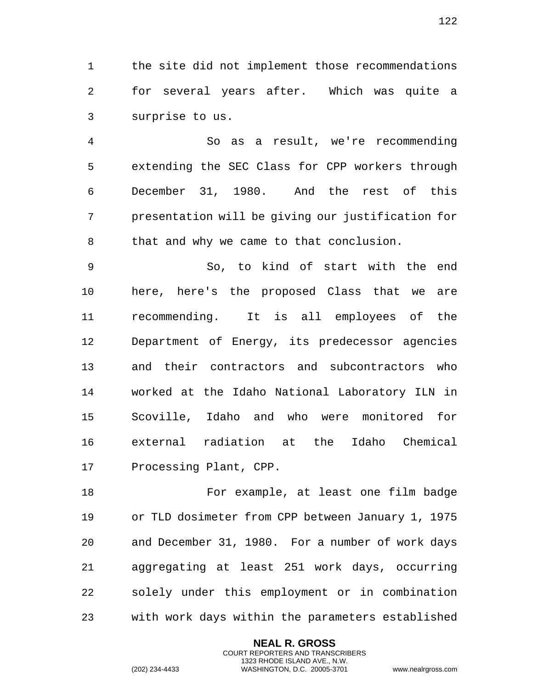the site did not implement those recommendations for several years after. Which was quite a surprise to us.

 So as a result, we're recommending extending the SEC Class for CPP workers through December 31, 1980. And the rest of this presentation will be giving our justification for that and why we came to that conclusion.

 So, to kind of start with the end here, here's the proposed Class that we are recommending. It is all employees of the Department of Energy, its predecessor agencies and their contractors and subcontractors who worked at the Idaho National Laboratory ILN in Scoville, Idaho and who were monitored for external radiation at the Idaho Chemical Processing Plant, CPP.

 For example, at least one film badge or TLD dosimeter from CPP between January 1, 1975 and December 31, 1980. For a number of work days aggregating at least 251 work days, occurring solely under this employment or in combination with work days within the parameters established

> **NEAL R. GROSS** COURT REPORTERS AND TRANSCRIBERS 1323 RHODE ISLAND AVE., N.W.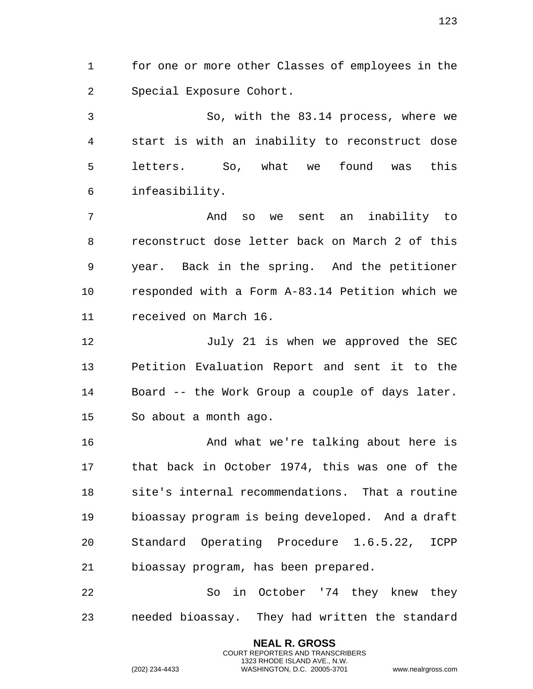for one or more other Classes of employees in the Special Exposure Cohort.

 So, with the 83.14 process, where we start is with an inability to reconstruct dose letters. So, what we found was this infeasibility.

 And so we sent an inability to reconstruct dose letter back on March 2 of this year. Back in the spring. And the petitioner responded with a Form A-83.14 Petition which we received on March 16.

12 July 21 is when we approved the SEC Petition Evaluation Report and sent it to the Board -- the Work Group a couple of days later. So about a month ago.

 And what we're talking about here is that back in October 1974, this was one of the site's internal recommendations. That a routine bioassay program is being developed. And a draft Standard Operating Procedure 1.6.5.22, ICPP bioassay program, has been prepared.

 So in October '74 they knew they needed bioassay. They had written the standard

> **NEAL R. GROSS** COURT REPORTERS AND TRANSCRIBERS 1323 RHODE ISLAND AVE., N.W.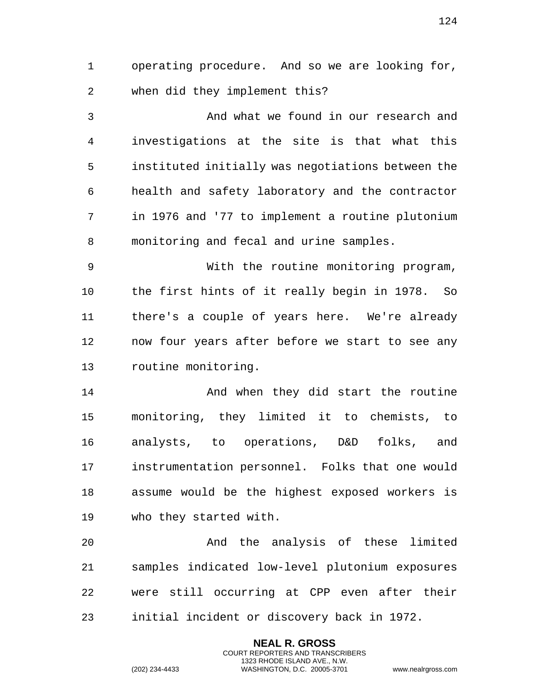operating procedure. And so we are looking for, when did they implement this?

 And what we found in our research and investigations at the site is that what this instituted initially was negotiations between the health and safety laboratory and the contractor in 1976 and '77 to implement a routine plutonium monitoring and fecal and urine samples.

 With the routine monitoring program, the first hints of it really begin in 1978. So there's a couple of years here. We're already now four years after before we start to see any routine monitoring.

 And when they did start the routine monitoring, they limited it to chemists, to analysts, to operations, D&D folks, and instrumentation personnel. Folks that one would assume would be the highest exposed workers is who they started with.

 And the analysis of these limited samples indicated low-level plutonium exposures were still occurring at CPP even after their initial incident or discovery back in 1972.

> **NEAL R. GROSS** COURT REPORTERS AND TRANSCRIBERS 1323 RHODE ISLAND AVE., N.W.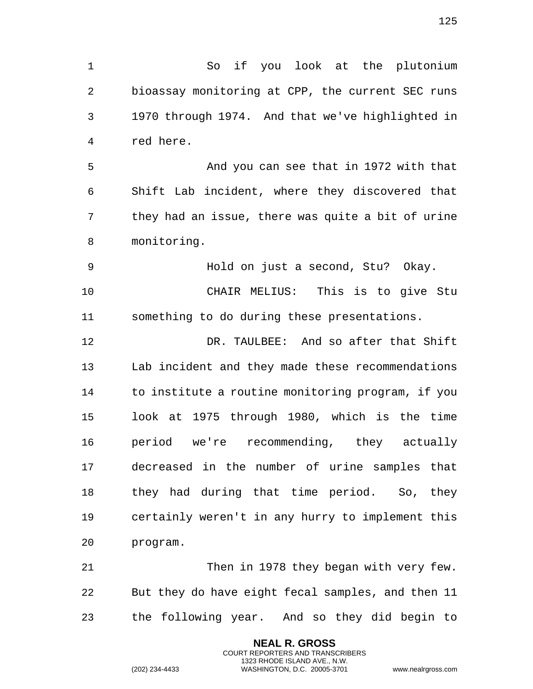So if you look at the plutonium bioassay monitoring at CPP, the current SEC runs 1970 through 1974. And that we've highlighted in red here.

 And you can see that in 1972 with that Shift Lab incident, where they discovered that they had an issue, there was quite a bit of urine monitoring.

 Hold on just a second, Stu? Okay. CHAIR MELIUS: This is to give Stu something to do during these presentations.

 DR. TAULBEE: And so after that Shift Lab incident and they made these recommendations to institute a routine monitoring program, if you look at 1975 through 1980, which is the time period we're recommending, they actually decreased in the number of urine samples that they had during that time period. So, they certainly weren't in any hurry to implement this program.

 Then in 1978 they began with very few. But they do have eight fecal samples, and then 11 the following year. And so they did begin to

> **NEAL R. GROSS** COURT REPORTERS AND TRANSCRIBERS 1323 RHODE ISLAND AVE., N.W.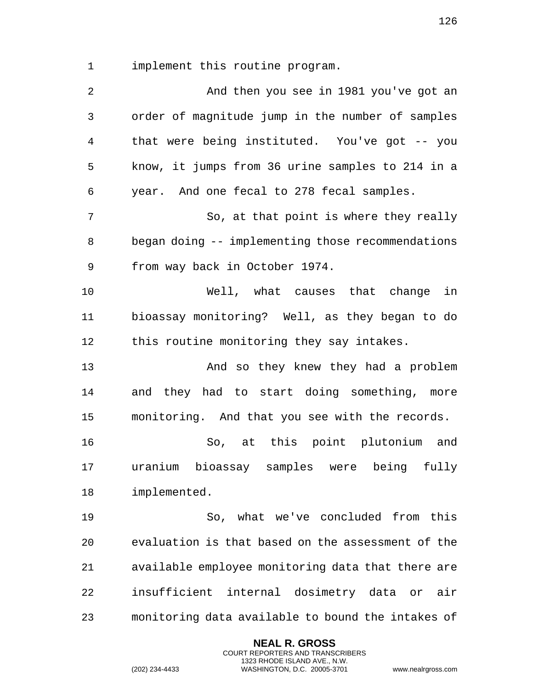implement this routine program.

| 2              | And then you see in 1981 you've got an            |
|----------------|---------------------------------------------------|
| $\mathfrak{Z}$ | order of magnitude jump in the number of samples  |
| $\overline{4}$ | that were being instituted. You've got -- you     |
| 5              | know, it jumps from 36 urine samples to 214 in a  |
| 6              | year. And one fecal to 278 fecal samples.         |
| 7              | So, at that point is where they really            |
| 8              | began doing -- implementing those recommendations |
| 9              | from way back in October 1974.                    |
| 10             | Well, what causes that change in                  |
| 11             | bioassay monitoring? Well, as they began to do    |
| 12             | this routine monitoring they say intakes.         |
| 13             | And so they knew they had a problem               |
| 14             | and they had to start doing something, more       |
| 15             | monitoring. And that you see with the records.    |
| 16             | So, at this point plutonium and                   |
| 17             | uranium bioassay samples were being fully         |
| 18             | implemented.                                      |
| 19             | So, what we've concluded from this                |
| 20             | evaluation is that based on the assessment of the |
| 21             | available employee monitoring data that there are |
| 22             | insufficient internal dosimetry data or<br>air    |
| 23             | monitoring data available to bound the intakes of |

**NEAL R. GROSS** COURT REPORTERS AND TRANSCRIBERS 1323 RHODE ISLAND AVE., N.W.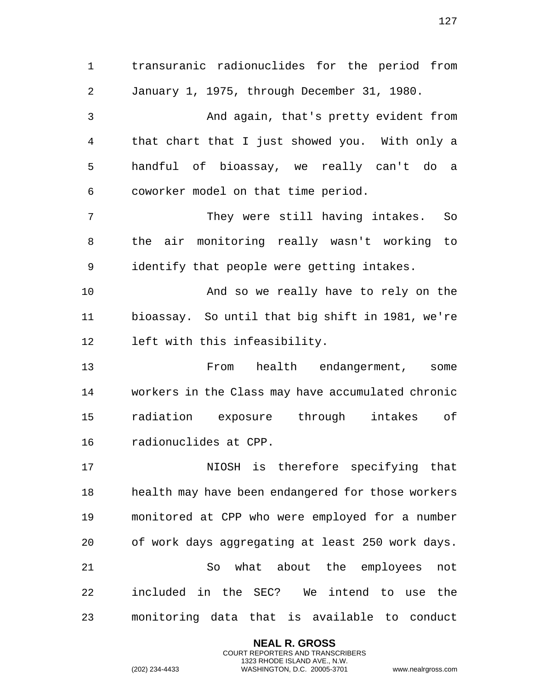transuranic radionuclides for the period from January 1, 1975, through December 31, 1980. And again, that's pretty evident from that chart that I just showed you. With only a handful of bioassay, we really can't do a coworker model on that time period. They were still having intakes. So the air monitoring really wasn't working to identify that people were getting intakes. And so we really have to rely on the bioassay. So until that big shift in 1981, we're left with this infeasibility. From health endangerment, some workers in the Class may have accumulated chronic radiation exposure through intakes of radionuclides at CPP. NIOSH is therefore specifying that health may have been endangered for those workers monitored at CPP who were employed for a number of work days aggregating at least 250 work days. So what about the employees not included in the SEC? We intend to use the monitoring data that is available to conduct

> **NEAL R. GROSS** COURT REPORTERS AND TRANSCRIBERS 1323 RHODE ISLAND AVE., N.W.

(202) 234-4433 WASHINGTON, D.C. 20005-3701 www.nealrgross.com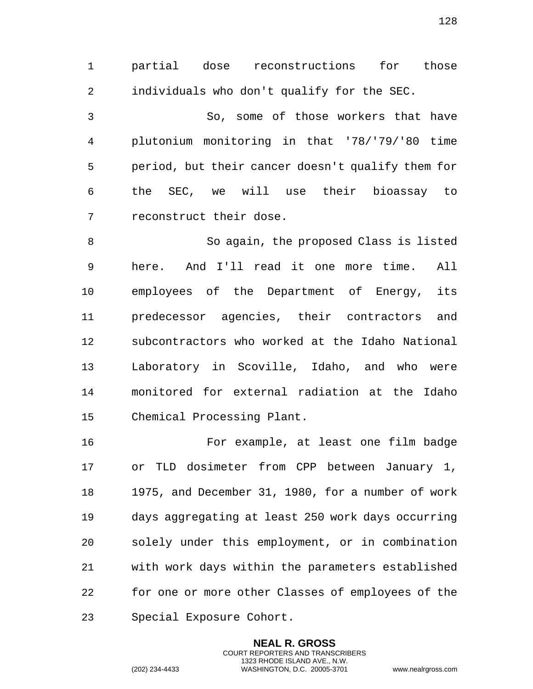partial dose reconstructions for those individuals who don't qualify for the SEC.

 So, some of those workers that have plutonium monitoring in that '78/'79/'80 time period, but their cancer doesn't qualify them for the SEC, we will use their bioassay to reconstruct their dose.

 So again, the proposed Class is listed here. And I'll read it one more time. All employees of the Department of Energy, its predecessor agencies, their contractors and subcontractors who worked at the Idaho National Laboratory in Scoville, Idaho, and who were monitored for external radiation at the Idaho Chemical Processing Plant.

 For example, at least one film badge or TLD dosimeter from CPP between January 1, 1975, and December 31, 1980, for a number of work days aggregating at least 250 work days occurring solely under this employment, or in combination with work days within the parameters established for one or more other Classes of employees of the Special Exposure Cohort.

> **NEAL R. GROSS** COURT REPORTERS AND TRANSCRIBERS 1323 RHODE ISLAND AVE., N.W.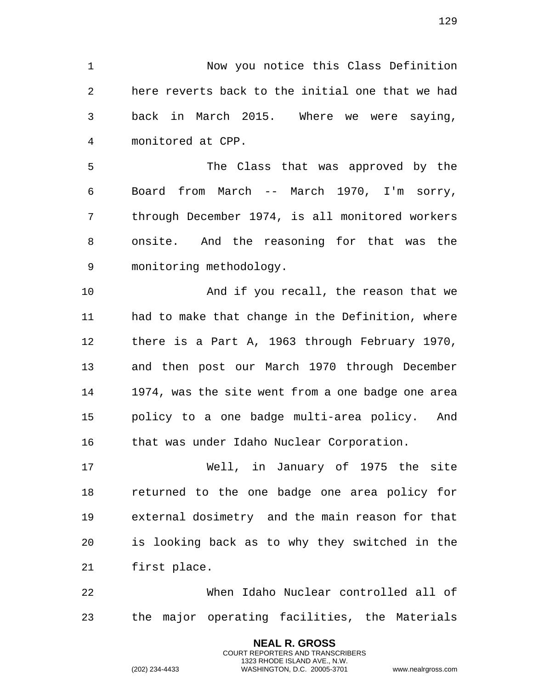Now you notice this Class Definition here reverts back to the initial one that we had back in March 2015. Where we were saying, monitored at CPP.

 The Class that was approved by the Board from March -- March 1970, I'm sorry, through December 1974, is all monitored workers onsite. And the reasoning for that was the monitoring methodology.

10 And if you recall, the reason that we had to make that change in the Definition, where there is a Part A, 1963 through February 1970, and then post our March 1970 through December 1974, was the site went from a one badge one area policy to a one badge multi-area policy. And 16 that was under Idaho Nuclear Corporation.

 Well, in January of 1975 the site returned to the one badge one area policy for external dosimetry and the main reason for that is looking back as to why they switched in the first place.

 When Idaho Nuclear controlled all of the major operating facilities, the Materials

> **NEAL R. GROSS** COURT REPORTERS AND TRANSCRIBERS 1323 RHODE ISLAND AVE., N.W.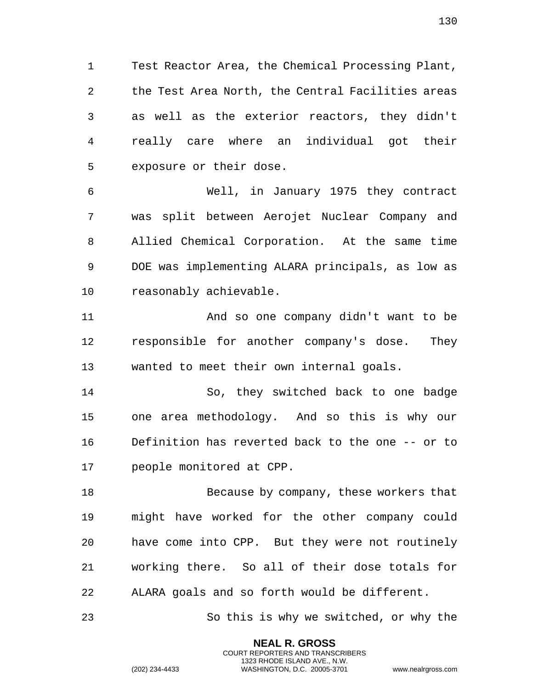Test Reactor Area, the Chemical Processing Plant, the Test Area North, the Central Facilities areas as well as the exterior reactors, they didn't really care where an individual got their exposure or their dose.

 Well, in January 1975 they contract was split between Aerojet Nuclear Company and Allied Chemical Corporation. At the same time DOE was implementing ALARA principals, as low as reasonably achievable.

 And so one company didn't want to be responsible for another company's dose. They wanted to meet their own internal goals.

 So, they switched back to one badge one area methodology. And so this is why our Definition has reverted back to the one -- or to people monitored at CPP.

 Because by company, these workers that might have worked for the other company could have come into CPP. But they were not routinely working there. So all of their dose totals for ALARA goals and so forth would be different.

So this is why we switched, or why the

**NEAL R. GROSS** COURT REPORTERS AND TRANSCRIBERS 1323 RHODE ISLAND AVE., N.W.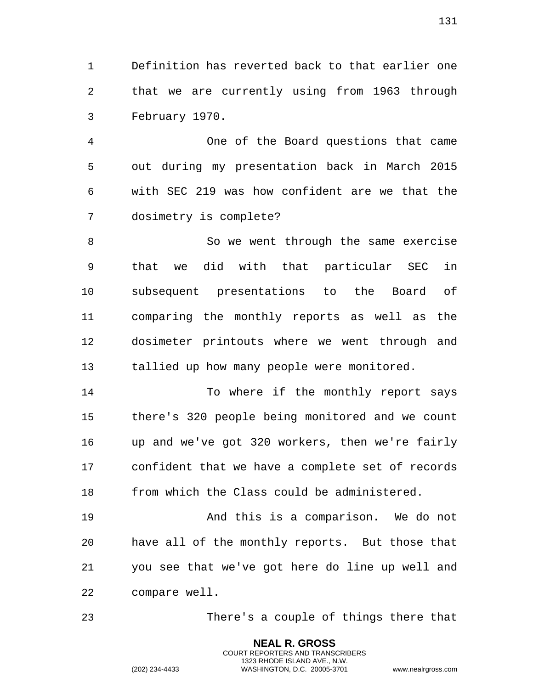Definition has reverted back to that earlier one that we are currently using from 1963 through February 1970.

 One of the Board questions that came out during my presentation back in March 2015 with SEC 219 was how confident are we that the dosimetry is complete?

 So we went through the same exercise that we did with that particular SEC in subsequent presentations to the Board of comparing the monthly reports as well as the dosimeter printouts where we went through and 13 tallied up how many people were monitored.

14 To where if the monthly report says there's 320 people being monitored and we count up and we've got 320 workers, then we're fairly confident that we have a complete set of records from which the Class could be administered.

 And this is a comparison. We do not have all of the monthly reports. But those that you see that we've got here do line up well and compare well.

There's a couple of things there that

**NEAL R. GROSS** COURT REPORTERS AND TRANSCRIBERS 1323 RHODE ISLAND AVE., N.W.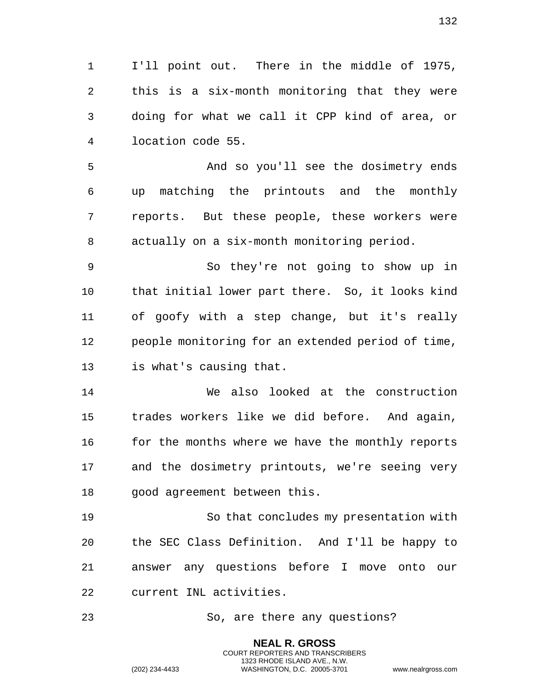I'll point out. There in the middle of 1975, this is a six-month monitoring that they were doing for what we call it CPP kind of area, or location code 55.

 And so you'll see the dosimetry ends up matching the printouts and the monthly reports. But these people, these workers were actually on a six-month monitoring period.

 So they're not going to show up in that initial lower part there. So, it looks kind of goofy with a step change, but it's really people monitoring for an extended period of time, is what's causing that.

 We also looked at the construction trades workers like we did before. And again, 16 for the months where we have the monthly reports and the dosimetry printouts, we're seeing very good agreement between this.

 So that concludes my presentation with the SEC Class Definition. And I'll be happy to answer any questions before I move onto our current INL activities.

So, are there any questions?

**NEAL R. GROSS** COURT REPORTERS AND TRANSCRIBERS 1323 RHODE ISLAND AVE., N.W.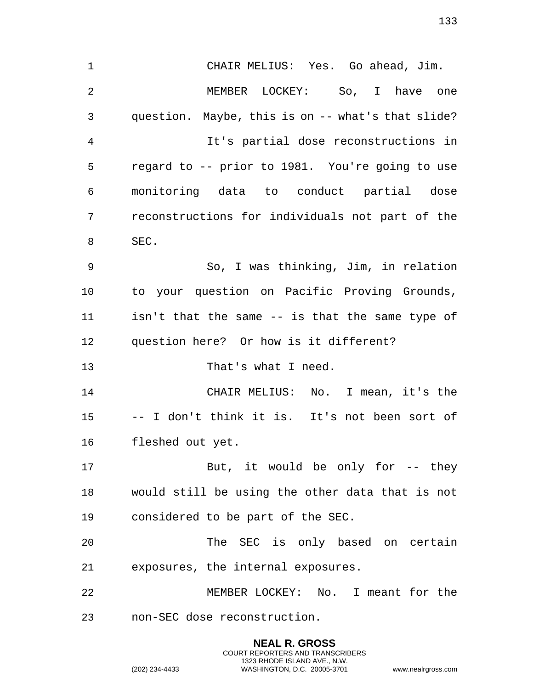**NEAL R. GROSS** CHAIR MELIUS: Yes. Go ahead, Jim. MEMBER LOCKEY: So, I have one question. Maybe, this is on -- what's that slide? It's partial dose reconstructions in regard to -- prior to 1981. You're going to use monitoring data to conduct partial dose reconstructions for individuals not part of the SEC. So, I was thinking, Jim, in relation to your question on Pacific Proving Grounds, isn't that the same -- is that the same type of question here? Or how is it different? 13 That's what I need. CHAIR MELIUS: No. I mean, it's the -- I don't think it is. It's not been sort of fleshed out yet. 17 But, it would be only for -- they would still be using the other data that is not considered to be part of the SEC. The SEC is only based on certain exposures, the internal exposures. MEMBER LOCKEY: No. I meant for the non-SEC dose reconstruction.

COURT REPORTERS AND TRANSCRIBERS 1323 RHODE ISLAND AVE., N.W.

(202) 234-4433 WASHINGTON, D.C. 20005-3701 www.nealrgross.com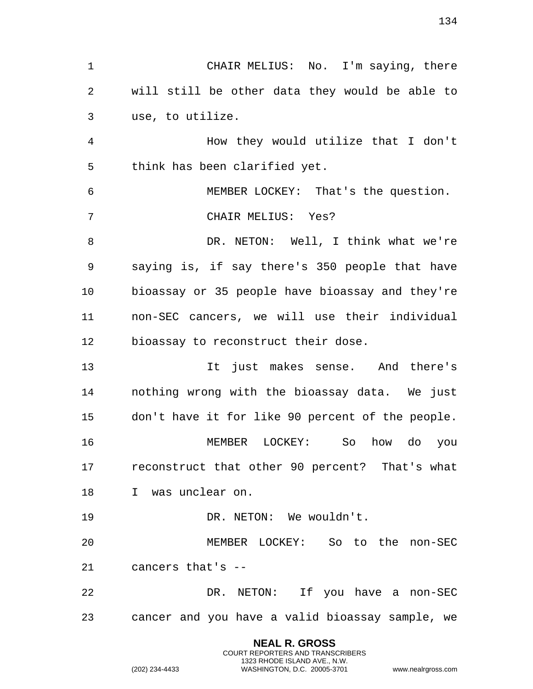CHAIR MELIUS: No. I'm saying, there will still be other data they would be able to use, to utilize. How they would utilize that I don't think has been clarified yet. MEMBER LOCKEY: That's the question. CHAIR MELIUS: Yes? DR. NETON: Well, I think what we're saying is, if say there's 350 people that have bioassay or 35 people have bioassay and they're non-SEC cancers, we will use their individual bioassay to reconstruct their dose. It just makes sense. And there's nothing wrong with the bioassay data. We just don't have it for like 90 percent of the people. MEMBER LOCKEY: So how do you reconstruct that other 90 percent? That's what I was unclear on. 19 DR. NETON: We wouldn't. MEMBER LOCKEY: So to the non-SEC cancers that's -- DR. NETON: If you have a non-SEC cancer and you have a valid bioassay sample, we

> **NEAL R. GROSS** COURT REPORTERS AND TRANSCRIBERS 1323 RHODE ISLAND AVE., N.W.

(202) 234-4433 WASHINGTON, D.C. 20005-3701 www.nealrgross.com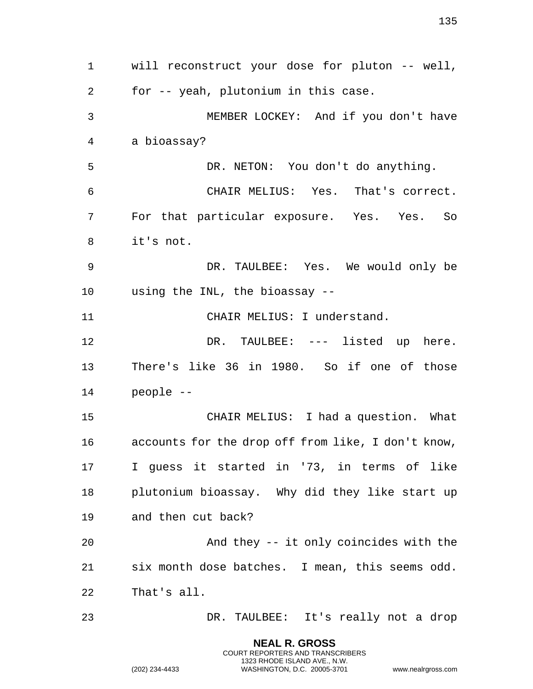**NEAL R. GROSS** will reconstruct your dose for pluton -- well, for -- yeah, plutonium in this case. MEMBER LOCKEY: And if you don't have a bioassay? DR. NETON: You don't do anything. CHAIR MELIUS: Yes. That's correct. For that particular exposure. Yes. Yes. So it's not. DR. TAULBEE: Yes. We would only be using the INL, the bioassay -- CHAIR MELIUS: I understand. DR. TAULBEE: --- listed up here. There's like 36 in 1980. So if one of those people -- CHAIR MELIUS: I had a question. What accounts for the drop off from like, I don't know, I guess it started in '73, in terms of like plutonium bioassay. Why did they like start up and then cut back? And they -- it only coincides with the six month dose batches. I mean, this seems odd. That's all. DR. TAULBEE: It's really not a drop

> COURT REPORTERS AND TRANSCRIBERS 1323 RHODE ISLAND AVE., N.W.

(202) 234-4433 WASHINGTON, D.C. 20005-3701 www.nealrgross.com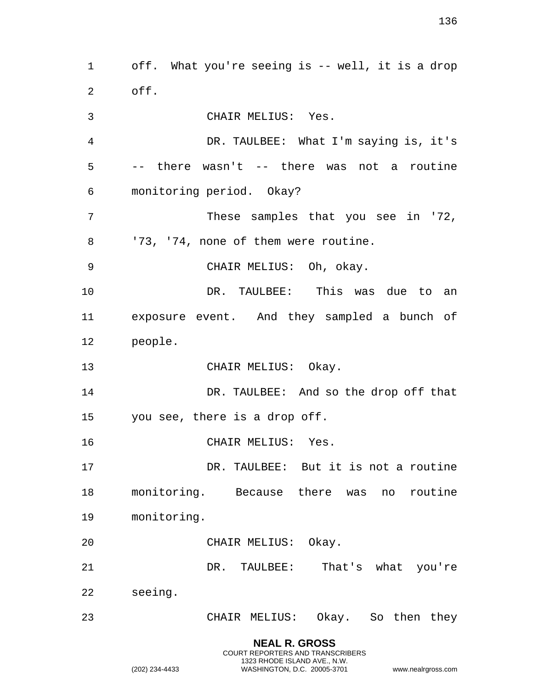**NEAL R. GROSS** off. What you're seeing is -- well, it is a drop off. CHAIR MELIUS: Yes. DR. TAULBEE: What I'm saying is, it's -- there wasn't -- there was not a routine monitoring period. Okay? These samples that you see in '72, 8 '73, '74, none of them were routine. CHAIR MELIUS: Oh, okay. DR. TAULBEE: This was due to an exposure event. And they sampled a bunch of people. 13 CHAIR MELIUS: Okay. DR. TAULBEE: And so the drop off that you see, there is a drop off. CHAIR MELIUS: Yes. DR. TAULBEE: But it is not a routine monitoring. Because there was no routine monitoring. CHAIR MELIUS: Okay. DR. TAULBEE: That's what you're seeing. CHAIR MELIUS: Okay. So then they

COURT REPORTERS AND TRANSCRIBERS 1323 RHODE ISLAND AVE., N.W.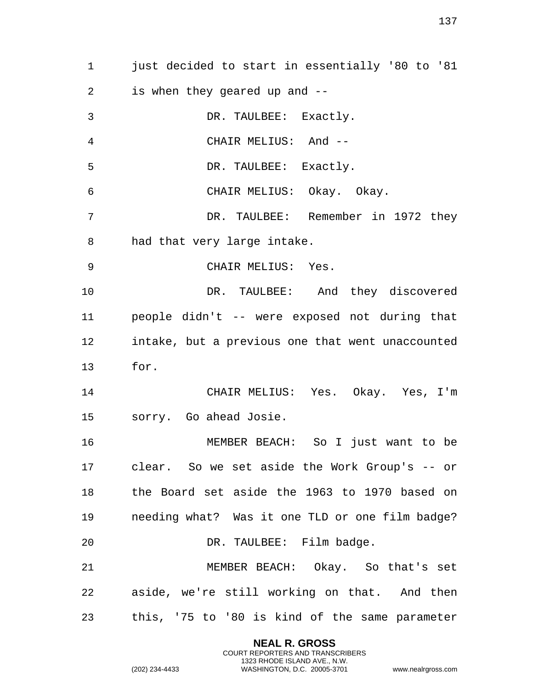just decided to start in essentially '80 to '81 is when they geared up and -- DR. TAULBEE: Exactly. CHAIR MELIUS: And -- DR. TAULBEE: Exactly. CHAIR MELIUS: Okay. Okay. DR. TAULBEE: Remember in 1972 they had that very large intake. CHAIR MELIUS: Yes. DR. TAULBEE: And they discovered people didn't -- were exposed not during that intake, but a previous one that went unaccounted for. CHAIR MELIUS: Yes. Okay. Yes, I'm sorry. Go ahead Josie. MEMBER BEACH: So I just want to be clear. So we set aside the Work Group's -- or the Board set aside the 1963 to 1970 based on needing what? Was it one TLD or one film badge? 20 DR. TAULBEE: Film badge. MEMBER BEACH: Okay. So that's set aside, we're still working on that. And then this, '75 to '80 is kind of the same parameter

> **NEAL R. GROSS** COURT REPORTERS AND TRANSCRIBERS 1323 RHODE ISLAND AVE., N.W.

(202) 234-4433 WASHINGTON, D.C. 20005-3701 www.nealrgross.com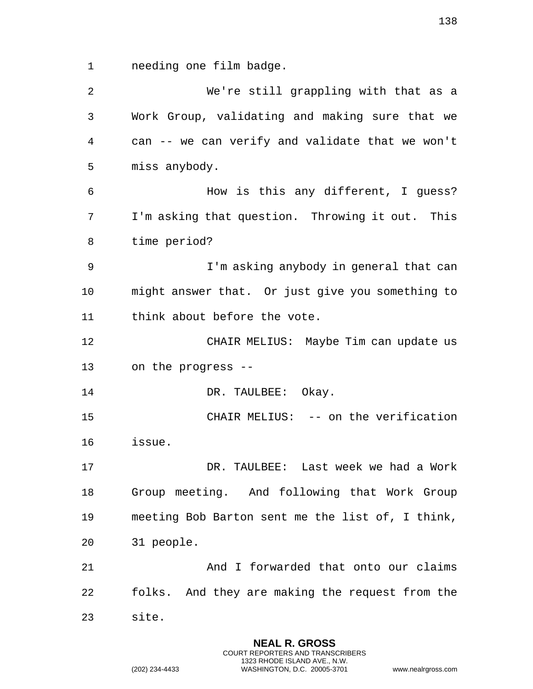needing one film badge.

 We're still grappling with that as a Work Group, validating and making sure that we can -- we can verify and validate that we won't miss anybody. How is this any different, I guess? I'm asking that question. Throwing it out. This time period? I'm asking anybody in general that can might answer that. Or just give you something to think about before the vote. CHAIR MELIUS: Maybe Tim can update us on the progress -- 14 DR. TAULBEE: Okay. 15 CHAIR MELIUS: -- on the verification issue. DR. TAULBEE: Last week we had a Work Group meeting. And following that Work Group meeting Bob Barton sent me the list of, I think, 31 people. And I forwarded that onto our claims folks. And they are making the request from the site.

> **NEAL R. GROSS** COURT REPORTERS AND TRANSCRIBERS 1323 RHODE ISLAND AVE., N.W.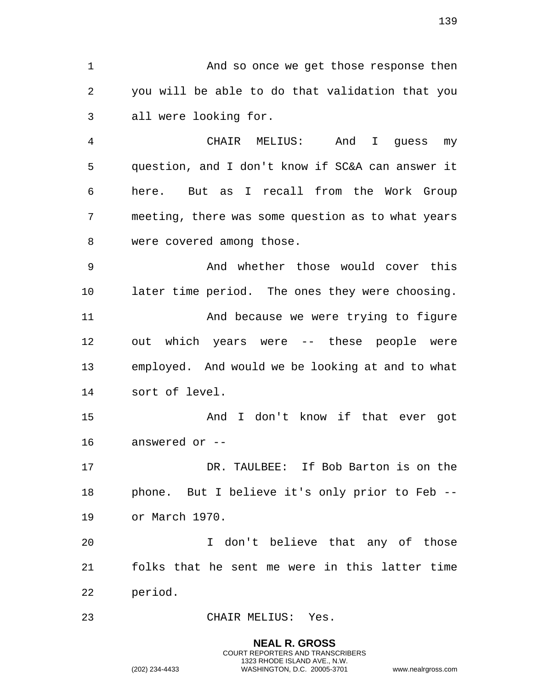And so once we get those response then you will be able to do that validation that you all were looking for.

 CHAIR MELIUS: And I guess my question, and I don't know if SC&A can answer it here. But as I recall from the Work Group meeting, there was some question as to what years were covered among those.

 And whether those would cover this later time period. The ones they were choosing. And because we were trying to figure out which years were -- these people were employed. And would we be looking at and to what sort of level.

 And I don't know if that ever got answered or --

 DR. TAULBEE: If Bob Barton is on the phone. But I believe it's only prior to Feb -- or March 1970.

 I don't believe that any of those folks that he sent me were in this latter time period.

CHAIR MELIUS: Yes.

**NEAL R. GROSS** COURT REPORTERS AND TRANSCRIBERS 1323 RHODE ISLAND AVE., N.W. (202) 234-4433 WASHINGTON, D.C. 20005-3701 www.nealrgross.com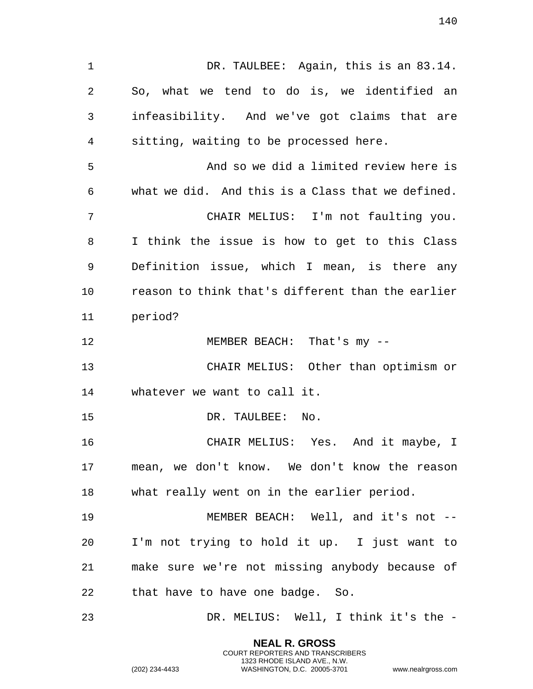1 DR. TAULBEE: Again, this is an 83.14. So, what we tend to do is, we identified an infeasibility. And we've got claims that are sitting, waiting to be processed here. And so we did a limited review here is what we did. And this is a Class that we defined. CHAIR MELIUS: I'm not faulting you. I think the issue is how to get to this Class Definition issue, which I mean, is there any reason to think that's different than the earlier period? MEMBER BEACH: That's my -- CHAIR MELIUS: Other than optimism or whatever we want to call it. 15 DR. TAULBEE: No. CHAIR MELIUS: Yes. And it maybe, I mean, we don't know. We don't know the reason what really went on in the earlier period. MEMBER BEACH: Well, and it's not -- I'm not trying to hold it up. I just want to make sure we're not missing anybody because of that have to have one badge. So. DR. MELIUS: Well, I think it's the -

> **NEAL R. GROSS** COURT REPORTERS AND TRANSCRIBERS 1323 RHODE ISLAND AVE., N.W.

(202) 234-4433 WASHINGTON, D.C. 20005-3701 www.nealrgross.com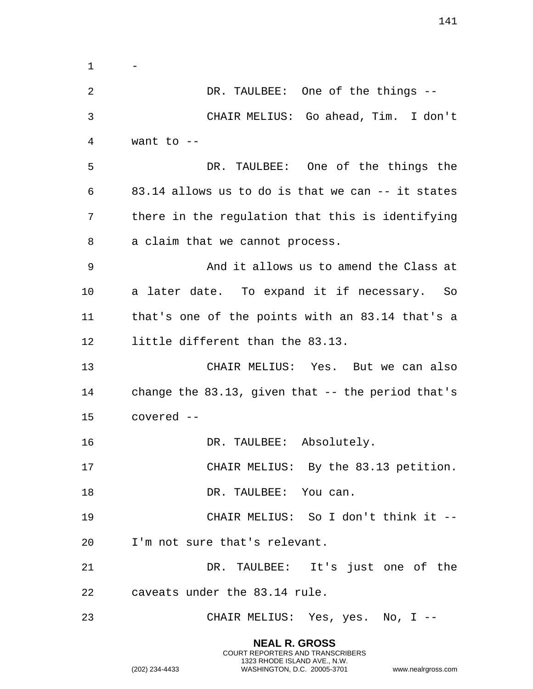- DR. TAULBEE: One of the things -- CHAIR MELIUS: Go ahead, Tim. I don't want to -- DR. TAULBEE: One of the things the 83.14 allows us to do is that we can -- it states there in the regulation that this is identifying a claim that we cannot process. And it allows us to amend the Class at a later date. To expand it if necessary. So that's one of the points with an 83.14 that's a little different than the 83.13. CHAIR MELIUS: Yes. But we can also change the 83.13, given that -- the period that's covered -- 16 DR. TAULBEE: Absolutely. CHAIR MELIUS: By the 83.13 petition. 18 DR. TAULBEE: You can. CHAIR MELIUS: So I don't think it -- I'm not sure that's relevant. DR. TAULBEE: It's just one of the caveats under the 83.14 rule. CHAIR MELIUS: Yes, yes. No, I --

> **NEAL R. GROSS** COURT REPORTERS AND TRANSCRIBERS 1323 RHODE ISLAND AVE., N.W.

(202) 234-4433 WASHINGTON, D.C. 20005-3701 www.nealrgross.com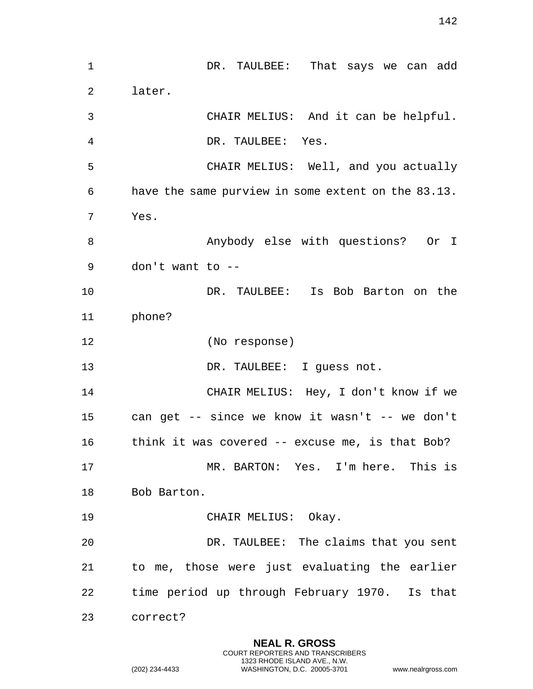| $\mathbf 1$ | DR. TAULBEE: That says we can add                  |
|-------------|----------------------------------------------------|
| 2           | later.                                             |
| 3           | CHAIR MELIUS: And it can be helpful.               |
| 4           | DR. TAULBEE: Yes.                                  |
| 5           | CHAIR MELIUS: Well, and you actually               |
| 6           | have the same purview in some extent on the 83.13. |
| 7           | Yes.                                               |
| 8           | Anybody else with questions? Or I                  |
| 9           | don't want to --                                   |
| 10          | DR. TAULBEE: Is Bob Barton on the                  |
| 11          | phone?                                             |
| 12          | (No response)                                      |
| 13          | DR. TAULBEE: I guess not.                          |
| 14          | CHAIR MELIUS: Hey, I don't know if we              |
| 15          | can get -- since we know it wasn't -- we don't     |
| 16          | think it was covered -- excuse me, is that Bob?    |
| 17          | MR. BARTON: Yes. I'm here. This is                 |
| 18          | Bob Barton.                                        |
| 19          | CHAIR MELIUS: Okay.                                |
| 20          | DR. TAULBEE: The claims that you sent              |
| 21          | to me, those were just evaluating the earlier      |
| 22          | time period up through February 1970. Is that      |
| 23          | correct?                                           |

**NEAL R. GROSS** COURT REPORTERS AND TRANSCRIBERS 1323 RHODE ISLAND AVE., N.W.

(202) 234-4433 WASHINGTON, D.C. 20005-3701 www.nealrgross.com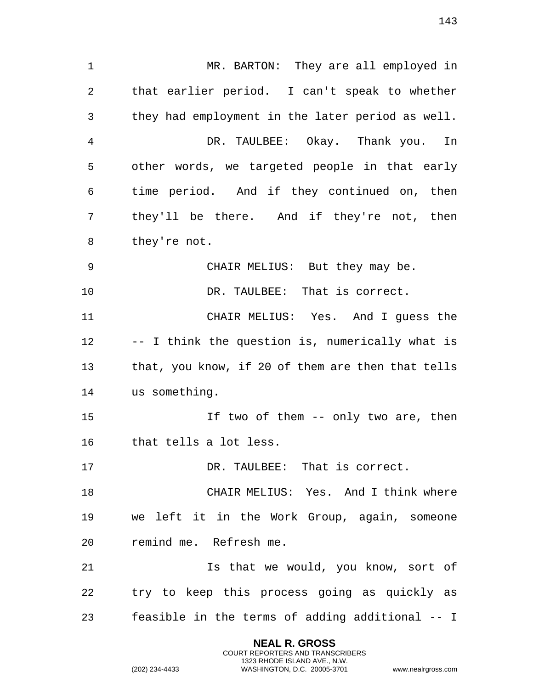MR. BARTON: They are all employed in that earlier period. I can't speak to whether they had employment in the later period as well. DR. TAULBEE: Okay. Thank you. In other words, we targeted people in that early time period. And if they continued on, then they'll be there. And if they're not, then they're not. CHAIR MELIUS: But they may be. DR. TAULBEE: That is correct. CHAIR MELIUS: Yes. And I guess the -- I think the question is, numerically what is that, you know, if 20 of them are then that tells us something. If two of them -- only two are, then that tells a lot less. DR. TAULBEE: That is correct. 18 CHAIR MELIUS: Yes. And I think where we left it in the Work Group, again, someone remind me. Refresh me. 21 15 Is that we would, you know, sort of try to keep this process going as quickly as feasible in the terms of adding additional -- I

> **NEAL R. GROSS** COURT REPORTERS AND TRANSCRIBERS 1323 RHODE ISLAND AVE., N.W.

(202) 234-4433 WASHINGTON, D.C. 20005-3701 www.nealrgross.com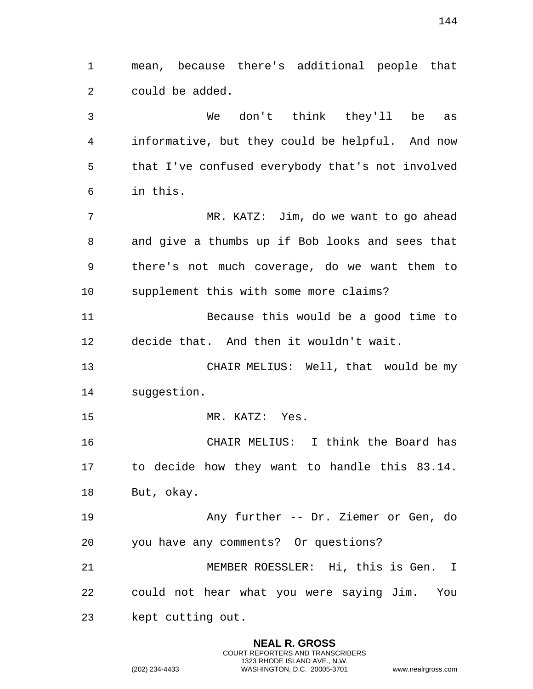mean, because there's additional people that could be added.

 We don't think they'll be as informative, but they could be helpful. And now that I've confused everybody that's not involved in this.

 MR. KATZ: Jim, do we want to go ahead and give a thumbs up if Bob looks and sees that there's not much coverage, do we want them to supplement this with some more claims?

 Because this would be a good time to decide that. And then it wouldn't wait.

 CHAIR MELIUS: Well, that would be my suggestion.

MR. KATZ: Yes.

 CHAIR MELIUS: I think the Board has to decide how they want to handle this 83.14. But, okay.

 Any further -- Dr. Ziemer or Gen, do you have any comments? Or questions?

 MEMBER ROESSLER: Hi, this is Gen. I could not hear what you were saying Jim. You kept cutting out.

> **NEAL R. GROSS** COURT REPORTERS AND TRANSCRIBERS 1323 RHODE ISLAND AVE., N.W.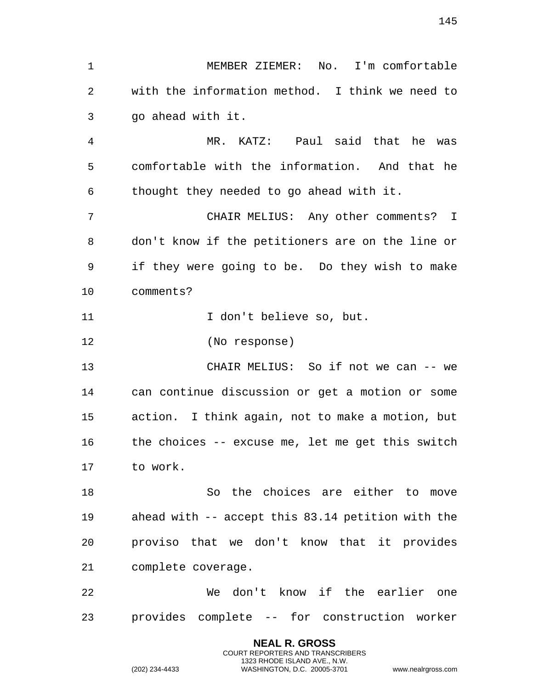MEMBER ZIEMER: No. I'm comfortable with the information method. I think we need to go ahead with it.

 MR. KATZ: Paul said that he was comfortable with the information. And that he thought they needed to go ahead with it.

 CHAIR MELIUS: Any other comments? I don't know if the petitioners are on the line or if they were going to be. Do they wish to make comments?

11 1000 I don't believe so, but.

(No response)

 CHAIR MELIUS: So if not we can -- we can continue discussion or get a motion or some action. I think again, not to make a motion, but the choices -- excuse me, let me get this switch to work.

 So the choices are either to move ahead with -- accept this 83.14 petition with the proviso that we don't know that it provides complete coverage.

 We don't know if the earlier one provides complete -- for construction worker

> **NEAL R. GROSS** COURT REPORTERS AND TRANSCRIBERS 1323 RHODE ISLAND AVE., N.W.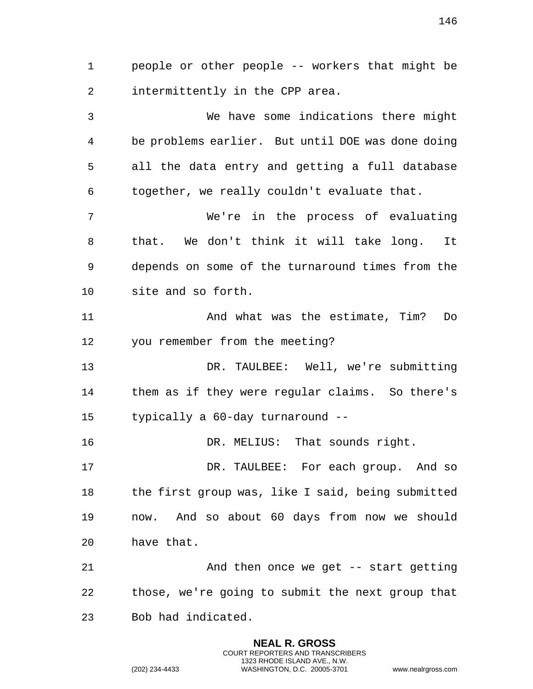people or other people -- workers that might be intermittently in the CPP area.

 We have some indications there might be problems earlier. But until DOE was done doing all the data entry and getting a full database together, we really couldn't evaluate that.

 We're in the process of evaluating that. We don't think it will take long. It depends on some of the turnaround times from the site and so forth.

 And what was the estimate, Tim? Do you remember from the meeting?

 DR. TAULBEE: Well, we're submitting them as if they were regular claims. So there's typically a 60-day turnaround --

DR. MELIUS: That sounds right.

 DR. TAULBEE: For each group. And so the first group was, like I said, being submitted now. And so about 60 days from now we should have that.

 And then once we get -- start getting those, we're going to submit the next group that Bob had indicated.

> **NEAL R. GROSS** COURT REPORTERS AND TRANSCRIBERS 1323 RHODE ISLAND AVE., N.W.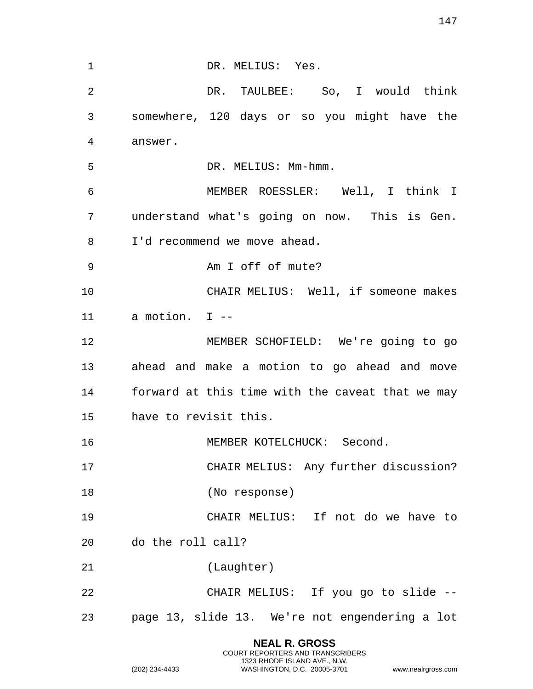| $\mathbf{1}$   | DR. MELIUS: Yes.                                 |
|----------------|--------------------------------------------------|
| $\overline{2}$ | DR. TAULBEE: So, I would think                   |
| 3              | somewhere, 120 days or so you might have the     |
| 4              | answer.                                          |
| 5              | DR. MELIUS: Mm-hmm.                              |
| 6              | MEMBER ROESSLER: Well, I think I                 |
| 7              | understand what's going on now. This is Gen.     |
| 8              | I'd recommend we move ahead.                     |
| 9              | Am I off of mute?                                |
| 10             | CHAIR MELIUS: Well, if someone makes             |
| 11             | a motion. I --                                   |
| 12             | MEMBER SCHOFIELD: We're going to go              |
| 13             | ahead and make a motion to go ahead and move     |
| 14             | forward at this time with the caveat that we may |
| 15             | have to revisit this.                            |
| 16             | MEMBER KOTELCHUCK: Second.                       |
| 17             | CHAIR MELIUS: Any further discussion?            |
| 18             | (No response)                                    |
| 19             | CHAIR MELIUS: If not do we have to               |
| 20             | do the roll call?                                |
| 21             | (Laughter)                                       |
| 22             | CHAIR MELIUS: If you go to slide --              |
| 23             | page 13, slide 13. We're not engendering a lot   |

**NEAL R. GROSS** COURT REPORTERS AND TRANSCRIBERS 1323 RHODE ISLAND AVE., N.W.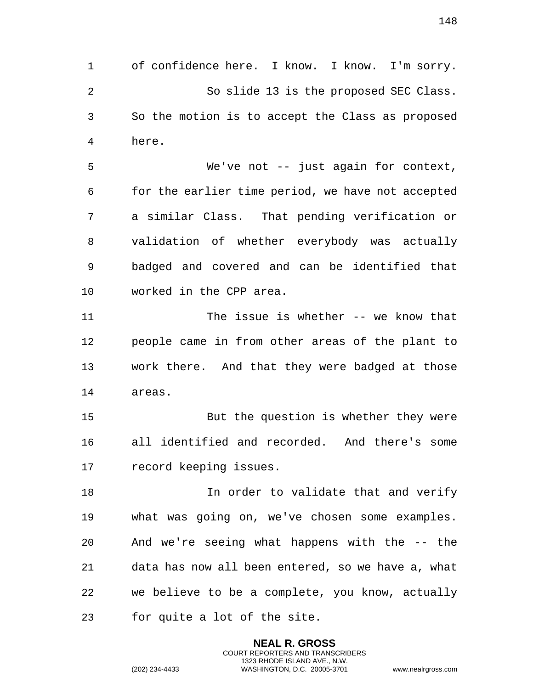of confidence here. I know. I know. I'm sorry. So slide 13 is the proposed SEC Class. So the motion is to accept the Class as proposed here.

 We've not -- just again for context, for the earlier time period, we have not accepted a similar Class. That pending verification or validation of whether everybody was actually badged and covered and can be identified that worked in the CPP area.

 The issue is whether -- we know that people came in from other areas of the plant to work there. And that they were badged at those areas.

 But the question is whether they were all identified and recorded. And there's some record keeping issues.

**In order to validate that and verify**  what was going on, we've chosen some examples. And we're seeing what happens with the -- the data has now all been entered, so we have a, what we believe to be a complete, you know, actually for quite a lot of the site.

> **NEAL R. GROSS** COURT REPORTERS AND TRANSCRIBERS 1323 RHODE ISLAND AVE., N.W.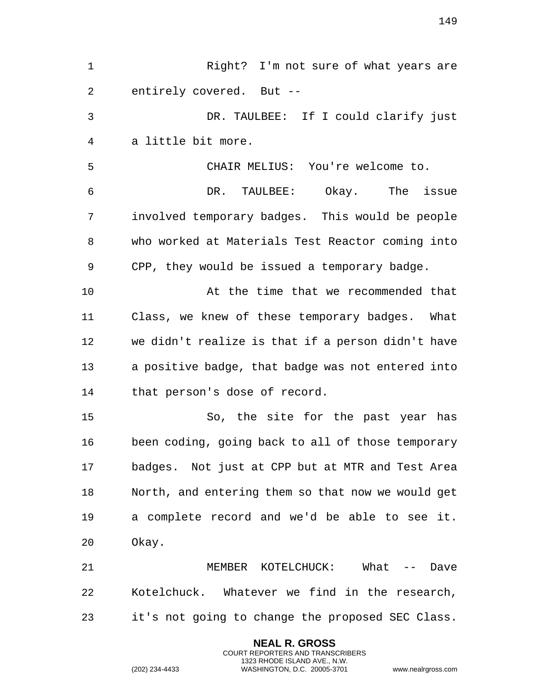**NEAL R. GROSS** Right? I'm not sure of what years are entirely covered. But -- DR. TAULBEE: If I could clarify just a little bit more. CHAIR MELIUS: You're welcome to. DR. TAULBEE: Okay. The issue involved temporary badges. This would be people who worked at Materials Test Reactor coming into CPP, they would be issued a temporary badge. At the time that we recommended that Class, we knew of these temporary badges. What we didn't realize is that if a person didn't have a positive badge, that badge was not entered into that person's dose of record. So, the site for the past year has been coding, going back to all of those temporary badges. Not just at CPP but at MTR and Test Area North, and entering them so that now we would get a complete record and we'd be able to see it. Okay. MEMBER KOTELCHUCK: What -- Dave Kotelchuck. Whatever we find in the research, it's not going to change the proposed SEC Class.

> COURT REPORTERS AND TRANSCRIBERS 1323 RHODE ISLAND AVE., N.W.

(202) 234-4433 WASHINGTON, D.C. 20005-3701 www.nealrgross.com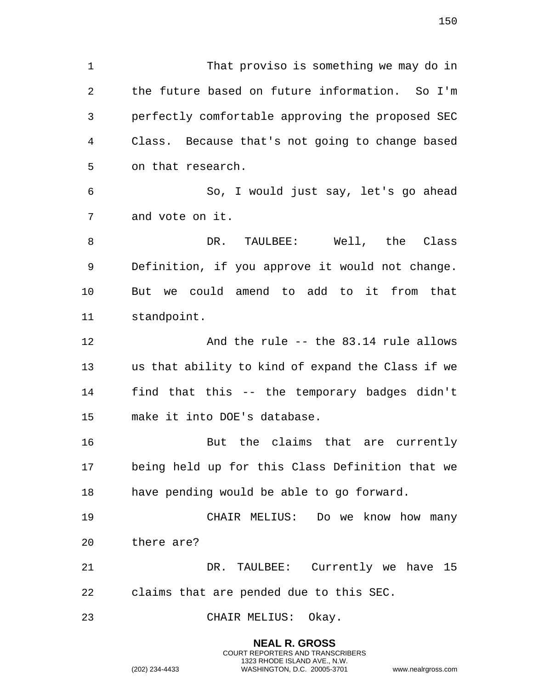That proviso is something we may do in the future based on future information. So I'm perfectly comfortable approving the proposed SEC Class. Because that's not going to change based on that research. So, I would just say, let's go ahead and vote on it. DR. TAULBEE: Well, the Class Definition, if you approve it would not change. But we could amend to add to it from that standpoint. And the rule -- the 83.14 rule allows us that ability to kind of expand the Class if we find that this -- the temporary badges didn't make it into DOE's database. But the claims that are currently being held up for this Class Definition that we have pending would be able to go forward. CHAIR MELIUS: Do we know how many there are? DR. TAULBEE: Currently we have 15 claims that are pended due to this SEC.

CHAIR MELIUS: Okay.

**NEAL R. GROSS** COURT REPORTERS AND TRANSCRIBERS 1323 RHODE ISLAND AVE., N.W. (202) 234-4433 WASHINGTON, D.C. 20005-3701 www.nealrgross.com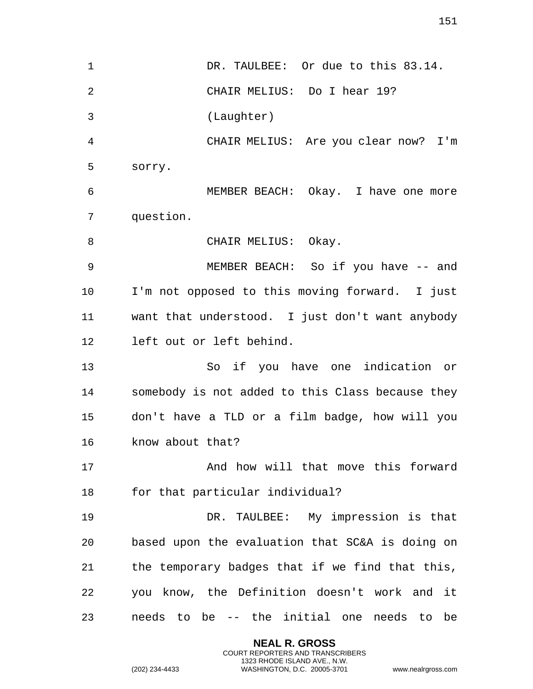1 DR. TAULBEE: Or due to this 83.14. CHAIR MELIUS: Do I hear 19? (Laughter) CHAIR MELIUS: Are you clear now? I'm sorry. MEMBER BEACH: Okay. I have one more question. 8 CHAIR MELIUS: Okay. 9 MEMBER BEACH: So if you have -- and I'm not opposed to this moving forward. I just want that understood. I just don't want anybody left out or left behind. So if you have one indication or somebody is not added to this Class because they don't have a TLD or a film badge, how will you know about that? And how will that move this forward for that particular individual? DR. TAULBEE: My impression is that based upon the evaluation that SC&A is doing on the temporary badges that if we find that this, you know, the Definition doesn't work and it needs to be -- the initial one needs to be

> **NEAL R. GROSS** COURT REPORTERS AND TRANSCRIBERS 1323 RHODE ISLAND AVE., N.W.

(202) 234-4433 WASHINGTON, D.C. 20005-3701 www.nealrgross.com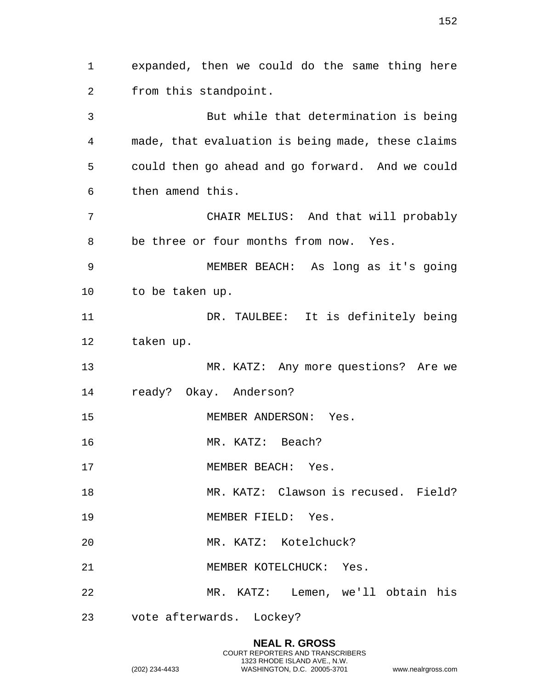expanded, then we could do the same thing here from this standpoint. But while that determination is being made, that evaluation is being made, these claims could then go ahead and go forward. And we could then amend this. CHAIR MELIUS: And that will probably be three or four months from now. Yes. MEMBER BEACH: As long as it's going to be taken up. DR. TAULBEE: It is definitely being taken up. MR. KATZ: Any more questions? Are we ready? Okay. Anderson? MEMBER ANDERSON: Yes. MR. KATZ: Beach? 17 MEMBER BEACH: Yes. MR. KATZ: Clawson is recused. Field? MEMBER FIELD: Yes. MR. KATZ: Kotelchuck? MEMBER KOTELCHUCK: Yes. MR. KATZ: Lemen, we'll obtain his vote afterwards. Lockey?

> **NEAL R. GROSS** COURT REPORTERS AND TRANSCRIBERS 1323 RHODE ISLAND AVE., N.W.

(202) 234-4433 WASHINGTON, D.C. 20005-3701 www.nealrgross.com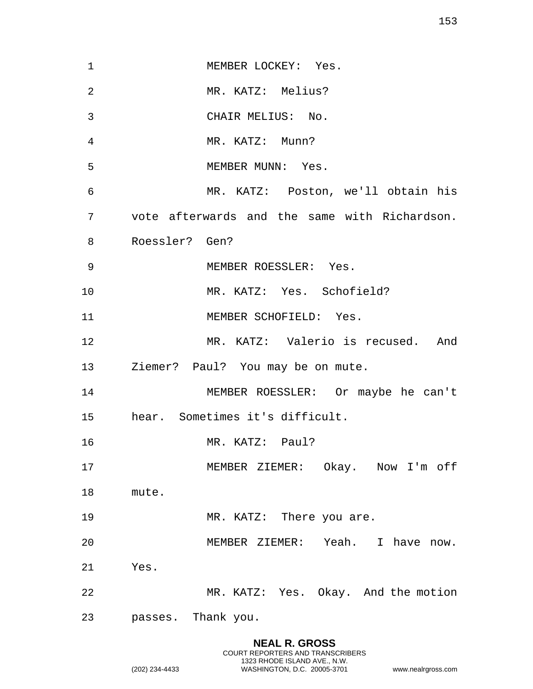| 1               | MEMBER LOCKEY: Yes.                           |
|-----------------|-----------------------------------------------|
| $\overline{2}$  | MR. KATZ: Melius?                             |
| 3               | CHAIR MELIUS: No.                             |
| 4               | MR. KATZ: Munn?                               |
| 5               | MEMBER MUNN: Yes.                             |
| 6               | MR. KATZ: Poston, we'll obtain his            |
| 7               | vote afterwards and the same with Richardson. |
| 8               | Roessler? Gen?                                |
| 9               | MEMBER ROESSLER: Yes.                         |
| 10              | MR. KATZ: Yes. Schofield?                     |
| 11              | MEMBER SCHOFIELD: Yes.                        |
| 12              | MR. KATZ: Valerio is recused. And             |
| 13              | Ziemer? Paul? You may be on mute.             |
| 14              | MEMBER ROESSLER: Or maybe he can't            |
| 15 <sub>1</sub> | hear. Sometimes it's difficult.               |
| 16              | MR. KATZ: Paul?                               |
| 17              | MEMBER ZIEMER: Okay. Now I'm off              |
| 18              | mute.                                         |
| 19              | MR. KATZ: There you are.                      |
| 20              | MEMBER ZIEMER: Yeah. I have now.              |
| 21              | Yes.                                          |
| 22              | MR. KATZ: Yes. Okay. And the motion           |
| 23              | passes. Thank you.                            |
|                 |                                               |

**NEAL R. GROSS** COURT REPORTERS AND TRANSCRIBERS 1323 RHODE ISLAND AVE., N.W.

(202) 234-4433 WASHINGTON, D.C. 20005-3701 www.nealrgross.com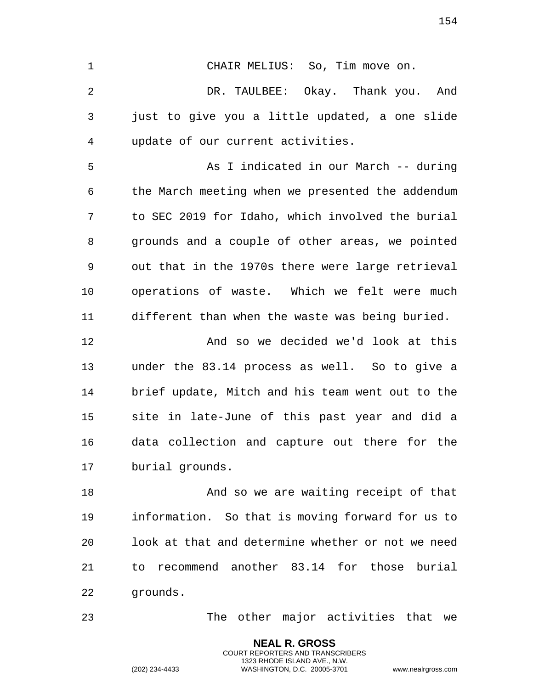CHAIR MELIUS: So, Tim move on. DR. TAULBEE: Okay. Thank you. And just to give you a little updated, a one slide

update of our current activities.

 As I indicated in our March -- during the March meeting when we presented the addendum to SEC 2019 for Idaho, which involved the burial grounds and a couple of other areas, we pointed out that in the 1970s there were large retrieval operations of waste. Which we felt were much different than when the waste was being buried.

 And so we decided we'd look at this under the 83.14 process as well. So to give a brief update, Mitch and his team went out to the site in late-June of this past year and did a data collection and capture out there for the burial grounds.

18 And so we are waiting receipt of that information. So that is moving forward for us to look at that and determine whether or not we need to recommend another 83.14 for those burial grounds.

> **NEAL R. GROSS** COURT REPORTERS AND TRANSCRIBERS 1323 RHODE ISLAND AVE., N.W.

The other major activities that we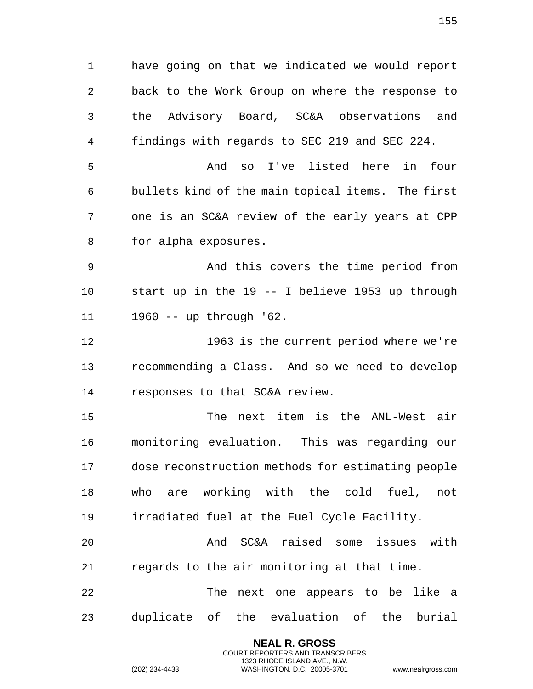have going on that we indicated we would report back to the Work Group on where the response to the Advisory Board, SC&A observations and findings with regards to SEC 219 and SEC 224. And so I've listed here in four bullets kind of the main topical items. The first one is an SC&A review of the early years at CPP for alpha exposures. And this covers the time period from start up in the 19 -- I believe 1953 up through 1960 -- up through '62. 1963 is the current period where we're recommending a Class. And so we need to develop responses to that SC&A review. The next item is the ANL-West air monitoring evaluation. This was regarding our dose reconstruction methods for estimating people who are working with the cold fuel, not irradiated fuel at the Fuel Cycle Facility. And SC&A raised some issues with regards to the air monitoring at that time. The next one appears to be like a

duplicate of the evaluation of the burial

**NEAL R. GROSS** COURT REPORTERS AND TRANSCRIBERS 1323 RHODE ISLAND AVE., N.W.

(202) 234-4433 WASHINGTON, D.C. 20005-3701 www.nealrgross.com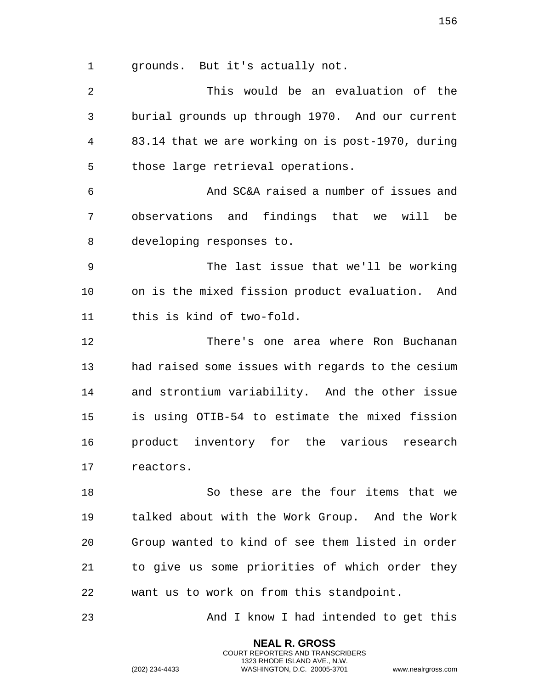grounds. But it's actually not.

 This would be an evaluation of the burial grounds up through 1970. And our current 83.14 that we are working on is post-1970, during those large retrieval operations. And SC&A raised a number of issues and observations and findings that we will be developing responses to. The last issue that we'll be working on is the mixed fission product evaluation. And this is kind of two-fold. There's one area where Ron Buchanan had raised some issues with regards to the cesium and strontium variability. And the other issue is using OTIB-54 to estimate the mixed fission product inventory for the various research reactors. So these are the four items that we talked about with the Work Group. And the Work Group wanted to kind of see them listed in order to give us some priorities of which order they want us to work on from this standpoint.

And I know I had intended to get this

**NEAL R. GROSS** COURT REPORTERS AND TRANSCRIBERS 1323 RHODE ISLAND AVE., N.W.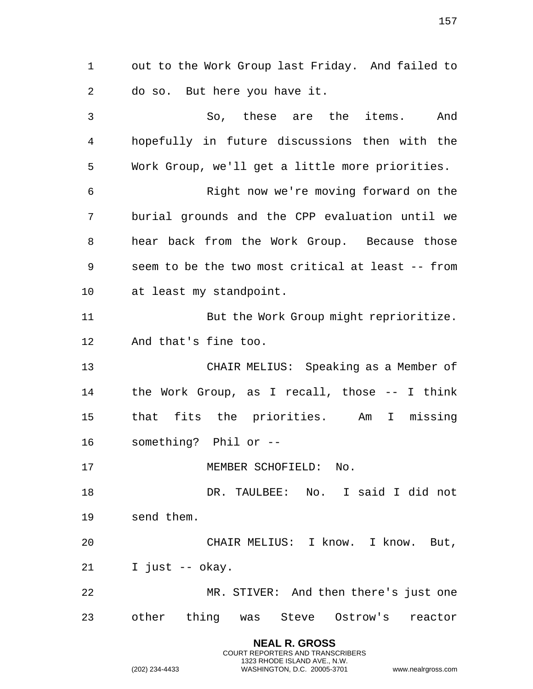out to the Work Group last Friday. And failed to do so. But here you have it.

 So, these are the items. And hopefully in future discussions then with the Work Group, we'll get a little more priorities. Right now we're moving forward on the burial grounds and the CPP evaluation until we hear back from the Work Group. Because those seem to be the two most critical at least -- from at least my standpoint. But the Work Group might reprioritize. And that's fine too. CHAIR MELIUS: Speaking as a Member of the Work Group, as I recall, those -- I think that fits the priorities. Am I missing something? Phil or -- 17 MEMBER SCHOFIELD: No. DR. TAULBEE: No. I said I did not send them. CHAIR MELIUS: I know. I know. But, I just -- okay. MR. STIVER: And then there's just one other thing was Steve Ostrow's reactor

> **NEAL R. GROSS** COURT REPORTERS AND TRANSCRIBERS 1323 RHODE ISLAND AVE., N.W.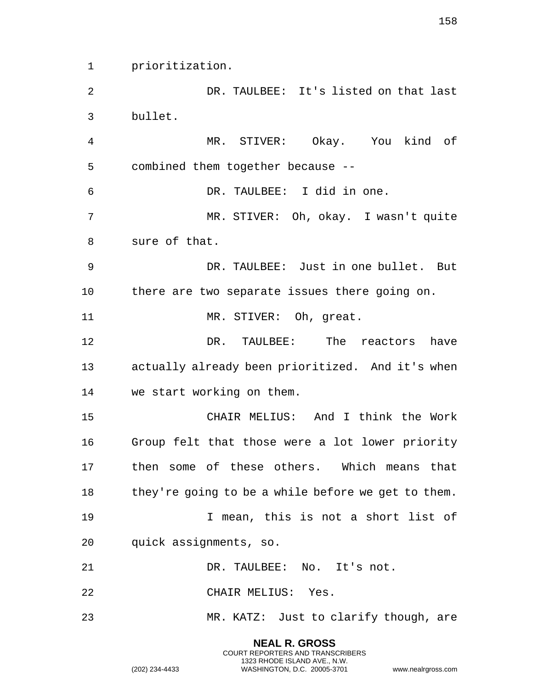prioritization.

 DR. TAULBEE: It's listed on that last bullet.

 MR. STIVER: Okay. You kind of combined them together because -- DR. TAULBEE: I did in one. MR. STIVER: Oh, okay. I wasn't quite sure of that.

 DR. TAULBEE: Just in one bullet. But there are two separate issues there going on.

11 MR. STIVER: Oh, qreat.

 DR. TAULBEE: The reactors have actually already been prioritized. And it's when we start working on them.

 CHAIR MELIUS: And I think the Work Group felt that those were a lot lower priority then some of these others. Which means that 18 they're going to be a while before we get to them. I mean, this is not a short list of

quick assignments, so.

DR. TAULBEE: No. It's not.

CHAIR MELIUS: Yes.

MR. KATZ: Just to clarify though, are

**NEAL R. GROSS** COURT REPORTERS AND TRANSCRIBERS 1323 RHODE ISLAND AVE., N.W.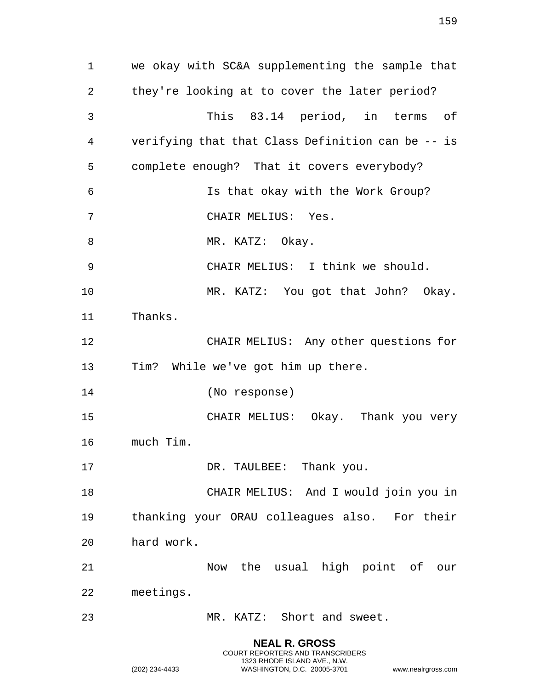**NEAL R. GROSS** we okay with SC&A supplementing the sample that they're looking at to cover the later period? This 83.14 period, in terms of verifying that that Class Definition can be -- is complete enough? That it covers everybody? Is that okay with the Work Group? CHAIR MELIUS: Yes. 8 MR. KATZ: Okay. CHAIR MELIUS: I think we should. MR. KATZ: You got that John? Okay. Thanks. CHAIR MELIUS: Any other questions for Tim? While we've got him up there. (No response) CHAIR MELIUS: Okay. Thank you very much Tim. 17 DR. TAULBEE: Thank you. CHAIR MELIUS: And I would join you in thanking your ORAU colleagues also. For their hard work. Now the usual high point of our meetings. MR. KATZ: Short and sweet.

COURT REPORTERS AND TRANSCRIBERS 1323 RHODE ISLAND AVE., N.W.

(202) 234-4433 WASHINGTON, D.C. 20005-3701 www.nealrgross.com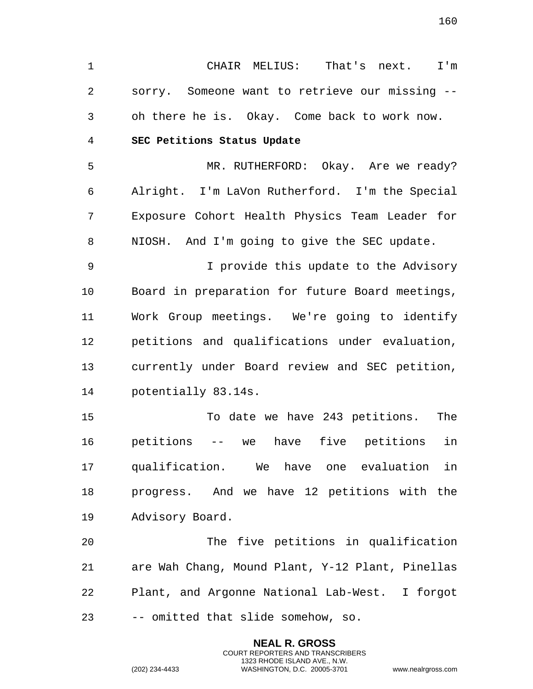1 CHAIR MELIUS: That's next. I'm 2 sorry. Someone want to retrieve our missing -- 3 oh there he is. Okay. Come back to work now. 4 **SEC Petitions Status Update**  5 MR. RUTHERFORD: Okay. Are we ready? 6 Alright. I'm LaVon Rutherford. I'm the Special 7 Exposure Cohort Health Physics Team Leader for 8 NIOSH. And I'm going to give the SEC update. 9 I provide this update to the Advisory 10 Board in preparation for future Board meetings, 11 Work Group meetings. We're going to identify 12 petitions and qualifications under evaluation, 13 currently under Board review and SEC petition, 14 potentially 83.14s. 15 To date we have 243 petitions. The 16 petitions -- we have five petitions in 17 qualification. We have one evaluation in 18 progress. And we have 12 petitions with the 19 Advisory Board. 20 The five petitions in qualification 21 are Wah Chang, Mound Plant, Y-12 Plant, Pinellas 22 Plant, and Argonne National Lab-West. I forgot 23 -- omitted that slide somehow, so.

> **NEAL R. GROSS** COURT REPORTERS AND TRANSCRIBERS 1323 RHODE ISLAND AVE., N.W.

(202) 234-4433 WASHINGTON, D.C. 20005-3701 www.nealrgross.com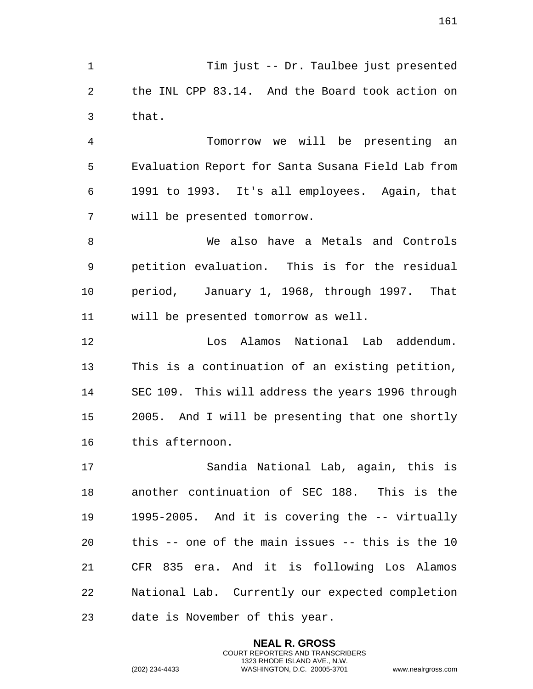Tim just -- Dr. Taulbee just presented the INL CPP 83.14. And the Board took action on that.

 Tomorrow we will be presenting an Evaluation Report for Santa Susana Field Lab from 1991 to 1993. It's all employees. Again, that will be presented tomorrow.

 We also have a Metals and Controls petition evaluation. This is for the residual period, January 1, 1968, through 1997. That will be presented tomorrow as well.

 Los Alamos National Lab addendum. This is a continuation of an existing petition, SEC 109. This will address the years 1996 through 2005. And I will be presenting that one shortly this afternoon.

 Sandia National Lab, again, this is another continuation of SEC 188. This is the 1995-2005. And it is covering the -- virtually this -- one of the main issues -- this is the 10 CFR 835 era. And it is following Los Alamos National Lab. Currently our expected completion date is November of this year.

> **NEAL R. GROSS** COURT REPORTERS AND TRANSCRIBERS 1323 RHODE ISLAND AVE., N.W.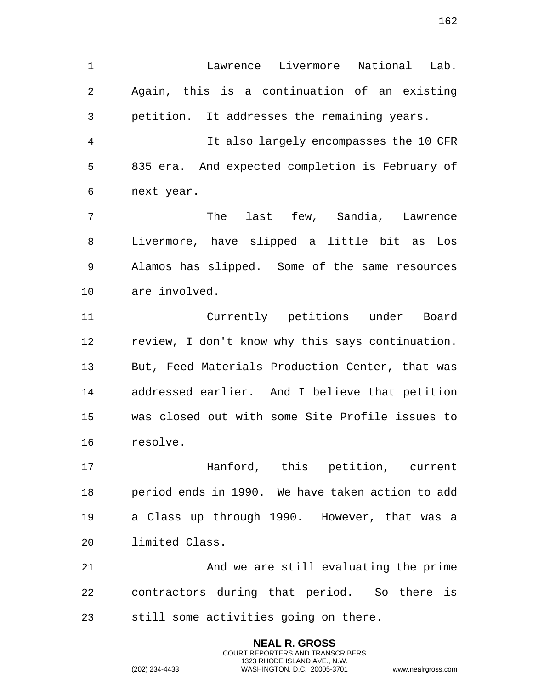Lawrence Livermore National Lab. Again, this is a continuation of an existing petition. It addresses the remaining years.

 It also largely encompasses the 10 CFR 835 era. And expected completion is February of next year.

 The last few, Sandia, Lawrence Livermore, have slipped a little bit as Los Alamos has slipped. Some of the same resources are involved.

 Currently petitions under Board review, I don't know why this says continuation. But, Feed Materials Production Center, that was addressed earlier. And I believe that petition was closed out with some Site Profile issues to resolve.

 Hanford, this petition, current period ends in 1990. We have taken action to add a Class up through 1990. However, that was a limited Class.

 And we are still evaluating the prime contractors during that period. So there is still some activities going on there.

> **NEAL R. GROSS** COURT REPORTERS AND TRANSCRIBERS 1323 RHODE ISLAND AVE., N.W.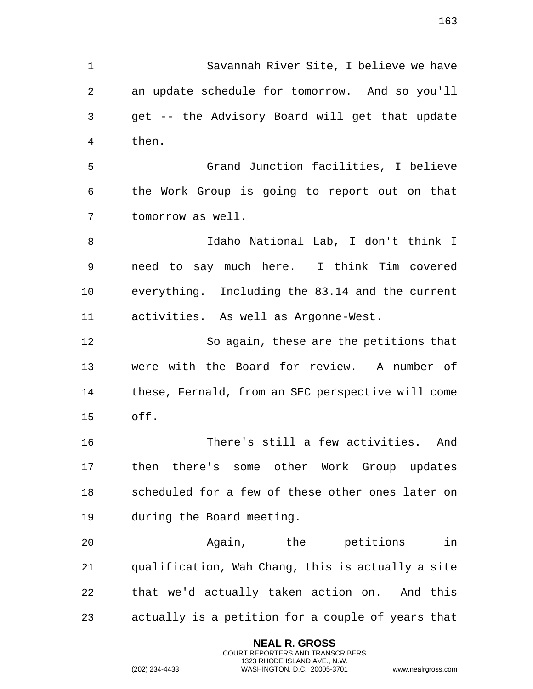Savannah River Site, I believe we have an update schedule for tomorrow. And so you'll get -- the Advisory Board will get that update then. Grand Junction facilities, I believe the Work Group is going to report out on that

tomorrow as well.

 Idaho National Lab, I don't think I need to say much here. I think Tim covered everything. Including the 83.14 and the current activities. As well as Argonne-West.

 So again, these are the petitions that were with the Board for review. A number of these, Fernald, from an SEC perspective will come off.

 There's still a few activities. And then there's some other Work Group updates scheduled for a few of these other ones later on during the Board meeting.

 Again, the petitions in qualification, Wah Chang, this is actually a site that we'd actually taken action on. And this actually is a petition for a couple of years that

> **NEAL R. GROSS** COURT REPORTERS AND TRANSCRIBERS 1323 RHODE ISLAND AVE., N.W.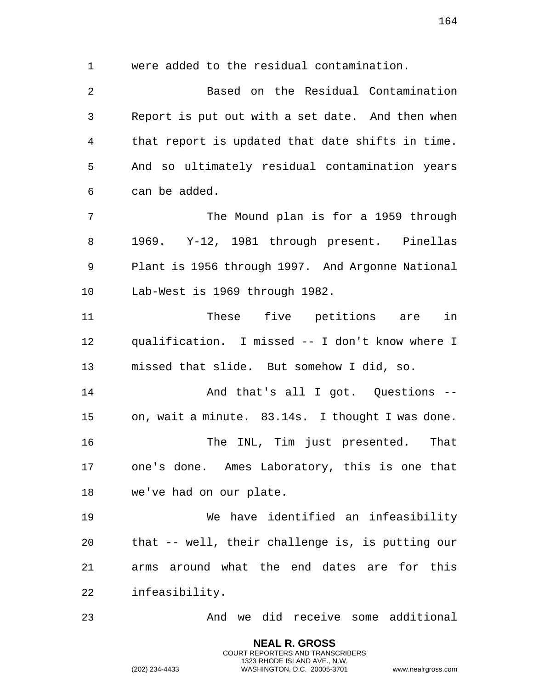were added to the residual contamination. Based on the Residual Contamination Report is put out with a set date. And then when that report is updated that date shifts in time. And so ultimately residual contamination years can be added. The Mound plan is for a 1959 through 1969. Y-12, 1981 through present. Pinellas Plant is 1956 through 1997. And Argonne National Lab-West is 1969 through 1982. These five petitions are in qualification. I missed -- I don't know where I missed that slide. But somehow I did, so. 14 And that's all I got. Questions -- on, wait a minute. 83.14s. I thought I was done. The INL, Tim just presented. That one's done. Ames Laboratory, this is one that we've had on our plate. We have identified an infeasibility that -- well, their challenge is, is putting our arms around what the end dates are for this infeasibility. And we did receive some additional

> **NEAL R. GROSS** COURT REPORTERS AND TRANSCRIBERS 1323 RHODE ISLAND AVE., N.W.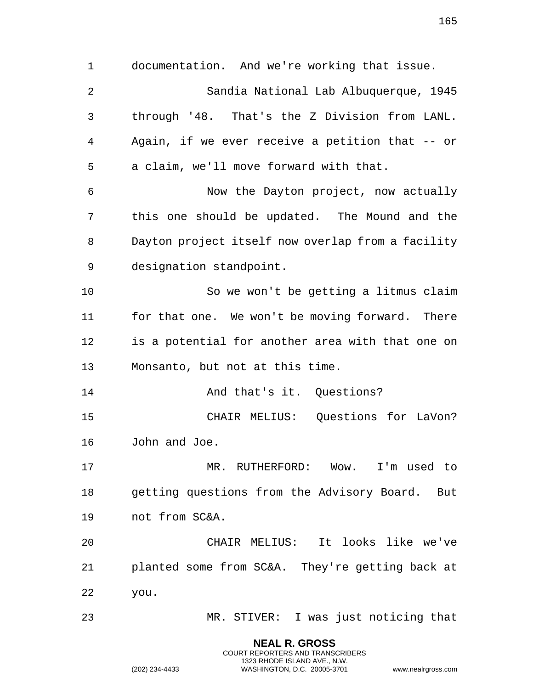documentation. And we're working that issue. Sandia National Lab Albuquerque, 1945 through '48. That's the Z Division from LANL. Again, if we ever receive a petition that -- or a claim, we'll move forward with that. Now the Dayton project, now actually this one should be updated. The Mound and the Dayton project itself now overlap from a facility designation standpoint. So we won't be getting a litmus claim for that one. We won't be moving forward. There is a potential for another area with that one on Monsanto, but not at this time. And that's it. Questions? CHAIR MELIUS: Questions for LaVon? John and Joe. MR. RUTHERFORD: Wow. I'm used to getting questions from the Advisory Board. But not from SC&A. CHAIR MELIUS: It looks like we've planted some from SC&A. They're getting back at you. MR. STIVER: I was just noticing that

> **NEAL R. GROSS** COURT REPORTERS AND TRANSCRIBERS 1323 RHODE ISLAND AVE., N.W.

(202) 234-4433 WASHINGTON, D.C. 20005-3701 www.nealrgross.com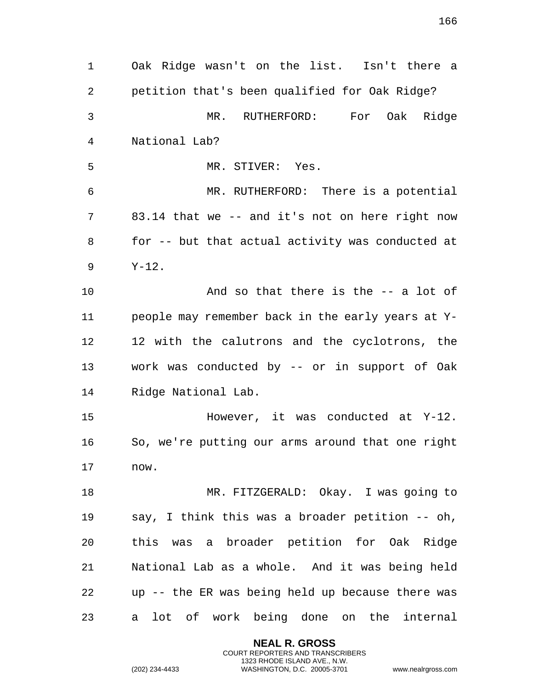Oak Ridge wasn't on the list. Isn't there a petition that's been qualified for Oak Ridge? MR. RUTHERFORD: For Oak Ridge National Lab? MR. STIVER: Yes. MR. RUTHERFORD: There is a potential 83.14 that we -- and it's not on here right now for -- but that actual activity was conducted at Y-12. And so that there is the -- a lot of people may remember back in the early years at Y- 12 with the calutrons and the cyclotrons, the work was conducted by -- or in support of Oak Ridge National Lab. However, it was conducted at Y-12. So, we're putting our arms around that one right now. MR. FITZGERALD: Okay. I was going to say, I think this was a broader petition -- oh, this was a broader petition for Oak Ridge National Lab as a whole. And it was being held up -- the ER was being held up because there was a lot of work being done on the internal

> **NEAL R. GROSS** COURT REPORTERS AND TRANSCRIBERS 1323 RHODE ISLAND AVE., N.W.

(202) 234-4433 WASHINGTON, D.C. 20005-3701 www.nealrgross.com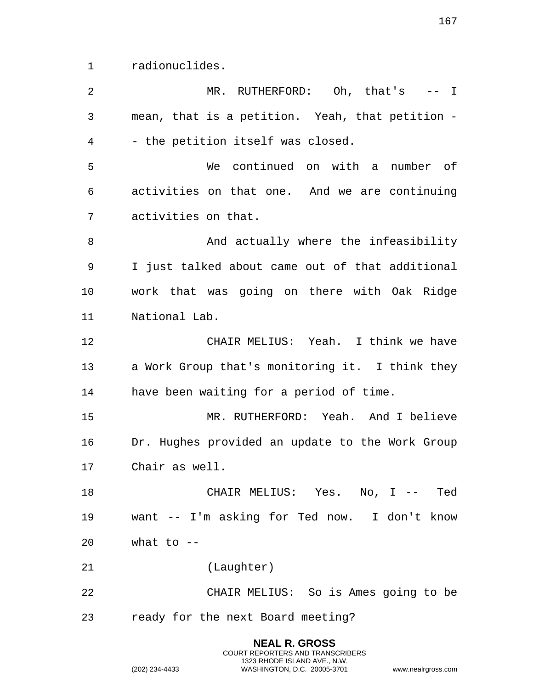radionuclides.

| 2  | MR. RUTHERFORD: Oh, that's -- I                 |
|----|-------------------------------------------------|
| 3  | mean, that is a petition. Yeah, that petition - |
| 4  | - the petition itself was closed.               |
| 5  | We continued on with a number of                |
| 6  | activities on that one. And we are continuing   |
| 7  | activities on that.                             |
| 8  | And actually where the infeasibility            |
| 9  | I just talked about came out of that additional |
| 10 | work that was going on there with Oak Ridge     |
| 11 | National Lab.                                   |
| 12 | CHAIR MELIUS: Yeah. I think we have             |
| 13 | a Work Group that's monitoring it. I think they |
| 14 | have been waiting for a period of time.         |
| 15 | MR. RUTHERFORD: Yeah. And I believe             |
| 16 | Dr. Hughes provided an update to the Work Group |
| 17 | Chair as well.                                  |
| 18 | CHAIR MELIUS: Yes. No, I -- Ted                 |
| 19 | want -- I'm asking for Ted now. I don't know    |
| 20 | what to $-$                                     |
| 21 | (Laughter)                                      |
| 22 | CHAIR MELIUS: So is Ames going to be            |
| 23 | ready for the next Board meeting?               |
|    | <b>NEAL R. GROSS</b>                            |

COURT REPORTERS AND TRANSCRIBERS 1323 RHODE ISLAND AVE., N.W.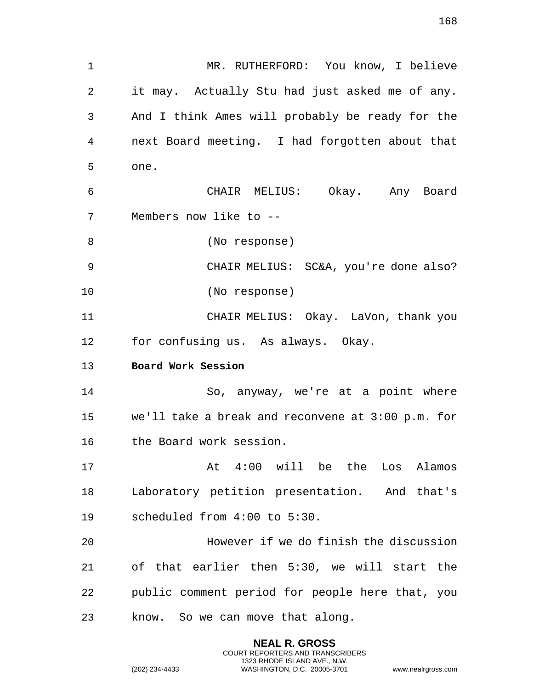1 MR. RUTHERFORD: You know, I believe 2 it may. Actually Stu had just asked me of any. 3 And I think Ames will probably be ready for the 4 next Board meeting. I had forgotten about that 5 one. 6 CHAIR MELIUS: Okay. Any Board 7 Members now like to -- 8 (No response) 9 CHAIR MELIUS: SC&A, you're done also? 10 (No response) 11 CHAIR MELIUS: Okay. LaVon, thank you 12 for confusing us. As always. Okay. 13 **Board Work Session**  14 So, anyway, we're at a point where 15 we'll take a break and reconvene at 3:00 p.m. for 16 the Board work session. 17 At 4:00 will be the Los Alamos 18 Laboratory petition presentation. And that's 19 scheduled from 4:00 to 5:30. 20 However if we do finish the discussion 21 of that earlier then 5:30, we will start the 22 public comment period for people here that, you 23 know. So we can move that along.

> **NEAL R. GROSS** COURT REPORTERS AND TRANSCRIBERS 1323 RHODE ISLAND AVE., N.W.

(202) 234-4433 WASHINGTON, D.C. 20005-3701 www.nealrgross.com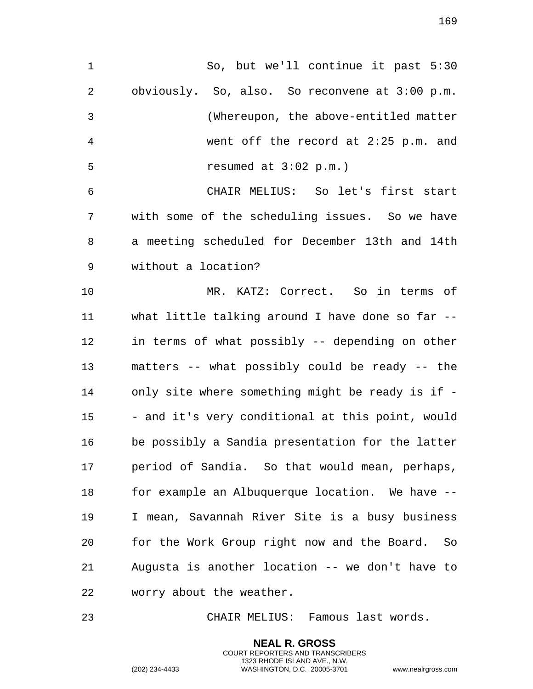obviously. So, also. So reconvene at 3:00 p.m. (Whereupon, the above-entitled matter went off the record at 2:25 p.m. and resumed at 3:02 p.m.) CHAIR MELIUS: So let's first start with some of the scheduling issues. So we have a meeting scheduled for December 13th and 14th without a location? MR. KATZ: Correct. So in terms of what little talking around I have done so far -- in terms of what possibly -- depending on other matters -- what possibly could be ready -- the only site where something might be ready is if - 15 - and it's very conditional at this point, would be possibly a Sandia presentation for the latter period of Sandia. So that would mean, perhaps, 18 for example an Albuquerque location. We have -- I mean, Savannah River Site is a busy business for the Work Group right now and the Board. So Augusta is another location -- we don't have to worry about the weather.

So, but we'll continue it past 5:30

CHAIR MELIUS: Famous last words.

**NEAL R. GROSS** COURT REPORTERS AND TRANSCRIBERS 1323 RHODE ISLAND AVE., N.W.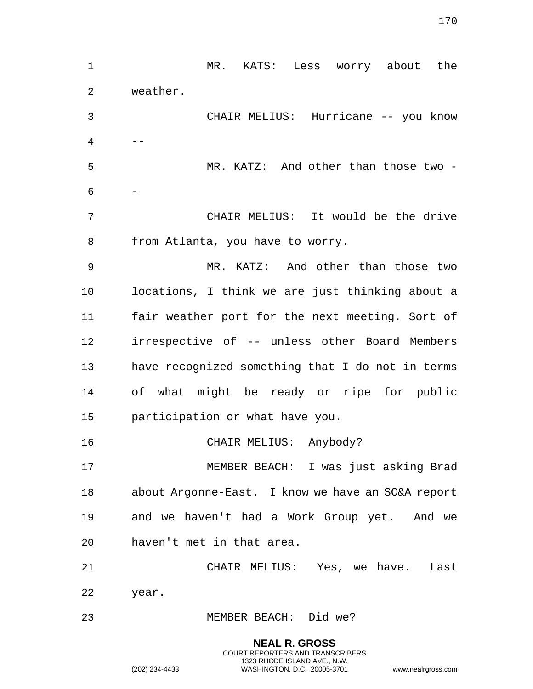MR. KATS: Less worry about the weather. CHAIR MELIUS: Hurricane -- you know  $4 \qquad -$  MR. KATZ: And other than those two - - CHAIR MELIUS: It would be the drive from Atlanta, you have to worry. MR. KATZ: And other than those two locations, I think we are just thinking about a fair weather port for the next meeting. Sort of irrespective of -- unless other Board Members have recognized something that I do not in terms of what might be ready or ripe for public participation or what have you. CHAIR MELIUS: Anybody? MEMBER BEACH: I was just asking Brad about Argonne-East. I know we have an SC&A report and we haven't had a Work Group yet. And we haven't met in that area. CHAIR MELIUS: Yes, we have. Last year. MEMBER BEACH: Did we?

> **NEAL R. GROSS** COURT REPORTERS AND TRANSCRIBERS 1323 RHODE ISLAND AVE., N.W.

(202) 234-4433 WASHINGTON, D.C. 20005-3701 www.nealrgross.com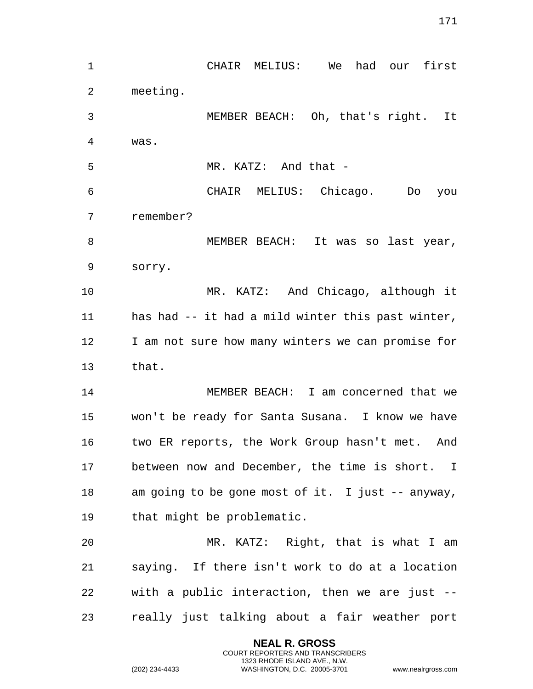CHAIR MELIUS: We had our first meeting. MEMBER BEACH: Oh, that's right. It was. MR. KATZ: And that - CHAIR MELIUS: Chicago. Do you remember? MEMBER BEACH: It was so last year, sorry. MR. KATZ: And Chicago, although it has had -- it had a mild winter this past winter, 12 I am not sure how many winters we can promise for that. MEMBER BEACH: I am concerned that we won't be ready for Santa Susana. I know we have two ER reports, the Work Group hasn't met. And between now and December, the time is short. I am going to be gone most of it. I just -- anyway, that might be problematic. MR. KATZ: Right, that is what I am saying. If there isn't work to do at a location with a public interaction, then we are just -- really just talking about a fair weather port

> **NEAL R. GROSS** COURT REPORTERS AND TRANSCRIBERS 1323 RHODE ISLAND AVE., N.W.

(202) 234-4433 WASHINGTON, D.C. 20005-3701 www.nealrgross.com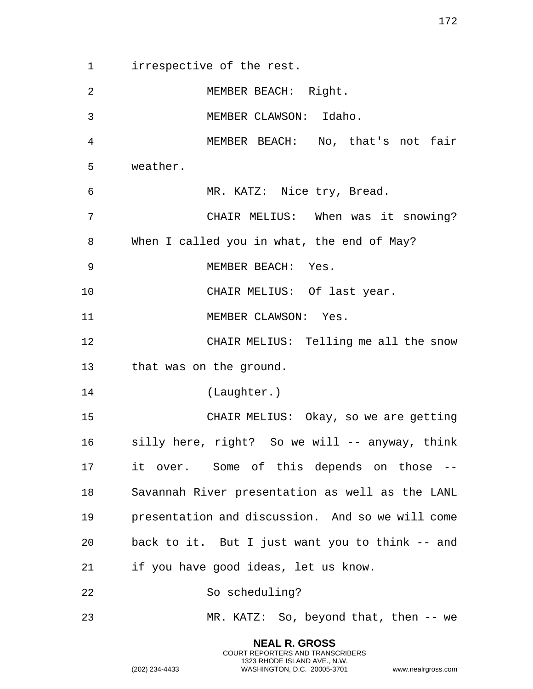irrespective of the rest. MEMBER BEACH: Right. MEMBER CLAWSON: Idaho. MEMBER BEACH: No, that's not fair weather. MR. KATZ: Nice try, Bread. CHAIR MELIUS: When was it snowing? When I called you in what, the end of May? MEMBER BEACH: Yes. 10 CHAIR MELIUS: Of last year. 11 MEMBER CLAWSON: Yes. CHAIR MELIUS: Telling me all the snow that was on the ground. (Laughter.) CHAIR MELIUS: Okay, so we are getting silly here, right? So we will -- anyway, think it over. Some of this depends on those -- Savannah River presentation as well as the LANL presentation and discussion. And so we will come back to it. But I just want you to think -- and if you have good ideas, let us know. So scheduling? MR. KATZ: So, beyond that, then -- we

> **NEAL R. GROSS** COURT REPORTERS AND TRANSCRIBERS 1323 RHODE ISLAND AVE., N.W.

(202) 234-4433 WASHINGTON, D.C. 20005-3701 www.nealrgross.com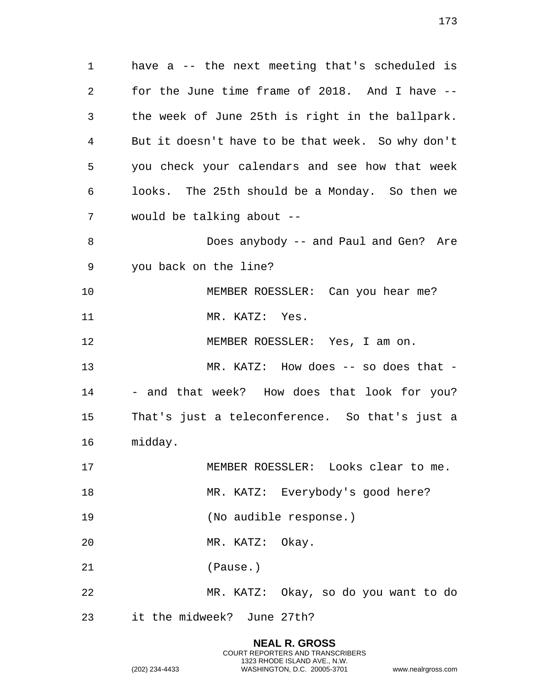have a -- the next meeting that's scheduled is for the June time frame of 2018. And I have -- the week of June 25th is right in the ballpark. But it doesn't have to be that week. So why don't you check your calendars and see how that week looks. The 25th should be a Monday. So then we would be talking about -- Does anybody -- and Paul and Gen? Are you back on the line? MEMBER ROESSLER: Can you hear me? 11 MR. KATZ: Yes. MEMBER ROESSLER: Yes, I am on. MR. KATZ: How does -- so does that - 14 - and that week? How does that look for you? That's just a teleconference. So that's just a midday. MEMBER ROESSLER: Looks clear to me. 18 MR. KATZ: Everybody's good here? (No audible response.) MR. KATZ: Okay. (Pause.) MR. KATZ: Okay, so do you want to do it the midweek? June 27th?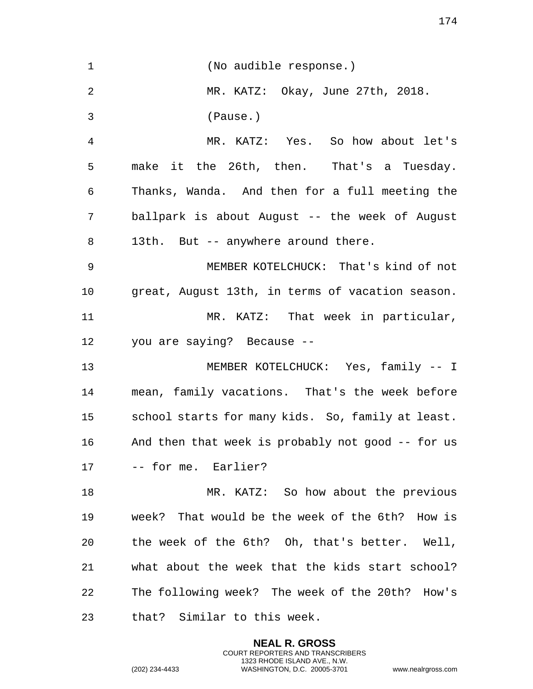| $\mathbf 1$ | (No audible response.)                            |
|-------------|---------------------------------------------------|
| 2           | MR. KATZ: Okay, June 27th, 2018.                  |
| 3           | (Pause.)                                          |
| 4           | MR. KATZ: Yes. So how about let's                 |
| 5           | make it the 26th, then. That's a Tuesday.         |
| 6           | Thanks, Wanda. And then for a full meeting the    |
| 7           | ballpark is about August -- the week of August    |
| 8           | 13th. But -- anywhere around there.               |
| 9           | MEMBER KOTELCHUCK: That's kind of not             |
| 10          | great, August 13th, in terms of vacation season.  |
| 11          | MR. KATZ: That week in particular,                |
| 12          | you are saying? Because --                        |
| 13          | MEMBER KOTELCHUCK: Yes, family -- I               |
| 14          | mean, family vacations. That's the week before    |
| 15          | school starts for many kids. So, family at least. |
| 16          | And then that week is probably not good -- for us |
| 17          | -- for me. Earlier?                               |
| 18          | MR. KATZ: So how about the previous               |
| 19          | week? That would be the week of the 6th? How is   |
| 20          | the week of the 6th? Oh, that's better. Well,     |
| 21          | what about the week that the kids start school?   |
| 22          | The following week? The week of the 20th? How's   |
| 23          | that? Similar to this week.                       |
|             |                                                   |

**NEAL R. GROSS** COURT REPORTERS AND TRANSCRIBERS 1323 RHODE ISLAND AVE., N.W.

(202) 234-4433 WASHINGTON, D.C. 20005-3701 www.nealrgross.com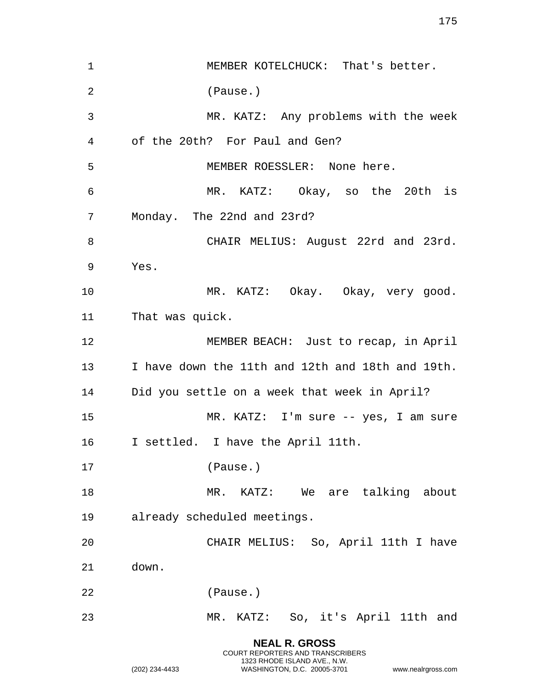**NEAL R. GROSS** COURT REPORTERS AND TRANSCRIBERS MEMBER KOTELCHUCK: That's better. (Pause.) MR. KATZ: Any problems with the week of the 20th? For Paul and Gen? MEMBER ROESSLER: None here. MR. KATZ: Okay, so the 20th is Monday. The 22nd and 23rd? 8 CHAIR MELIUS: August 22rd and 23rd. Yes. MR. KATZ: Okay. Okay, very good. That was quick. MEMBER BEACH: Just to recap, in April I have down the 11th and 12th and 18th and 19th. Did you settle on a week that week in April? MR. KATZ: I'm sure -- yes, I am sure I settled. I have the April 11th. (Pause.) 18 MR. KATZ: We are talking about already scheduled meetings. CHAIR MELIUS: So, April 11th I have down. (Pause.) MR. KATZ: So, it's April 11th and

1323 RHODE ISLAND AVE., N.W.

(202) 234-4433 WASHINGTON, D.C. 20005-3701 www.nealrgross.com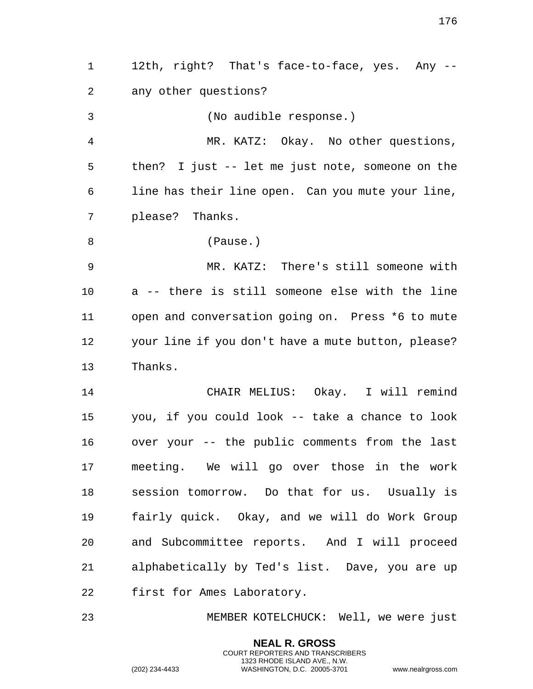12th, right? That's face-to-face, yes. Any -- any other questions? (No audible response.) MR. KATZ: Okay. No other questions, then? I just -- let me just note, someone on the line has their line open. Can you mute your line, please? Thanks. (Pause.) MR. KATZ: There's still someone with a -- there is still someone else with the line open and conversation going on. Press \*6 to mute your line if you don't have a mute button, please? Thanks. CHAIR MELIUS: Okay. I will remind you, if you could look -- take a chance to look over your -- the public comments from the last meeting. We will go over those in the work session tomorrow. Do that for us. Usually is fairly quick. Okay, and we will do Work Group and Subcommittee reports. And I will proceed alphabetically by Ted's list. Dave, you are up first for Ames Laboratory. MEMBER KOTELCHUCK: Well, we were just

> **NEAL R. GROSS** COURT REPORTERS AND TRANSCRIBERS 1323 RHODE ISLAND AVE., N.W.

(202) 234-4433 WASHINGTON, D.C. 20005-3701 www.nealrgross.com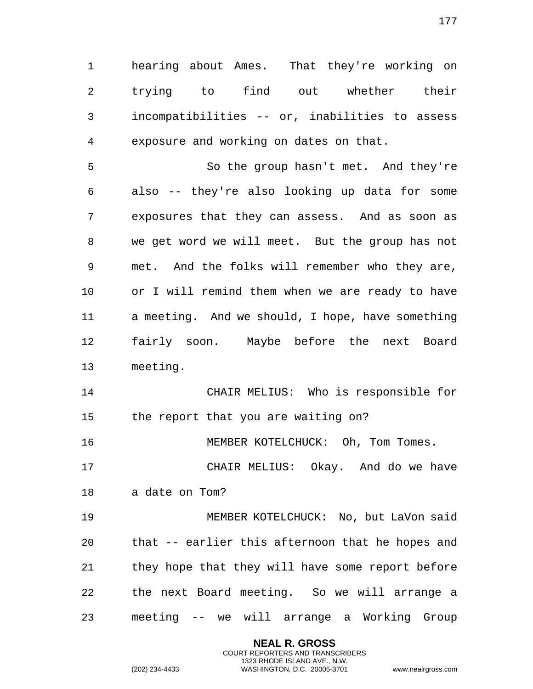hearing about Ames. That they're working on trying to find out whether their incompatibilities -- or, inabilities to assess exposure and working on dates on that.

 So the group hasn't met. And they're also -- they're also looking up data for some exposures that they can assess. And as soon as we get word we will meet. But the group has not met. And the folks will remember who they are, or I will remind them when we are ready to have a meeting. And we should, I hope, have something fairly soon. Maybe before the next Board meeting.

 CHAIR MELIUS: Who is responsible for the report that you are waiting on?

16 MEMBER KOTELCHUCK: Oh, Tom Tomes.

 CHAIR MELIUS: Okay. And do we have a date on Tom?

 MEMBER KOTELCHUCK: No, but LaVon said that -- earlier this afternoon that he hopes and they hope that they will have some report before the next Board meeting. So we will arrange a meeting -- we will arrange a Working Group

> **NEAL R. GROSS** COURT REPORTERS AND TRANSCRIBERS 1323 RHODE ISLAND AVE., N.W.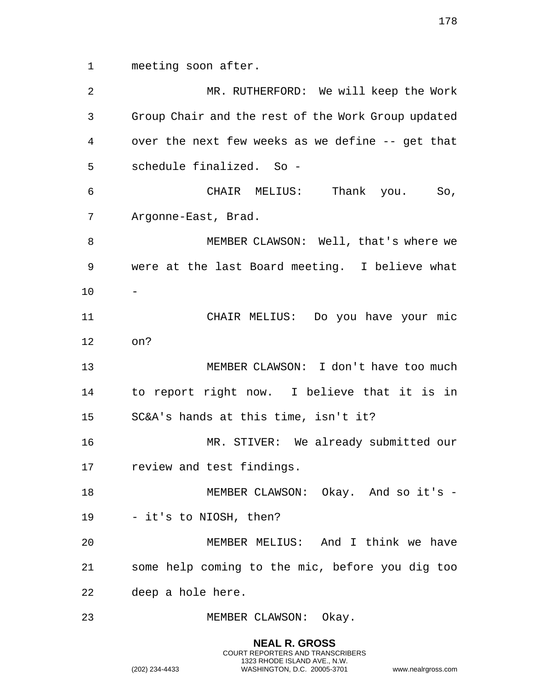meeting soon after.

 MR. RUTHERFORD: We will keep the Work Group Chair and the rest of the Work Group updated over the next few weeks as we define -- get that schedule finalized. So - CHAIR MELIUS: Thank you. So, Argonne-East, Brad. MEMBER CLAWSON: Well, that's where we were at the last Board meeting. I believe what CHAIR MELIUS: Do you have your mic on? MEMBER CLAWSON: I don't have too much to report right now. I believe that it is in SC&A's hands at this time, isn't it? MR. STIVER: We already submitted our review and test findings. 18 MEMBER CLAWSON: Okay. And so it's - - it's to NIOSH, then? MEMBER MELIUS: And I think we have some help coming to the mic, before you dig too deep a hole here. MEMBER CLAWSON: Okay.

> **NEAL R. GROSS** COURT REPORTERS AND TRANSCRIBERS 1323 RHODE ISLAND AVE., N.W.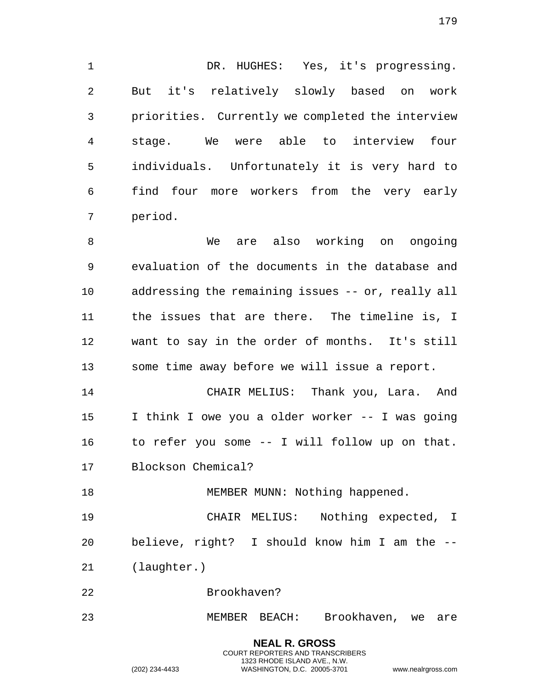1 DR. HUGHES: Yes, it's progressing. But it's relatively slowly based on work priorities. Currently we completed the interview stage. We were able to interview four individuals. Unfortunately it is very hard to find four more workers from the very early period.

 We are also working on ongoing evaluation of the documents in the database and addressing the remaining issues -- or, really all the issues that are there. The timeline is, I want to say in the order of months. It's still some time away before we will issue a report.

 CHAIR MELIUS: Thank you, Lara. And I think I owe you a older worker -- I was going to refer you some -- I will follow up on that. Blockson Chemical?

18 MEMBER MUNN: Nothing happened.

 CHAIR MELIUS: Nothing expected, I believe, right? I should know him I am the -- (laughter.)

Brookhaven?

MEMBER BEACH: Brookhaven, we are

**NEAL R. GROSS** COURT REPORTERS AND TRANSCRIBERS 1323 RHODE ISLAND AVE., N.W.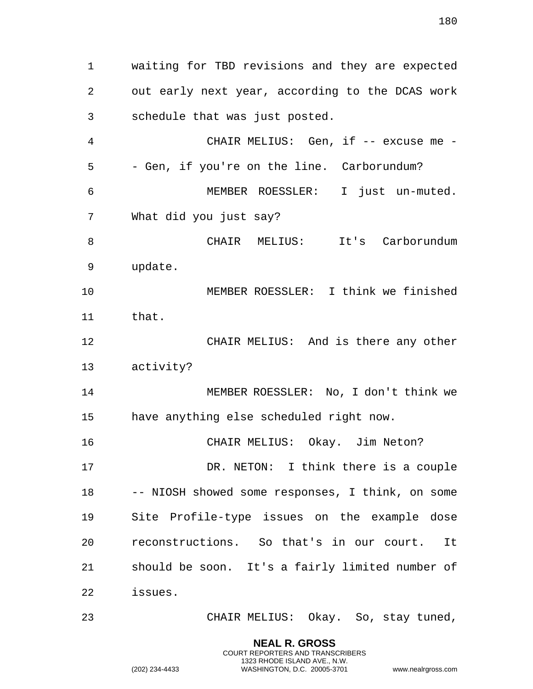waiting for TBD revisions and they are expected out early next year, according to the DCAS work schedule that was just posted. 4 CHAIR MELIUS: Gen, if -- excuse me - - Gen, if you're on the line. Carborundum? MEMBER ROESSLER: I just un-muted. What did you just say? 8 CHAIR MELIUS: It's Carborundum update. MEMBER ROESSLER: I think we finished that. CHAIR MELIUS: And is there any other activity? MEMBER ROESSLER: No, I don't think we have anything else scheduled right now. CHAIR MELIUS: Okay. Jim Neton? 17 DR. NETON: I think there is a couple -- NIOSH showed some responses, I think, on some Site Profile-type issues on the example dose reconstructions. So that's in our court. It should be soon. It's a fairly limited number of issues. CHAIR MELIUS: Okay. So, stay tuned,

> **NEAL R. GROSS** COURT REPORTERS AND TRANSCRIBERS 1323 RHODE ISLAND AVE., N.W.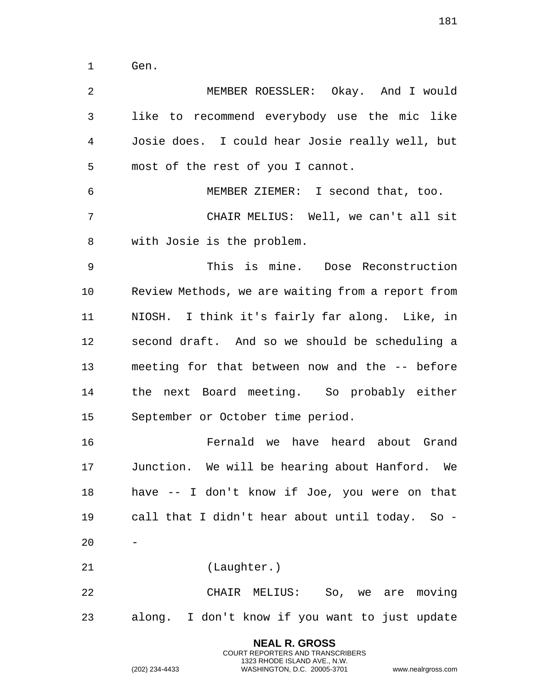Gen.

**NEAL R. GROSS** MEMBER ROESSLER: Okay. And I would like to recommend everybody use the mic like Josie does. I could hear Josie really well, but most of the rest of you I cannot. MEMBER ZIEMER: I second that, too. CHAIR MELIUS: Well, we can't all sit with Josie is the problem. This is mine. Dose Reconstruction Review Methods, we are waiting from a report from NIOSH. I think it's fairly far along. Like, in second draft. And so we should be scheduling a meeting for that between now and the -- before the next Board meeting. So probably either September or October time period. Fernald we have heard about Grand Junction. We will be hearing about Hanford. We have -- I don't know if Joe, you were on that call that I didn't hear about until today. So - (Laughter.) CHAIR MELIUS: So, we are moving along. I don't know if you want to just update

> COURT REPORTERS AND TRANSCRIBERS 1323 RHODE ISLAND AVE., N.W.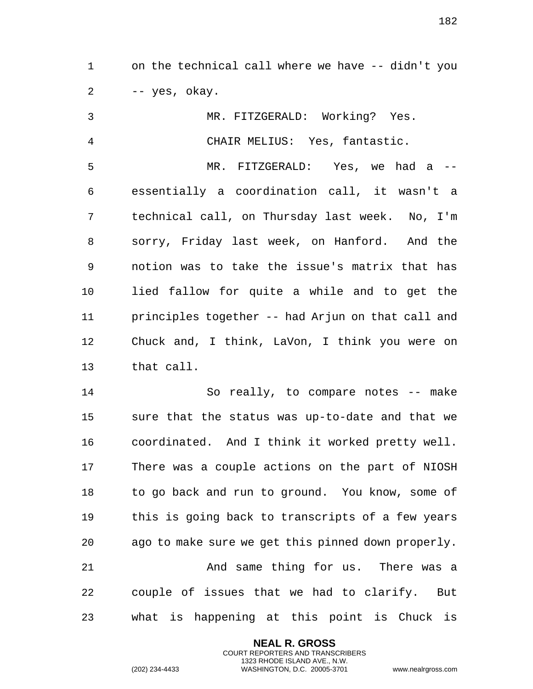on the technical call where we have -- didn't you  $2 \rightarrow -yes$ , okay.

 MR. FITZGERALD: Working? Yes. CHAIR MELIUS: Yes, fantastic. MR. FITZGERALD: Yes, we had a -- essentially a coordination call, it wasn't a technical call, on Thursday last week. No, I'm sorry, Friday last week, on Hanford. And the notion was to take the issue's matrix that has lied fallow for quite a while and to get the principles together -- had Arjun on that call and Chuck and, I think, LaVon, I think you were on that call.

 So really, to compare notes -- make sure that the status was up-to-date and that we coordinated. And I think it worked pretty well. There was a couple actions on the part of NIOSH to go back and run to ground. You know, some of this is going back to transcripts of a few years ago to make sure we get this pinned down properly. And same thing for us. There was a couple of issues that we had to clarify. But what is happening at this point is Chuck is

> **NEAL R. GROSS** COURT REPORTERS AND TRANSCRIBERS 1323 RHODE ISLAND AVE., N.W.

(202) 234-4433 WASHINGTON, D.C. 20005-3701 www.nealrgross.com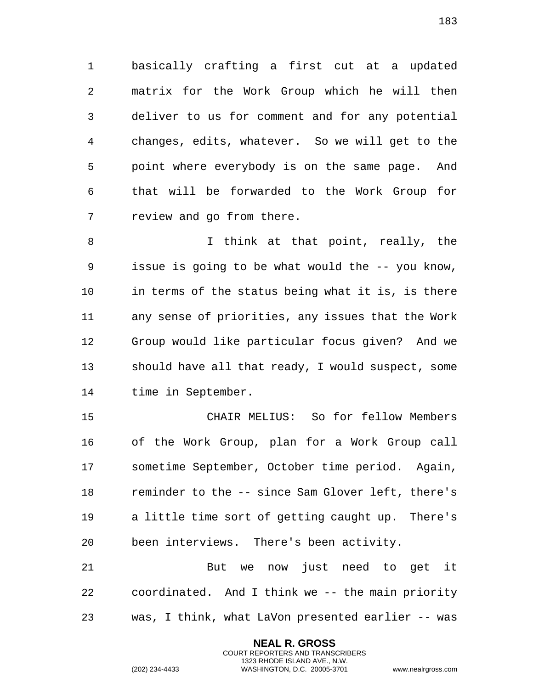basically crafting a first cut at a updated matrix for the Work Group which he will then deliver to us for comment and for any potential changes, edits, whatever. So we will get to the point where everybody is on the same page. And that will be forwarded to the Work Group for review and go from there.

 I think at that point, really, the issue is going to be what would the -- you know, in terms of the status being what it is, is there any sense of priorities, any issues that the Work Group would like particular focus given? And we should have all that ready, I would suspect, some time in September.

 CHAIR MELIUS: So for fellow Members of the Work Group, plan for a Work Group call sometime September, October time period. Again, reminder to the -- since Sam Glover left, there's a little time sort of getting caught up. There's been interviews. There's been activity.

 But we now just need to get it coordinated. And I think we -- the main priority was, I think, what LaVon presented earlier -- was

> **NEAL R. GROSS** COURT REPORTERS AND TRANSCRIBERS 1323 RHODE ISLAND AVE., N.W.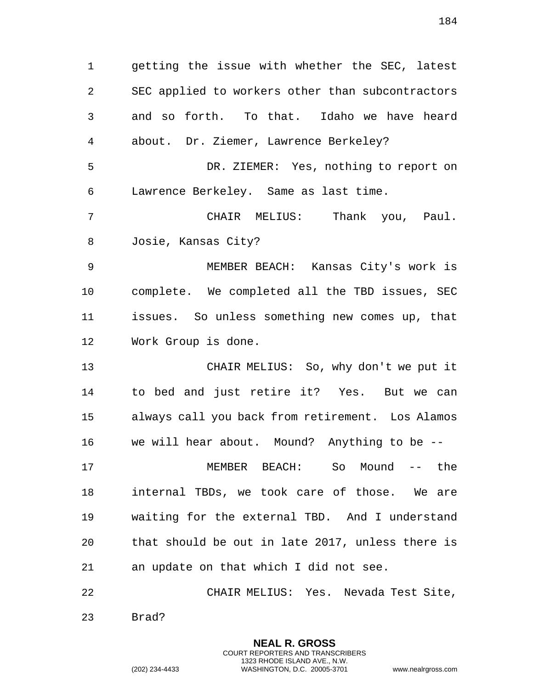getting the issue with whether the SEC, latest SEC applied to workers other than subcontractors and so forth. To that. Idaho we have heard about. Dr. Ziemer, Lawrence Berkeley? DR. ZIEMER: Yes, nothing to report on Lawrence Berkeley. Same as last time. CHAIR MELIUS: Thank you, Paul. Josie, Kansas City? MEMBER BEACH: Kansas City's work is complete. We completed all the TBD issues, SEC issues. So unless something new comes up, that Work Group is done. CHAIR MELIUS: So, why don't we put it to bed and just retire it? Yes. But we can always call you back from retirement. Los Alamos we will hear about. Mound? Anything to be -- MEMBER BEACH: So Mound -- the internal TBDs, we took care of those. We are waiting for the external TBD. And I understand that should be out in late 2017, unless there is an update on that which I did not see. CHAIR MELIUS: Yes. Nevada Test Site,

> **NEAL R. GROSS** COURT REPORTERS AND TRANSCRIBERS 1323 RHODE ISLAND AVE., N.W.

Brad?

(202) 234-4433 WASHINGTON, D.C. 20005-3701 www.nealrgross.com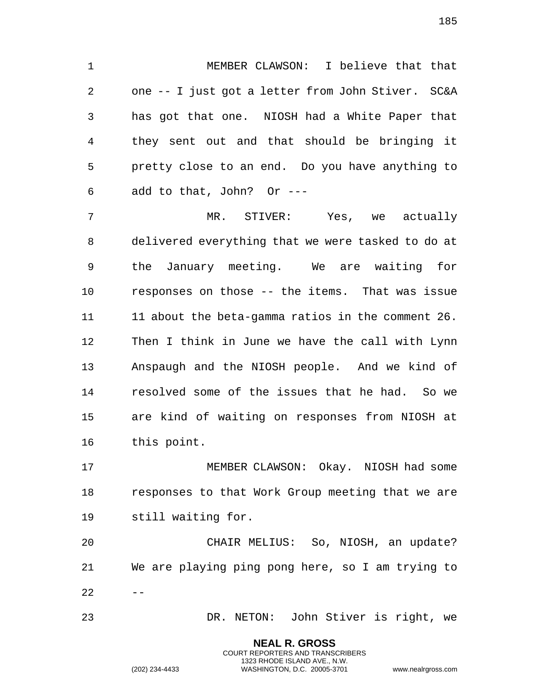MEMBER CLAWSON: I believe that that one -- I just got a letter from John Stiver. SC&A has got that one. NIOSH had a White Paper that they sent out and that should be bringing it pretty close to an end. Do you have anything to add to that, John? Or ---

 MR. STIVER: Yes, we actually delivered everything that we were tasked to do at the January meeting. We are waiting for responses on those -- the items. That was issue 11 about the beta-gamma ratios in the comment 26. Then I think in June we have the call with Lynn Anspaugh and the NIOSH people. And we kind of resolved some of the issues that he had. So we are kind of waiting on responses from NIOSH at this point.

 MEMBER CLAWSON: Okay. NIOSH had some responses to that Work Group meeting that we are still waiting for.

 CHAIR MELIUS: So, NIOSH, an update? We are playing ping pong here, so I am trying to  $22 - -$ 

DR. NETON: John Stiver is right, we

**NEAL R. GROSS** COURT REPORTERS AND TRANSCRIBERS 1323 RHODE ISLAND AVE., N.W.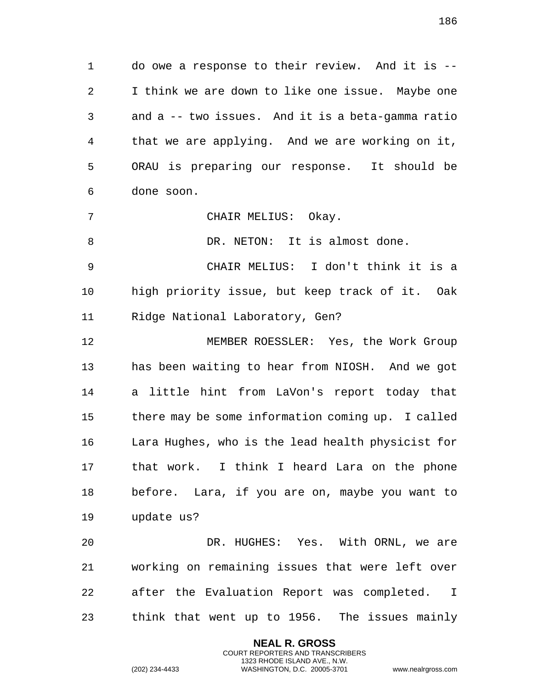do owe a response to their review. And it is -- I think we are down to like one issue. Maybe one and a -- two issues. And it is a beta-gamma ratio that we are applying. And we are working on it, ORAU is preparing our response. It should be done soon.

CHAIR MELIUS: Okay.

8 DR. NETON: It is almost done.

 CHAIR MELIUS: I don't think it is a high priority issue, but keep track of it. Oak Ridge National Laboratory, Gen?

 MEMBER ROESSLER: Yes, the Work Group has been waiting to hear from NIOSH. And we got a little hint from LaVon's report today that there may be some information coming up. I called Lara Hughes, who is the lead health physicist for that work. I think I heard Lara on the phone before. Lara, if you are on, maybe you want to update us?

 DR. HUGHES: Yes. With ORNL, we are working on remaining issues that were left over after the Evaluation Report was completed. I think that went up to 1956. The issues mainly

> **NEAL R. GROSS** COURT REPORTERS AND TRANSCRIBERS 1323 RHODE ISLAND AVE., N.W.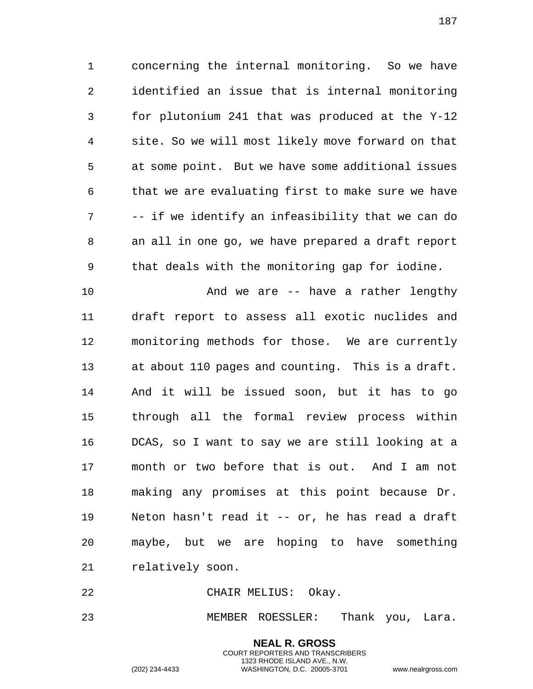concerning the internal monitoring. So we have identified an issue that is internal monitoring for plutonium 241 that was produced at the Y-12 site. So we will most likely move forward on that at some point. But we have some additional issues that we are evaluating first to make sure we have -- if we identify an infeasibility that we can do an all in one go, we have prepared a draft report that deals with the monitoring gap for iodine.

 And we are -- have a rather lengthy draft report to assess all exotic nuclides and monitoring methods for those. We are currently at about 110 pages and counting. This is a draft. And it will be issued soon, but it has to go through all the formal review process within DCAS, so I want to say we are still looking at a month or two before that is out. And I am not making any promises at this point because Dr. Neton hasn't read it -- or, he has read a draft maybe, but we are hoping to have something relatively soon.

CHAIR MELIUS: Okay.

MEMBER ROESSLER: Thank you, Lara.

**NEAL R. GROSS** COURT REPORTERS AND TRANSCRIBERS 1323 RHODE ISLAND AVE., N.W.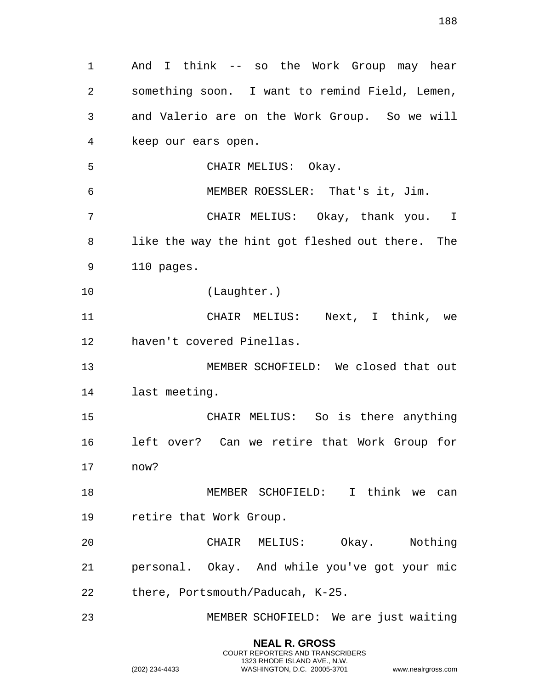And I think -- so the Work Group may hear something soon. I want to remind Field, Lemen, and Valerio are on the Work Group. So we will keep our ears open. CHAIR MELIUS: Okay. MEMBER ROESSLER: That's it, Jim. CHAIR MELIUS: Okay, thank you. I like the way the hint got fleshed out there. The 110 pages. (Laughter.) CHAIR MELIUS: Next, I think, we haven't covered Pinellas. MEMBER SCHOFIELD: We closed that out last meeting. CHAIR MELIUS: So is there anything left over? Can we retire that Work Group for now? MEMBER SCHOFIELD: I think we can retire that Work Group. CHAIR MELIUS: Okay. Nothing personal. Okay. And while you've got your mic there, Portsmouth/Paducah, K-25. MEMBER SCHOFIELD: We are just waiting

> **NEAL R. GROSS** COURT REPORTERS AND TRANSCRIBERS 1323 RHODE ISLAND AVE., N.W.

(202) 234-4433 WASHINGTON, D.C. 20005-3701 www.nealrgross.com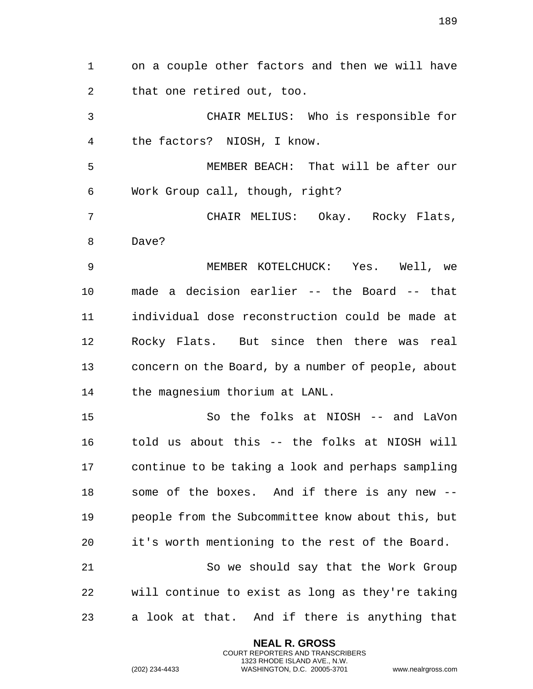on a couple other factors and then we will have that one retired out, too. CHAIR MELIUS: Who is responsible for the factors? NIOSH, I know. MEMBER BEACH: That will be after our Work Group call, though, right? CHAIR MELIUS: Okay. Rocky Flats, Dave? MEMBER KOTELCHUCK: Yes. Well, we made a decision earlier -- the Board -- that individual dose reconstruction could be made at Rocky Flats. But since then there was real concern on the Board, by a number of people, about the magnesium thorium at LANL. So the folks at NIOSH -- and LaVon told us about this -- the folks at NIOSH will continue to be taking a look and perhaps sampling some of the boxes. And if there is any new -- people from the Subcommittee know about this, but it's worth mentioning to the rest of the Board. So we should say that the Work Group will continue to exist as long as they're taking a look at that. And if there is anything that

> **NEAL R. GROSS** COURT REPORTERS AND TRANSCRIBERS 1323 RHODE ISLAND AVE., N.W.

(202) 234-4433 WASHINGTON, D.C. 20005-3701 www.nealrgross.com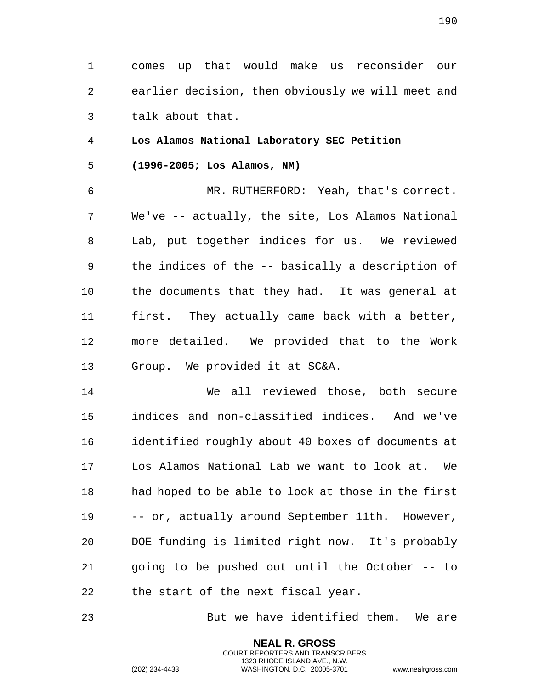190

1 comes up that would make us reconsider our 2 earlier decision, then obviously we will meet and 3 talk about that.

4 **Los Alamos National Laboratory SEC Petition** 

5 **(1996-2005; Los Alamos, NM)** 

6 MR. RUTHERFORD: Yeah, that's correct. 7 We've -- actually, the site, Los Alamos National 8 Lab, put together indices for us. We reviewed 9 the indices of the -- basically a description of 10 the documents that they had. It was general at 11 first. They actually came back with a better, 12 more detailed. We provided that to the Work 13 Group. We provided it at SC&A.

14 We all reviewed those, both secure 15 indices and non-classified indices. And we've 16 identified roughly about 40 boxes of documents at 17 Los Alamos National Lab we want to look at. We 18 had hoped to be able to look at those in the first 19 -- or, actually around September 11th. However, 20 DOE funding is limited right now. It's probably 21 going to be pushed out until the October -- to 22 the start of the next fiscal year.

23 But we have identified them. We are

**NEAL R. GROSS** COURT REPORTERS AND TRANSCRIBERS 1323 RHODE ISLAND AVE., N.W.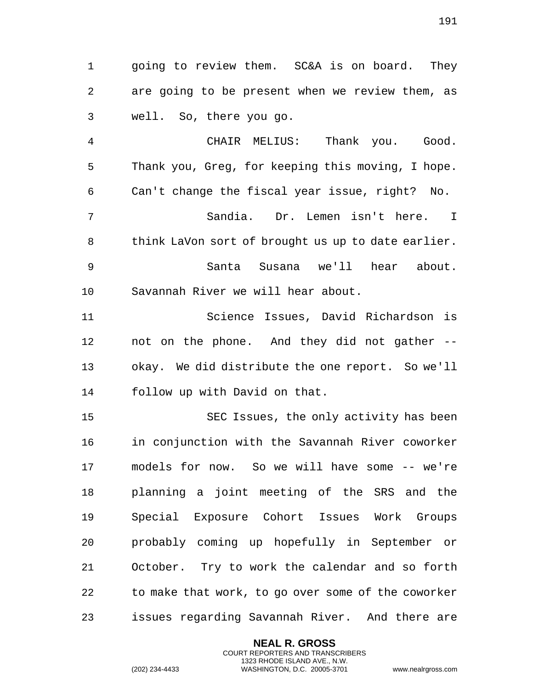going to review them. SC&A is on board. They are going to be present when we review them, as well. So, there you go.

 CHAIR MELIUS: Thank you. Good. Thank you, Greg, for keeping this moving, I hope. Can't change the fiscal year issue, right? No. Sandia. Dr. Lemen isn't here. I 8 think LaVon sort of brought us up to date earlier. Santa Susana we'll hear about. Savannah River we will hear about.

 Science Issues, David Richardson is not on the phone. And they did not gather -- okay. We did distribute the one report. So we'll follow up with David on that.

 SEC Issues, the only activity has been in conjunction with the Savannah River coworker models for now. So we will have some -- we're planning a joint meeting of the SRS and the Special Exposure Cohort Issues Work Groups probably coming up hopefully in September or October. Try to work the calendar and so forth to make that work, to go over some of the coworker issues regarding Savannah River. And there are

> **NEAL R. GROSS** COURT REPORTERS AND TRANSCRIBERS 1323 RHODE ISLAND AVE., N.W.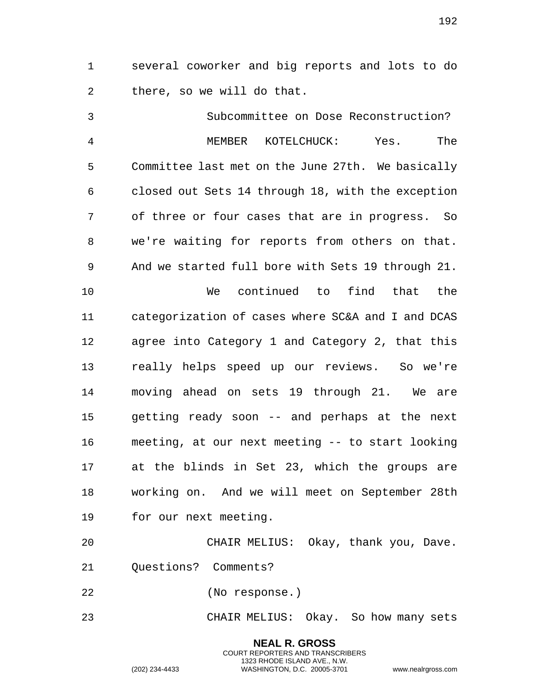several coworker and big reports and lots to do there, so we will do that.

 Subcommittee on Dose Reconstruction? MEMBER KOTELCHUCK: Yes. The Committee last met on the June 27th. We basically closed out Sets 14 through 18, with the exception of three or four cases that are in progress. So we're waiting for reports from others on that. And we started full bore with Sets 19 through 21. We continued to find that the categorization of cases where SC&A and I and DCAS agree into Category 1 and Category 2, that this really helps speed up our reviews. So we're moving ahead on sets 19 through 21. We are getting ready soon -- and perhaps at the next meeting, at our next meeting -- to start looking at the blinds in Set 23, which the groups are working on. And we will meet on September 28th for our next meeting.

 CHAIR MELIUS: Okay, thank you, Dave. Questions? Comments?

(No response.)

CHAIR MELIUS: Okay. So how many sets

**NEAL R. GROSS** COURT REPORTERS AND TRANSCRIBERS 1323 RHODE ISLAND AVE., N.W.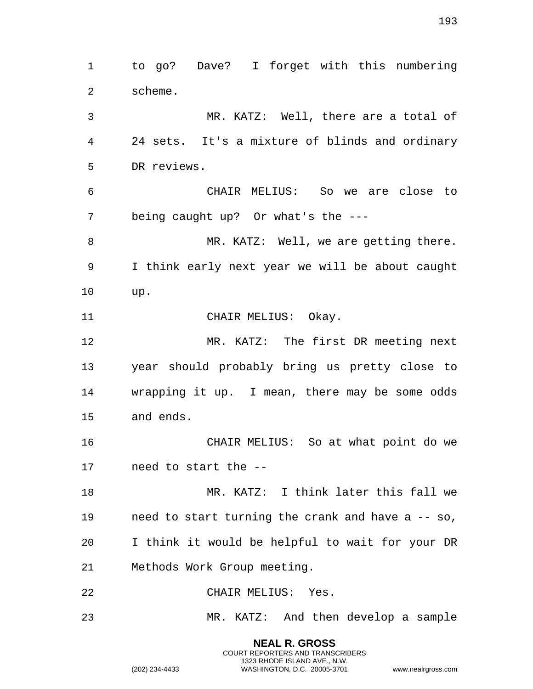**NEAL R. GROSS** to go? Dave? I forget with this numbering scheme. MR. KATZ: Well, there are a total of 24 sets. It's a mixture of blinds and ordinary DR reviews. CHAIR MELIUS: So we are close to being caught up? Or what's the --- 8 MR. KATZ: Well, we are getting there. I think early next year we will be about caught up. CHAIR MELIUS: Okay. MR. KATZ: The first DR meeting next year should probably bring us pretty close to wrapping it up. I mean, there may be some odds and ends. CHAIR MELIUS: So at what point do we need to start the -- MR. KATZ: I think later this fall we need to start turning the crank and have a -- so, I think it would be helpful to wait for your DR Methods Work Group meeting. CHAIR MELIUS: Yes. MR. KATZ: And then develop a sample

> COURT REPORTERS AND TRANSCRIBERS 1323 RHODE ISLAND AVE., N.W.

(202) 234-4433 WASHINGTON, D.C. 20005-3701 www.nealrgross.com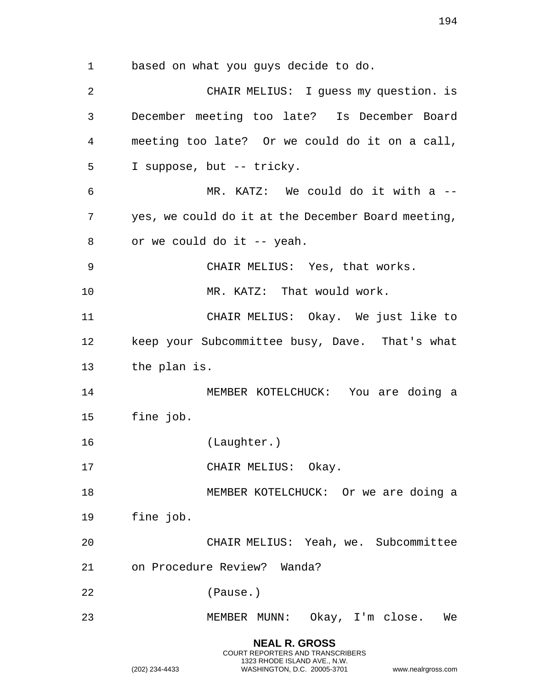based on what you guys decide to do. CHAIR MELIUS: I guess my question. is December meeting too late? Is December Board meeting too late? Or we could do it on a call, I suppose, but -- tricky. MR. KATZ: We could do it with a -- yes, we could do it at the December Board meeting, or we could do it -- yeah. CHAIR MELIUS: Yes, that works. MR. KATZ: That would work. CHAIR MELIUS: Okay. We just like to keep your Subcommittee busy, Dave. That's what the plan is. MEMBER KOTELCHUCK: You are doing a fine job. (Laughter.) 17 CHAIR MELIUS: Okay. MEMBER KOTELCHUCK: Or we are doing a fine job. CHAIR MELIUS: Yeah, we. Subcommittee on Procedure Review? Wanda? (Pause.)

MEMBER MUNN: Okay, I'm close. We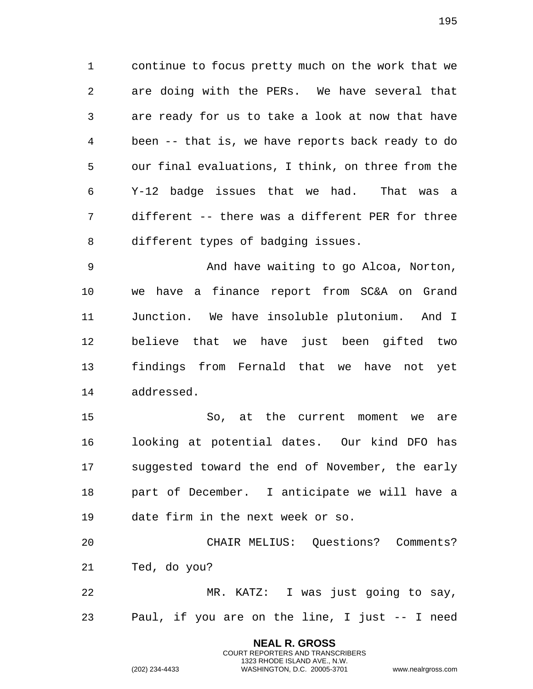continue to focus pretty much on the work that we are doing with the PERs. We have several that are ready for us to take a look at now that have been -- that is, we have reports back ready to do our final evaluations, I think, on three from the Y-12 badge issues that we had. That was a different -- there was a different PER for three different types of badging issues.

 And have waiting to go Alcoa, Norton, we have a finance report from SC&A on Grand Junction. We have insoluble plutonium. And I believe that we have just been gifted two findings from Fernald that we have not yet addressed.

 So, at the current moment we are looking at potential dates. Our kind DFO has suggested toward the end of November, the early part of December. I anticipate we will have a date firm in the next week or so.

 CHAIR MELIUS: Questions? Comments? Ted, do you?

 MR. KATZ: I was just going to say, Paul, if you are on the line, I just -- I need

> **NEAL R. GROSS** COURT REPORTERS AND TRANSCRIBERS 1323 RHODE ISLAND AVE., N.W.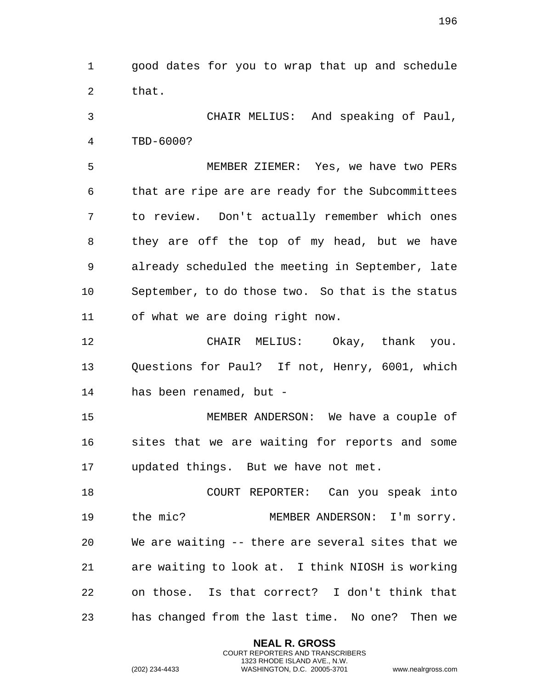good dates for you to wrap that up and schedule that.

 CHAIR MELIUS: And speaking of Paul, TBD-6000?

 MEMBER ZIEMER: Yes, we have two PERs that are ripe are are ready for the Subcommittees to review. Don't actually remember which ones they are off the top of my head, but we have already scheduled the meeting in September, late September, to do those two. So that is the status of what we are doing right now.

 CHAIR MELIUS: Okay, thank you. Questions for Paul? If not, Henry, 6001, which has been renamed, but -

 MEMBER ANDERSON: We have a couple of sites that we are waiting for reports and some updated things. But we have not met.

 COURT REPORTER: Can you speak into the mic? MEMBER ANDERSON: I'm sorry. We are waiting -- there are several sites that we are waiting to look at. I think NIOSH is working on those. Is that correct? I don't think that has changed from the last time. No one? Then we

> **NEAL R. GROSS** COURT REPORTERS AND TRANSCRIBERS 1323 RHODE ISLAND AVE., N.W.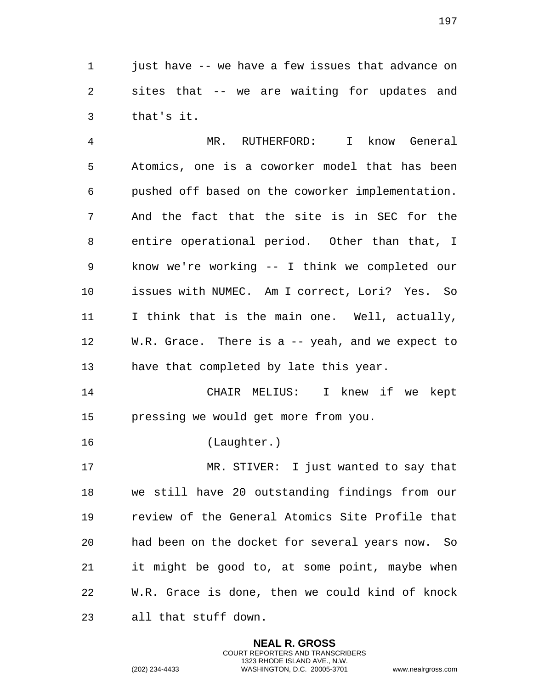just have -- we have a few issues that advance on sites that -- we are waiting for updates and that's it.

 MR. RUTHERFORD: I know General Atomics, one is a coworker model that has been pushed off based on the coworker implementation. And the fact that the site is in SEC for the entire operational period. Other than that, I know we're working -- I think we completed our issues with NUMEC. Am I correct, Lori? Yes. So I think that is the main one. Well, actually, W.R. Grace. There is a -- yeah, and we expect to have that completed by late this year.

 CHAIR MELIUS: I knew if we kept pressing we would get more from you.

(Laughter.)

 MR. STIVER: I just wanted to say that we still have 20 outstanding findings from our review of the General Atomics Site Profile that had been on the docket for several years now. So it might be good to, at some point, maybe when W.R. Grace is done, then we could kind of knock all that stuff down.

> **NEAL R. GROSS** COURT REPORTERS AND TRANSCRIBERS 1323 RHODE ISLAND AVE., N.W.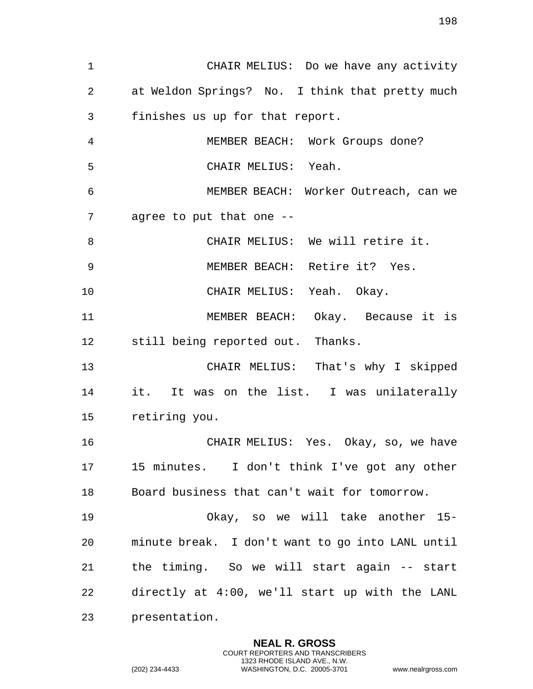CHAIR MELIUS: Do we have any activity at Weldon Springs? No. I think that pretty much finishes us up for that report. MEMBER BEACH: Work Groups done? CHAIR MELIUS: Yeah. MEMBER BEACH: Worker Outreach, can we agree to put that one -- CHAIR MELIUS: We will retire it. MEMBER BEACH: Retire it? Yes. CHAIR MELIUS: Yeah. Okay. MEMBER BEACH: Okay. Because it is still being reported out. Thanks. CHAIR MELIUS: That's why I skipped it. It was on the list. I was unilaterally retiring you. CHAIR MELIUS: Yes. Okay, so, we have 15 minutes. I don't think I've got any other Board business that can't wait for tomorrow. Okay, so we will take another 15- minute break. I don't want to go into LANL until the timing. So we will start again -- start directly at 4:00, we'll start up with the LANL presentation.

> **NEAL R. GROSS** COURT REPORTERS AND TRANSCRIBERS 1323 RHODE ISLAND AVE., N.W.

(202) 234-4433 WASHINGTON, D.C. 20005-3701 www.nealrgross.com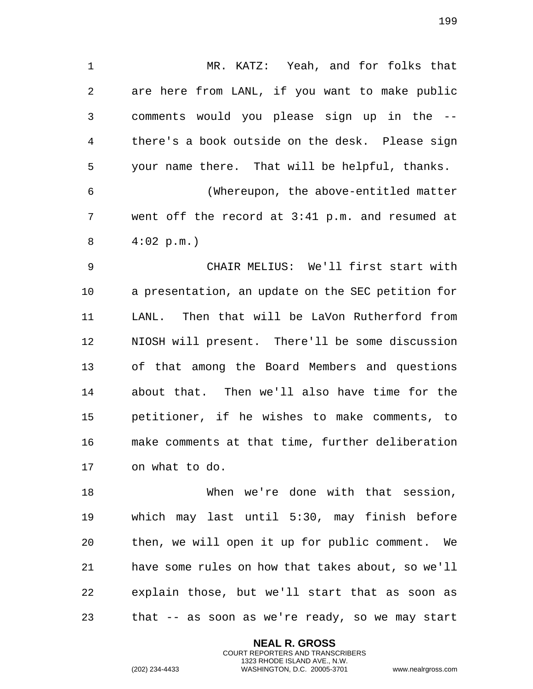MR. KATZ: Yeah, and for folks that are here from LANL, if you want to make public comments would you please sign up in the -- there's a book outside on the desk. Please sign your name there. That will be helpful, thanks. (Whereupon, the above-entitled matter went off the record at 3:41 p.m. and resumed at

4:02 p.m.)

 CHAIR MELIUS: We'll first start with a presentation, an update on the SEC petition for LANL. Then that will be LaVon Rutherford from NIOSH will present. There'll be some discussion of that among the Board Members and questions about that. Then we'll also have time for the petitioner, if he wishes to make comments, to make comments at that time, further deliberation on what to do.

 When we're done with that session, which may last until 5:30, may finish before then, we will open it up for public comment. We have some rules on how that takes about, so we'll explain those, but we'll start that as soon as that -- as soon as we're ready, so we may start

> **NEAL R. GROSS** COURT REPORTERS AND TRANSCRIBERS 1323 RHODE ISLAND AVE., N.W.

(202) 234-4433 WASHINGTON, D.C. 20005-3701 www.nealrgross.com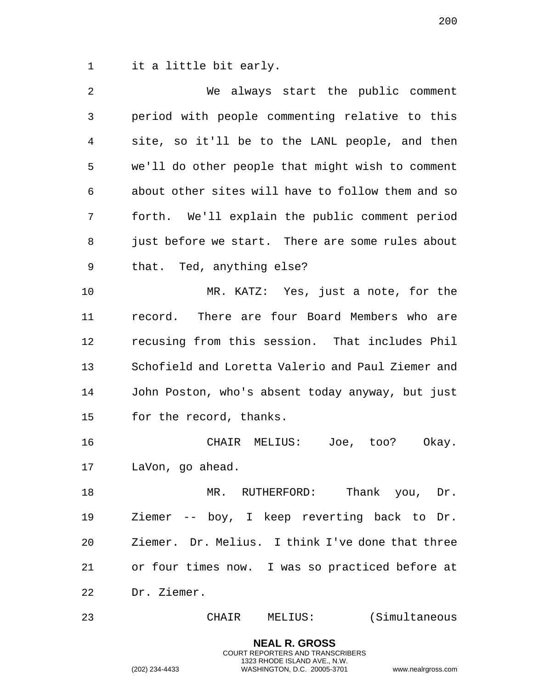it a little bit early.

| $\overline{a}$ | We always start the public comment                |
|----------------|---------------------------------------------------|
| 3              | period with people commenting relative to this    |
| 4              | site, so it'll be to the LANL people, and then    |
| 5              | we'll do other people that might wish to comment  |
| 6              | about other sites will have to follow them and so |
| 7              | forth. We'll explain the public comment period    |
| 8              | just before we start. There are some rules about  |
| 9              | that. Ted, anything else?                         |
| 10             | MR. KATZ: Yes, just a note, for the               |
| 11             | record. There are four Board Members who are      |
| 12             | recusing from this session. That includes Phil    |
| 13             | Schofield and Loretta Valerio and Paul Ziemer and |
| 14             | John Poston, who's absent today anyway, but just  |
| 15             | for the record, thanks.                           |
| 16             | CHAIR MELIUS: Joe, too? Okay.                     |
| 17             | LaVon, go ahead.                                  |
| 18             | Thank you, Dr.<br>MR. RUTHERFORD:                 |
| 19             | Ziemer -- boy, I keep reverting back to<br>Dr.    |
| 20             | Ziemer. Dr. Melius. I think I've done that three  |
| 21             | or four times now. I was so practiced before at   |
| 22             | Dr. Ziemer.                                       |
| 23             | (Simultaneous<br>MELIUS:<br>CHAIR                 |

**NEAL R. GROSS** COURT REPORTERS AND TRANSCRIBERS 1323 RHODE ISLAND AVE., N.W.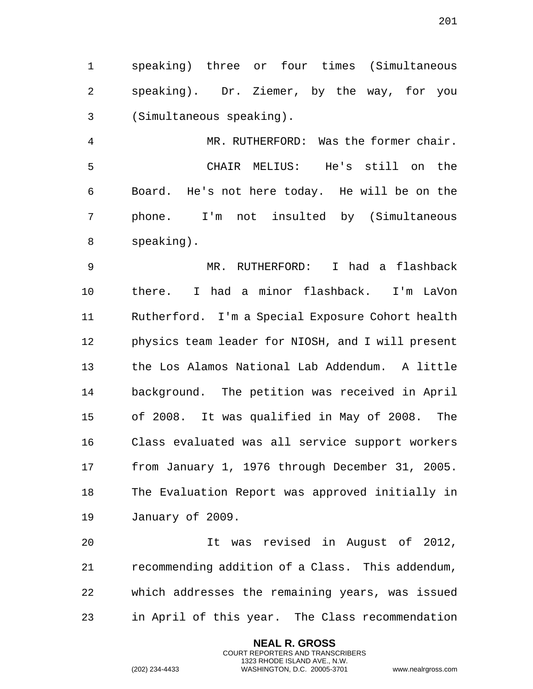speaking) three or four times (Simultaneous speaking). Dr. Ziemer, by the way, for you (Simultaneous speaking).

 MR. RUTHERFORD: Was the former chair. CHAIR MELIUS: He's still on the Board. He's not here today. He will be on the phone. I'm not insulted by (Simultaneous speaking).

 MR. RUTHERFORD: I had a flashback there. I had a minor flashback. I'm LaVon Rutherford. I'm a Special Exposure Cohort health physics team leader for NIOSH, and I will present the Los Alamos National Lab Addendum. A little background. The petition was received in April of 2008. It was qualified in May of 2008. The Class evaluated was all service support workers from January 1, 1976 through December 31, 2005. The Evaluation Report was approved initially in January of 2009.

 It was revised in August of 2012, recommending addition of a Class. This addendum, which addresses the remaining years, was issued in April of this year. The Class recommendation

> **NEAL R. GROSS** COURT REPORTERS AND TRANSCRIBERS 1323 RHODE ISLAND AVE., N.W.

(202) 234-4433 WASHINGTON, D.C. 20005-3701 www.nealrgross.com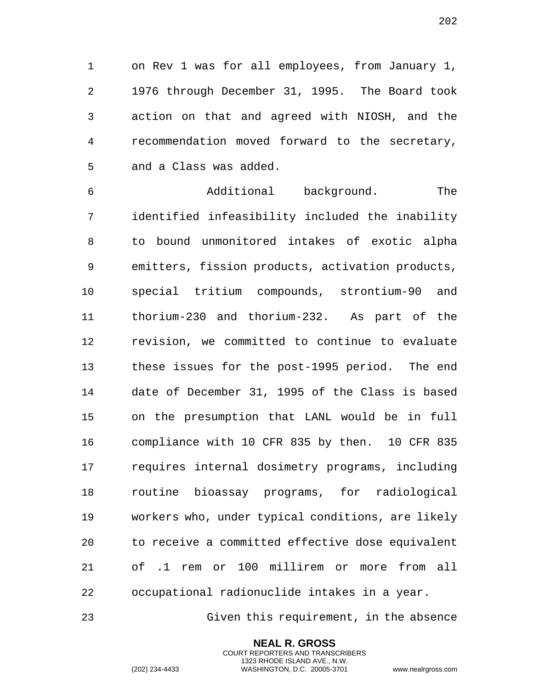on Rev 1 was for all employees, from January 1, 1976 through December 31, 1995. The Board took action on that and agreed with NIOSH, and the recommendation moved forward to the secretary, and a Class was added.

 Additional background. The identified infeasibility included the inability to bound unmonitored intakes of exotic alpha emitters, fission products, activation products, special tritium compounds, strontium-90 and thorium-230 and thorium-232. As part of the revision, we committed to continue to evaluate these issues for the post-1995 period. The end date of December 31, 1995 of the Class is based on the presumption that LANL would be in full compliance with 10 CFR 835 by then. 10 CFR 835 requires internal dosimetry programs, including routine bioassay programs, for radiological workers who, under typical conditions, are likely to receive a committed effective dose equivalent of .1 rem or 100 millirem or more from all occupational radionuclide intakes in a year.

Given this requirement, in the absence

**NEAL R. GROSS** COURT REPORTERS AND TRANSCRIBERS 1323 RHODE ISLAND AVE., N.W.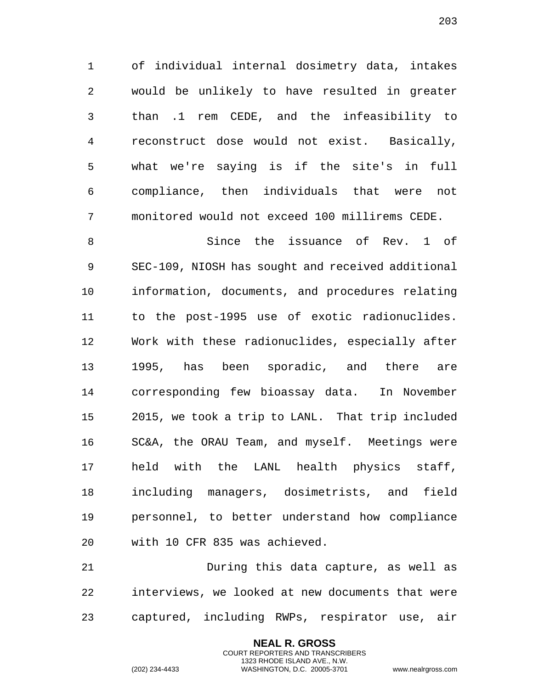of individual internal dosimetry data, intakes would be unlikely to have resulted in greater than .1 rem CEDE, and the infeasibility to reconstruct dose would not exist. Basically, what we're saying is if the site's in full compliance, then individuals that were not monitored would not exceed 100 millirems CEDE.

 Since the issuance of Rev. 1 of SEC-109, NIOSH has sought and received additional information, documents, and procedures relating to the post-1995 use of exotic radionuclides. Work with these radionuclides, especially after 1995, has been sporadic, and there are corresponding few bioassay data. In November 2015, we took a trip to LANL. That trip included SC&A, the ORAU Team, and myself. Meetings were held with the LANL health physics staff, including managers, dosimetrists, and field personnel, to better understand how compliance with 10 CFR 835 was achieved.

 During this data capture, as well as interviews, we looked at new documents that were captured, including RWPs, respirator use, air

> **NEAL R. GROSS** COURT REPORTERS AND TRANSCRIBERS 1323 RHODE ISLAND AVE., N.W.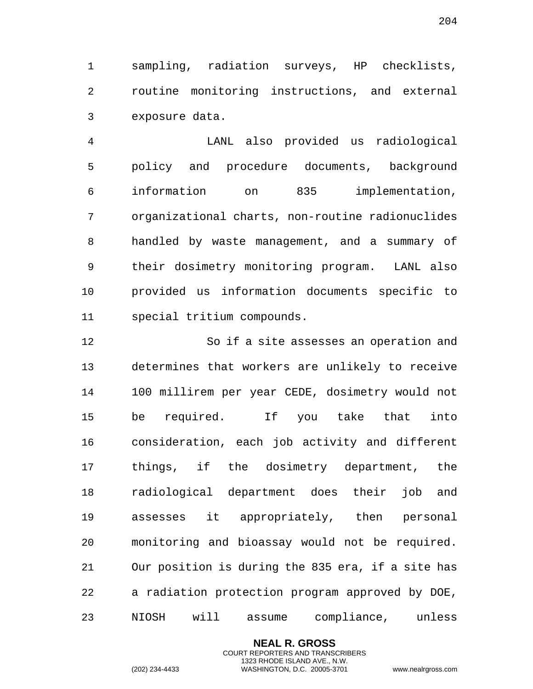sampling, radiation surveys, HP checklists, routine monitoring instructions, and external exposure data.

 LANL also provided us radiological policy and procedure documents, background information on 835 implementation, organizational charts, non-routine radionuclides handled by waste management, and a summary of their dosimetry monitoring program. LANL also provided us information documents specific to special tritium compounds.

 So if a site assesses an operation and determines that workers are unlikely to receive 100 millirem per year CEDE, dosimetry would not be required. If you take that into consideration, each job activity and different things, if the dosimetry department, the radiological department does their job and assesses it appropriately, then personal monitoring and bioassay would not be required. Our position is during the 835 era, if a site has a radiation protection program approved by DOE, NIOSH will assume compliance, unless

> **NEAL R. GROSS** COURT REPORTERS AND TRANSCRIBERS 1323 RHODE ISLAND AVE., N.W.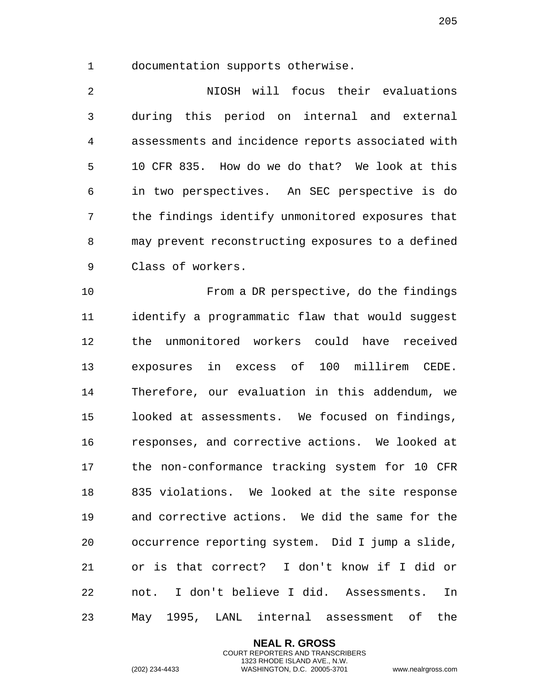documentation supports otherwise.

 NIOSH will focus their evaluations during this period on internal and external assessments and incidence reports associated with 10 CFR 835. How do we do that? We look at this in two perspectives. An SEC perspective is do the findings identify unmonitored exposures that may prevent reconstructing exposures to a defined Class of workers.

 From a DR perspective, do the findings identify a programmatic flaw that would suggest the unmonitored workers could have received exposures in excess of 100 millirem CEDE. Therefore, our evaluation in this addendum, we looked at assessments. We focused on findings, responses, and corrective actions. We looked at the non-conformance tracking system for 10 CFR 835 violations. We looked at the site response and corrective actions. We did the same for the occurrence reporting system. Did I jump a slide, or is that correct? I don't know if I did or not. I don't believe I did. Assessments. In May 1995, LANL internal assessment of the

> **NEAL R. GROSS** COURT REPORTERS AND TRANSCRIBERS 1323 RHODE ISLAND AVE., N.W.

(202) 234-4433 WASHINGTON, D.C. 20005-3701 www.nealrgross.com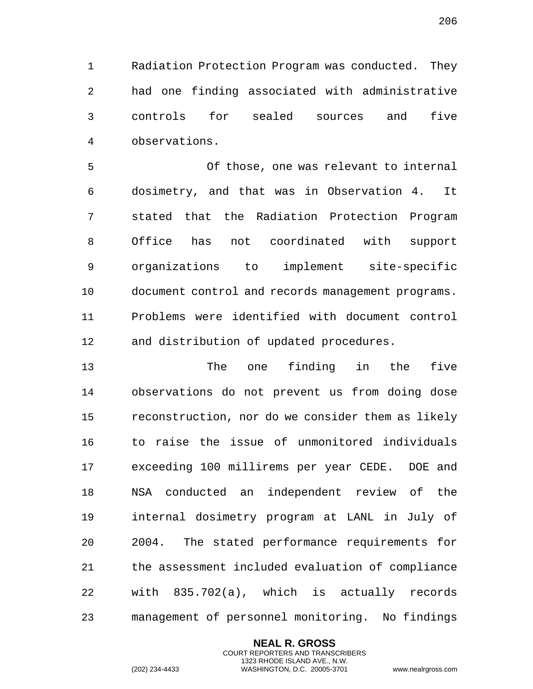Radiation Protection Program was conducted. They had one finding associated with administrative controls for sealed sources and five observations.

 Of those, one was relevant to internal dosimetry, and that was in Observation 4. It stated that the Radiation Protection Program Office has not coordinated with support organizations to implement site-specific document control and records management programs. Problems were identified with document control and distribution of updated procedures.

 The one finding in the five observations do not prevent us from doing dose reconstruction, nor do we consider them as likely to raise the issue of unmonitored individuals exceeding 100 millirems per year CEDE. DOE and NSA conducted an independent review of the internal dosimetry program at LANL in July of 2004. The stated performance requirements for the assessment included evaluation of compliance with 835.702(a), which is actually records management of personnel monitoring. No findings

> **NEAL R. GROSS** COURT REPORTERS AND TRANSCRIBERS 1323 RHODE ISLAND AVE., N.W.

(202) 234-4433 WASHINGTON, D.C. 20005-3701 www.nealrgross.com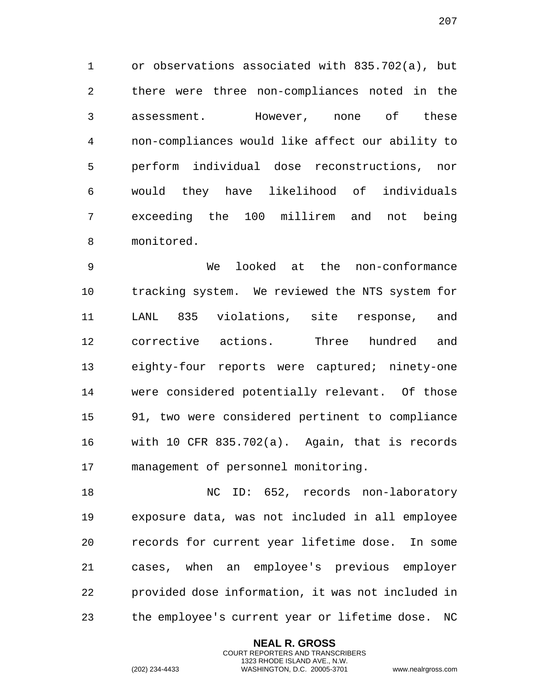or observations associated with 835.702(a), but there were three non-compliances noted in the assessment. However, none of these non-compliances would like affect our ability to perform individual dose reconstructions, nor would they have likelihood of individuals exceeding the 100 millirem and not being monitored.

 We looked at the non-conformance tracking system. We reviewed the NTS system for LANL 835 violations, site response, and corrective actions. Three hundred and eighty-four reports were captured; ninety-one were considered potentially relevant. Of those 91, two were considered pertinent to compliance with 10 CFR 835.702(a). Again, that is records management of personnel monitoring.

18 NC ID: 652, records non-laboratory exposure data, was not included in all employee records for current year lifetime dose. In some cases, when an employee's previous employer provided dose information, it was not included in the employee's current year or lifetime dose. NC

> **NEAL R. GROSS** COURT REPORTERS AND TRANSCRIBERS 1323 RHODE ISLAND AVE., N.W.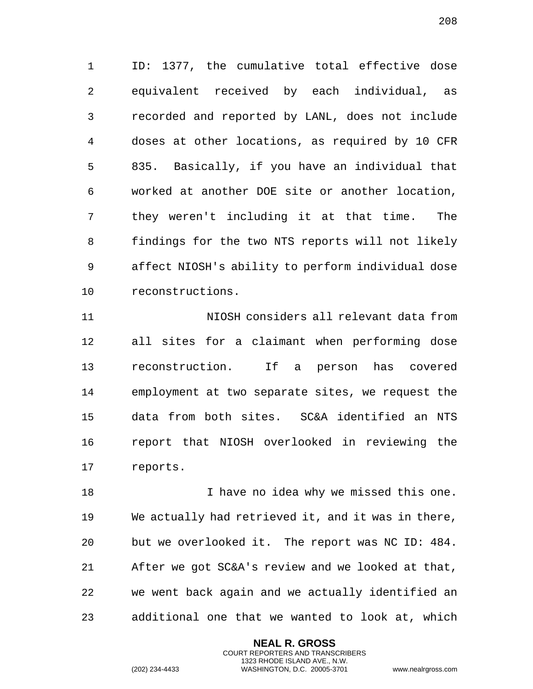ID: 1377, the cumulative total effective dose equivalent received by each individual, as recorded and reported by LANL, does not include doses at other locations, as required by 10 CFR 835. Basically, if you have an individual that worked at another DOE site or another location, they weren't including it at that time. The findings for the two NTS reports will not likely affect NIOSH's ability to perform individual dose reconstructions.

 NIOSH considers all relevant data from all sites for a claimant when performing dose reconstruction. If a person has covered employment at two separate sites, we request the data from both sites. SC&A identified an NTS report that NIOSH overlooked in reviewing the reports.

18 I have no idea why we missed this one. We actually had retrieved it, and it was in there, but we overlooked it. The report was NC ID: 484. After we got SC&A's review and we looked at that, we went back again and we actually identified an additional one that we wanted to look at, which

> **NEAL R. GROSS** COURT REPORTERS AND TRANSCRIBERS 1323 RHODE ISLAND AVE., N.W.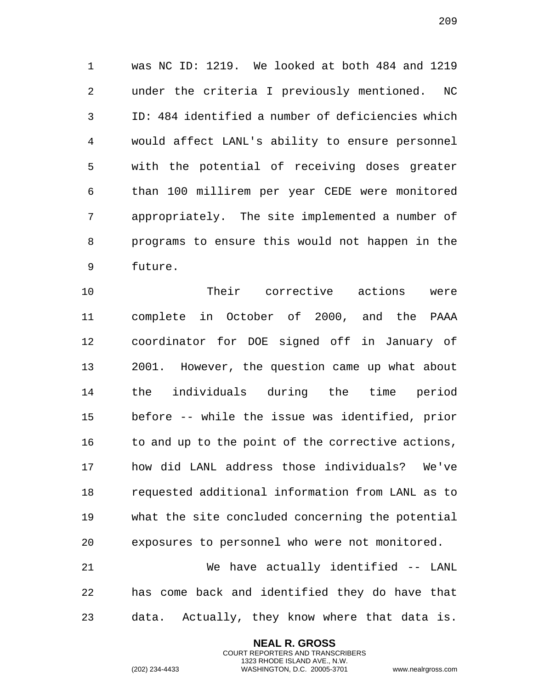was NC ID: 1219. We looked at both 484 and 1219 under the criteria I previously mentioned. NC ID: 484 identified a number of deficiencies which would affect LANL's ability to ensure personnel with the potential of receiving doses greater than 100 millirem per year CEDE were monitored appropriately. The site implemented a number of programs to ensure this would not happen in the future.

 Their corrective actions were complete in October of 2000, and the PAAA coordinator for DOE signed off in January of 2001. However, the question came up what about the individuals during the time period before -- while the issue was identified, prior 16 to and up to the point of the corrective actions, how did LANL address those individuals? We've requested additional information from LANL as to what the site concluded concerning the potential exposures to personnel who were not monitored.

 We have actually identified -- LANL has come back and identified they do have that data. Actually, they know where that data is.

> **NEAL R. GROSS** COURT REPORTERS AND TRANSCRIBERS 1323 RHODE ISLAND AVE., N.W.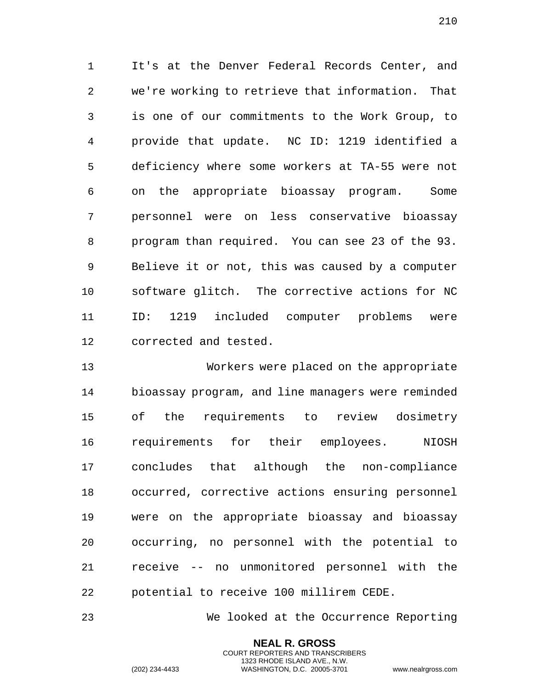It's at the Denver Federal Records Center, and we're working to retrieve that information. That is one of our commitments to the Work Group, to provide that update. NC ID: 1219 identified a deficiency where some workers at TA-55 were not on the appropriate bioassay program. Some personnel were on less conservative bioassay program than required. You can see 23 of the 93. Believe it or not, this was caused by a computer software glitch. The corrective actions for NC ID: 1219 included computer problems were corrected and tested.

 Workers were placed on the appropriate bioassay program, and line managers were reminded of the requirements to review dosimetry requirements for their employees. NIOSH concludes that although the non-compliance occurred, corrective actions ensuring personnel were on the appropriate bioassay and bioassay occurring, no personnel with the potential to receive -- no unmonitored personnel with the potential to receive 100 millirem CEDE.

We looked at the Occurrence Reporting

**NEAL R. GROSS** COURT REPORTERS AND TRANSCRIBERS 1323 RHODE ISLAND AVE., N.W.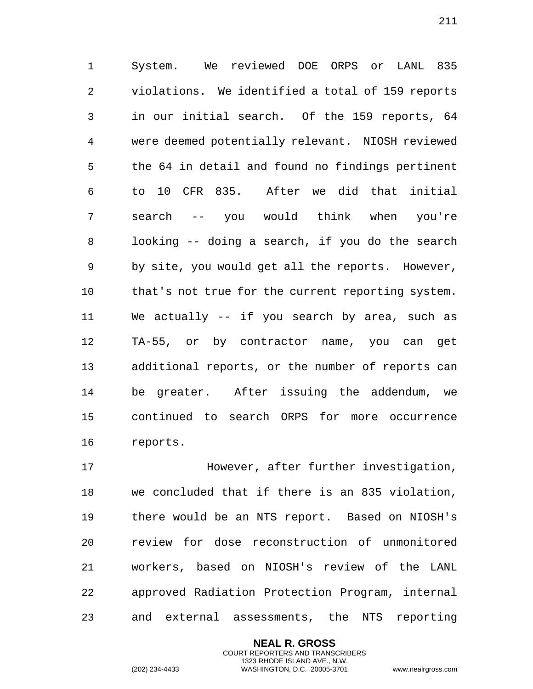System. We reviewed DOE ORPS or LANL 835 violations. We identified a total of 159 reports in our initial search. Of the 159 reports, 64 were deemed potentially relevant. NIOSH reviewed the 64 in detail and found no findings pertinent to 10 CFR 835. After we did that initial search -- you would think when you're looking -- doing a search, if you do the search by site, you would get all the reports. However, that's not true for the current reporting system. We actually -- if you search by area, such as TA-55, or by contractor name, you can get additional reports, or the number of reports can be greater. After issuing the addendum, we continued to search ORPS for more occurrence reports.

 However, after further investigation, we concluded that if there is an 835 violation, there would be an NTS report. Based on NIOSH's review for dose reconstruction of unmonitored workers, based on NIOSH's review of the LANL approved Radiation Protection Program, internal and external assessments, the NTS reporting

> **NEAL R. GROSS** COURT REPORTERS AND TRANSCRIBERS 1323 RHODE ISLAND AVE., N.W.

(202) 234-4433 WASHINGTON, D.C. 20005-3701 www.nealrgross.com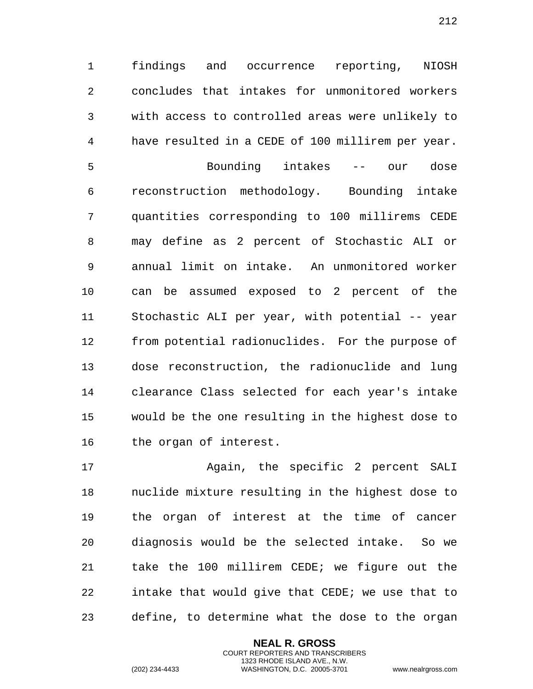findings and occurrence reporting, NIOSH concludes that intakes for unmonitored workers with access to controlled areas were unlikely to have resulted in a CEDE of 100 millirem per year. Bounding intakes -- our dose reconstruction methodology. Bounding intake quantities corresponding to 100 millirems CEDE may define as 2 percent of Stochastic ALI or annual limit on intake. An unmonitored worker can be assumed exposed to 2 percent of the Stochastic ALI per year, with potential -- year from potential radionuclides. For the purpose of dose reconstruction, the radionuclide and lung clearance Class selected for each year's intake would be the one resulting in the highest dose to the organ of interest.

17 Again, the specific 2 percent SALI nuclide mixture resulting in the highest dose to the organ of interest at the time of cancer diagnosis would be the selected intake. So we take the 100 millirem CEDE; we figure out the intake that would give that CEDE; we use that to define, to determine what the dose to the organ

> **NEAL R. GROSS** COURT REPORTERS AND TRANSCRIBERS 1323 RHODE ISLAND AVE., N.W.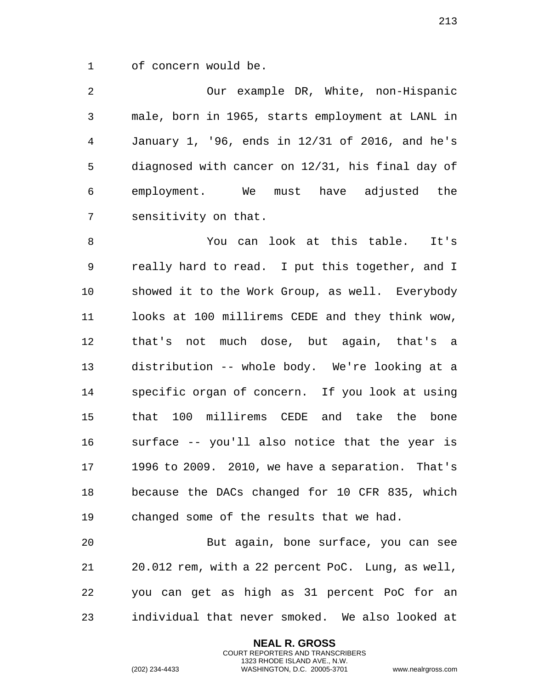of concern would be.

 Our example DR, White, non-Hispanic male, born in 1965, starts employment at LANL in January 1, '96, ends in 12/31 of 2016, and he's diagnosed with cancer on 12/31, his final day of employment. We must have adjusted the sensitivity on that.

 You can look at this table. It's really hard to read. I put this together, and I showed it to the Work Group, as well. Everybody looks at 100 millirems CEDE and they think wow, that's not much dose, but again, that's a distribution -- whole body. We're looking at a specific organ of concern. If you look at using that 100 millirems CEDE and take the bone surface -- you'll also notice that the year is 1996 to 2009. 2010, we have a separation. That's because the DACs changed for 10 CFR 835, which changed some of the results that we had.

 But again, bone surface, you can see 20.012 rem, with a 22 percent PoC. Lung, as well, you can get as high as 31 percent PoC for an individual that never smoked. We also looked at

> **NEAL R. GROSS** COURT REPORTERS AND TRANSCRIBERS 1323 RHODE ISLAND AVE., N.W.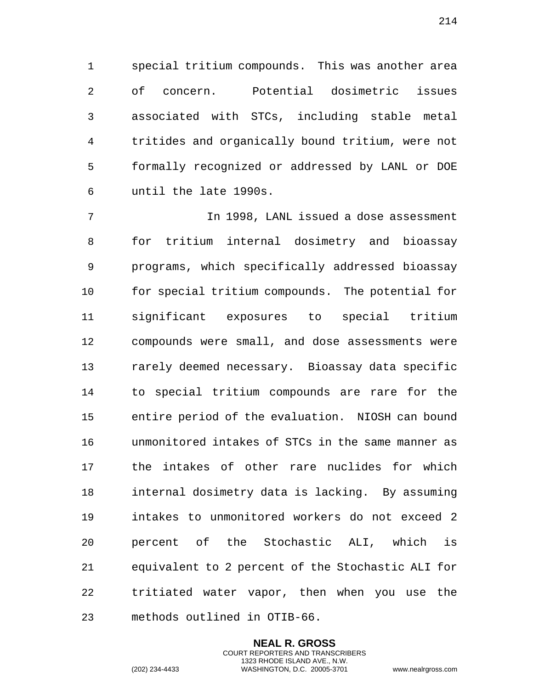special tritium compounds. This was another area of concern. Potential dosimetric issues associated with STCs, including stable metal tritides and organically bound tritium, were not formally recognized or addressed by LANL or DOE until the late 1990s.

 In 1998, LANL issued a dose assessment for tritium internal dosimetry and bioassay programs, which specifically addressed bioassay for special tritium compounds. The potential for significant exposures to special tritium compounds were small, and dose assessments were rarely deemed necessary. Bioassay data specific to special tritium compounds are rare for the entire period of the evaluation. NIOSH can bound unmonitored intakes of STCs in the same manner as the intakes of other rare nuclides for which internal dosimetry data is lacking. By assuming intakes to unmonitored workers do not exceed 2 percent of the Stochastic ALI, which is equivalent to 2 percent of the Stochastic ALI for tritiated water vapor, then when you use the methods outlined in OTIB-66.

> **NEAL R. GROSS** COURT REPORTERS AND TRANSCRIBERS 1323 RHODE ISLAND AVE., N.W.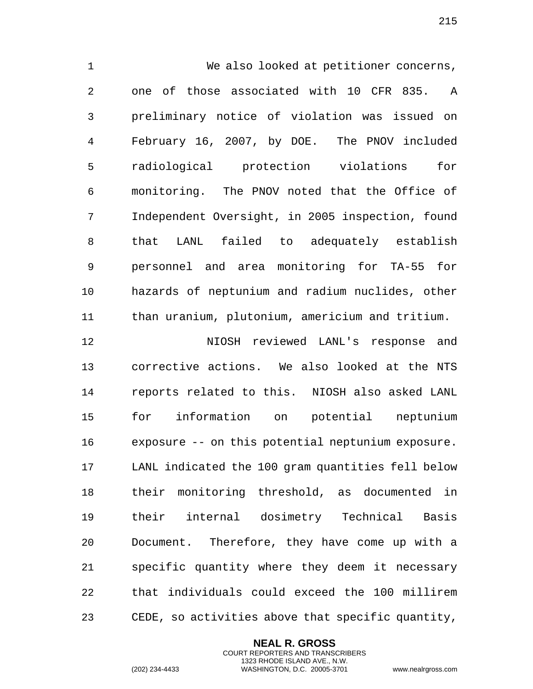We also looked at petitioner concerns, one of those associated with 10 CFR 835. A preliminary notice of violation was issued on February 16, 2007, by DOE. The PNOV included radiological protection violations for monitoring. The PNOV noted that the Office of Independent Oversight, in 2005 inspection, found that LANL failed to adequately establish personnel and area monitoring for TA-55 for hazards of neptunium and radium nuclides, other than uranium, plutonium, americium and tritium.

 NIOSH reviewed LANL's response and corrective actions. We also looked at the NTS reports related to this. NIOSH also asked LANL for information on potential neptunium exposure -- on this potential neptunium exposure. LANL indicated the 100 gram quantities fell below their monitoring threshold, as documented in their internal dosimetry Technical Basis Document. Therefore, they have come up with a specific quantity where they deem it necessary that individuals could exceed the 100 millirem CEDE, so activities above that specific quantity,

> **NEAL R. GROSS** COURT REPORTERS AND TRANSCRIBERS 1323 RHODE ISLAND AVE., N.W.

(202) 234-4433 WASHINGTON, D.C. 20005-3701 www.nealrgross.com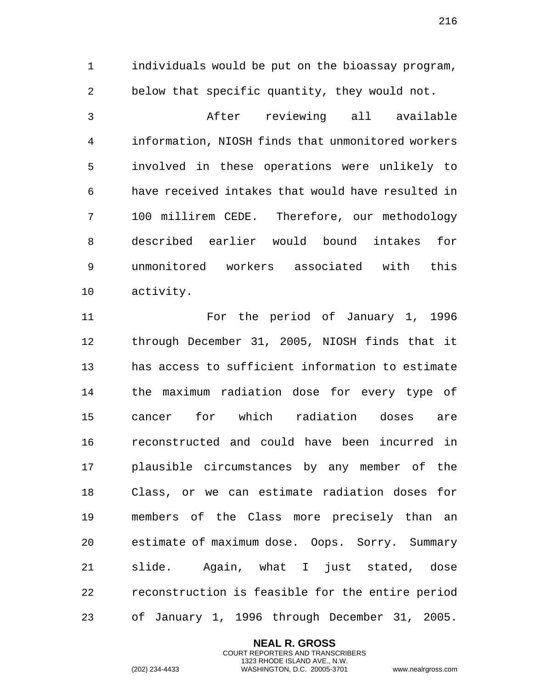individuals would be put on the bioassay program, below that specific quantity, they would not.

 After reviewing all available information, NIOSH finds that unmonitored workers involved in these operations were unlikely to have received intakes that would have resulted in 100 millirem CEDE. Therefore, our methodology described earlier would bound intakes for unmonitored workers associated with this activity.

 For the period of January 1, 1996 through December 31, 2005, NIOSH finds that it has access to sufficient information to estimate the maximum radiation dose for every type of cancer for which radiation doses are reconstructed and could have been incurred in plausible circumstances by any member of the Class, or we can estimate radiation doses for members of the Class more precisely than an estimate of maximum dose. Oops. Sorry. Summary slide. Again, what I just stated, dose reconstruction is feasible for the entire period of January 1, 1996 through December 31, 2005.

> **NEAL R. GROSS** COURT REPORTERS AND TRANSCRIBERS 1323 RHODE ISLAND AVE., N.W.

(202) 234-4433 WASHINGTON, D.C. 20005-3701 www.nealrgross.com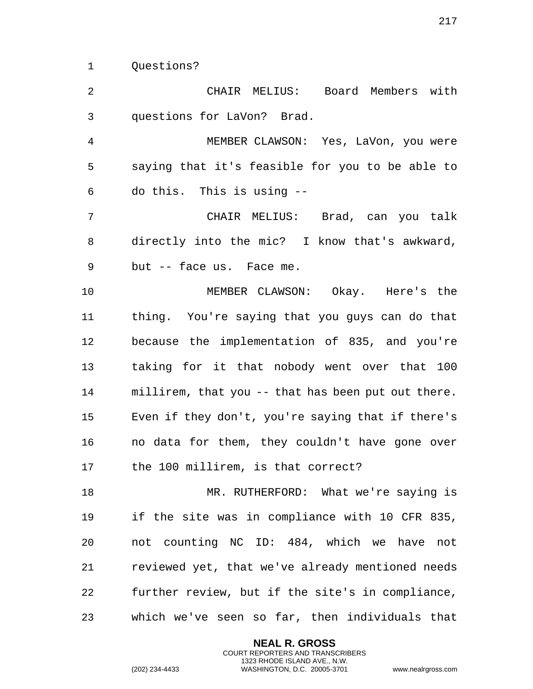Questions?

 CHAIR MELIUS: Board Members with questions for LaVon? Brad. MEMBER CLAWSON: Yes, LaVon, you were saying that it's feasible for you to be able to do this. This is using -- CHAIR MELIUS: Brad, can you talk directly into the mic? I know that's awkward, but -- face us. Face me. MEMBER CLAWSON: Okay. Here's the thing. You're saying that you guys can do that because the implementation of 835, and you're taking for it that nobody went over that 100 millirem, that you -- that has been put out there. Even if they don't, you're saying that if there's no data for them, they couldn't have gone over the 100 millirem, is that correct? 18 MR. RUTHERFORD: What we're saying is if the site was in compliance with 10 CFR 835, not counting NC ID: 484, which we have not

 reviewed yet, that we've already mentioned needs further review, but if the site's in compliance, which we've seen so far, then individuals that

> **NEAL R. GROSS** COURT REPORTERS AND TRANSCRIBERS 1323 RHODE ISLAND AVE., N.W.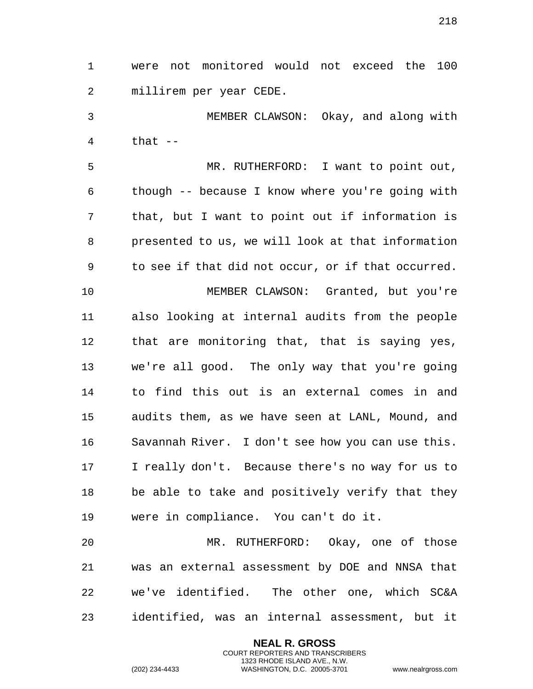were not monitored would not exceed the 100 millirem per year CEDE.

 MEMBER CLAWSON: Okay, and along with that  $-$ 

 MR. RUTHERFORD: I want to point out, though -- because I know where you're going with that, but I want to point out if information is presented to us, we will look at that information to see if that did not occur, or if that occurred.

 MEMBER CLAWSON: Granted, but you're also looking at internal audits from the people that are monitoring that, that is saying yes, we're all good. The only way that you're going to find this out is an external comes in and audits them, as we have seen at LANL, Mound, and Savannah River. I don't see how you can use this. I really don't. Because there's no way for us to be able to take and positively verify that they were in compliance. You can't do it.

 MR. RUTHERFORD: Okay, one of those was an external assessment by DOE and NNSA that we've identified. The other one, which SC&A identified, was an internal assessment, but it

> **NEAL R. GROSS** COURT REPORTERS AND TRANSCRIBERS 1323 RHODE ISLAND AVE., N.W.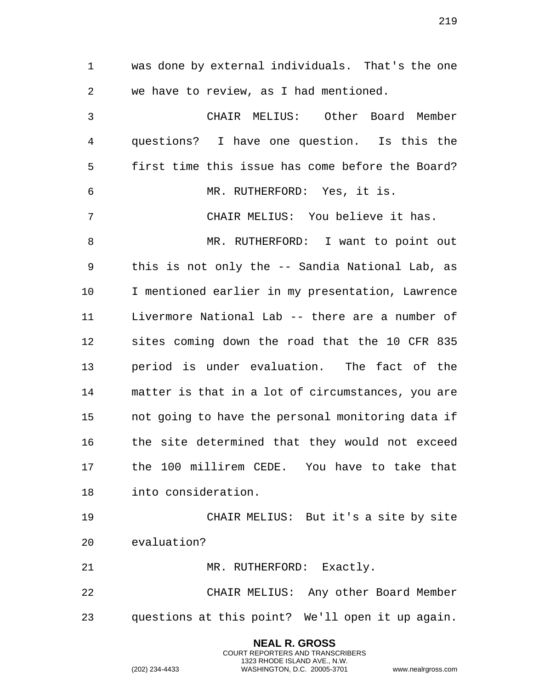**NEAL R. GROSS** was done by external individuals. That's the one we have to review, as I had mentioned. CHAIR MELIUS: Other Board Member questions? I have one question. Is this the first time this issue has come before the Board? MR. RUTHERFORD: Yes, it is. CHAIR MELIUS: You believe it has. MR. RUTHERFORD: I want to point out this is not only the -- Sandia National Lab, as I mentioned earlier in my presentation, Lawrence Livermore National Lab -- there are a number of sites coming down the road that the 10 CFR 835 period is under evaluation. The fact of the matter is that in a lot of circumstances, you are not going to have the personal monitoring data if the site determined that they would not exceed the 100 millirem CEDE. You have to take that into consideration. CHAIR MELIUS: But it's a site by site evaluation? 21 MR. RUTHERFORD: Exactly. CHAIR MELIUS: Any other Board Member questions at this point? We'll open it up again.

> COURT REPORTERS AND TRANSCRIBERS 1323 RHODE ISLAND AVE., N.W.

(202) 234-4433 WASHINGTON, D.C. 20005-3701 www.nealrgross.com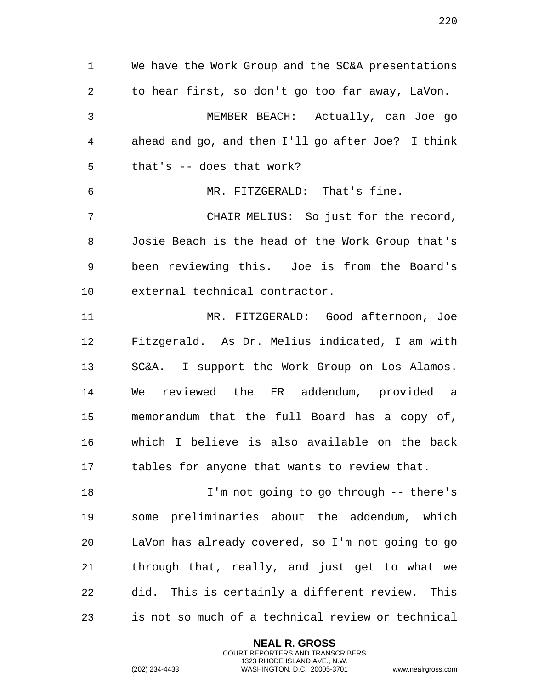We have the Work Group and the SC&A presentations to hear first, so don't go too far away, LaVon. MEMBER BEACH: Actually, can Joe go ahead and go, and then I'll go after Joe? I think that's -- does that work? MR. FITZGERALD: That's fine. CHAIR MELIUS: So just for the record, Josie Beach is the head of the Work Group that's been reviewing this. Joe is from the Board's external technical contractor. MR. FITZGERALD: Good afternoon, Joe Fitzgerald. As Dr. Melius indicated, I am with SC&A. I support the Work Group on Los Alamos. We reviewed the ER addendum, provided a memorandum that the full Board has a copy of, which I believe is also available on the back tables for anyone that wants to review that. I'm not going to go through -- there's

 some preliminaries about the addendum, which LaVon has already covered, so I'm not going to go through that, really, and just get to what we did. This is certainly a different review. This is not so much of a technical review or technical

> **NEAL R. GROSS** COURT REPORTERS AND TRANSCRIBERS 1323 RHODE ISLAND AVE., N.W.

(202) 234-4433 WASHINGTON, D.C. 20005-3701 www.nealrgross.com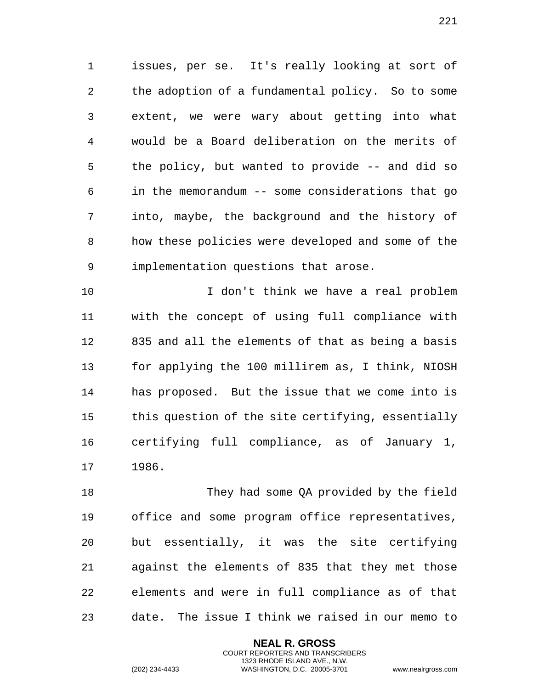issues, per se. It's really looking at sort of the adoption of a fundamental policy. So to some extent, we were wary about getting into what would be a Board deliberation on the merits of the policy, but wanted to provide -- and did so in the memorandum -- some considerations that go into, maybe, the background and the history of how these policies were developed and some of the implementation questions that arose.

 I don't think we have a real problem with the concept of using full compliance with 835 and all the elements of that as being a basis for applying the 100 millirem as, I think, NIOSH has proposed. But the issue that we come into is this question of the site certifying, essentially certifying full compliance, as of January 1, 1986.

 They had some QA provided by the field office and some program office representatives, but essentially, it was the site certifying against the elements of 835 that they met those elements and were in full compliance as of that date. The issue I think we raised in our memo to

> **NEAL R. GROSS** COURT REPORTERS AND TRANSCRIBERS 1323 RHODE ISLAND AVE., N.W.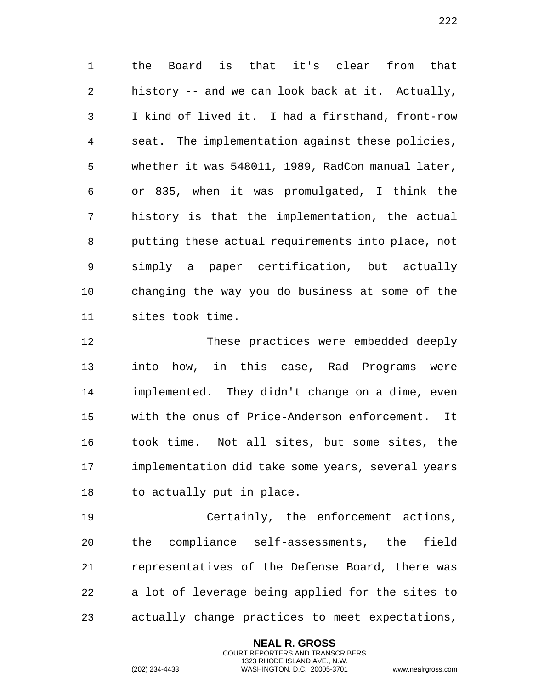the Board is that it's clear from that history -- and we can look back at it. Actually, I kind of lived it. I had a firsthand, front-row seat. The implementation against these policies, whether it was 548011, 1989, RadCon manual later, or 835, when it was promulgated, I think the history is that the implementation, the actual putting these actual requirements into place, not simply a paper certification, but actually changing the way you do business at some of the sites took time.

 These practices were embedded deeply into how, in this case, Rad Programs were implemented. They didn't change on a dime, even with the onus of Price-Anderson enforcement. It took time. Not all sites, but some sites, the implementation did take some years, several years to actually put in place.

 Certainly, the enforcement actions, the compliance self-assessments, the field representatives of the Defense Board, there was a lot of leverage being applied for the sites to actually change practices to meet expectations,

> **NEAL R. GROSS** COURT REPORTERS AND TRANSCRIBERS 1323 RHODE ISLAND AVE., N.W.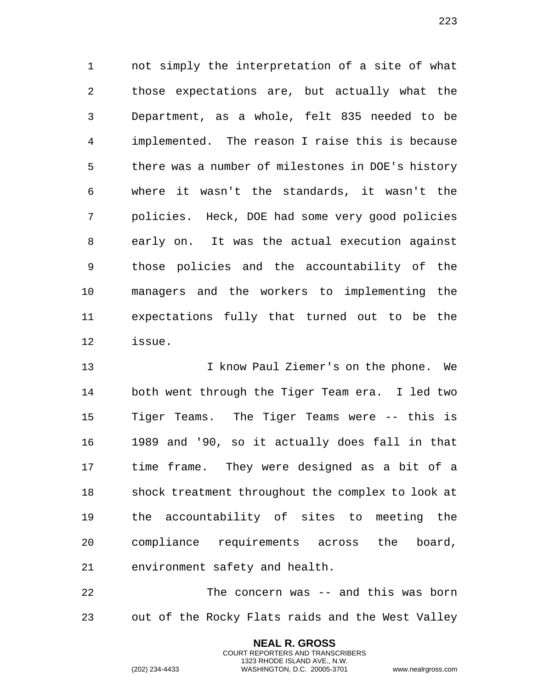not simply the interpretation of a site of what those expectations are, but actually what the Department, as a whole, felt 835 needed to be implemented. The reason I raise this is because there was a number of milestones in DOE's history where it wasn't the standards, it wasn't the policies. Heck, DOE had some very good policies early on. It was the actual execution against those policies and the accountability of the managers and the workers to implementing the expectations fully that turned out to be the issue.

 I know Paul Ziemer's on the phone. We both went through the Tiger Team era. I led two Tiger Teams. The Tiger Teams were -- this is 1989 and '90, so it actually does fall in that time frame. They were designed as a bit of a shock treatment throughout the complex to look at the accountability of sites to meeting the compliance requirements across the board, environment safety and health.

 The concern was -- and this was born out of the Rocky Flats raids and the West Valley

> **NEAL R. GROSS** COURT REPORTERS AND TRANSCRIBERS 1323 RHODE ISLAND AVE., N.W.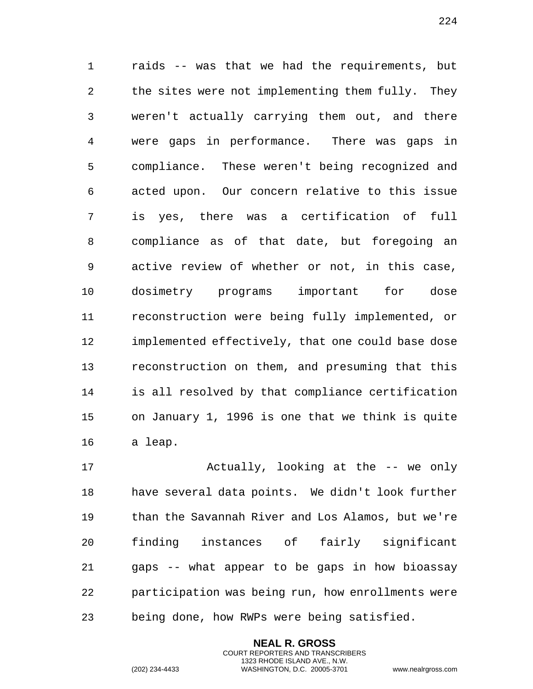raids -- was that we had the requirements, but the sites were not implementing them fully. They weren't actually carrying them out, and there were gaps in performance. There was gaps in compliance. These weren't being recognized and acted upon. Our concern relative to this issue is yes, there was a certification of full compliance as of that date, but foregoing an active review of whether or not, in this case, dosimetry programs important for dose reconstruction were being fully implemented, or implemented effectively, that one could base dose reconstruction on them, and presuming that this is all resolved by that compliance certification on January 1, 1996 is one that we think is quite a leap.

 Actually, looking at the -- we only have several data points. We didn't look further than the Savannah River and Los Alamos, but we're finding instances of fairly significant gaps -- what appear to be gaps in how bioassay participation was being run, how enrollments were being done, how RWPs were being satisfied.

> **NEAL R. GROSS** COURT REPORTERS AND TRANSCRIBERS 1323 RHODE ISLAND AVE., N.W.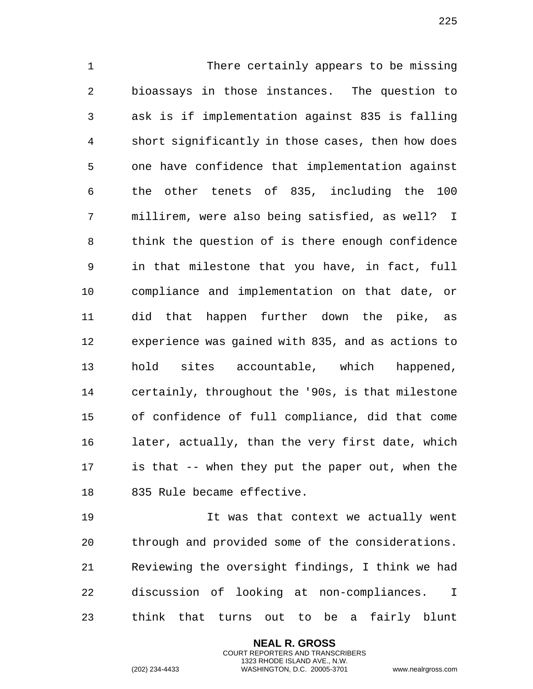There certainly appears to be missing bioassays in those instances. The question to ask is if implementation against 835 is falling short significantly in those cases, then how does one have confidence that implementation against the other tenets of 835, including the 100 millirem, were also being satisfied, as well? I think the question of is there enough confidence in that milestone that you have, in fact, full compliance and implementation on that date, or did that happen further down the pike, as experience was gained with 835, and as actions to hold sites accountable, which happened, certainly, throughout the '90s, is that milestone of confidence of full compliance, did that come later, actually, than the very first date, which is that -- when they put the paper out, when the 835 Rule became effective.

 It was that context we actually went through and provided some of the considerations. Reviewing the oversight findings, I think we had discussion of looking at non-compliances. I think that turns out to be a fairly blunt

> **NEAL R. GROSS** COURT REPORTERS AND TRANSCRIBERS 1323 RHODE ISLAND AVE., N.W.

(202) 234-4433 WASHINGTON, D.C. 20005-3701 www.nealrgross.com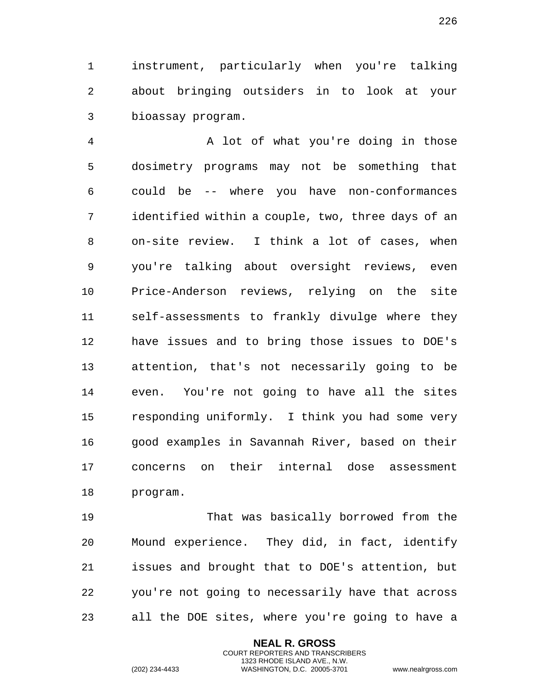instrument, particularly when you're talking about bringing outsiders in to look at your bioassay program.

 A lot of what you're doing in those dosimetry programs may not be something that could be -- where you have non-conformances identified within a couple, two, three days of an on-site review. I think a lot of cases, when you're talking about oversight reviews, even Price-Anderson reviews, relying on the site self-assessments to frankly divulge where they have issues and to bring those issues to DOE's attention, that's not necessarily going to be even. You're not going to have all the sites responding uniformly. I think you had some very good examples in Savannah River, based on their concerns on their internal dose assessment program.

 That was basically borrowed from the Mound experience. They did, in fact, identify issues and brought that to DOE's attention, but you're not going to necessarily have that across all the DOE sites, where you're going to have a

> **NEAL R. GROSS** COURT REPORTERS AND TRANSCRIBERS 1323 RHODE ISLAND AVE., N.W.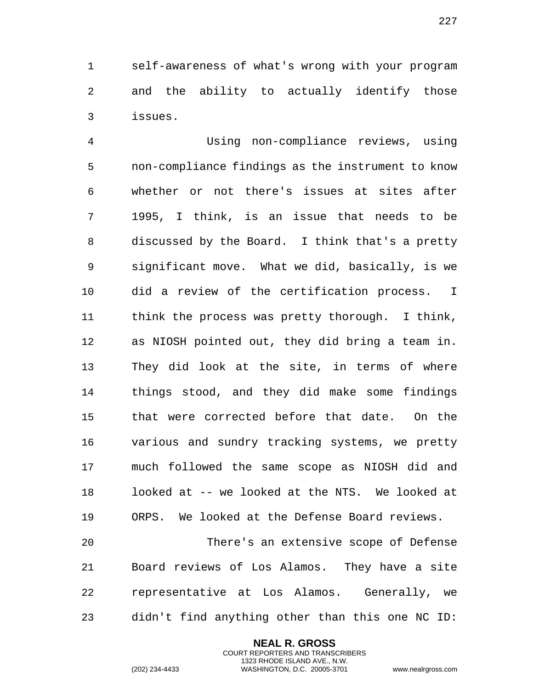self-awareness of what's wrong with your program and the ability to actually identify those issues.

 Using non-compliance reviews, using non-compliance findings as the instrument to know whether or not there's issues at sites after 1995, I think, is an issue that needs to be discussed by the Board. I think that's a pretty significant move. What we did, basically, is we did a review of the certification process. I think the process was pretty thorough. I think, as NIOSH pointed out, they did bring a team in. They did look at the site, in terms of where things stood, and they did make some findings that were corrected before that date. On the various and sundry tracking systems, we pretty much followed the same scope as NIOSH did and looked at -- we looked at the NTS. We looked at ORPS. We looked at the Defense Board reviews.

 There's an extensive scope of Defense Board reviews of Los Alamos. They have a site representative at Los Alamos. Generally, we didn't find anything other than this one NC ID:

> **NEAL R. GROSS** COURT REPORTERS AND TRANSCRIBERS 1323 RHODE ISLAND AVE., N.W.

(202) 234-4433 WASHINGTON, D.C. 20005-3701 www.nealrgross.com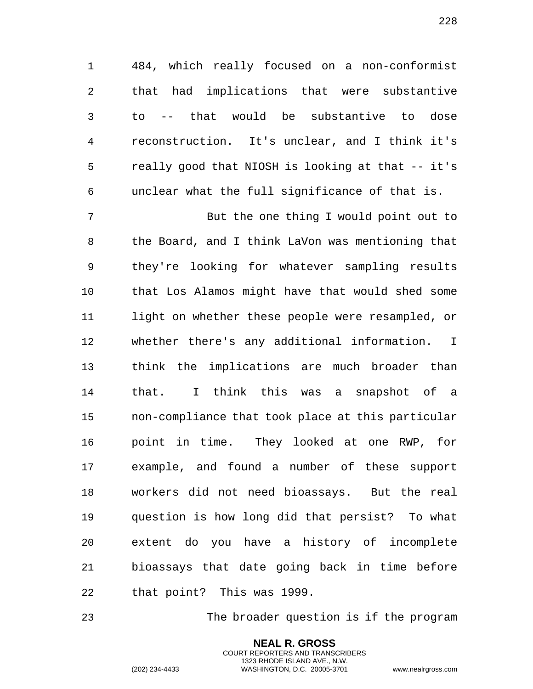484, which really focused on a non-conformist that had implications that were substantive to -- that would be substantive to dose reconstruction. It's unclear, and I think it's really good that NIOSH is looking at that -- it's unclear what the full significance of that is.

 But the one thing I would point out to the Board, and I think LaVon was mentioning that they're looking for whatever sampling results that Los Alamos might have that would shed some light on whether these people were resampled, or whether there's any additional information. I think the implications are much broader than that. I think this was a snapshot of a non-compliance that took place at this particular point in time. They looked at one RWP, for example, and found a number of these support workers did not need bioassays. But the real question is how long did that persist? To what extent do you have a history of incomplete bioassays that date going back in time before that point? This was 1999.

The broader question is if the program

**NEAL R. GROSS** COURT REPORTERS AND TRANSCRIBERS 1323 RHODE ISLAND AVE., N.W.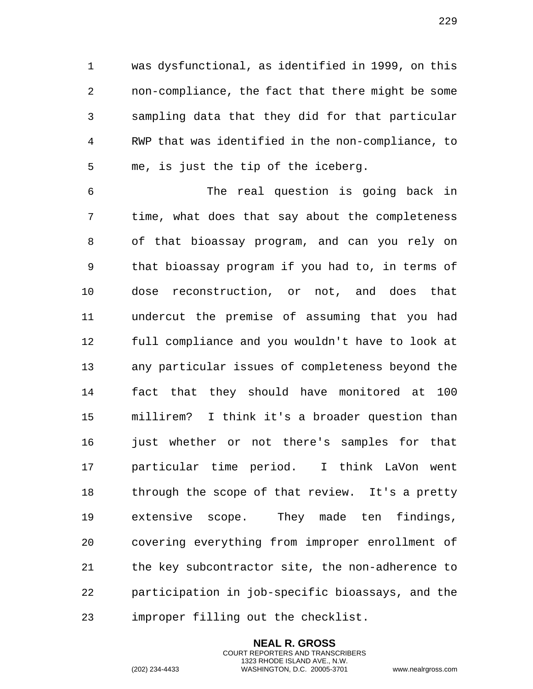was dysfunctional, as identified in 1999, on this non-compliance, the fact that there might be some sampling data that they did for that particular RWP that was identified in the non-compliance, to me, is just the tip of the iceberg.

 The real question is going back in time, what does that say about the completeness of that bioassay program, and can you rely on that bioassay program if you had to, in terms of dose reconstruction, or not, and does that undercut the premise of assuming that you had full compliance and you wouldn't have to look at any particular issues of completeness beyond the fact that they should have monitored at 100 millirem? I think it's a broader question than just whether or not there's samples for that particular time period. I think LaVon went through the scope of that review. It's a pretty extensive scope. They made ten findings, covering everything from improper enrollment of the key subcontractor site, the non-adherence to participation in job-specific bioassays, and the improper filling out the checklist.

> **NEAL R. GROSS** COURT REPORTERS AND TRANSCRIBERS 1323 RHODE ISLAND AVE., N.W.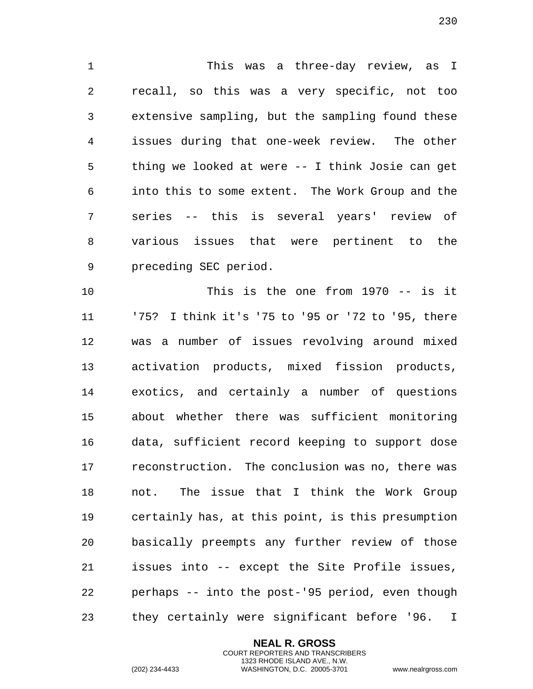This was a three-day review, as I recall, so this was a very specific, not too extensive sampling, but the sampling found these issues during that one-week review. The other thing we looked at were -- I think Josie can get into this to some extent. The Work Group and the series -- this is several years' review of various issues that were pertinent to the preceding SEC period.

 This is the one from 1970 -- is it '75? I think it's '75 to '95 or '72 to '95, there was a number of issues revolving around mixed activation products, mixed fission products, exotics, and certainly a number of questions about whether there was sufficient monitoring data, sufficient record keeping to support dose reconstruction. The conclusion was no, there was not. The issue that I think the Work Group certainly has, at this point, is this presumption basically preempts any further review of those issues into -- except the Site Profile issues, perhaps -- into the post-'95 period, even though they certainly were significant before '96. I

> **NEAL R. GROSS** COURT REPORTERS AND TRANSCRIBERS 1323 RHODE ISLAND AVE., N.W.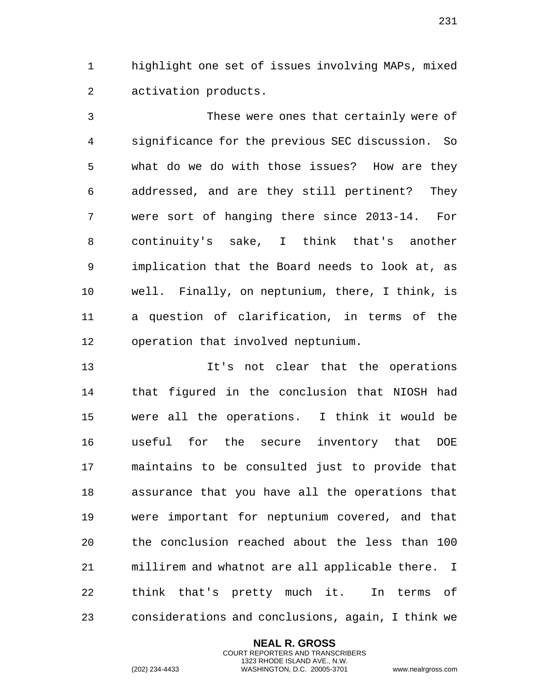highlight one set of issues involving MAPs, mixed activation products.

 These were ones that certainly were of significance for the previous SEC discussion. So what do we do with those issues? How are they addressed, and are they still pertinent? They were sort of hanging there since 2013-14. For continuity's sake, I think that's another implication that the Board needs to look at, as well. Finally, on neptunium, there, I think, is a question of clarification, in terms of the operation that involved neptunium.

 It's not clear that the operations that figured in the conclusion that NIOSH had were all the operations. I think it would be useful for the secure inventory that DOE maintains to be consulted just to provide that assurance that you have all the operations that were important for neptunium covered, and that the conclusion reached about the less than 100 millirem and whatnot are all applicable there. I think that's pretty much it. In terms of considerations and conclusions, again, I think we

> **NEAL R. GROSS** COURT REPORTERS AND TRANSCRIBERS 1323 RHODE ISLAND AVE., N.W.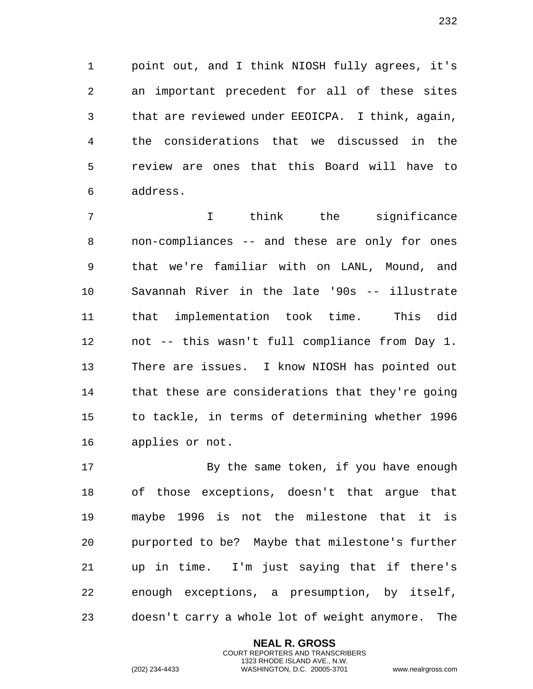point out, and I think NIOSH fully agrees, it's an important precedent for all of these sites that are reviewed under EEOICPA. I think, again, the considerations that we discussed in the review are ones that this Board will have to address.

 I think the significance non-compliances -- and these are only for ones that we're familiar with on LANL, Mound, and Savannah River in the late '90s -- illustrate that implementation took time. This did not -- this wasn't full compliance from Day 1. There are issues. I know NIOSH has pointed out that these are considerations that they're going to tackle, in terms of determining whether 1996 applies or not.

17 By the same token, if you have enough of those exceptions, doesn't that argue that maybe 1996 is not the milestone that it is purported to be? Maybe that milestone's further up in time. I'm just saying that if there's enough exceptions, a presumption, by itself, doesn't carry a whole lot of weight anymore. The

> **NEAL R. GROSS** COURT REPORTERS AND TRANSCRIBERS 1323 RHODE ISLAND AVE., N.W.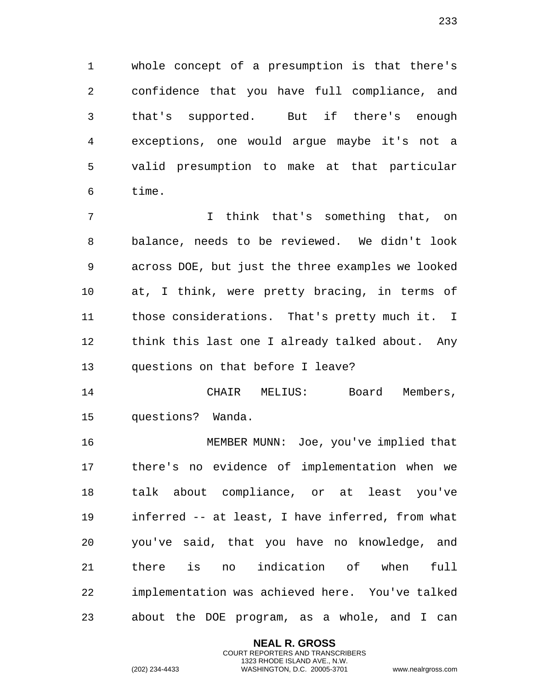whole concept of a presumption is that there's confidence that you have full compliance, and that's supported. But if there's enough exceptions, one would argue maybe it's not a valid presumption to make at that particular time.

 I think that's something that, on balance, needs to be reviewed. We didn't look across DOE, but just the three examples we looked at, I think, were pretty bracing, in terms of those considerations. That's pretty much it. I think this last one I already talked about. Any questions on that before I leave?

 CHAIR MELIUS: Board Members, questions? Wanda.

 MEMBER MUNN: Joe, you've implied that there's no evidence of implementation when we talk about compliance, or at least you've inferred -- at least, I have inferred, from what you've said, that you have no knowledge, and there is no indication of when full implementation was achieved here. You've talked about the DOE program, as a whole, and I can

> **NEAL R. GROSS** COURT REPORTERS AND TRANSCRIBERS 1323 RHODE ISLAND AVE., N.W.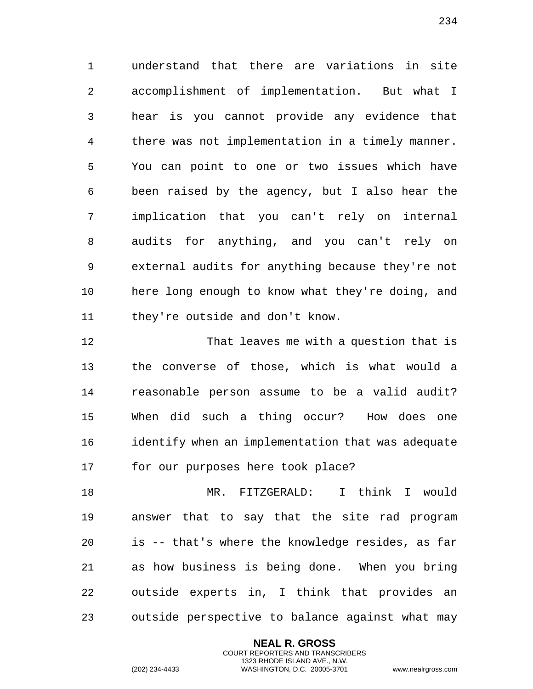understand that there are variations in site accomplishment of implementation. But what I hear is you cannot provide any evidence that there was not implementation in a timely manner. You can point to one or two issues which have been raised by the agency, but I also hear the implication that you can't rely on internal audits for anything, and you can't rely on external audits for anything because they're not here long enough to know what they're doing, and they're outside and don't know.

 That leaves me with a question that is the converse of those, which is what would a reasonable person assume to be a valid audit? When did such a thing occur? How does one identify when an implementation that was adequate for our purposes here took place?

 MR. FITZGERALD: I think I would answer that to say that the site rad program is -- that's where the knowledge resides, as far as how business is being done. When you bring outside experts in, I think that provides an outside perspective to balance against what may

> **NEAL R. GROSS** COURT REPORTERS AND TRANSCRIBERS 1323 RHODE ISLAND AVE., N.W.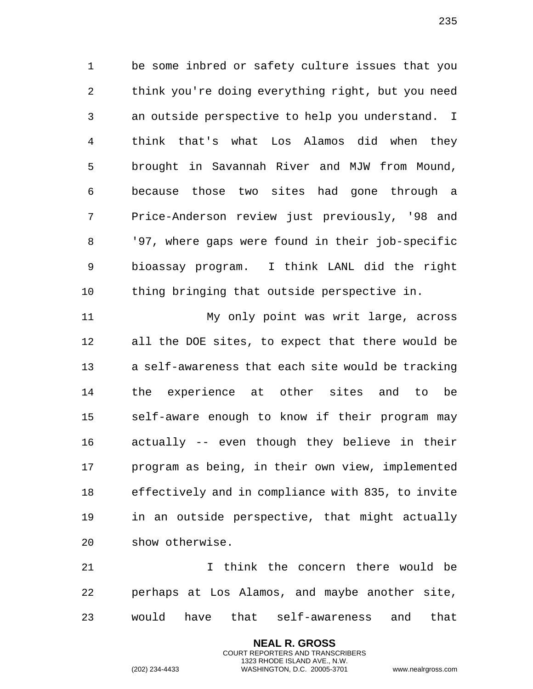be some inbred or safety culture issues that you think you're doing everything right, but you need an outside perspective to help you understand. I think that's what Los Alamos did when they brought in Savannah River and MJW from Mound, because those two sites had gone through a Price-Anderson review just previously, '98 and '97, where gaps were found in their job-specific bioassay program. I think LANL did the right thing bringing that outside perspective in.

 My only point was writ large, across all the DOE sites, to expect that there would be a self-awareness that each site would be tracking the experience at other sites and to be self-aware enough to know if their program may actually -- even though they believe in their program as being, in their own view, implemented effectively and in compliance with 835, to invite in an outside perspective, that might actually show otherwise.

 I think the concern there would be perhaps at Los Alamos, and maybe another site, would have that self-awareness and that

> **NEAL R. GROSS** COURT REPORTERS AND TRANSCRIBERS 1323 RHODE ISLAND AVE., N.W.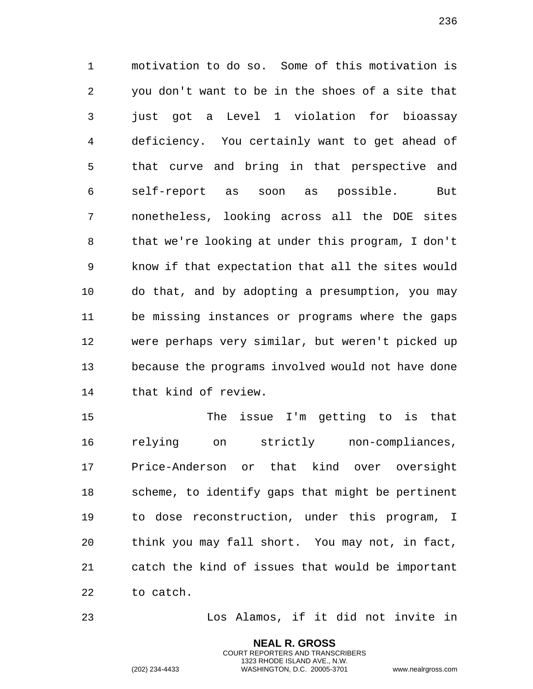motivation to do so. Some of this motivation is you don't want to be in the shoes of a site that 3 just got a Level 1 violation for bioassay deficiency. You certainly want to get ahead of that curve and bring in that perspective and self-report as soon as possible. But nonetheless, looking across all the DOE sites that we're looking at under this program, I don't know if that expectation that all the sites would do that, and by adopting a presumption, you may be missing instances or programs where the gaps were perhaps very similar, but weren't picked up because the programs involved would not have done that kind of review.

 The issue I'm getting to is that relying on strictly non-compliances, Price-Anderson or that kind over oversight scheme, to identify gaps that might be pertinent to dose reconstruction, under this program, I think you may fall short. You may not, in fact, catch the kind of issues that would be important to catch.

Los Alamos, if it did not invite in

**NEAL R. GROSS** COURT REPORTERS AND TRANSCRIBERS 1323 RHODE ISLAND AVE., N.W.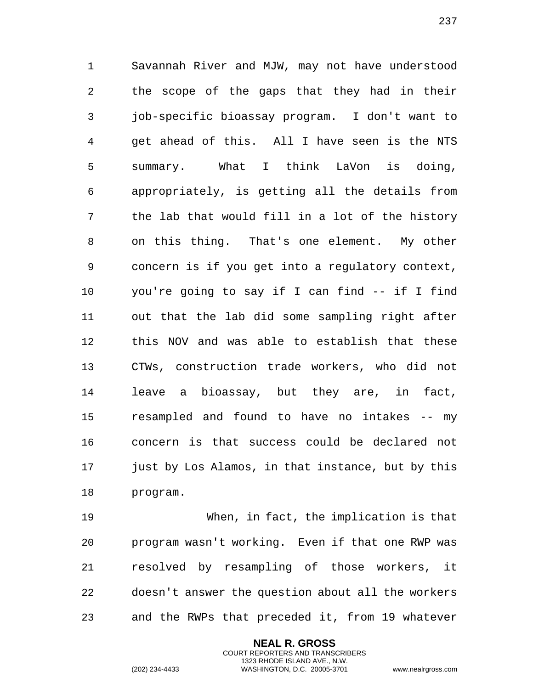Savannah River and MJW, may not have understood the scope of the gaps that they had in their job-specific bioassay program. I don't want to get ahead of this. All I have seen is the NTS summary. What I think LaVon is doing, appropriately, is getting all the details from the lab that would fill in a lot of the history on this thing. That's one element. My other concern is if you get into a regulatory context, you're going to say if I can find -- if I find out that the lab did some sampling right after this NOV and was able to establish that these CTWs, construction trade workers, who did not leave a bioassay, but they are, in fact, resampled and found to have no intakes -- my concern is that success could be declared not just by Los Alamos, in that instance, but by this program.

 When, in fact, the implication is that program wasn't working. Even if that one RWP was resolved by resampling of those workers, it doesn't answer the question about all the workers and the RWPs that preceded it, from 19 whatever

> **NEAL R. GROSS** COURT REPORTERS AND TRANSCRIBERS 1323 RHODE ISLAND AVE., N.W.

(202) 234-4433 WASHINGTON, D.C. 20005-3701 www.nealrgross.com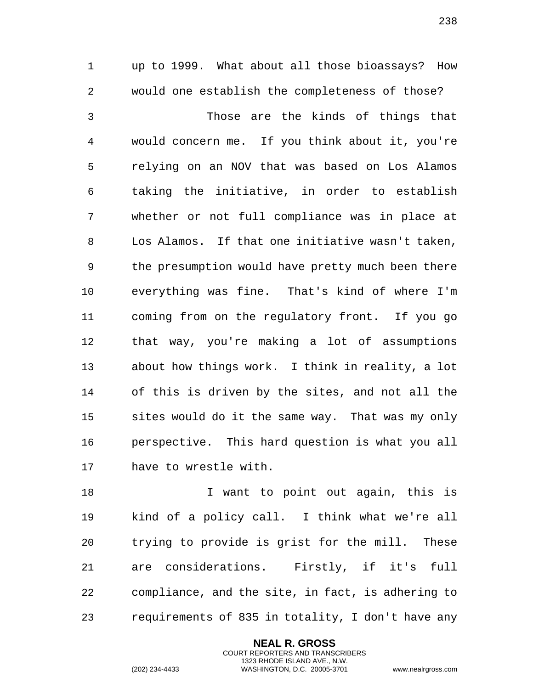up to 1999. What about all those bioassays? How would one establish the completeness of those?

 Those are the kinds of things that would concern me. If you think about it, you're relying on an NOV that was based on Los Alamos taking the initiative, in order to establish whether or not full compliance was in place at Los Alamos. If that one initiative wasn't taken, the presumption would have pretty much been there everything was fine. That's kind of where I'm coming from on the regulatory front. If you go that way, you're making a lot of assumptions about how things work. I think in reality, a lot of this is driven by the sites, and not all the sites would do it the same way. That was my only perspective. This hard question is what you all have to wrestle with.

18 I want to point out again, this is kind of a policy call. I think what we're all trying to provide is grist for the mill. These are considerations. Firstly, if it's full compliance, and the site, in fact, is adhering to requirements of 835 in totality, I don't have any

> **NEAL R. GROSS** COURT REPORTERS AND TRANSCRIBERS 1323 RHODE ISLAND AVE., N.W.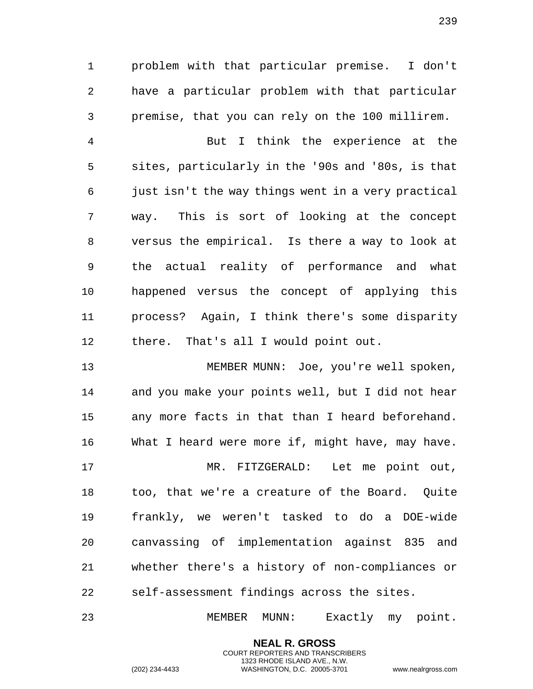problem with that particular premise. I don't have a particular problem with that particular premise, that you can rely on the 100 millirem.

 But I think the experience at the sites, particularly in the '90s and '80s, is that just isn't the way things went in a very practical way. This is sort of looking at the concept versus the empirical. Is there a way to look at the actual reality of performance and what happened versus the concept of applying this process? Again, I think there's some disparity there. That's all I would point out.

 MEMBER MUNN: Joe, you're well spoken, and you make your points well, but I did not hear any more facts in that than I heard beforehand. What I heard were more if, might have, may have. MR. FITZGERALD: Let me point out, too, that we're a creature of the Board. Quite frankly, we weren't tasked to do a DOE-wide canvassing of implementation against 835 and whether there's a history of non-compliances or self-assessment findings across the sites.

MEMBER MUNN: Exactly my point.

**NEAL R. GROSS** COURT REPORTERS AND TRANSCRIBERS 1323 RHODE ISLAND AVE., N.W.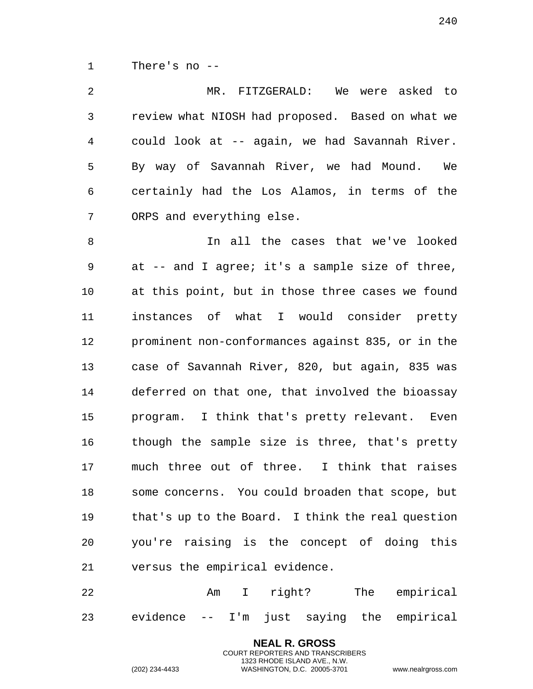There's no --

| MR. FITZGERALD:<br>We were asked to               |
|---------------------------------------------------|
| review what NIOSH had proposed. Based on what we  |
| could look at -- again, we had Savannah River.    |
| By way of Savannah River, we had Mound.<br>We     |
| certainly had the Los Alamos, in terms of the     |
| ORPS and everything else.                         |
| In all the cases that we've looked                |
| at -- and I agree; it's a sample size of three,   |
| at this point, but in those three cases we found  |
| instances of what I would consider pretty         |
| prominent non-conformances against 835, or in the |
| case of Savannah River, 820, but again, 835 was   |
| deferred on that one, that involved the bioassay  |
| program. I think that's pretty relevant. Even     |
| though the sample size is three, that's pretty    |
| much three out of three. I think that raises      |
| some concerns. You could broaden that scope, but  |
| that's up to the Board. I think the real question |
| you're raising is the concept of doing this       |
|                                                   |

22 Am I right? The empirical evidence -- I'm just saying the empirical

versus the empirical evidence.

**NEAL R. GROSS** COURT REPORTERS AND TRANSCRIBERS 1323 RHODE ISLAND AVE., N.W.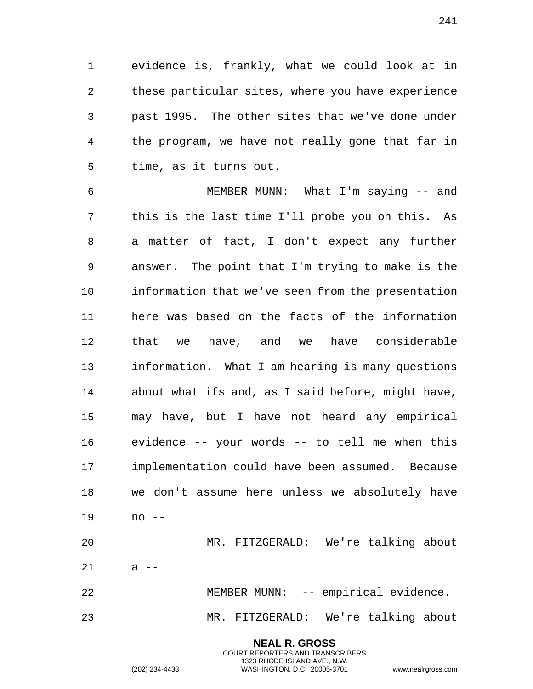evidence is, frankly, what we could look at in these particular sites, where you have experience past 1995. The other sites that we've done under the program, we have not really gone that far in time, as it turns out.

 MEMBER MUNN: What I'm saying -- and this is the last time I'll probe you on this. As a matter of fact, I don't expect any further answer. The point that I'm trying to make is the information that we've seen from the presentation here was based on the facts of the information that we have, and we have considerable information. What I am hearing is many questions about what ifs and, as I said before, might have, may have, but I have not heard any empirical evidence -- your words -- to tell me when this implementation could have been assumed. Because we don't assume here unless we absolutely have no --

 MR. FITZGERALD: We're talking about a  $-$ 22 MEMBER MUNN: -- empirical evidence. MR. FITZGERALD: We're talking about

> **NEAL R. GROSS** COURT REPORTERS AND TRANSCRIBERS 1323 RHODE ISLAND AVE., N.W. (202) 234-4433 WASHINGTON, D.C. 20005-3701 www.nealrgross.com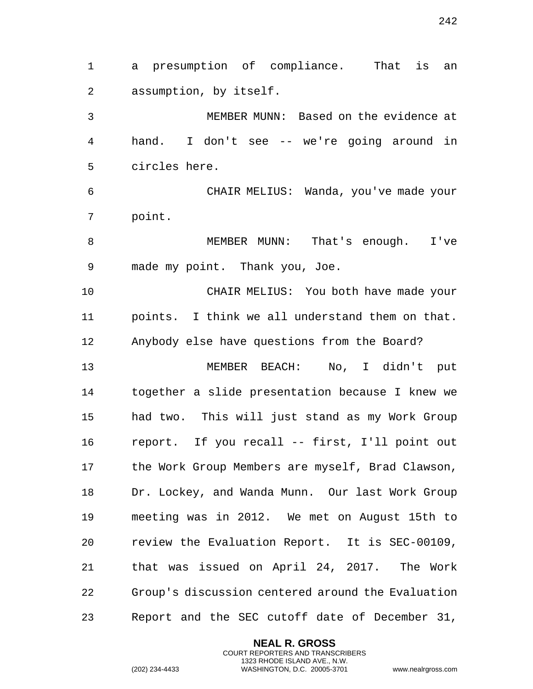a presumption of compliance. That is an assumption, by itself. MEMBER MUNN: Based on the evidence at hand. I don't see -- we're going around in circles here. CHAIR MELIUS: Wanda, you've made your point. MEMBER MUNN: That's enough. I've made my point. Thank you, Joe. CHAIR MELIUS: You both have made your points. I think we all understand them on that. Anybody else have questions from the Board? MEMBER BEACH: No, I didn't put together a slide presentation because I knew we had two. This will just stand as my Work Group report. If you recall -- first, I'll point out the Work Group Members are myself, Brad Clawson, Dr. Lockey, and Wanda Munn. Our last Work Group meeting was in 2012. We met on August 15th to review the Evaluation Report. It is SEC-00109, that was issued on April 24, 2017. The Work Group's discussion centered around the Evaluation Report and the SEC cutoff date of December 31,

> **NEAL R. GROSS** COURT REPORTERS AND TRANSCRIBERS 1323 RHODE ISLAND AVE., N.W.

(202) 234-4433 WASHINGTON, D.C. 20005-3701 www.nealrgross.com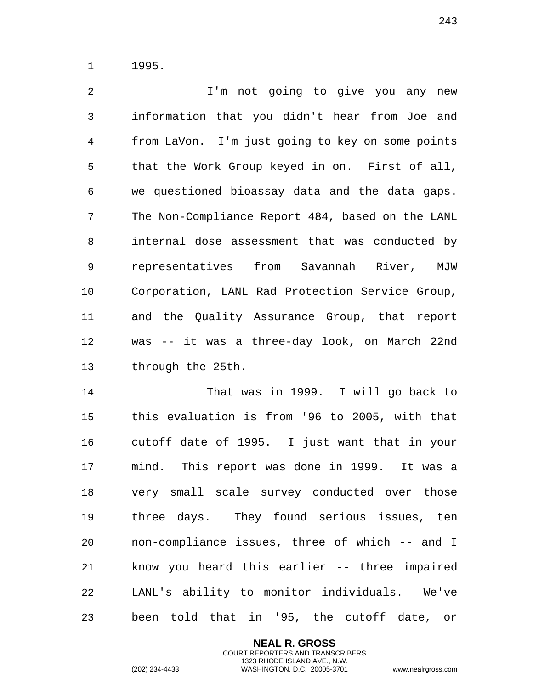1995.

 I'm not going to give you any new information that you didn't hear from Joe and from LaVon. I'm just going to key on some points that the Work Group keyed in on. First of all, we questioned bioassay data and the data gaps. The Non-Compliance Report 484, based on the LANL internal dose assessment that was conducted by representatives from Savannah River, MJW Corporation, LANL Rad Protection Service Group, and the Quality Assurance Group, that report was -- it was a three-day look, on March 22nd through the 25th.

 That was in 1999. I will go back to this evaluation is from '96 to 2005, with that cutoff date of 1995. I just want that in your mind. This report was done in 1999. It was a very small scale survey conducted over those three days. They found serious issues, ten non-compliance issues, three of which -- and I know you heard this earlier -- three impaired LANL's ability to monitor individuals. We've been told that in '95, the cutoff date, or

> **NEAL R. GROSS** COURT REPORTERS AND TRANSCRIBERS 1323 RHODE ISLAND AVE., N.W.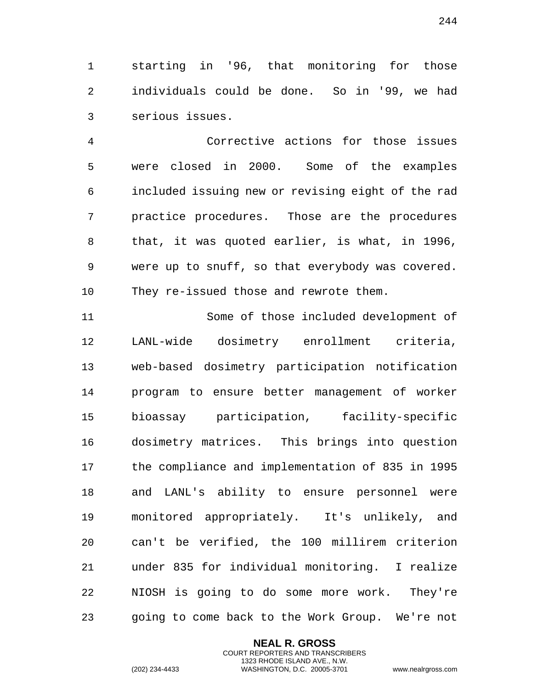starting in '96, that monitoring for those individuals could be done. So in '99, we had serious issues.

 Corrective actions for those issues were closed in 2000. Some of the examples included issuing new or revising eight of the rad practice procedures. Those are the procedures that, it was quoted earlier, is what, in 1996, were up to snuff, so that everybody was covered. They re-issued those and rewrote them.

 Some of those included development of LANL-wide dosimetry enrollment criteria, web-based dosimetry participation notification program to ensure better management of worker bioassay participation, facility-specific dosimetry matrices. This brings into question the compliance and implementation of 835 in 1995 and LANL's ability to ensure personnel were monitored appropriately. It's unlikely, and can't be verified, the 100 millirem criterion under 835 for individual monitoring. I realize NIOSH is going to do some more work. They're going to come back to the Work Group. We're not

> **NEAL R. GROSS** COURT REPORTERS AND TRANSCRIBERS 1323 RHODE ISLAND AVE., N.W.

(202) 234-4433 WASHINGTON, D.C. 20005-3701 www.nealrgross.com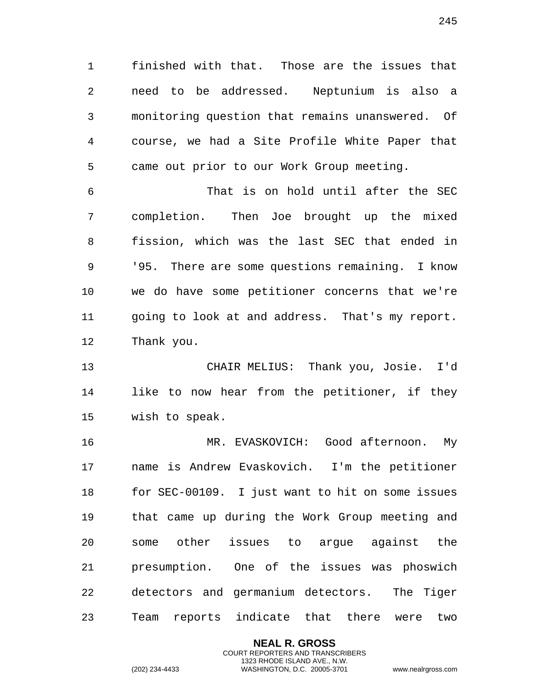finished with that. Those are the issues that need to be addressed. Neptunium is also a monitoring question that remains unanswered. Of course, we had a Site Profile White Paper that came out prior to our Work Group meeting.

 That is on hold until after the SEC completion. Then Joe brought up the mixed fission, which was the last SEC that ended in '95. There are some questions remaining. I know we do have some petitioner concerns that we're going to look at and address. That's my report. Thank you.

 CHAIR MELIUS: Thank you, Josie. I'd like to now hear from the petitioner, if they wish to speak.

 MR. EVASKOVICH: Good afternoon. My name is Andrew Evaskovich. I'm the petitioner for SEC-00109. I just want to hit on some issues that came up during the Work Group meeting and some other issues to argue against the presumption. One of the issues was phoswich detectors and germanium detectors. The Tiger Team reports indicate that there were two

> **NEAL R. GROSS** COURT REPORTERS AND TRANSCRIBERS 1323 RHODE ISLAND AVE., N.W.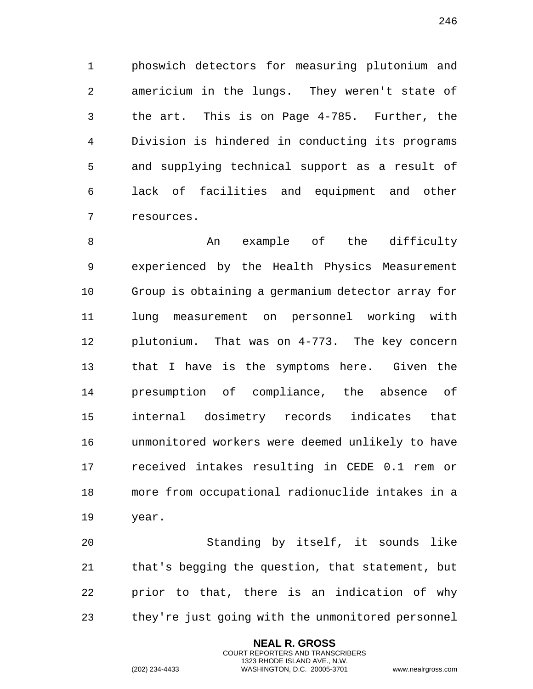phoswich detectors for measuring plutonium and americium in the lungs. They weren't state of the art. This is on Page 4-785. Further, the Division is hindered in conducting its programs and supplying technical support as a result of lack of facilities and equipment and other resources.

8 An example of the difficulty experienced by the Health Physics Measurement Group is obtaining a germanium detector array for lung measurement on personnel working with plutonium. That was on 4-773. The key concern that I have is the symptoms here. Given the presumption of compliance, the absence of internal dosimetry records indicates that unmonitored workers were deemed unlikely to have received intakes resulting in CEDE 0.1 rem or more from occupational radionuclide intakes in a year.

 Standing by itself, it sounds like that's begging the question, that statement, but prior to that, there is an indication of why they're just going with the unmonitored personnel

> **NEAL R. GROSS** COURT REPORTERS AND TRANSCRIBERS 1323 RHODE ISLAND AVE., N.W.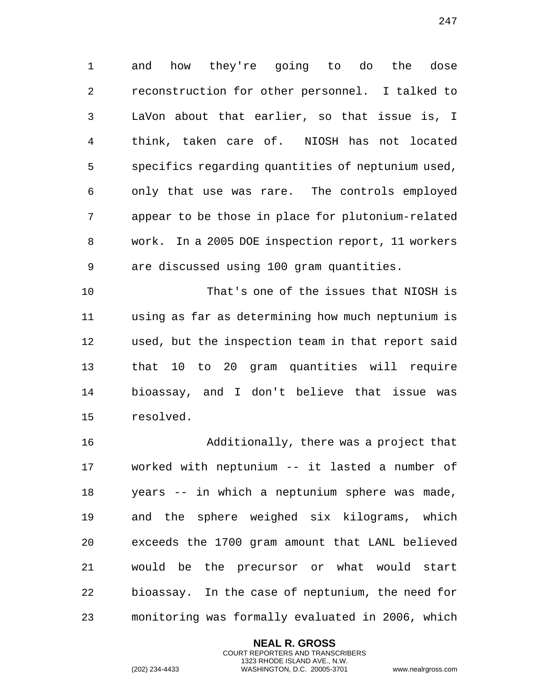and how they're going to do the dose reconstruction for other personnel. I talked to LaVon about that earlier, so that issue is, I think, taken care of. NIOSH has not located specifics regarding quantities of neptunium used, only that use was rare. The controls employed appear to be those in place for plutonium-related work. In a 2005 DOE inspection report, 11 workers are discussed using 100 gram quantities.

 That's one of the issues that NIOSH is using as far as determining how much neptunium is used, but the inspection team in that report said that 10 to 20 gram quantities will require bioassay, and I don't believe that issue was resolved.

 Additionally, there was a project that worked with neptunium -- it lasted a number of years -- in which a neptunium sphere was made, and the sphere weighed six kilograms, which exceeds the 1700 gram amount that LANL believed would be the precursor or what would start bioassay. In the case of neptunium, the need for monitoring was formally evaluated in 2006, which

> **NEAL R. GROSS** COURT REPORTERS AND TRANSCRIBERS 1323 RHODE ISLAND AVE., N.W.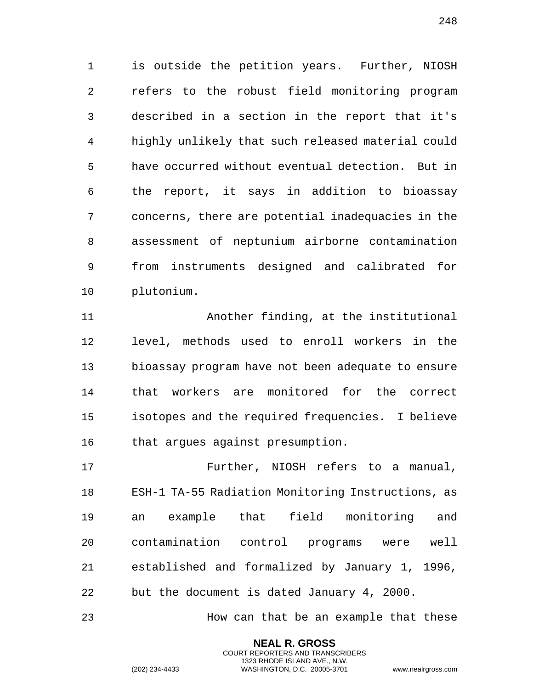is outside the petition years. Further, NIOSH refers to the robust field monitoring program described in a section in the report that it's highly unlikely that such released material could have occurred without eventual detection. But in the report, it says in addition to bioassay concerns, there are potential inadequacies in the assessment of neptunium airborne contamination from instruments designed and calibrated for plutonium.

 Another finding, at the institutional level, methods used to enroll workers in the bioassay program have not been adequate to ensure that workers are monitored for the correct isotopes and the required frequencies. I believe that argues against presumption.

 Further, NIOSH refers to a manual, ESH-1 TA-55 Radiation Monitoring Instructions, as an example that field monitoring and contamination control programs were well established and formalized by January 1, 1996, but the document is dated January 4, 2000.

How can that be an example that these

**NEAL R. GROSS** COURT REPORTERS AND TRANSCRIBERS 1323 RHODE ISLAND AVE., N.W.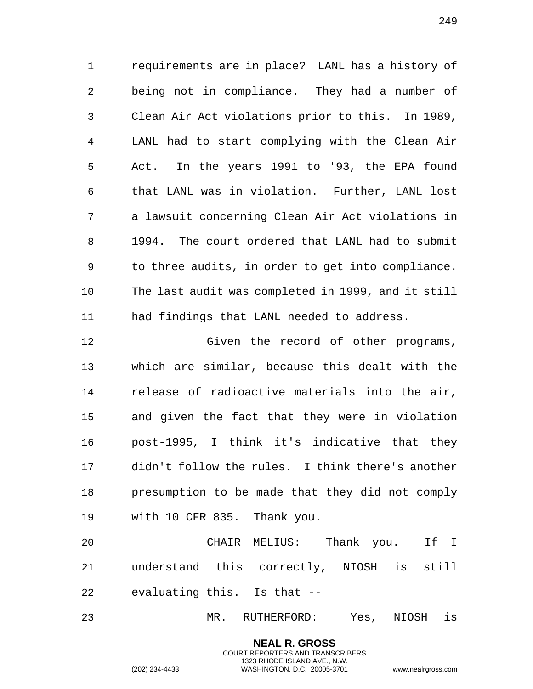requirements are in place? LANL has a history of being not in compliance. They had a number of Clean Air Act violations prior to this. In 1989, LANL had to start complying with the Clean Air Act. In the years 1991 to '93, the EPA found that LANL was in violation. Further, LANL lost a lawsuit concerning Clean Air Act violations in 1994. The court ordered that LANL had to submit to three audits, in order to get into compliance. The last audit was completed in 1999, and it still had findings that LANL needed to address.

 Given the record of other programs, which are similar, because this dealt with the release of radioactive materials into the air, and given the fact that they were in violation post-1995, I think it's indicative that they didn't follow the rules. I think there's another presumption to be made that they did not comply with 10 CFR 835. Thank you.

 CHAIR MELIUS: Thank you. If I understand this correctly, NIOSH is still evaluating this. Is that --

MR. RUTHERFORD: Yes, NIOSH is

**NEAL R. GROSS** COURT REPORTERS AND TRANSCRIBERS 1323 RHODE ISLAND AVE., N.W.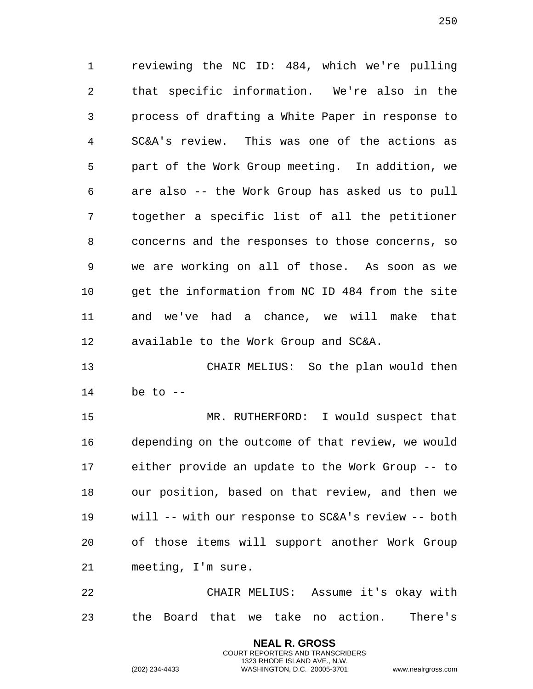reviewing the NC ID: 484, which we're pulling that specific information. We're also in the process of drafting a White Paper in response to SC&A's review. This was one of the actions as part of the Work Group meeting. In addition, we are also -- the Work Group has asked us to pull together a specific list of all the petitioner concerns and the responses to those concerns, so we are working on all of those. As soon as we get the information from NC ID 484 from the site and we've had a chance, we will make that available to the Work Group and SC&A.

 CHAIR MELIUS: So the plan would then be to --

 MR. RUTHERFORD: I would suspect that depending on the outcome of that review, we would either provide an update to the Work Group -- to our position, based on that review, and then we will -- with our response to SC&A's review -- both of those items will support another Work Group meeting, I'm sure.

 CHAIR MELIUS: Assume it's okay with the Board that we take no action. There's

> **NEAL R. GROSS** COURT REPORTERS AND TRANSCRIBERS 1323 RHODE ISLAND AVE., N.W.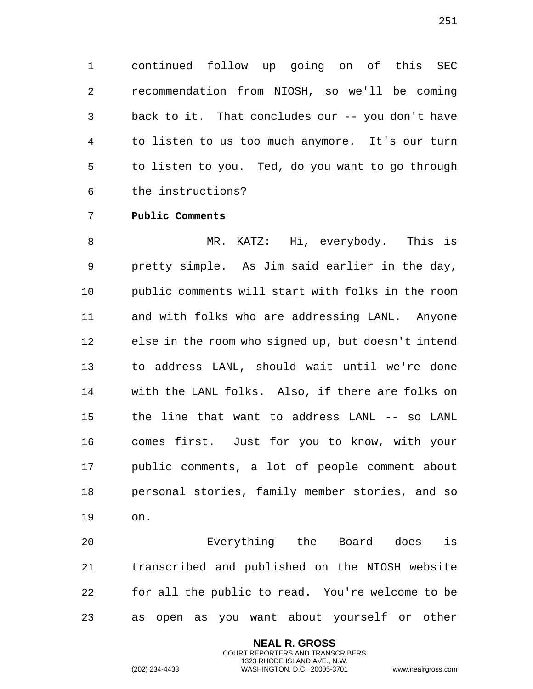1 continued follow up going on of this SEC 2 recommendation from NIOSH, so we'll be coming 3 back to it. That concludes our -- you don't have 4 to listen to us too much anymore. It's our turn 5 to listen to you. Ted, do you want to go through 6 the instructions?

## 7 **Public Comments**

8 MR. KATZ: Hi, everybody. This is 9 pretty simple. As Jim said earlier in the day, 10 public comments will start with folks in the room 11 and with folks who are addressing LANL. Anyone 12 else in the room who signed up, but doesn't intend 13 to address LANL, should wait until we're done 14 with the LANL folks. Also, if there are folks on 15 the line that want to address LANL -- so LANL 16 comes first. Just for you to know, with your 17 public comments, a lot of people comment about 18 personal stories, family member stories, and so 19 on.

20 Everything the Board does is 21 transcribed and published on the NIOSH website 22 for all the public to read. You're welcome to be 23 as open as you want about yourself or other

> **NEAL R. GROSS** COURT REPORTERS AND TRANSCRIBERS 1323 RHODE ISLAND AVE., N.W.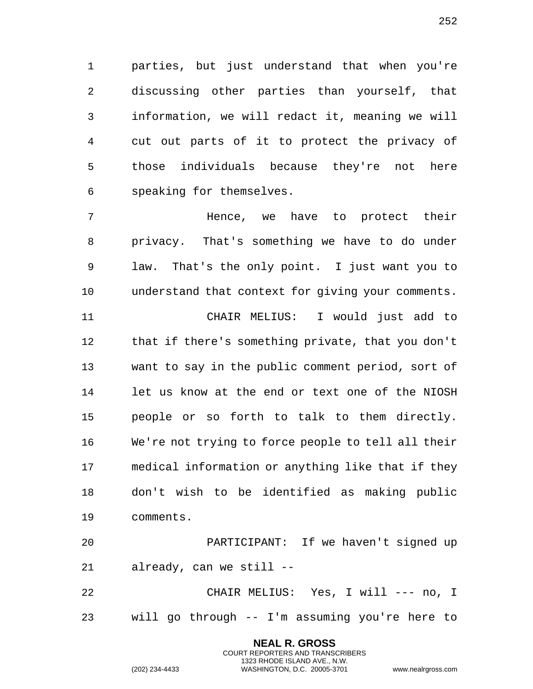parties, but just understand that when you're discussing other parties than yourself, that information, we will redact it, meaning we will cut out parts of it to protect the privacy of those individuals because they're not here speaking for themselves.

 Hence, we have to protect their privacy. That's something we have to do under law. That's the only point. I just want you to understand that context for giving your comments. CHAIR MELIUS: I would just add to that if there's something private, that you don't want to say in the public comment period, sort of let us know at the end or text one of the NIOSH people or so forth to talk to them directly. We're not trying to force people to tell all their medical information or anything like that if they don't wish to be identified as making public comments.

 PARTICIPANT: If we haven't signed up already, can we still --

 CHAIR MELIUS: Yes, I will --- no, I will go through -- I'm assuming you're here to

> **NEAL R. GROSS** COURT REPORTERS AND TRANSCRIBERS 1323 RHODE ISLAND AVE., N.W.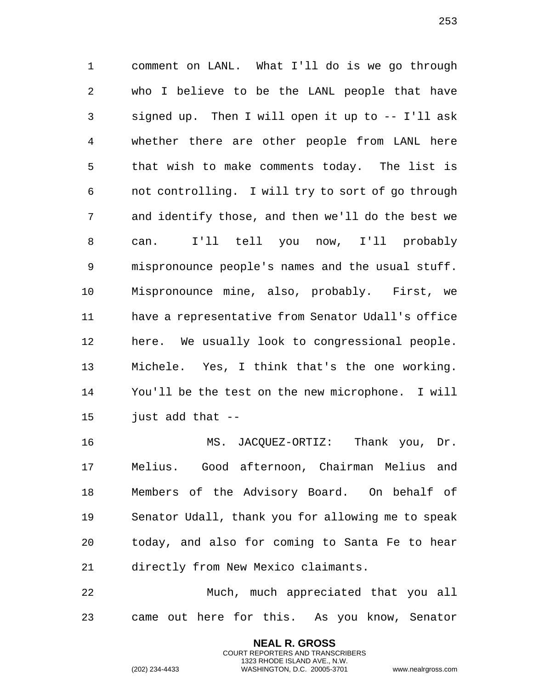comment on LANL. What I'll do is we go through who I believe to be the LANL people that have signed up. Then I will open it up to -- I'll ask whether there are other people from LANL here that wish to make comments today. The list is not controlling. I will try to sort of go through and identify those, and then we'll do the best we can. I'll tell you now, I'll probably mispronounce people's names and the usual stuff. Mispronounce mine, also, probably. First, we have a representative from Senator Udall's office here. We usually look to congressional people. Michele. Yes, I think that's the one working. You'll be the test on the new microphone. I will just add that --

 MS. JACQUEZ-ORTIZ: Thank you, Dr. Melius. Good afternoon, Chairman Melius and Members of the Advisory Board. On behalf of Senator Udall, thank you for allowing me to speak today, and also for coming to Santa Fe to hear directly from New Mexico claimants.

 Much, much appreciated that you all came out here for this. As you know, Senator

> **NEAL R. GROSS** COURT REPORTERS AND TRANSCRIBERS 1323 RHODE ISLAND AVE., N.W.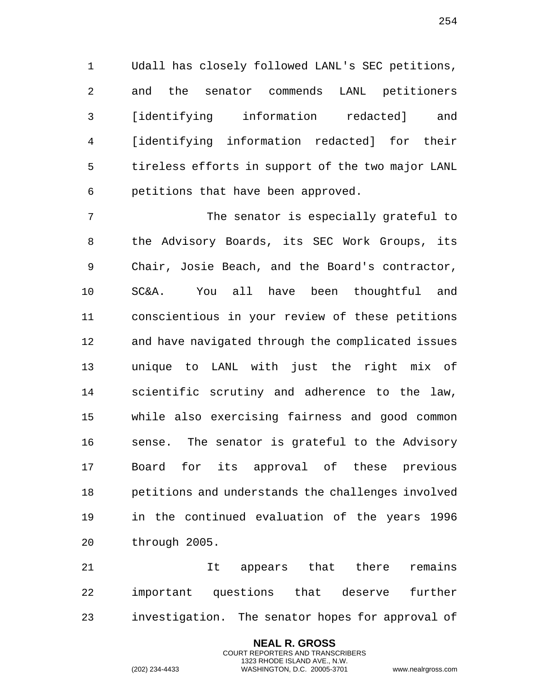Udall has closely followed LANL's SEC petitions, and the senator commends LANL petitioners [identifying information redacted] and [identifying information redacted] for their tireless efforts in support of the two major LANL petitions that have been approved.

 The senator is especially grateful to the Advisory Boards, its SEC Work Groups, its Chair, Josie Beach, and the Board's contractor, SC&A. You all have been thoughtful and conscientious in your review of these petitions and have navigated through the complicated issues unique to LANL with just the right mix of scientific scrutiny and adherence to the law, while also exercising fairness and good common sense. The senator is grateful to the Advisory Board for its approval of these previous petitions and understands the challenges involved in the continued evaluation of the years 1996 through 2005.

 It appears that there remains important questions that deserve further investigation. The senator hopes for approval of

> **NEAL R. GROSS** COURT REPORTERS AND TRANSCRIBERS 1323 RHODE ISLAND AVE., N.W.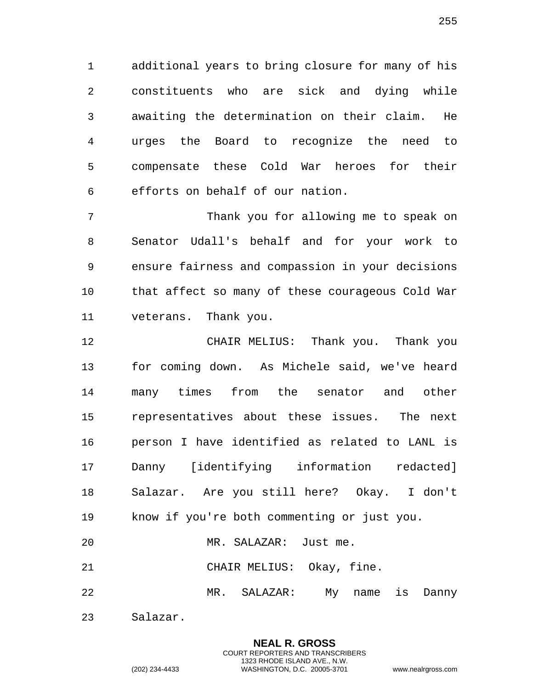additional years to bring closure for many of his constituents who are sick and dying while awaiting the determination on their claim. He urges the Board to recognize the need to compensate these Cold War heroes for their efforts on behalf of our nation.

 Thank you for allowing me to speak on Senator Udall's behalf and for your work to ensure fairness and compassion in your decisions that affect so many of these courageous Cold War veterans. Thank you.

 CHAIR MELIUS: Thank you. Thank you for coming down. As Michele said, we've heard many times from the senator and other representatives about these issues. The next person I have identified as related to LANL is Danny [identifying information redacted] Salazar. Are you still here? Okay. I don't know if you're both commenting or just you.

MR. SALAZAR: Just me.

CHAIR MELIUS: Okay, fine.

MR. SALAZAR: My name is Danny

Salazar.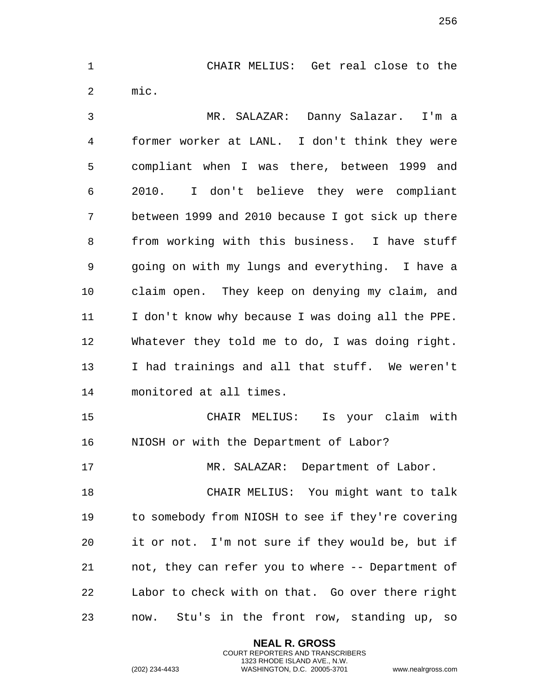CHAIR MELIUS: Get real close to the mic.

 MR. SALAZAR: Danny Salazar. I'm a former worker at LANL. I don't think they were compliant when I was there, between 1999 and 2010. I don't believe they were compliant between 1999 and 2010 because I got sick up there from working with this business. I have stuff going on with my lungs and everything. I have a claim open. They keep on denying my claim, and I don't know why because I was doing all the PPE. Whatever they told me to do, I was doing right. I had trainings and all that stuff. We weren't monitored at all times. CHAIR MELIUS: Is your claim with NIOSH or with the Department of Labor? MR. SALAZAR: Department of Labor. CHAIR MELIUS: You might want to talk

 to somebody from NIOSH to see if they're covering it or not. I'm not sure if they would be, but if not, they can refer you to where -- Department of Labor to check with on that. Go over there right now. Stu's in the front row, standing up, so

> **NEAL R. GROSS** COURT REPORTERS AND TRANSCRIBERS 1323 RHODE ISLAND AVE., N.W.

(202) 234-4433 WASHINGTON, D.C. 20005-3701 www.nealrgross.com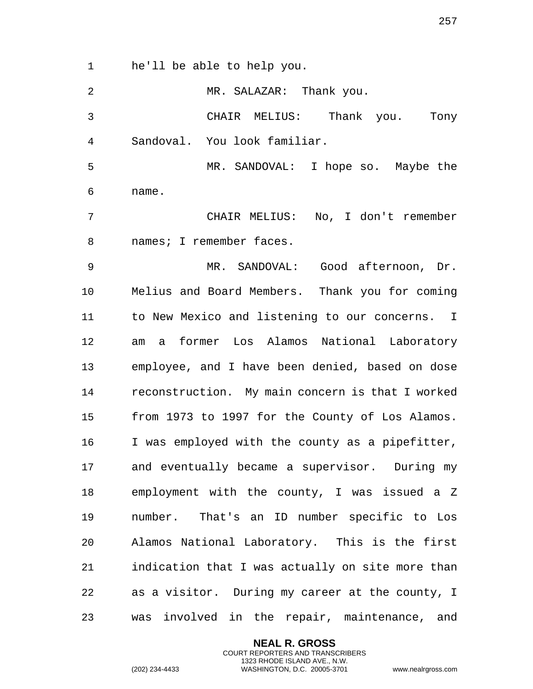he'll be able to help you.

| $\overline{2}$ | MR. SALAZAR: Thank you.                          |
|----------------|--------------------------------------------------|
| 3              | CHAIR MELIUS: Thank you. Tony                    |
| 4              | Sandoval. You look familiar.                     |
| 5              | MR. SANDOVAL: I hope so. Maybe the               |
| 6              | name.                                            |
| 7              | CHAIR MELIUS: No, I don't remember               |
| 8              | names; I remember faces.                         |
| 9              | MR. SANDOVAL: Good afternoon, Dr.                |
| 10             | Melius and Board Members. Thank you for coming   |
| 11             | to New Mexico and listening to our concerns. I   |
| 12             | a former Los Alamos National Laboratory<br>am    |
| 13             | employee, and I have been denied, based on dose  |
| 14             | reconstruction. My main concern is that I worked |
| 15             | from 1973 to 1997 for the County of Los Alamos.  |
| 16             | I was employed with the county as a pipefitter,  |
| 17             | and eventually became a supervisor. During my    |
| 18             | employment with the county, I was issued a Z     |
| 19             | number. That's an ID number specific to Los      |
| 20             | Alamos National Laboratory. This is the first    |
| 21             | indication that I was actually on site more than |
| 22             | as a visitor. During my career at the county, I  |
| 23             | was involved in the repair, maintenance, and     |

**NEAL R. GROSS** COURT REPORTERS AND TRANSCRIBERS 1323 RHODE ISLAND AVE., N.W.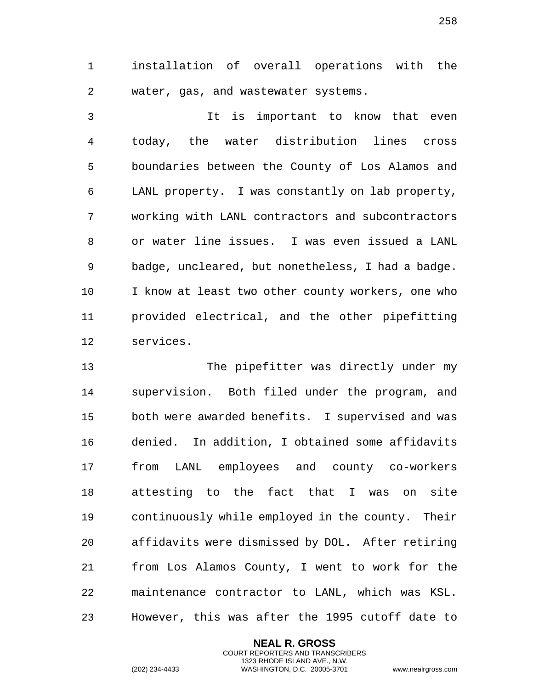installation of overall operations with the water, gas, and wastewater systems.

 It is important to know that even today, the water distribution lines cross boundaries between the County of Los Alamos and LANL property. I was constantly on lab property, working with LANL contractors and subcontractors or water line issues. I was even issued a LANL badge, uncleared, but nonetheless, I had a badge. I know at least two other county workers, one who provided electrical, and the other pipefitting services.

 The pipefitter was directly under my supervision. Both filed under the program, and both were awarded benefits. I supervised and was denied. In addition, I obtained some affidavits from LANL employees and county co-workers attesting to the fact that I was on site continuously while employed in the county. Their affidavits were dismissed by DOL. After retiring from Los Alamos County, I went to work for the maintenance contractor to LANL, which was KSL. However, this was after the 1995 cutoff date to

> **NEAL R. GROSS** COURT REPORTERS AND TRANSCRIBERS 1323 RHODE ISLAND AVE., N.W.

(202) 234-4433 WASHINGTON, D.C. 20005-3701 www.nealrgross.com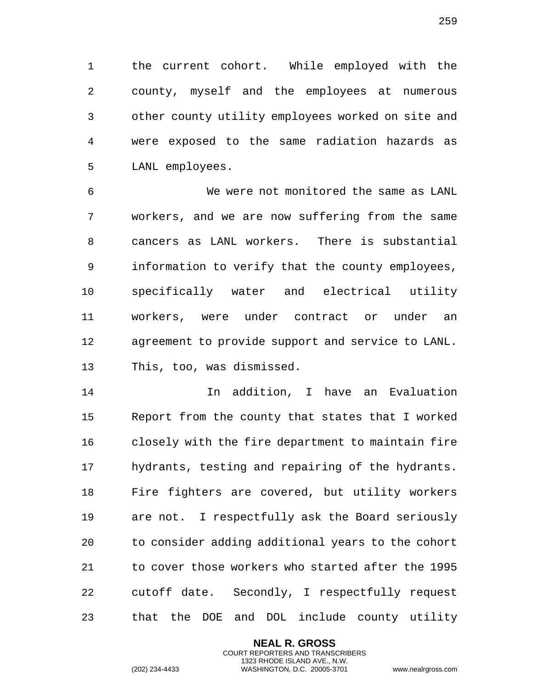the current cohort. While employed with the county, myself and the employees at numerous other county utility employees worked on site and were exposed to the same radiation hazards as LANL employees.

 We were not monitored the same as LANL workers, and we are now suffering from the same cancers as LANL workers. There is substantial information to verify that the county employees, specifically water and electrical utility workers, were under contract or under an agreement to provide support and service to LANL. This, too, was dismissed.

 In addition, I have an Evaluation Report from the county that states that I worked closely with the fire department to maintain fire hydrants, testing and repairing of the hydrants. Fire fighters are covered, but utility workers are not. I respectfully ask the Board seriously to consider adding additional years to the cohort to cover those workers who started after the 1995 cutoff date. Secondly, I respectfully request that the DOE and DOL include county utility

> **NEAL R. GROSS** COURT REPORTERS AND TRANSCRIBERS 1323 RHODE ISLAND AVE., N.W.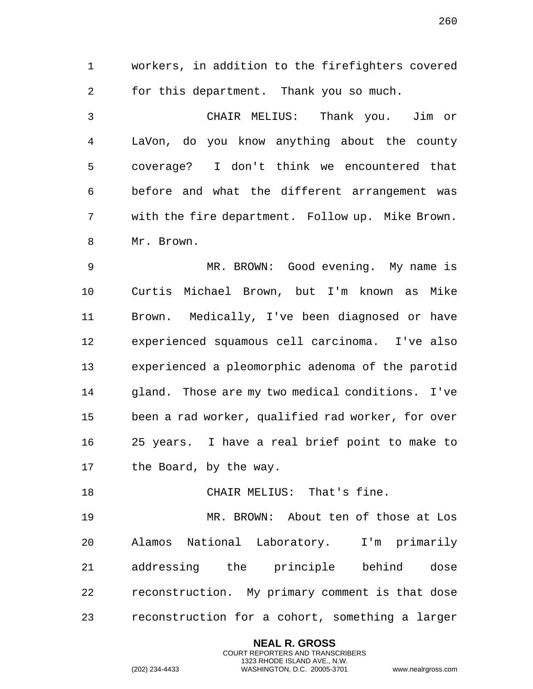workers, in addition to the firefighters covered for this department. Thank you so much. CHAIR MELIUS: Thank you. Jim or LaVon, do you know anything about the county coverage? I don't think we encountered that before and what the different arrangement was with the fire department. Follow up. Mike Brown.

Mr. Brown.

 MR. BROWN: Good evening. My name is Curtis Michael Brown, but I'm known as Mike Brown. Medically, I've been diagnosed or have experienced squamous cell carcinoma. I've also experienced a pleomorphic adenoma of the parotid gland. Those are my two medical conditions. I've been a rad worker, qualified rad worker, for over 25 years. I have a real brief point to make to 17 the Board, by the way.

18 CHAIR MELIUS: That's fine.

 MR. BROWN: About ten of those at Los Alamos National Laboratory. I'm primarily addressing the principle behind dose reconstruction. My primary comment is that dose reconstruction for a cohort, something a larger

> **NEAL R. GROSS** COURT REPORTERS AND TRANSCRIBERS 1323 RHODE ISLAND AVE., N.W.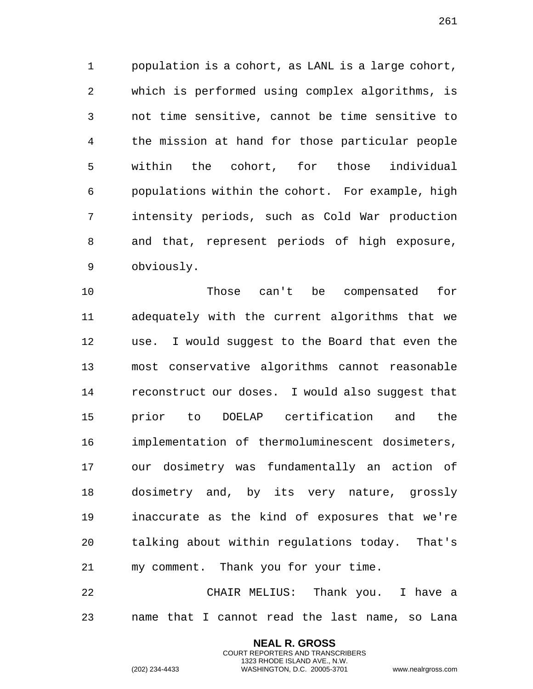population is a cohort, as LANL is a large cohort, which is performed using complex algorithms, is not time sensitive, cannot be time sensitive to the mission at hand for those particular people within the cohort, for those individual populations within the cohort. For example, high intensity periods, such as Cold War production and that, represent periods of high exposure, obviously.

 Those can't be compensated for adequately with the current algorithms that we use. I would suggest to the Board that even the most conservative algorithms cannot reasonable reconstruct our doses. I would also suggest that prior to DOELAP certification and the implementation of thermoluminescent dosimeters, our dosimetry was fundamentally an action of dosimetry and, by its very nature, grossly inaccurate as the kind of exposures that we're talking about within regulations today. That's my comment. Thank you for your time.

 CHAIR MELIUS: Thank you. I have a name that I cannot read the last name, so Lana

> **NEAL R. GROSS** COURT REPORTERS AND TRANSCRIBERS 1323 RHODE ISLAND AVE., N.W.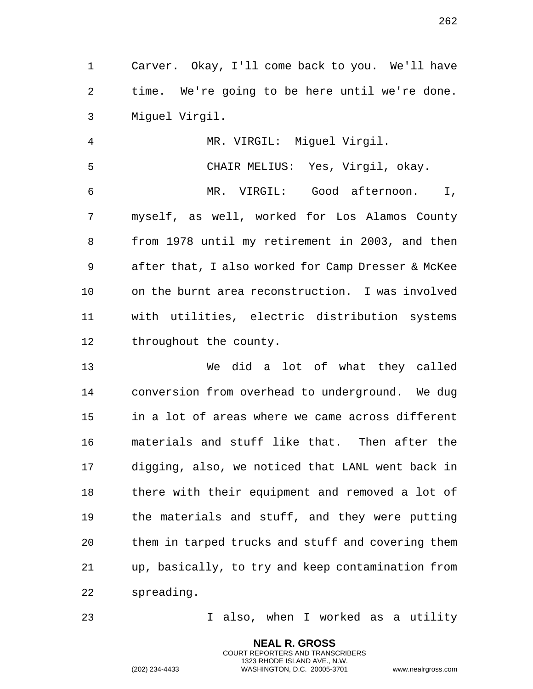Carver. Okay, I'll come back to you. We'll have time. We're going to be here until we're done. Miguel Virgil.

 MR. VIRGIL: Miguel Virgil. CHAIR MELIUS: Yes, Virgil, okay. MR. VIRGIL: Good afternoon. I, myself, as well, worked for Los Alamos County from 1978 until my retirement in 2003, and then after that, I also worked for Camp Dresser & McKee on the burnt area reconstruction. I was involved with utilities, electric distribution systems throughout the county.

 We did a lot of what they called conversion from overhead to underground. We dug in a lot of areas where we came across different materials and stuff like that. Then after the digging, also, we noticed that LANL went back in there with their equipment and removed a lot of the materials and stuff, and they were putting them in tarped trucks and stuff and covering them up, basically, to try and keep contamination from spreading.

I also, when I worked as a utility

**NEAL R. GROSS** COURT REPORTERS AND TRANSCRIBERS 1323 RHODE ISLAND AVE., N.W.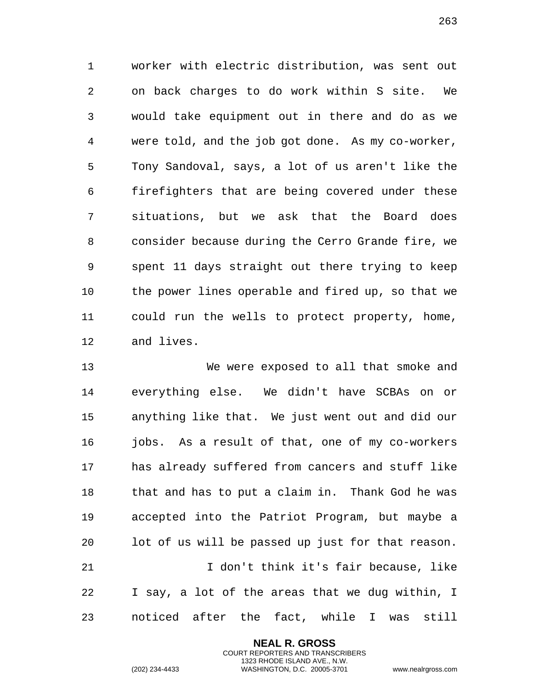worker with electric distribution, was sent out on back charges to do work within S site. We would take equipment out in there and do as we were told, and the job got done. As my co-worker, Tony Sandoval, says, a lot of us aren't like the firefighters that are being covered under these situations, but we ask that the Board does consider because during the Cerro Grande fire, we spent 11 days straight out there trying to keep the power lines operable and fired up, so that we could run the wells to protect property, home, and lives.

 We were exposed to all that smoke and everything else. We didn't have SCBAs on or anything like that. We just went out and did our jobs. As a result of that, one of my co-workers has already suffered from cancers and stuff like that and has to put a claim in. Thank God he was accepted into the Patriot Program, but maybe a lot of us will be passed up just for that reason. I don't think it's fair because, like I say, a lot of the areas that we dug within, I

noticed after the fact, while I was still

**NEAL R. GROSS** COURT REPORTERS AND TRANSCRIBERS 1323 RHODE ISLAND AVE., N.W.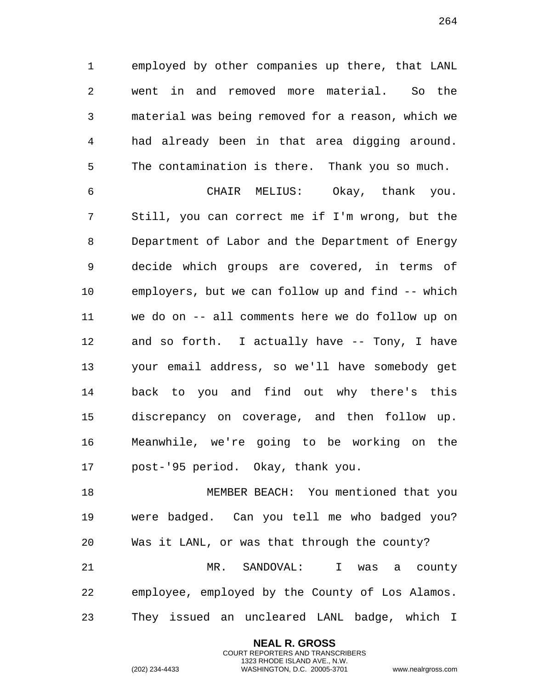employed by other companies up there, that LANL went in and removed more material. So the material was being removed for a reason, which we had already been in that area digging around. The contamination is there. Thank you so much.

 CHAIR MELIUS: Okay, thank you. Still, you can correct me if I'm wrong, but the Department of Labor and the Department of Energy decide which groups are covered, in terms of employers, but we can follow up and find -- which we do on -- all comments here we do follow up on and so forth. I actually have -- Tony, I have your email address, so we'll have somebody get back to you and find out why there's this discrepancy on coverage, and then follow up. Meanwhile, we're going to be working on the post-'95 period. Okay, thank you.

 MEMBER BEACH: You mentioned that you were badged. Can you tell me who badged you? Was it LANL, or was that through the county? MR. SANDOVAL: I was a county employee, employed by the County of Los Alamos. They issued an uncleared LANL badge, which I

> **NEAL R. GROSS** COURT REPORTERS AND TRANSCRIBERS 1323 RHODE ISLAND AVE., N.W.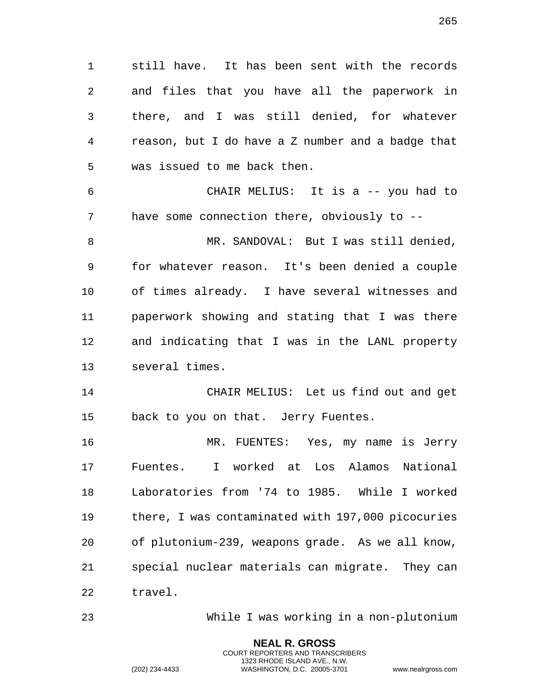still have. It has been sent with the records and files that you have all the paperwork in

 there, and I was still denied, for whatever reason, but I do have a Z number and a badge that was issued to me back then.

 CHAIR MELIUS: It is a -- you had to have some connection there, obviously to --

 MR. SANDOVAL: But I was still denied, for whatever reason. It's been denied a couple of times already. I have several witnesses and paperwork showing and stating that I was there and indicating that I was in the LANL property several times.

 CHAIR MELIUS: Let us find out and get back to you on that. Jerry Fuentes.

 MR. FUENTES: Yes, my name is Jerry Fuentes. I worked at Los Alamos National Laboratories from '74 to 1985. While I worked there, I was contaminated with 197,000 picocuries of plutonium-239, weapons grade. As we all know, special nuclear materials can migrate. They can travel.

While I was working in a non-plutonium

**NEAL R. GROSS** COURT REPORTERS AND TRANSCRIBERS 1323 RHODE ISLAND AVE., N.W.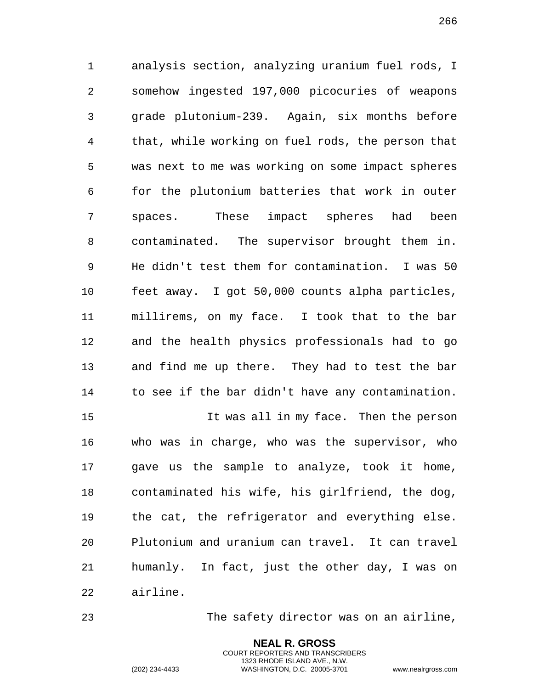analysis section, analyzing uranium fuel rods, I somehow ingested 197,000 picocuries of weapons grade plutonium-239. Again, six months before that, while working on fuel rods, the person that was next to me was working on some impact spheres for the plutonium batteries that work in outer spaces. These impact spheres had been contaminated. The supervisor brought them in. He didn't test them for contamination. I was 50 feet away. I got 50,000 counts alpha particles, millirems, on my face. I took that to the bar and the health physics professionals had to go and find me up there. They had to test the bar to see if the bar didn't have any contamination.

 It was all in my face. Then the person who was in charge, who was the supervisor, who gave us the sample to analyze, took it home, contaminated his wife, his girlfriend, the dog, the cat, the refrigerator and everything else. Plutonium and uranium can travel. It can travel humanly. In fact, just the other day, I was on airline.

The safety director was on an airline,

**NEAL R. GROSS** COURT REPORTERS AND TRANSCRIBERS 1323 RHODE ISLAND AVE., N.W.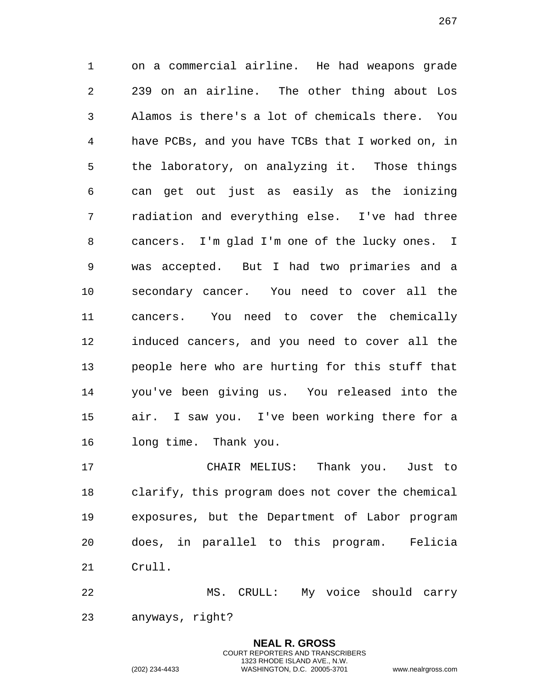on a commercial airline. He had weapons grade 239 on an airline. The other thing about Los Alamos is there's a lot of chemicals there. You have PCBs, and you have TCBs that I worked on, in the laboratory, on analyzing it. Those things can get out just as easily as the ionizing radiation and everything else. I've had three cancers. I'm glad I'm one of the lucky ones. I was accepted. But I had two primaries and a secondary cancer. You need to cover all the cancers. You need to cover the chemically induced cancers, and you need to cover all the people here who are hurting for this stuff that you've been giving us. You released into the air. I saw you. I've been working there for a long time. Thank you.

 CHAIR MELIUS: Thank you. Just to clarify, this program does not cover the chemical exposures, but the Department of Labor program does, in parallel to this program. Felicia Crull.

 MS. CRULL: My voice should carry anyways, right?

> **NEAL R. GROSS** COURT REPORTERS AND TRANSCRIBERS 1323 RHODE ISLAND AVE., N.W.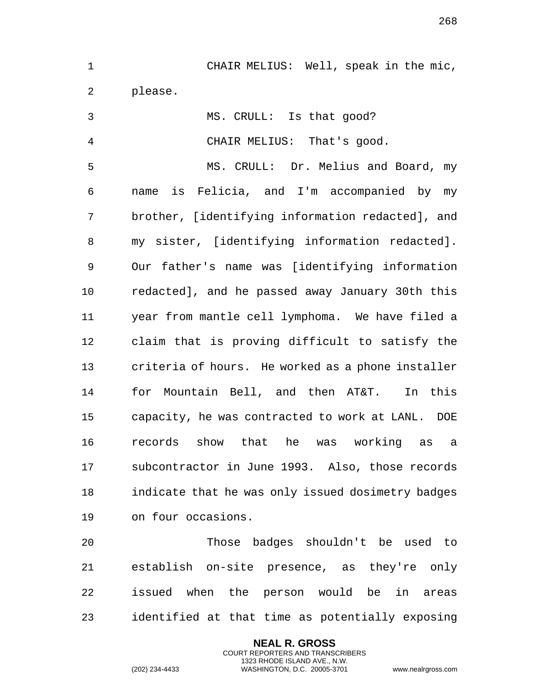CHAIR MELIUS: Well, speak in the mic, please. MS. CRULL: Is that good? CHAIR MELIUS: That's good. MS. CRULL: Dr. Melius and Board, my name is Felicia, and I'm accompanied by my brother, [identifying information redacted], and my sister, [identifying information redacted]. Our father's name was [identifying information redacted], and he passed away January 30th this year from mantle cell lymphoma. We have filed a claim that is proving difficult to satisfy the criteria of hours. He worked as a phone installer for Mountain Bell, and then AT&T. In this capacity, he was contracted to work at LANL. DOE records show that he was working as a subcontractor in June 1993. Also, those records indicate that he was only issued dosimetry badges on four occasions. Those badges shouldn't be used to establish on-site presence, as they're only

 issued when the person would be in areas identified at that time as potentially exposing

> **NEAL R. GROSS** COURT REPORTERS AND TRANSCRIBERS 1323 RHODE ISLAND AVE., N.W.

(202) 234-4433 WASHINGTON, D.C. 20005-3701 www.nealrgross.com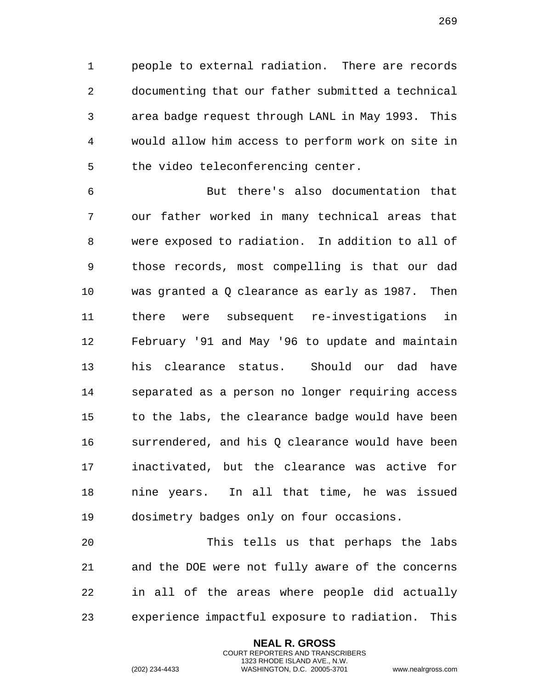people to external radiation. There are records documenting that our father submitted a technical area badge request through LANL in May 1993. This would allow him access to perform work on site in the video teleconferencing center.

 But there's also documentation that our father worked in many technical areas that were exposed to radiation. In addition to all of those records, most compelling is that our dad was granted a Q clearance as early as 1987. Then there were subsequent re-investigations in February '91 and May '96 to update and maintain his clearance status. Should our dad have separated as a person no longer requiring access to the labs, the clearance badge would have been surrendered, and his Q clearance would have been inactivated, but the clearance was active for nine years. In all that time, he was issued dosimetry badges only on four occasions.

 This tells us that perhaps the labs and the DOE were not fully aware of the concerns in all of the areas where people did actually experience impactful exposure to radiation. This

> **NEAL R. GROSS** COURT REPORTERS AND TRANSCRIBERS 1323 RHODE ISLAND AVE., N.W.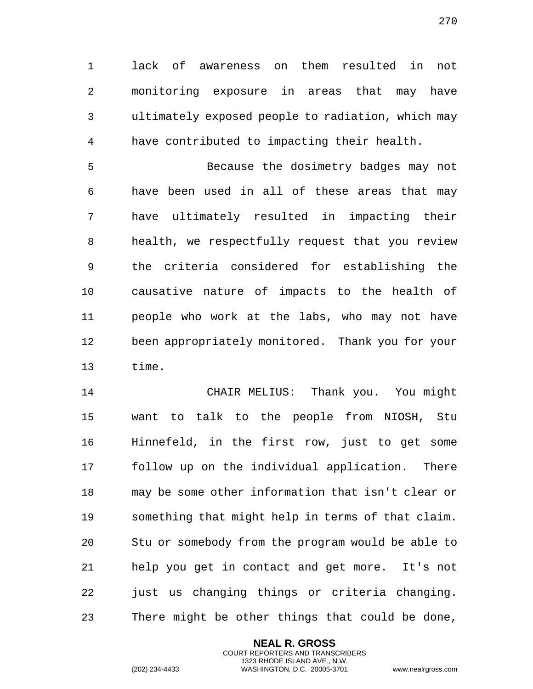lack of awareness on them resulted in not monitoring exposure in areas that may have ultimately exposed people to radiation, which may have contributed to impacting their health.

 Because the dosimetry badges may not have been used in all of these areas that may have ultimately resulted in impacting their health, we respectfully request that you review the criteria considered for establishing the causative nature of impacts to the health of people who work at the labs, who may not have been appropriately monitored. Thank you for your time.

 CHAIR MELIUS: Thank you. You might want to talk to the people from NIOSH, Stu Hinnefeld, in the first row, just to get some follow up on the individual application. There may be some other information that isn't clear or something that might help in terms of that claim. Stu or somebody from the program would be able to help you get in contact and get more. It's not just us changing things or criteria changing. There might be other things that could be done,

> **NEAL R. GROSS** COURT REPORTERS AND TRANSCRIBERS 1323 RHODE ISLAND AVE., N.W.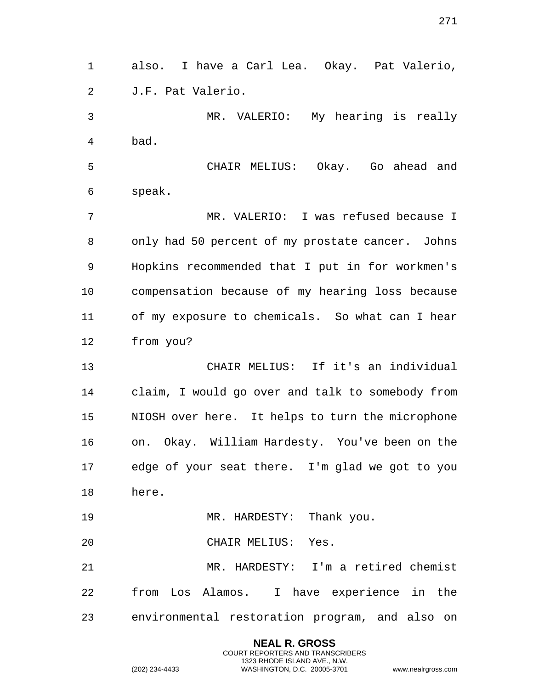also. I have a Carl Lea. Okay. Pat Valerio, J.F. Pat Valerio.

 MR. VALERIO: My hearing is really bad.

 CHAIR MELIUS: Okay. Go ahead and speak.

 MR. VALERIO: I was refused because I only had 50 percent of my prostate cancer. Johns Hopkins recommended that I put in for workmen's compensation because of my hearing loss because of my exposure to chemicals. So what can I hear from you?

 CHAIR MELIUS: If it's an individual claim, I would go over and talk to somebody from NIOSH over here. It helps to turn the microphone on. Okay. William Hardesty. You've been on the edge of your seat there. I'm glad we got to you here.

19 MR. HARDESTY: Thank you.

CHAIR MELIUS: Yes.

 MR. HARDESTY: I'm a retired chemist from Los Alamos. I have experience in the environmental restoration program, and also on

> **NEAL R. GROSS** COURT REPORTERS AND TRANSCRIBERS 1323 RHODE ISLAND AVE., N.W.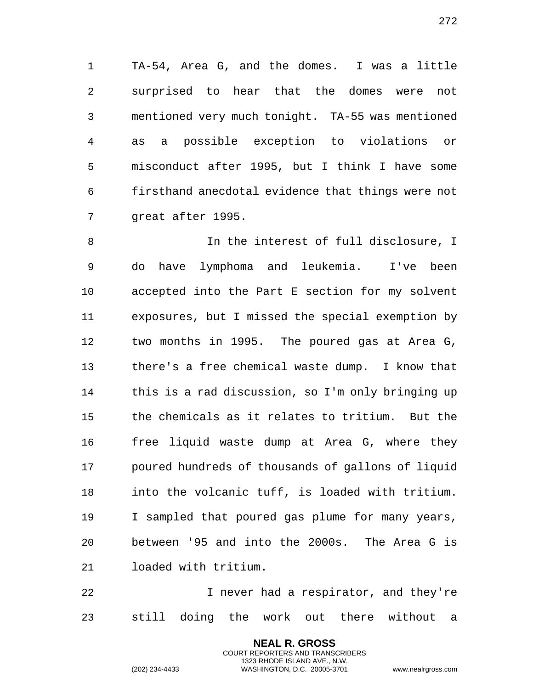TA-54, Area G, and the domes. I was a little surprised to hear that the domes were not mentioned very much tonight. TA-55 was mentioned as a possible exception to violations or misconduct after 1995, but I think I have some firsthand anecdotal evidence that things were not 7 great after 1995.

 In the interest of full disclosure, I do have lymphoma and leukemia. I've been accepted into the Part E section for my solvent exposures, but I missed the special exemption by two months in 1995. The poured gas at Area G, there's a free chemical waste dump. I know that this is a rad discussion, so I'm only bringing up the chemicals as it relates to tritium. But the free liquid waste dump at Area G, where they poured hundreds of thousands of gallons of liquid into the volcanic tuff, is loaded with tritium. I sampled that poured gas plume for many years, between '95 and into the 2000s. The Area G is loaded with tritium.

 I never had a respirator, and they're still doing the work out there without a

> **NEAL R. GROSS** COURT REPORTERS AND TRANSCRIBERS 1323 RHODE ISLAND AVE., N.W.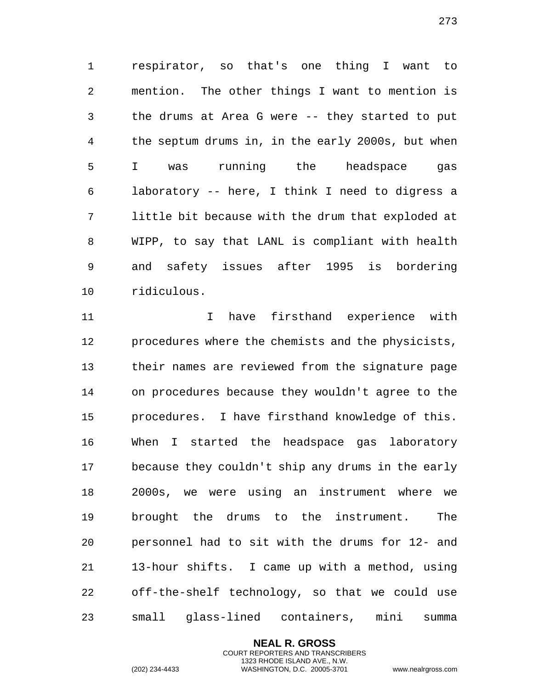respirator, so that's one thing I want to mention. The other things I want to mention is the drums at Area G were -- they started to put the septum drums in, in the early 2000s, but when I was running the headspace gas laboratory -- here, I think I need to digress a little bit because with the drum that exploded at WIPP, to say that LANL is compliant with health and safety issues after 1995 is bordering ridiculous.

 I have firsthand experience with procedures where the chemists and the physicists, their names are reviewed from the signature page on procedures because they wouldn't agree to the procedures. I have firsthand knowledge of this. When I started the headspace gas laboratory because they couldn't ship any drums in the early 2000s, we were using an instrument where we brought the drums to the instrument. The personnel had to sit with the drums for 12- and 13-hour shifts. I came up with a method, using off-the-shelf technology, so that we could use small glass-lined containers, mini summa

> **NEAL R. GROSS** COURT REPORTERS AND TRANSCRIBERS 1323 RHODE ISLAND AVE., N.W.

(202) 234-4433 WASHINGTON, D.C. 20005-3701 www.nealrgross.com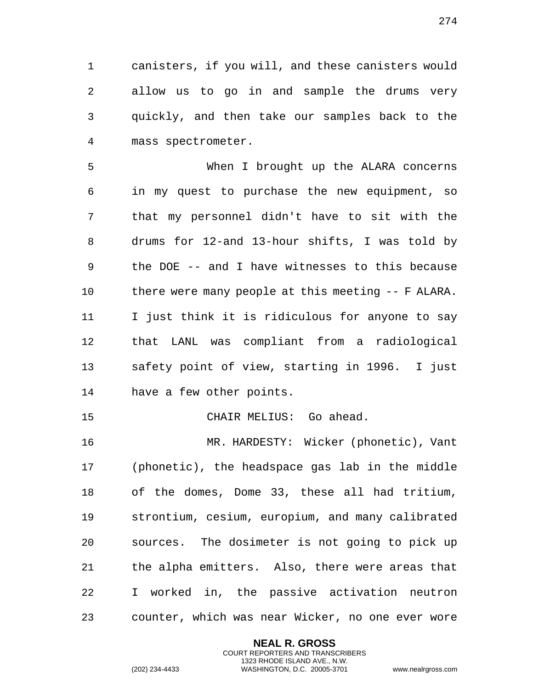canisters, if you will, and these canisters would allow us to go in and sample the drums very quickly, and then take our samples back to the mass spectrometer.

 When I brought up the ALARA concerns in my quest to purchase the new equipment, so that my personnel didn't have to sit with the drums for 12-and 13-hour shifts, I was told by the DOE -- and I have witnesses to this because there were many people at this meeting -- F ALARA. I just think it is ridiculous for anyone to say that LANL was compliant from a radiological safety point of view, starting in 1996. I just have a few other points.

CHAIR MELIUS: Go ahead.

 MR. HARDESTY: Wicker (phonetic), Vant (phonetic), the headspace gas lab in the middle of the domes, Dome 33, these all had tritium, strontium, cesium, europium, and many calibrated sources. The dosimeter is not going to pick up the alpha emitters. Also, there were areas that I worked in, the passive activation neutron counter, which was near Wicker, no one ever wore

> **NEAL R. GROSS** COURT REPORTERS AND TRANSCRIBERS 1323 RHODE ISLAND AVE., N.W.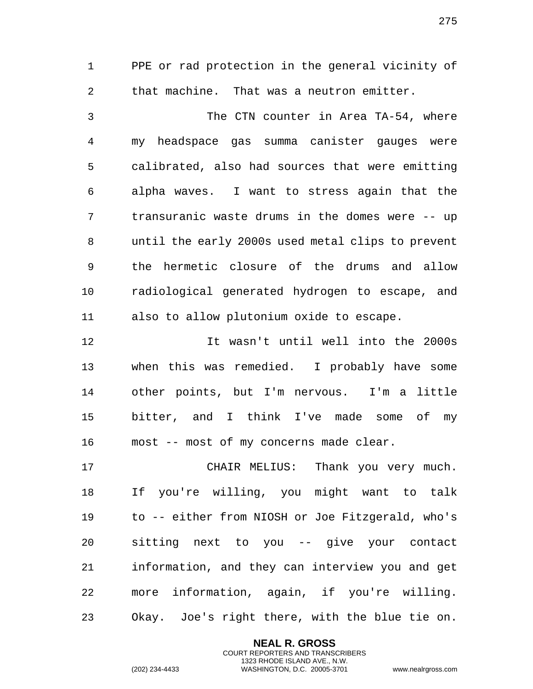PPE or rad protection in the general vicinity of that machine. That was a neutron emitter.

 The CTN counter in Area TA-54, where my headspace gas summa canister gauges were calibrated, also had sources that were emitting alpha waves. I want to stress again that the transuranic waste drums in the domes were -- up until the early 2000s used metal clips to prevent the hermetic closure of the drums and allow radiological generated hydrogen to escape, and also to allow plutonium oxide to escape.

 It wasn't until well into the 2000s when this was remedied. I probably have some other points, but I'm nervous. I'm a little bitter, and I think I've made some of my most -- most of my concerns made clear.

 CHAIR MELIUS: Thank you very much. If you're willing, you might want to talk to -- either from NIOSH or Joe Fitzgerald, who's sitting next to you -- give your contact information, and they can interview you and get more information, again, if you're willing. Okay. Joe's right there, with the blue tie on.

> **NEAL R. GROSS** COURT REPORTERS AND TRANSCRIBERS 1323 RHODE ISLAND AVE., N.W.

(202) 234-4433 WASHINGTON, D.C. 20005-3701 www.nealrgross.com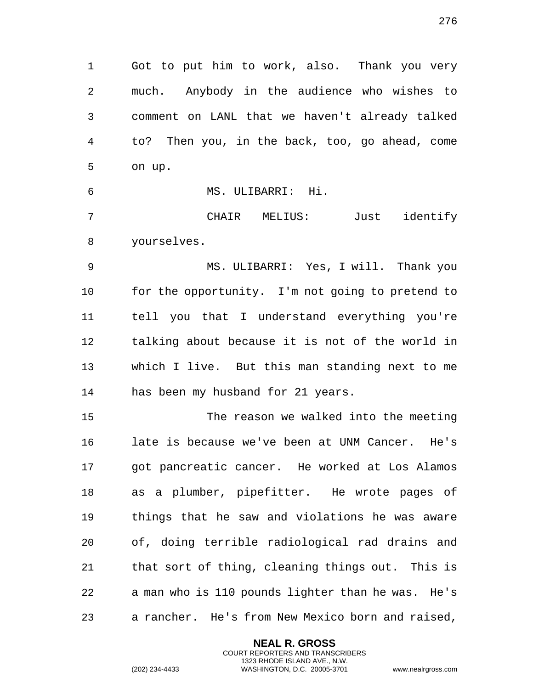Got to put him to work, also. Thank you very much. Anybody in the audience who wishes to comment on LANL that we haven't already talked to? Then you, in the back, too, go ahead, come on up.

 MS. ULIBARRI: Hi. CHAIR MELIUS: Just identify

 MS. ULIBARRI: Yes, I will. Thank you for the opportunity. I'm not going to pretend to tell you that I understand everything you're talking about because it is not of the world in which I live. But this man standing next to me has been my husband for 21 years.

 The reason we walked into the meeting late is because we've been at UNM Cancer. He's got pancreatic cancer. He worked at Los Alamos as a plumber, pipefitter. He wrote pages of things that he saw and violations he was aware of, doing terrible radiological rad drains and that sort of thing, cleaning things out. This is a man who is 110 pounds lighter than he was. He's a rancher. He's from New Mexico born and raised,

> **NEAL R. GROSS** COURT REPORTERS AND TRANSCRIBERS 1323 RHODE ISLAND AVE., N.W.

yourselves.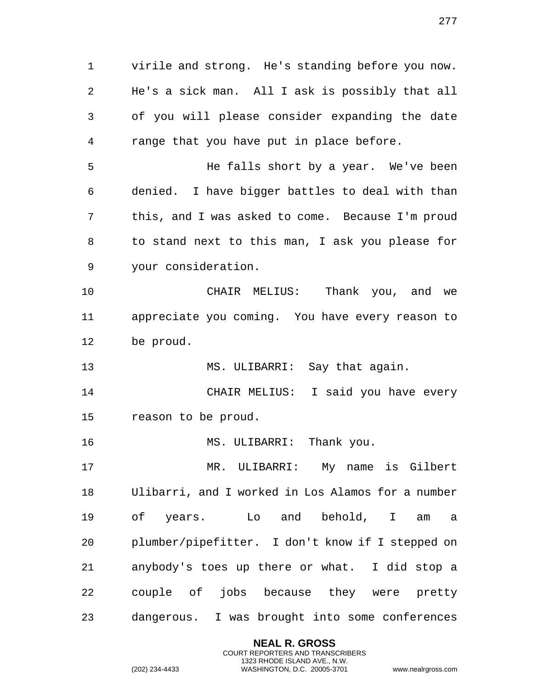virile and strong. He's standing before you now. He's a sick man. All I ask is possibly that all of you will please consider expanding the date range that you have put in place before. He falls short by a year. We've been denied. I have bigger battles to deal with than this, and I was asked to come. Because I'm proud to stand next to this man, I ask you please for your consideration. CHAIR MELIUS: Thank you, and we appreciate you coming. You have every reason to be proud. MS. ULIBARRI: Say that again. CHAIR MELIUS: I said you have every reason to be proud. 16 MS. ULIBARRI: Thank you. MR. ULIBARRI: My name is Gilbert Ulibarri, and I worked in Los Alamos for a number of years. Lo and behold, I am a plumber/pipefitter. I don't know if I stepped on anybody's toes up there or what. I did stop a couple of jobs because they were pretty dangerous. I was brought into some conferences

> **NEAL R. GROSS** COURT REPORTERS AND TRANSCRIBERS 1323 RHODE ISLAND AVE., N.W.

(202) 234-4433 WASHINGTON, D.C. 20005-3701 www.nealrgross.com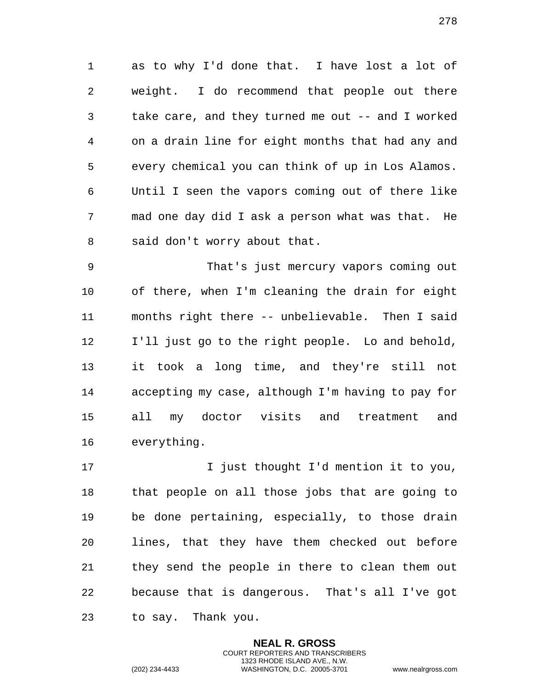as to why I'd done that. I have lost a lot of weight. I do recommend that people out there take care, and they turned me out -- and I worked on a drain line for eight months that had any and every chemical you can think of up in Los Alamos. Until I seen the vapors coming out of there like mad one day did I ask a person what was that. He said don't worry about that.

 That's just mercury vapors coming out of there, when I'm cleaning the drain for eight months right there -- unbelievable. Then I said I'll just go to the right people. Lo and behold, it took a long time, and they're still not accepting my case, although I'm having to pay for all my doctor visits and treatment and everything.

17 17 I just thought I'd mention it to you, that people on all those jobs that are going to be done pertaining, especially, to those drain lines, that they have them checked out before they send the people in there to clean them out because that is dangerous. That's all I've got to say. Thank you.

> **NEAL R. GROSS** COURT REPORTERS AND TRANSCRIBERS 1323 RHODE ISLAND AVE., N.W.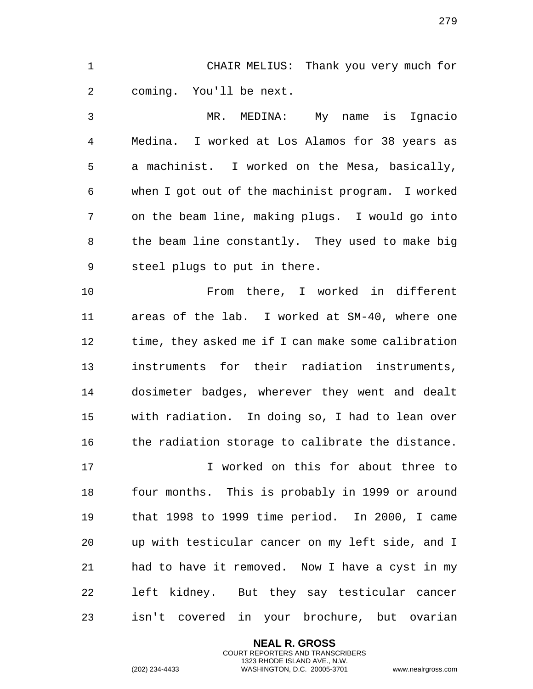CHAIR MELIUS: Thank you very much for coming. You'll be next.

 MR. MEDINA: My name is Ignacio Medina. I worked at Los Alamos for 38 years as a machinist. I worked on the Mesa, basically, when I got out of the machinist program. I worked on the beam line, making plugs. I would go into the beam line constantly. They used to make big steel plugs to put in there.

 From there, I worked in different areas of the lab. I worked at SM-40, where one time, they asked me if I can make some calibration instruments for their radiation instruments, dosimeter badges, wherever they went and dealt with radiation. In doing so, I had to lean over the radiation storage to calibrate the distance.

 I worked on this for about three to four months. This is probably in 1999 or around that 1998 to 1999 time period. In 2000, I came up with testicular cancer on my left side, and I had to have it removed. Now I have a cyst in my left kidney. But they say testicular cancer isn't covered in your brochure, but ovarian

> **NEAL R. GROSS** COURT REPORTERS AND TRANSCRIBERS 1323 RHODE ISLAND AVE., N.W.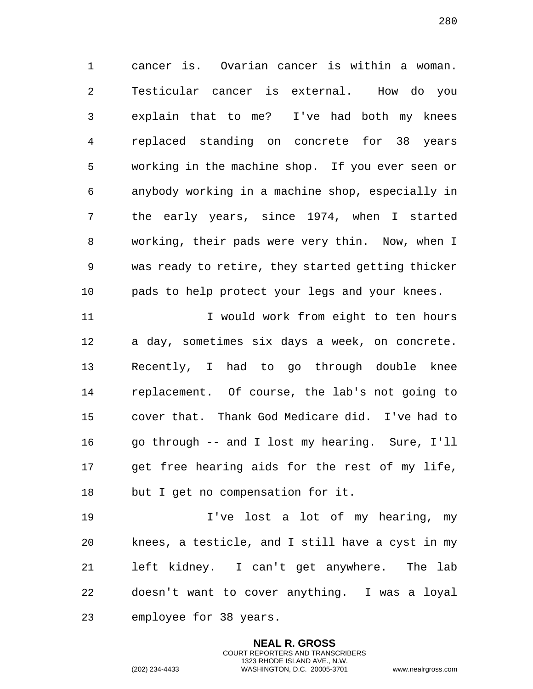cancer is. Ovarian cancer is within a woman. Testicular cancer is external. How do you explain that to me? I've had both my knees replaced standing on concrete for 38 years working in the machine shop. If you ever seen or anybody working in a machine shop, especially in the early years, since 1974, when I started working, their pads were very thin. Now, when I was ready to retire, they started getting thicker pads to help protect your legs and your knees.

 I would work from eight to ten hours a day, sometimes six days a week, on concrete. Recently, I had to go through double knee replacement. Of course, the lab's not going to cover that. Thank God Medicare did. I've had to go through -- and I lost my hearing. Sure, I'll get free hearing aids for the rest of my life, but I get no compensation for it.

 I've lost a lot of my hearing, my knees, a testicle, and I still have a cyst in my left kidney. I can't get anywhere. The lab doesn't want to cover anything. I was a loyal employee for 38 years.

> **NEAL R. GROSS** COURT REPORTERS AND TRANSCRIBERS 1323 RHODE ISLAND AVE., N.W.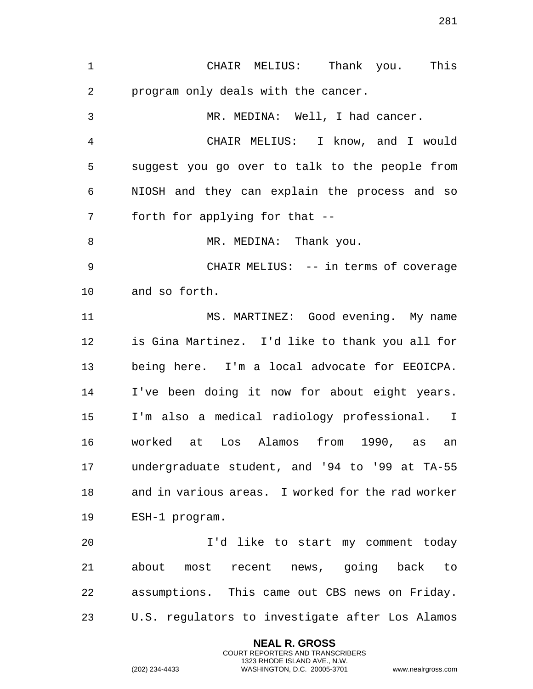CHAIR MELIUS: Thank you. This program only deals with the cancer. MR. MEDINA: Well, I had cancer. CHAIR MELIUS: I know, and I would suggest you go over to talk to the people from NIOSH and they can explain the process and so forth for applying for that -- 8 MR. MEDINA: Thank you. CHAIR MELIUS: -- in terms of coverage and so forth. MS. MARTINEZ: Good evening. My name is Gina Martinez. I'd like to thank you all for being here. I'm a local advocate for EEOICPA. I've been doing it now for about eight years. I'm also a medical radiology professional. I worked at Los Alamos from 1990, as an undergraduate student, and '94 to '99 at TA-55 and in various areas. I worked for the rad worker ESH-1 program. I'd like to start my comment today about most recent news, going back to assumptions. This came out CBS news on Friday. U.S. regulators to investigate after Los Alamos

> **NEAL R. GROSS** COURT REPORTERS AND TRANSCRIBERS 1323 RHODE ISLAND AVE., N.W.

(202) 234-4433 WASHINGTON, D.C. 20005-3701 www.nealrgross.com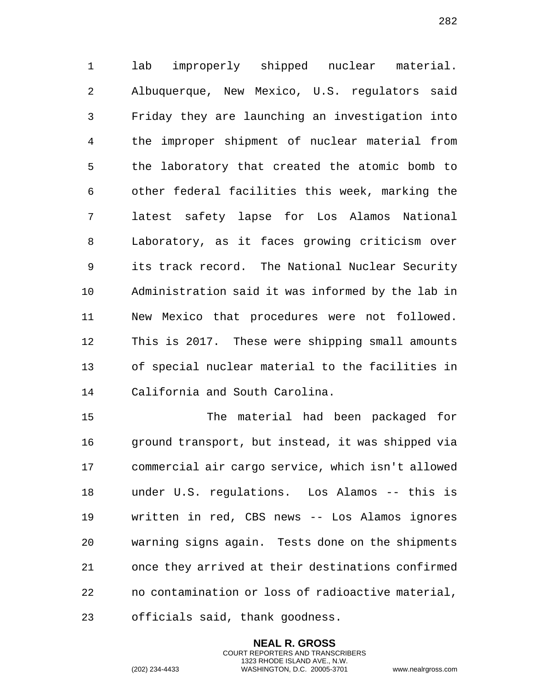lab improperly shipped nuclear material. Albuquerque, New Mexico, U.S. regulators said Friday they are launching an investigation into the improper shipment of nuclear material from the laboratory that created the atomic bomb to other federal facilities this week, marking the latest safety lapse for Los Alamos National Laboratory, as it faces growing criticism over its track record. The National Nuclear Security Administration said it was informed by the lab in New Mexico that procedures were not followed. This is 2017. These were shipping small amounts of special nuclear material to the facilities in California and South Carolina.

 The material had been packaged for ground transport, but instead, it was shipped via commercial air cargo service, which isn't allowed under U.S. regulations. Los Alamos -- this is written in red, CBS news -- Los Alamos ignores warning signs again. Tests done on the shipments once they arrived at their destinations confirmed no contamination or loss of radioactive material, officials said, thank goodness.

> **NEAL R. GROSS** COURT REPORTERS AND TRANSCRIBERS 1323 RHODE ISLAND AVE., N.W.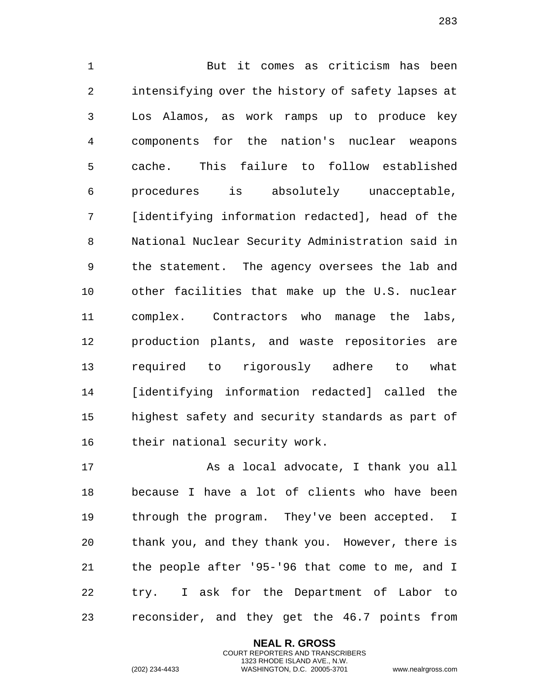But it comes as criticism has been intensifying over the history of safety lapses at Los Alamos, as work ramps up to produce key components for the nation's nuclear weapons cache. This failure to follow established procedures is absolutely unacceptable, [identifying information redacted], head of the National Nuclear Security Administration said in the statement. The agency oversees the lab and other facilities that make up the U.S. nuclear complex. Contractors who manage the labs, production plants, and waste repositories are required to rigorously adhere to what [identifying information redacted] called the highest safety and security standards as part of their national security work.

 As a local advocate, I thank you all because I have a lot of clients who have been through the program. They've been accepted. I thank you, and they thank you. However, there is the people after '95-'96 that come to me, and I try. I ask for the Department of Labor to reconsider, and they get the 46.7 points from

> **NEAL R. GROSS** COURT REPORTERS AND TRANSCRIBERS 1323 RHODE ISLAND AVE., N.W.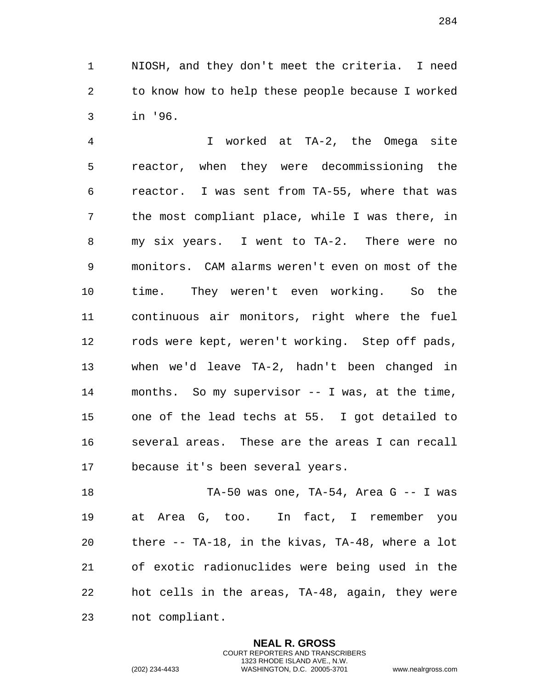NIOSH, and they don't meet the criteria. I need to know how to help these people because I worked in '96.

 I worked at TA-2, the Omega site reactor, when they were decommissioning the reactor. I was sent from TA-55, where that was the most compliant place, while I was there, in my six years. I went to TA-2. There were no monitors. CAM alarms weren't even on most of the time. They weren't even working. So the continuous air monitors, right where the fuel rods were kept, weren't working. Step off pads, when we'd leave TA-2, hadn't been changed in months. So my supervisor -- I was, at the time, one of the lead techs at 55. I got detailed to several areas. These are the areas I can recall because it's been several years.

 TA-50 was one, TA-54, Area G -- I was at Area G, too. In fact, I remember you there -- TA-18, in the kivas, TA-48, where a lot of exotic radionuclides were being used in the hot cells in the areas, TA-48, again, they were not compliant.

> **NEAL R. GROSS** COURT REPORTERS AND TRANSCRIBERS 1323 RHODE ISLAND AVE., N.W.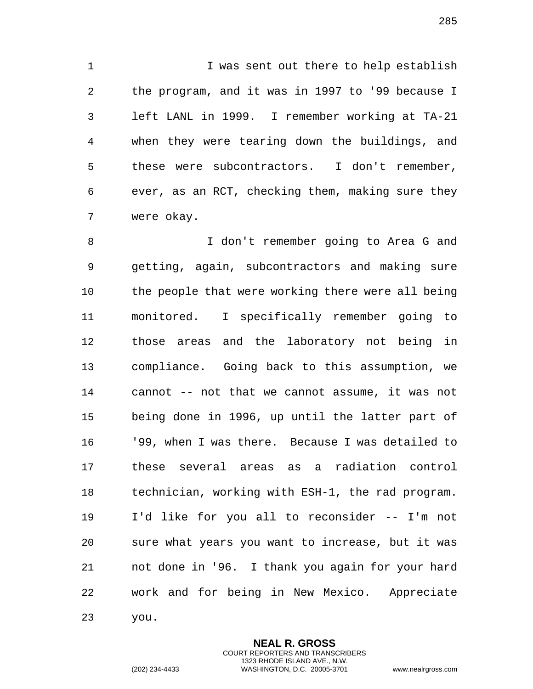I was sent out there to help establish the program, and it was in 1997 to '99 because I left LANL in 1999. I remember working at TA-21 when they were tearing down the buildings, and these were subcontractors. I don't remember, ever, as an RCT, checking them, making sure they were okay.

 I don't remember going to Area G and getting, again, subcontractors and making sure 10 the people that were working there were all being monitored. I specifically remember going to those areas and the laboratory not being in compliance. Going back to this assumption, we cannot -- not that we cannot assume, it was not being done in 1996, up until the latter part of '99, when I was there. Because I was detailed to these several areas as a radiation control technician, working with ESH-1, the rad program. I'd like for you all to reconsider -- I'm not sure what years you want to increase, but it was not done in '96. I thank you again for your hard work and for being in New Mexico. Appreciate you.

> **NEAL R. GROSS** COURT REPORTERS AND TRANSCRIBERS 1323 RHODE ISLAND AVE., N.W.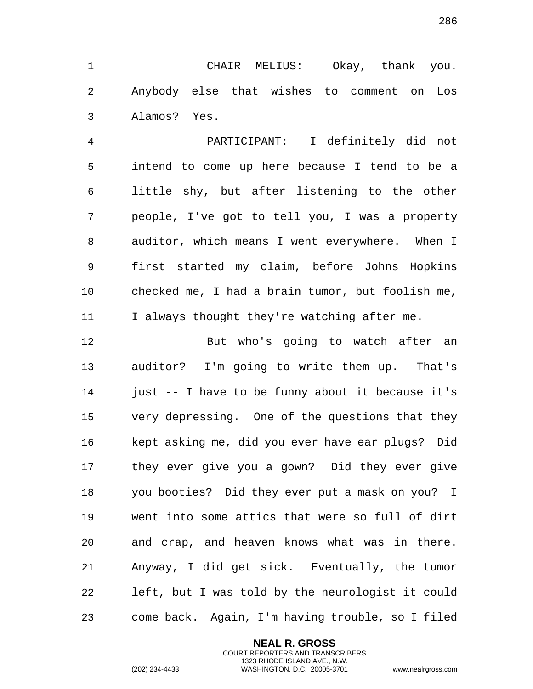CHAIR MELIUS: Okay, thank you. Anybody else that wishes to comment on Los Alamos? Yes.

 PARTICIPANT: I definitely did not intend to come up here because I tend to be a little shy, but after listening to the other people, I've got to tell you, I was a property auditor, which means I went everywhere. When I first started my claim, before Johns Hopkins checked me, I had a brain tumor, but foolish me, I always thought they're watching after me.

12 But who's going to watch after an auditor? I'm going to write them up. That's just -- I have to be funny about it because it's very depressing. One of the questions that they kept asking me, did you ever have ear plugs? Did they ever give you a gown? Did they ever give you booties? Did they ever put a mask on you? I went into some attics that were so full of dirt and crap, and heaven knows what was in there. Anyway, I did get sick. Eventually, the tumor left, but I was told by the neurologist it could come back. Again, I'm having trouble, so I filed

> **NEAL R. GROSS** COURT REPORTERS AND TRANSCRIBERS 1323 RHODE ISLAND AVE., N.W.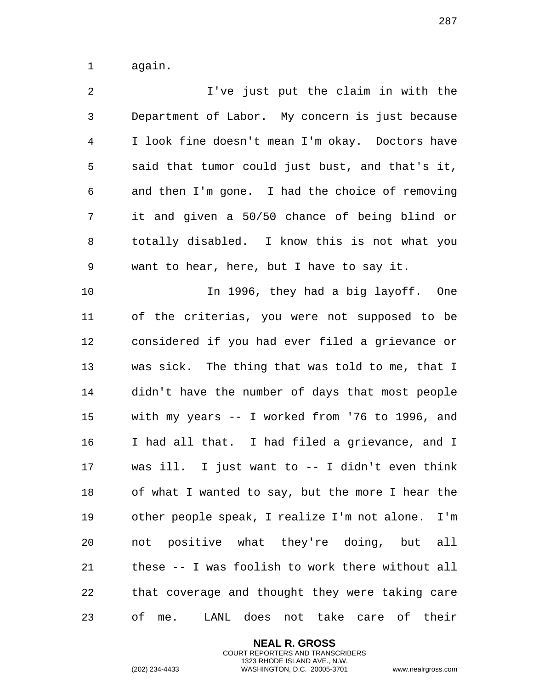again.

 I've just put the claim in with the Department of Labor. My concern is just because I look fine doesn't mean I'm okay. Doctors have said that tumor could just bust, and that's it, and then I'm gone. I had the choice of removing it and given a 50/50 chance of being blind or totally disabled. I know this is not what you want to hear, here, but I have to say it. In 1996, they had a big layoff. One of the criterias, you were not supposed to be considered if you had ever filed a grievance or was sick. The thing that was told to me, that I didn't have the number of days that most people with my years -- I worked from '76 to 1996, and I had all that. I had filed a grievance, and I was ill. I just want to -- I didn't even think of what I wanted to say, but the more I hear the other people speak, I realize I'm not alone. I'm not positive what they're doing, but all these -- I was foolish to work there without all that coverage and thought they were taking care of me. LANL does not take care of their

> **NEAL R. GROSS** COURT REPORTERS AND TRANSCRIBERS 1323 RHODE ISLAND AVE., N.W.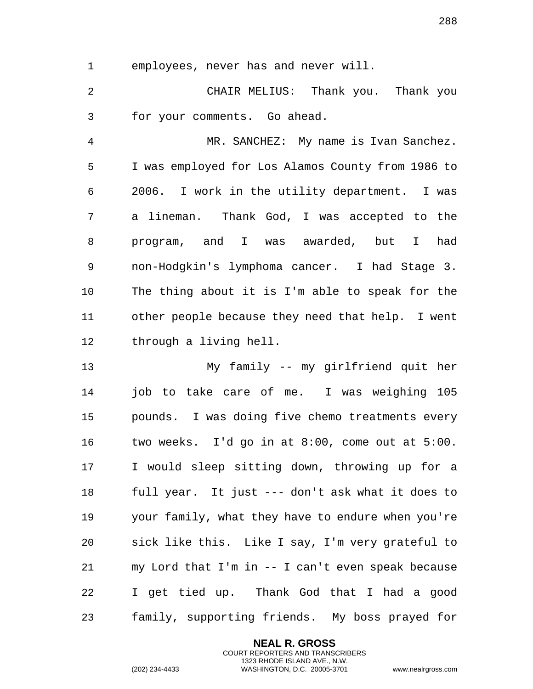employees, never has and never will.

 CHAIR MELIUS: Thank you. Thank you for your comments. Go ahead.

 MR. SANCHEZ: My name is Ivan Sanchez. I was employed for Los Alamos County from 1986 to 2006. I work in the utility department. I was a lineman. Thank God, I was accepted to the program, and I was awarded, but I had non-Hodgkin's lymphoma cancer. I had Stage 3. The thing about it is I'm able to speak for the other people because they need that help. I went through a living hell.

 My family -- my girlfriend quit her job to take care of me. I was weighing 105 pounds. I was doing five chemo treatments every two weeks. I'd go in at 8:00, come out at 5:00. I would sleep sitting down, throwing up for a full year. It just --- don't ask what it does to your family, what they have to endure when you're sick like this. Like I say, I'm very grateful to my Lord that I'm in -- I can't even speak because I get tied up. Thank God that I had a good family, supporting friends. My boss prayed for

> **NEAL R. GROSS** COURT REPORTERS AND TRANSCRIBERS 1323 RHODE ISLAND AVE., N.W.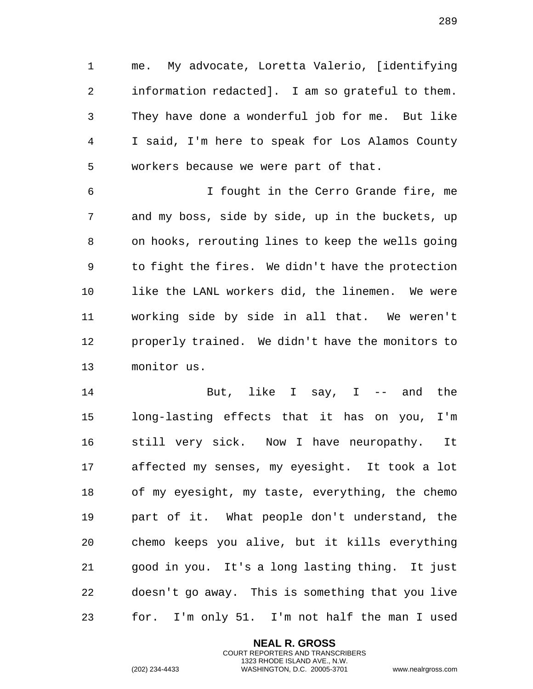me. My advocate, Loretta Valerio, [identifying information redacted]. I am so grateful to them. They have done a wonderful job for me. But like I said, I'm here to speak for Los Alamos County workers because we were part of that.

 I fought in the Cerro Grande fire, me and my boss, side by side, up in the buckets, up on hooks, rerouting lines to keep the wells going to fight the fires. We didn't have the protection like the LANL workers did, the linemen. We were working side by side in all that. We weren't properly trained. We didn't have the monitors to monitor us.

 But, like I say, I -- and the long-lasting effects that it has on you, I'm still very sick. Now I have neuropathy. It affected my senses, my eyesight. It took a lot of my eyesight, my taste, everything, the chemo part of it. What people don't understand, the chemo keeps you alive, but it kills everything good in you. It's a long lasting thing. It just doesn't go away. This is something that you live for. I'm only 51. I'm not half the man I used

> **NEAL R. GROSS** COURT REPORTERS AND TRANSCRIBERS 1323 RHODE ISLAND AVE., N.W.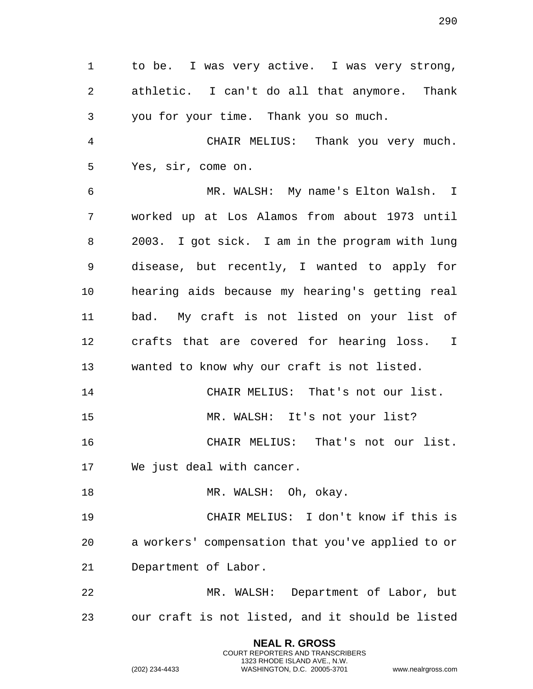to be. I was very active. I was very strong, athletic. I can't do all that anymore. Thank you for your time. Thank you so much. CHAIR MELIUS: Thank you very much. Yes, sir, come on. MR. WALSH: My name's Elton Walsh. I worked up at Los Alamos from about 1973 until 2003. I got sick. I am in the program with lung disease, but recently, I wanted to apply for hearing aids because my hearing's getting real bad. My craft is not listed on your list of crafts that are covered for hearing loss. I wanted to know why our craft is not listed. CHAIR MELIUS: That's not our list. MR. WALSH: It's not your list? CHAIR MELIUS: That's not our list. We just deal with cancer. 18 MR. WALSH: Oh, okay. CHAIR MELIUS: I don't know if this is a workers' compensation that you've applied to or Department of Labor. MR. WALSH: Department of Labor, but our craft is not listed, and it should be listed

> **NEAL R. GROSS** COURT REPORTERS AND TRANSCRIBERS 1323 RHODE ISLAND AVE., N.W.

(202) 234-4433 WASHINGTON, D.C. 20005-3701 www.nealrgross.com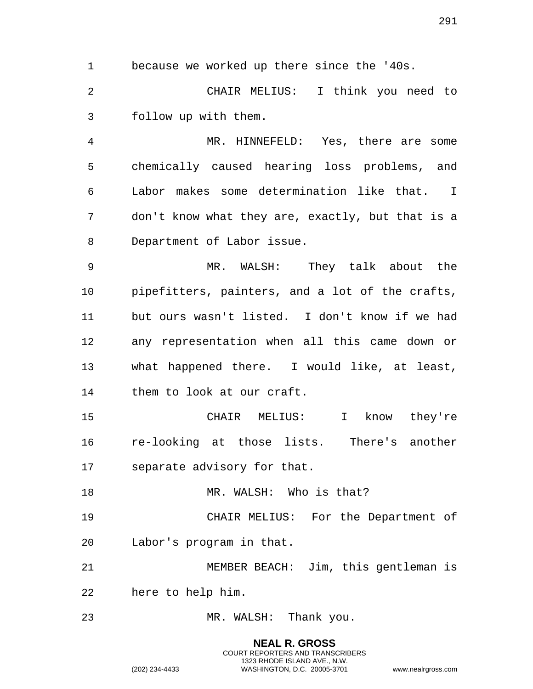because we worked up there since the '40s.

 CHAIR MELIUS: I think you need to follow up with them.

 MR. HINNEFELD: Yes, there are some chemically caused hearing loss problems, and Labor makes some determination like that. I don't know what they are, exactly, but that is a Department of Labor issue.

 MR. WALSH: They talk about the pipefitters, painters, and a lot of the crafts, but ours wasn't listed. I don't know if we had any representation when all this came down or what happened there. I would like, at least, them to look at our craft.

 CHAIR MELIUS: I know they're re-looking at those lists. There's another separate advisory for that.

18 MR. WALSH: Who is that?

 CHAIR MELIUS: For the Department of Labor's program in that.

 MEMBER BEACH: Jim, this gentleman is here to help him.

MR. WALSH: Thank you.

**NEAL R. GROSS** COURT REPORTERS AND TRANSCRIBERS 1323 RHODE ISLAND AVE., N.W. (202) 234-4433 WASHINGTON, D.C. 20005-3701 www.nealrgross.com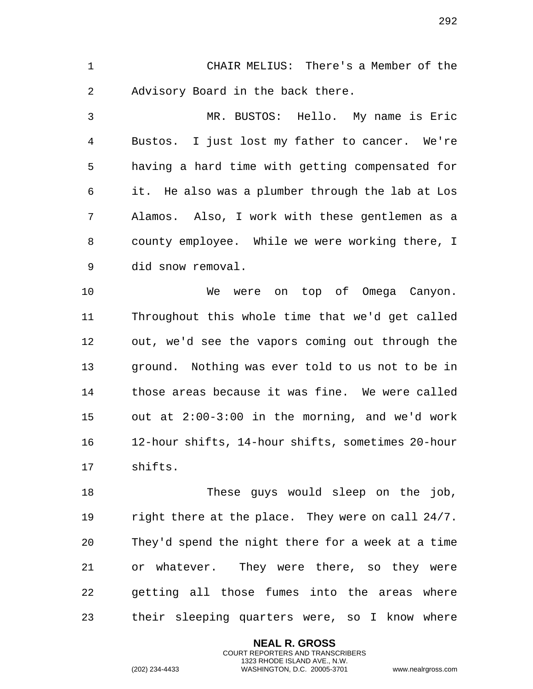CHAIR MELIUS: There's a Member of the Advisory Board in the back there.

 MR. BUSTOS: Hello. My name is Eric Bustos. I just lost my father to cancer. We're having a hard time with getting compensated for it. He also was a plumber through the lab at Los Alamos. Also, I work with these gentlemen as a county employee. While we were working there, I did snow removal.

10 We were on top of Omega Canyon. Throughout this whole time that we'd get called out, we'd see the vapors coming out through the ground. Nothing was ever told to us not to be in those areas because it was fine. We were called out at 2:00-3:00 in the morning, and we'd work 12-hour shifts, 14-hour shifts, sometimes 20-hour shifts.

 These guys would sleep on the job, right there at the place. They were on call 24/7. They'd spend the night there for a week at a time or whatever. They were there, so they were getting all those fumes into the areas where their sleeping quarters were, so I know where

> **NEAL R. GROSS** COURT REPORTERS AND TRANSCRIBERS 1323 RHODE ISLAND AVE., N.W.

(202) 234-4433 WASHINGTON, D.C. 20005-3701 www.nealrgross.com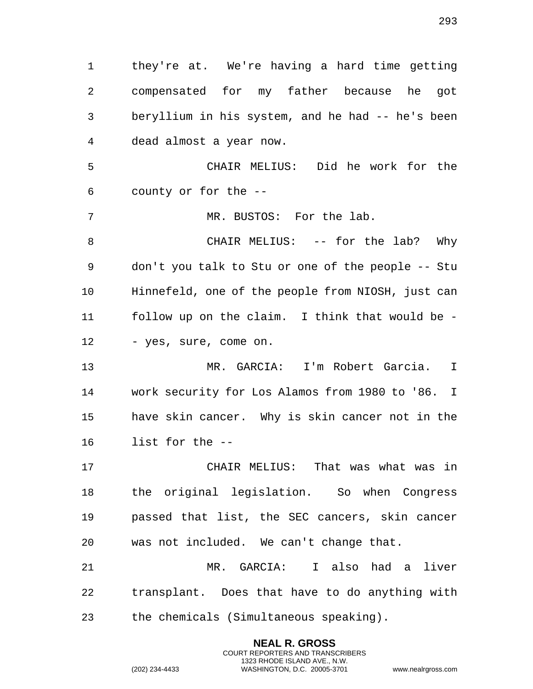they're at. We're having a hard time getting compensated for my father because he got beryllium in his system, and he had -- he's been dead almost a year now. CHAIR MELIUS: Did he work for the county or for the -- MR. BUSTOS: For the lab. CHAIR MELIUS: -- for the lab? Why don't you talk to Stu or one of the people -- Stu Hinnefeld, one of the people from NIOSH, just can follow up on the claim. I think that would be - 12 - yes, sure, come on. MR. GARCIA: I'm Robert Garcia. I work security for Los Alamos from 1980 to '86. I have skin cancer. Why is skin cancer not in the list for the -- CHAIR MELIUS: That was what was in the original legislation. So when Congress passed that list, the SEC cancers, skin cancer was not included. We can't change that. MR. GARCIA: I also had a liver transplant. Does that have to do anything with the chemicals (Simultaneous speaking).

> **NEAL R. GROSS** COURT REPORTERS AND TRANSCRIBERS 1323 RHODE ISLAND AVE., N.W.

(202) 234-4433 WASHINGTON, D.C. 20005-3701 www.nealrgross.com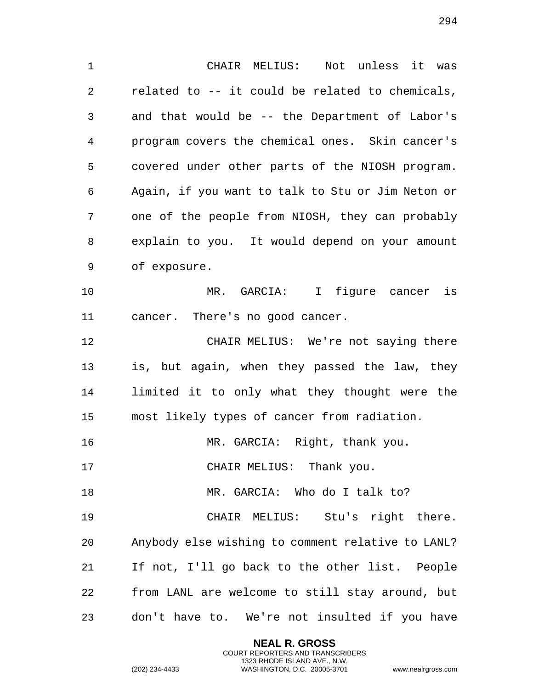CHAIR MELIUS: Not unless it was related to -- it could be related to chemicals, and that would be -- the Department of Labor's program covers the chemical ones. Skin cancer's covered under other parts of the NIOSH program. Again, if you want to talk to Stu or Jim Neton or one of the people from NIOSH, they can probably explain to you. It would depend on your amount of exposure. MR. GARCIA: I figure cancer is cancer. There's no good cancer. CHAIR MELIUS: We're not saying there is, but again, when they passed the law, they limited it to only what they thought were the most likely types of cancer from radiation.

MR. GARCIA: Right, thank you.

17 CHAIR MELIUS: Thank you.

18 MR. GARCIA: Who do I talk to?

 CHAIR MELIUS: Stu's right there. Anybody else wishing to comment relative to LANL? If not, I'll go back to the other list. People from LANL are welcome to still stay around, but don't have to. We're not insulted if you have

> **NEAL R. GROSS** COURT REPORTERS AND TRANSCRIBERS 1323 RHODE ISLAND AVE., N.W.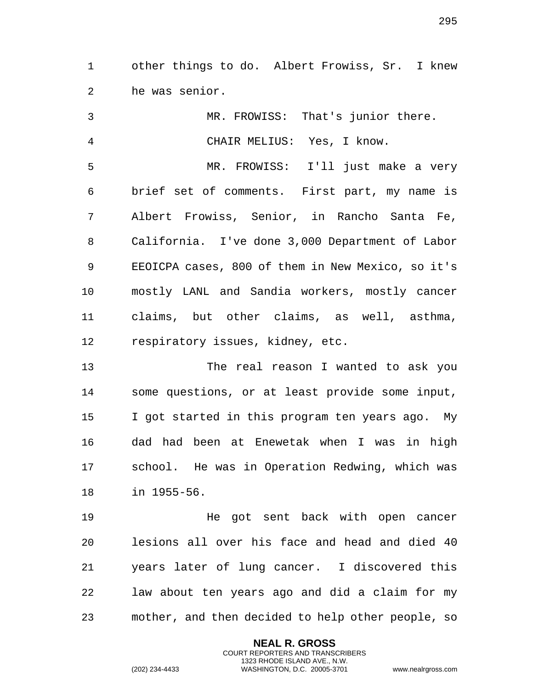other things to do. Albert Frowiss, Sr. I knew he was senior.

 MR. FROWISS: That's junior there. CHAIR MELIUS: Yes, I know. MR. FROWISS: I'll just make a very brief set of comments. First part, my name is Albert Frowiss, Senior, in Rancho Santa Fe, California. I've done 3,000 Department of Labor EEOICPA cases, 800 of them in New Mexico, so it's mostly LANL and Sandia workers, mostly cancer claims, but other claims, as well, asthma, respiratory issues, kidney, etc. The real reason I wanted to ask you some questions, or at least provide some input, I got started in this program ten years ago. My

 dad had been at Enewetak when I was in high school. He was in Operation Redwing, which was in 1955-56.

 He got sent back with open cancer lesions all over his face and head and died 40 years later of lung cancer. I discovered this law about ten years ago and did a claim for my mother, and then decided to help other people, so

> **NEAL R. GROSS** COURT REPORTERS AND TRANSCRIBERS 1323 RHODE ISLAND AVE., N.W.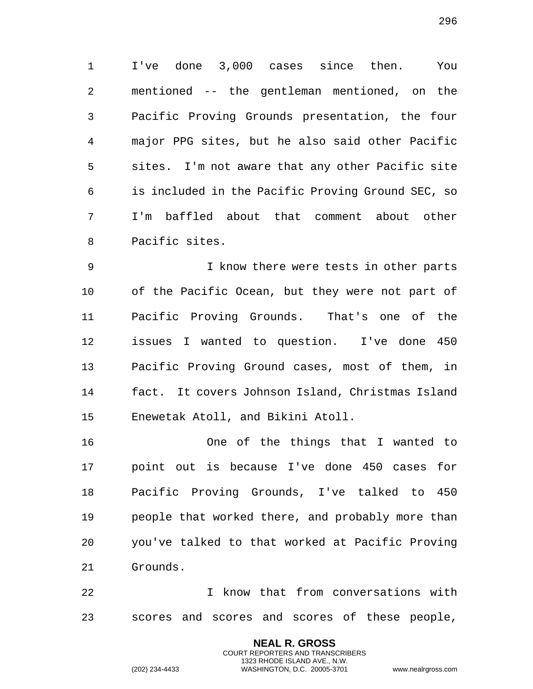I've done 3,000 cases since then. You mentioned -- the gentleman mentioned, on the Pacific Proving Grounds presentation, the four major PPG sites, but he also said other Pacific sites. I'm not aware that any other Pacific site is included in the Pacific Proving Ground SEC, so I'm baffled about that comment about other Pacific sites.

 I know there were tests in other parts of the Pacific Ocean, but they were not part of Pacific Proving Grounds. That's one of the issues I wanted to question. I've done 450 Pacific Proving Ground cases, most of them, in fact. It covers Johnson Island, Christmas Island Enewetak Atoll, and Bikini Atoll.

 One of the things that I wanted to point out is because I've done 450 cases for Pacific Proving Grounds, I've talked to 450 people that worked there, and probably more than you've talked to that worked at Pacific Proving Grounds.

 I know that from conversations with scores and scores and scores of these people,

> **NEAL R. GROSS** COURT REPORTERS AND TRANSCRIBERS 1323 RHODE ISLAND AVE., N.W.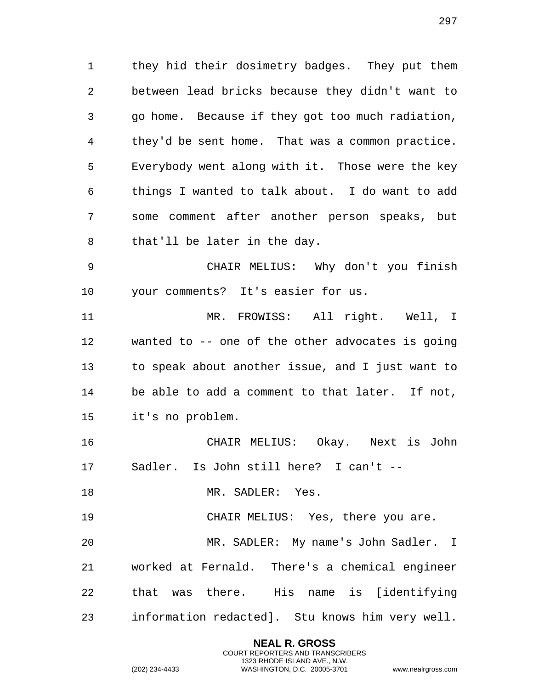they hid their dosimetry badges. They put them between lead bricks because they didn't want to go home. Because if they got too much radiation, they'd be sent home. That was a common practice. Everybody went along with it. Those were the key things I wanted to talk about. I do want to add some comment after another person speaks, but that'll be later in the day.

 CHAIR MELIUS: Why don't you finish your comments? It's easier for us.

 MR. FROWISS: All right. Well, I wanted to -- one of the other advocates is going to speak about another issue, and I just want to be able to add a comment to that later. If not, it's no problem.

 CHAIR MELIUS: Okay. Next is John Sadler. Is John still here? I can't --

18 MR. SADLER: Yes.

CHAIR MELIUS: Yes, there you are.

 MR. SADLER: My name's John Sadler. I worked at Fernald. There's a chemical engineer that was there. His name is [identifying information redacted]. Stu knows him very well.

> **NEAL R. GROSS** COURT REPORTERS AND TRANSCRIBERS 1323 RHODE ISLAND AVE., N.W.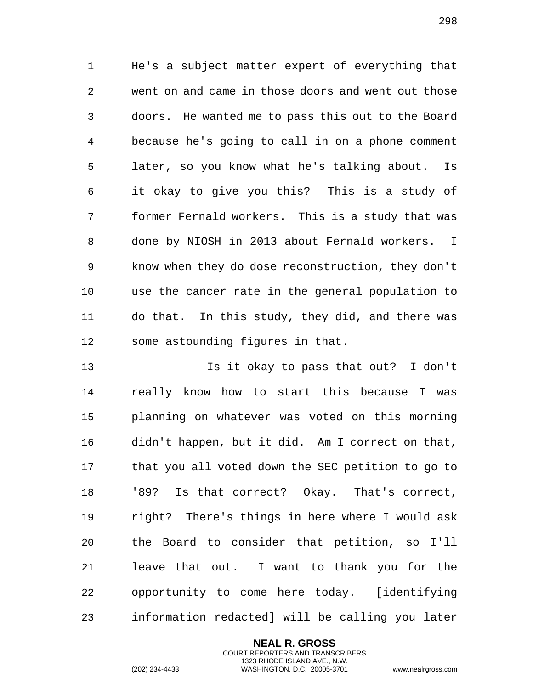He's a subject matter expert of everything that went on and came in those doors and went out those doors. He wanted me to pass this out to the Board because he's going to call in on a phone comment later, so you know what he's talking about. Is it okay to give you this? This is a study of former Fernald workers. This is a study that was done by NIOSH in 2013 about Fernald workers. I know when they do dose reconstruction, they don't use the cancer rate in the general population to do that. In this study, they did, and there was some astounding figures in that.

 Is it okay to pass that out? I don't really know how to start this because I was planning on whatever was voted on this morning didn't happen, but it did. Am I correct on that, that you all voted down the SEC petition to go to '89? Is that correct? Okay. That's correct, right? There's things in here where I would ask the Board to consider that petition, so I'll leave that out. I want to thank you for the opportunity to come here today. [identifying information redacted] will be calling you later

> **NEAL R. GROSS** COURT REPORTERS AND TRANSCRIBERS 1323 RHODE ISLAND AVE., N.W.

(202) 234-4433 WASHINGTON, D.C. 20005-3701 www.nealrgross.com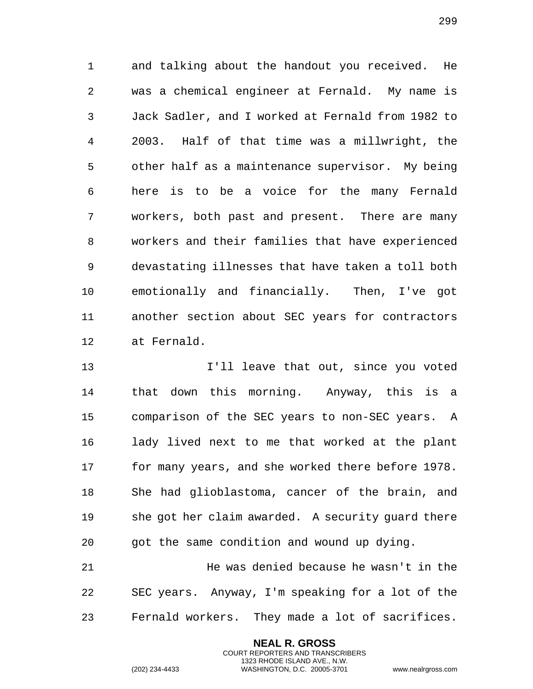and talking about the handout you received. He was a chemical engineer at Fernald. My name is Jack Sadler, and I worked at Fernald from 1982 to 2003. Half of that time was a millwright, the other half as a maintenance supervisor. My being here is to be a voice for the many Fernald workers, both past and present. There are many workers and their families that have experienced devastating illnesses that have taken a toll both emotionally and financially. Then, I've got another section about SEC years for contractors at Fernald.

**I'll leave that out, since you voted**  that down this morning. Anyway, this is a comparison of the SEC years to non-SEC years. A lady lived next to me that worked at the plant for many years, and she worked there before 1978. She had glioblastoma, cancer of the brain, and she got her claim awarded. A security guard there got the same condition and wound up dying. He was denied because he wasn't in the

 SEC years. Anyway, I'm speaking for a lot of the Fernald workers. They made a lot of sacrifices.

> **NEAL R. GROSS** COURT REPORTERS AND TRANSCRIBERS 1323 RHODE ISLAND AVE., N.W.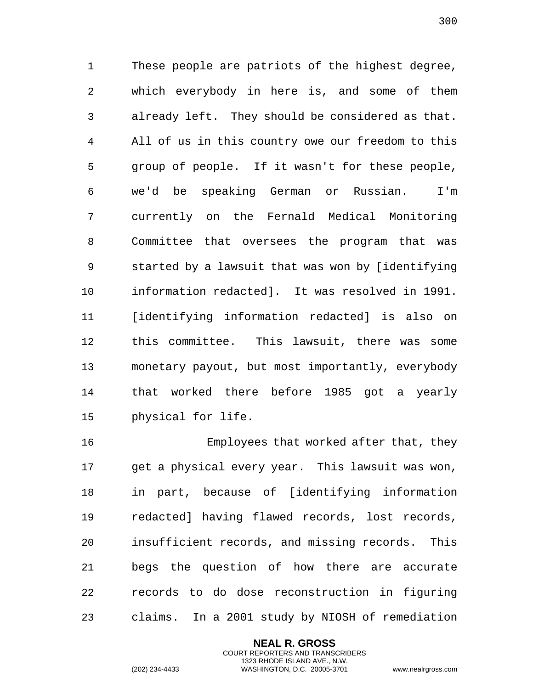These people are patriots of the highest degree, which everybody in here is, and some of them already left. They should be considered as that. All of us in this country owe our freedom to this group of people. If it wasn't for these people, we'd be speaking German or Russian. I'm currently on the Fernald Medical Monitoring Committee that oversees the program that was started by a lawsuit that was won by [identifying information redacted]. It was resolved in 1991. [identifying information redacted] is also on this committee. This lawsuit, there was some monetary payout, but most importantly, everybody that worked there before 1985 got a yearly physical for life.

 Employees that worked after that, they get a physical every year. This lawsuit was won, in part, because of [identifying information redacted] having flawed records, lost records, insufficient records, and missing records. This begs the question of how there are accurate records to do dose reconstruction in figuring claims. In a 2001 study by NIOSH of remediation

> **NEAL R. GROSS** COURT REPORTERS AND TRANSCRIBERS 1323 RHODE ISLAND AVE., N.W.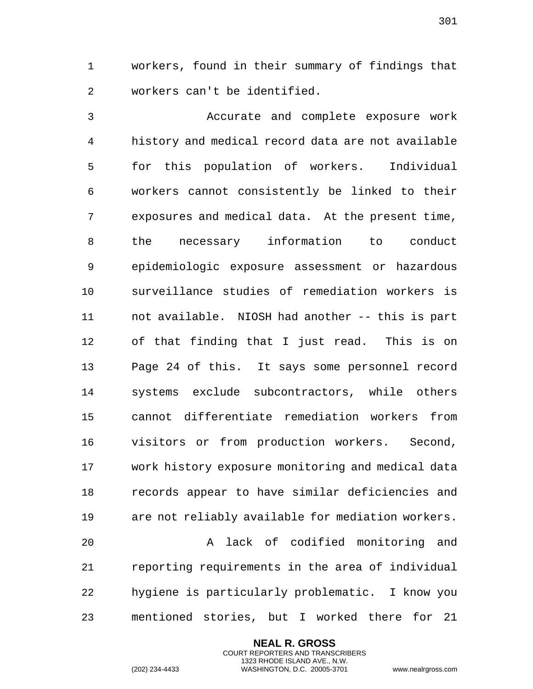workers, found in their summary of findings that workers can't be identified.

 Accurate and complete exposure work history and medical record data are not available for this population of workers. Individual workers cannot consistently be linked to their exposures and medical data. At the present time, the necessary information to conduct epidemiologic exposure assessment or hazardous surveillance studies of remediation workers is not available. NIOSH had another -- this is part of that finding that I just read. This is on Page 24 of this. It says some personnel record systems exclude subcontractors, while others cannot differentiate remediation workers from visitors or from production workers. Second, work history exposure monitoring and medical data records appear to have similar deficiencies and are not reliably available for mediation workers. A lack of codified monitoring and

 reporting requirements in the area of individual hygiene is particularly problematic. I know you mentioned stories, but I worked there for 21

> **NEAL R. GROSS** COURT REPORTERS AND TRANSCRIBERS 1323 RHODE ISLAND AVE., N.W.

(202) 234-4433 WASHINGTON, D.C. 20005-3701 www.nealrgross.com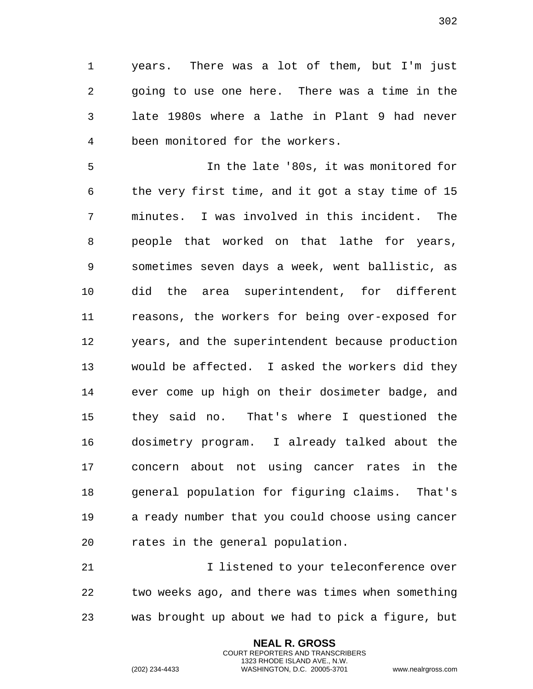years. There was a lot of them, but I'm just going to use one here. There was a time in the late 1980s where a lathe in Plant 9 had never been monitored for the workers.

 In the late '80s, it was monitored for the very first time, and it got a stay time of 15 minutes. I was involved in this incident. The people that worked on that lathe for years, sometimes seven days a week, went ballistic, as did the area superintendent, for different reasons, the workers for being over-exposed for years, and the superintendent because production would be affected. I asked the workers did they ever come up high on their dosimeter badge, and they said no. That's where I questioned the dosimetry program. I already talked about the concern about not using cancer rates in the general population for figuring claims. That's a ready number that you could choose using cancer rates in the general population.

 I listened to your teleconference over two weeks ago, and there was times when something was brought up about we had to pick a figure, but

> **NEAL R. GROSS** COURT REPORTERS AND TRANSCRIBERS 1323 RHODE ISLAND AVE., N.W.

(202) 234-4433 WASHINGTON, D.C. 20005-3701 www.nealrgross.com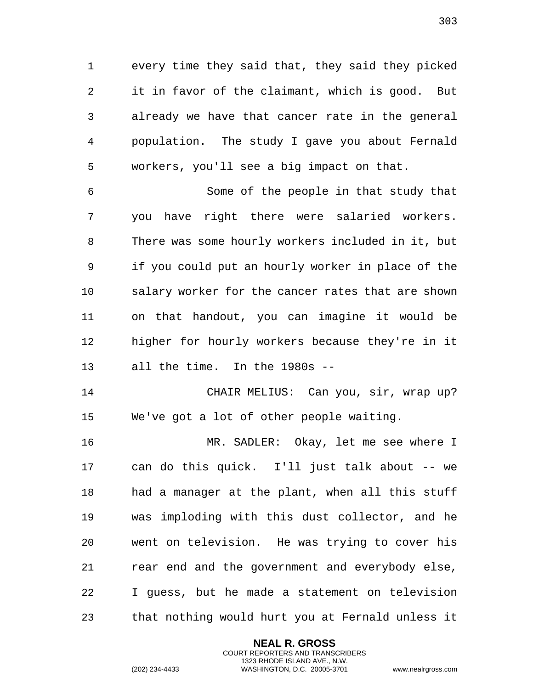every time they said that, they said they picked it in favor of the claimant, which is good. But already we have that cancer rate in the general population. The study I gave you about Fernald workers, you'll see a big impact on that.

 Some of the people in that study that you have right there were salaried workers. There was some hourly workers included in it, but if you could put an hourly worker in place of the salary worker for the cancer rates that are shown on that handout, you can imagine it would be higher for hourly workers because they're in it all the time. In the 1980s --

 CHAIR MELIUS: Can you, sir, wrap up? We've got a lot of other people waiting.

 MR. SADLER: Okay, let me see where I can do this quick. I'll just talk about -- we had a manager at the plant, when all this stuff was imploding with this dust collector, and he went on television. He was trying to cover his rear end and the government and everybody else, I guess, but he made a statement on television that nothing would hurt you at Fernald unless it

> **NEAL R. GROSS** COURT REPORTERS AND TRANSCRIBERS 1323 RHODE ISLAND AVE., N.W.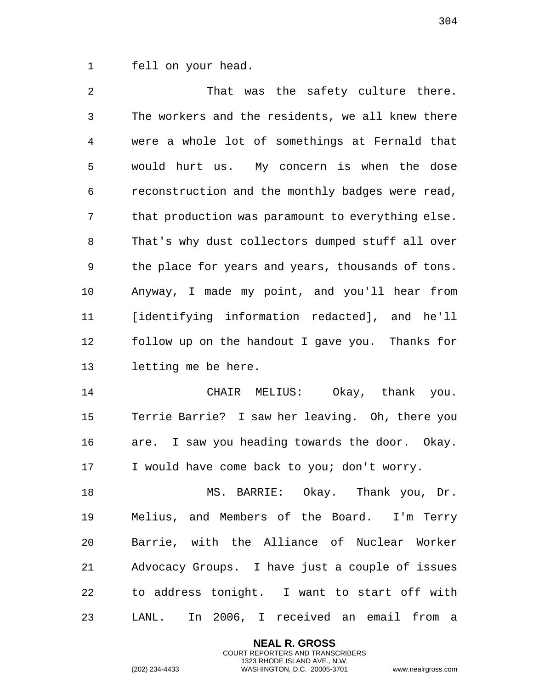fell on your head.

2 That was the safety culture there. The workers and the residents, we all knew there were a whole lot of somethings at Fernald that would hurt us. My concern is when the dose reconstruction and the monthly badges were read, that production was paramount to everything else. That's why dust collectors dumped stuff all over the place for years and years, thousands of tons. Anyway, I made my point, and you'll hear from [identifying information redacted], and he'll follow up on the handout I gave you. Thanks for letting me be here.

 CHAIR MELIUS: Okay, thank you. Terrie Barrie? I saw her leaving. Oh, there you are. I saw you heading towards the door. Okay. I would have come back to you; don't worry.

 MS. BARRIE: Okay. Thank you, Dr. Melius, and Members of the Board. I'm Terry Barrie, with the Alliance of Nuclear Worker Advocacy Groups. I have just a couple of issues to address tonight. I want to start off with LANL. In 2006, I received an email from a

> **NEAL R. GROSS** COURT REPORTERS AND TRANSCRIBERS 1323 RHODE ISLAND AVE., N.W.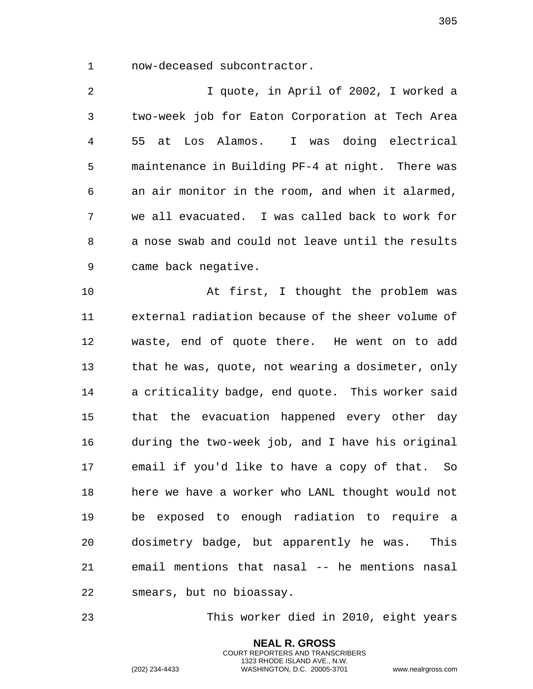now-deceased subcontractor.

 I quote, in April of 2002, I worked a two-week job for Eaton Corporation at Tech Area 55 at Los Alamos. I was doing electrical maintenance in Building PF-4 at night. There was an air monitor in the room, and when it alarmed, we all evacuated. I was called back to work for a nose swab and could not leave until the results came back negative.

 At first, I thought the problem was external radiation because of the sheer volume of waste, end of quote there. He went on to add 13 that he was, quote, not wearing a dosimeter, only a criticality badge, end quote. This worker said that the evacuation happened every other day during the two-week job, and I have his original email if you'd like to have a copy of that. So here we have a worker who LANL thought would not be exposed to enough radiation to require a dosimetry badge, but apparently he was. This email mentions that nasal -- he mentions nasal smears, but no bioassay.

This worker died in 2010, eight years

**NEAL R. GROSS** COURT REPORTERS AND TRANSCRIBERS 1323 RHODE ISLAND AVE., N.W.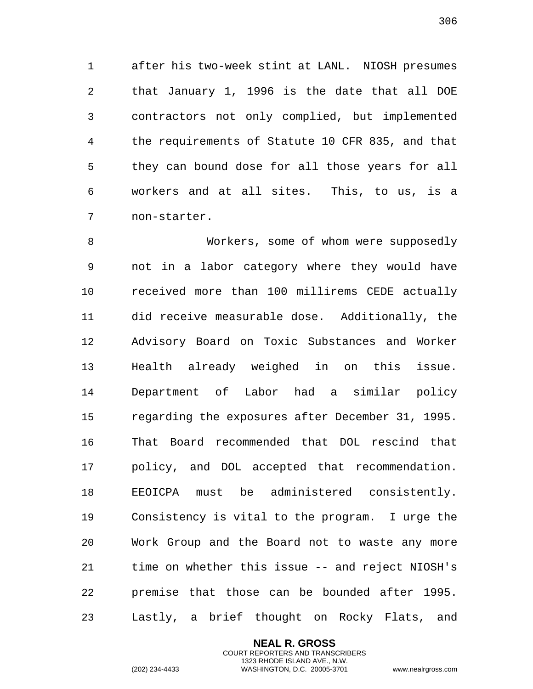after his two-week stint at LANL. NIOSH presumes that January 1, 1996 is the date that all DOE contractors not only complied, but implemented the requirements of Statute 10 CFR 835, and that they can bound dose for all those years for all workers and at all sites. This, to us, is a non-starter.

 Workers, some of whom were supposedly not in a labor category where they would have received more than 100 millirems CEDE actually did receive measurable dose. Additionally, the Advisory Board on Toxic Substances and Worker Health already weighed in on this issue. Department of Labor had a similar policy regarding the exposures after December 31, 1995. That Board recommended that DOL rescind that policy, and DOL accepted that recommendation. EEOICPA must be administered consistently. Consistency is vital to the program. I urge the Work Group and the Board not to waste any more time on whether this issue -- and reject NIOSH's premise that those can be bounded after 1995. Lastly, a brief thought on Rocky Flats, and

> **NEAL R. GROSS** COURT REPORTERS AND TRANSCRIBERS 1323 RHODE ISLAND AVE., N.W.

(202) 234-4433 WASHINGTON, D.C. 20005-3701 www.nealrgross.com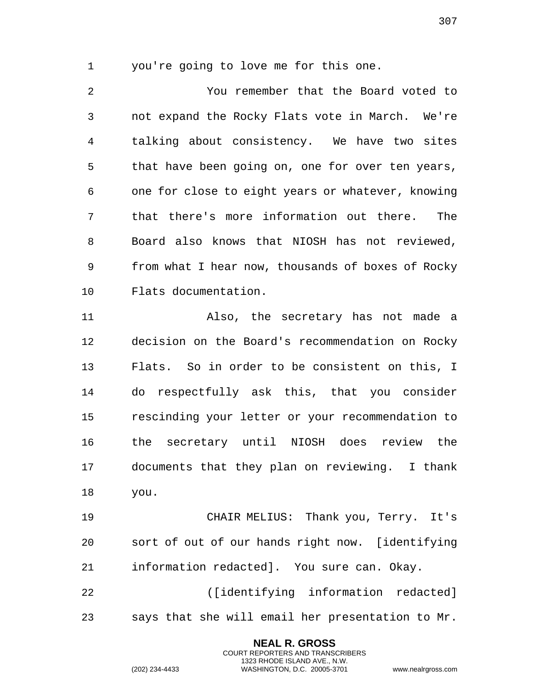you're going to love me for this one.

 You remember that the Board voted to not expand the Rocky Flats vote in March. We're talking about consistency. We have two sites that have been going on, one for over ten years, one for close to eight years or whatever, knowing that there's more information out there. The Board also knows that NIOSH has not reviewed, from what I hear now, thousands of boxes of Rocky Flats documentation.

 Also, the secretary has not made a decision on the Board's recommendation on Rocky Flats. So in order to be consistent on this, I do respectfully ask this, that you consider rescinding your letter or your recommendation to the secretary until NIOSH does review the documents that they plan on reviewing. I thank you.

 CHAIR MELIUS: Thank you, Terry. It's sort of out of our hands right now. [identifying information redacted]. You sure can. Okay.

 ([identifying information redacted] says that she will email her presentation to Mr.

> **NEAL R. GROSS** COURT REPORTERS AND TRANSCRIBERS 1323 RHODE ISLAND AVE., N.W.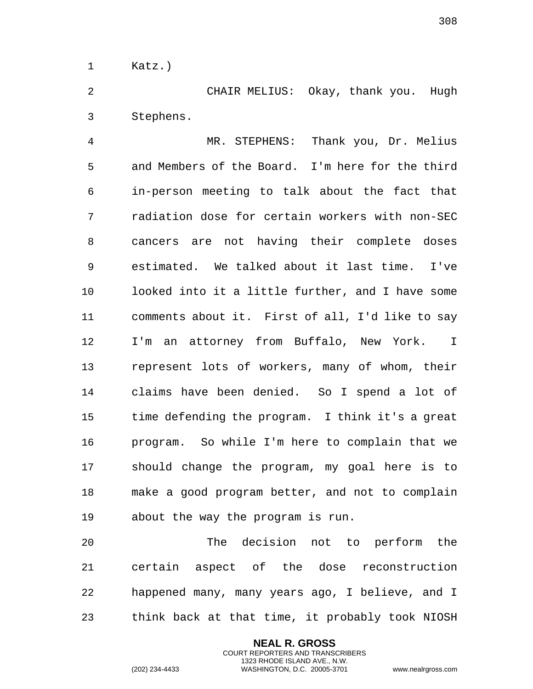Katz.)

 CHAIR MELIUS: Okay, thank you. Hugh Stephens.

 MR. STEPHENS: Thank you, Dr. Melius and Members of the Board. I'm here for the third in-person meeting to talk about the fact that radiation dose for certain workers with non-SEC cancers are not having their complete doses estimated. We talked about it last time. I've looked into it a little further, and I have some comments about it. First of all, I'd like to say I'm an attorney from Buffalo, New York. I represent lots of workers, many of whom, their claims have been denied. So I spend a lot of time defending the program. I think it's a great program. So while I'm here to complain that we should change the program, my goal here is to make a good program better, and not to complain about the way the program is run.

 The decision not to perform the certain aspect of the dose reconstruction happened many, many years ago, I believe, and I think back at that time, it probably took NIOSH

> **NEAL R. GROSS** COURT REPORTERS AND TRANSCRIBERS 1323 RHODE ISLAND AVE., N.W.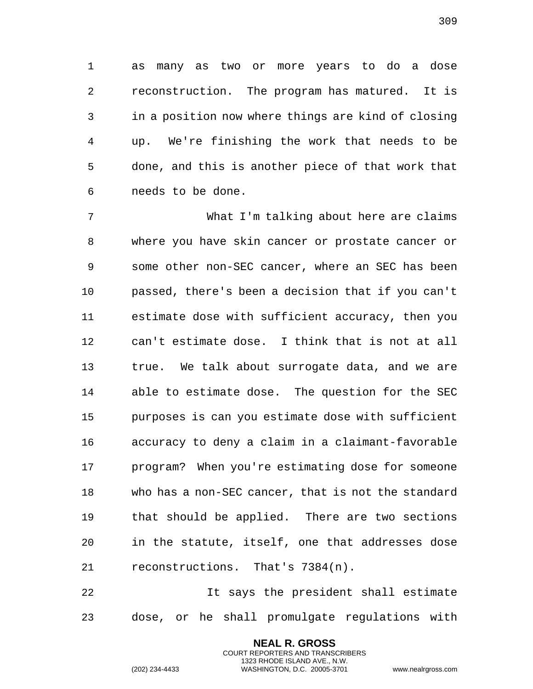as many as two or more years to do a dose reconstruction. The program has matured. It is in a position now where things are kind of closing up. We're finishing the work that needs to be done, and this is another piece of that work that needs to be done.

 What I'm talking about here are claims where you have skin cancer or prostate cancer or some other non-SEC cancer, where an SEC has been passed, there's been a decision that if you can't estimate dose with sufficient accuracy, then you can't estimate dose. I think that is not at all true. We talk about surrogate data, and we are able to estimate dose. The question for the SEC purposes is can you estimate dose with sufficient accuracy to deny a claim in a claimant-favorable program? When you're estimating dose for someone who has a non-SEC cancer, that is not the standard that should be applied. There are two sections in the statute, itself, one that addresses dose reconstructions. That's 7384(n).

 It says the president shall estimate dose, or he shall promulgate regulations with

> **NEAL R. GROSS** COURT REPORTERS AND TRANSCRIBERS 1323 RHODE ISLAND AVE., N.W.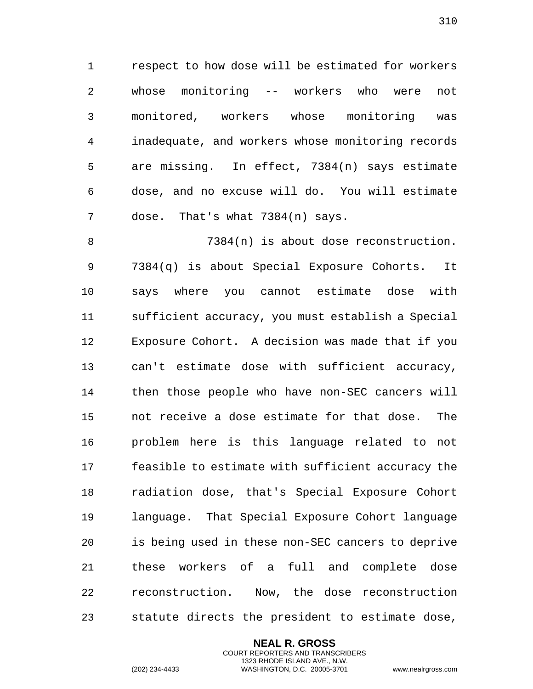respect to how dose will be estimated for workers whose monitoring -- workers who were not monitored, workers whose monitoring was inadequate, and workers whose monitoring records are missing. In effect, 7384(n) says estimate dose, and no excuse will do. You will estimate dose. That's what 7384(n) says.

 7384(n) is about dose reconstruction. 7384(q) is about Special Exposure Cohorts. It says where you cannot estimate dose with sufficient accuracy, you must establish a Special Exposure Cohort. A decision was made that if you can't estimate dose with sufficient accuracy, then those people who have non-SEC cancers will not receive a dose estimate for that dose. The problem here is this language related to not feasible to estimate with sufficient accuracy the radiation dose, that's Special Exposure Cohort language. That Special Exposure Cohort language is being used in these non-SEC cancers to deprive these workers of a full and complete dose reconstruction. Now, the dose reconstruction statute directs the president to estimate dose,

> **NEAL R. GROSS** COURT REPORTERS AND TRANSCRIBERS 1323 RHODE ISLAND AVE., N.W.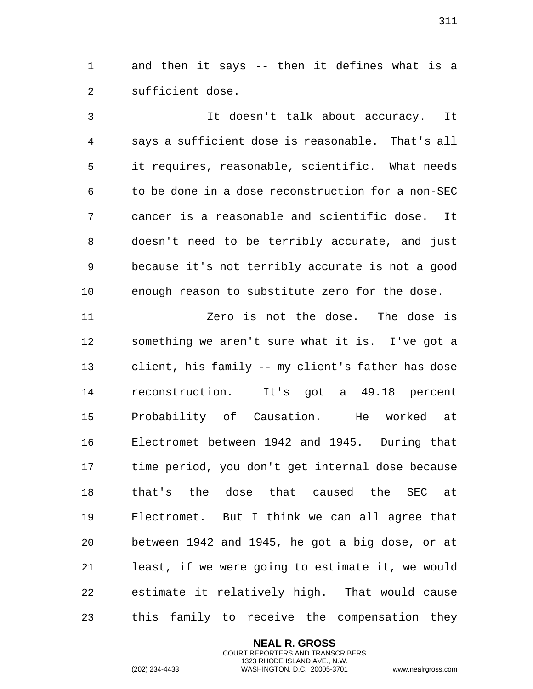and then it says -- then it defines what is a sufficient dose.

 It doesn't talk about accuracy. It says a sufficient dose is reasonable. That's all it requires, reasonable, scientific. What needs to be done in a dose reconstruction for a non-SEC cancer is a reasonable and scientific dose. It doesn't need to be terribly accurate, and just because it's not terribly accurate is not a good enough reason to substitute zero for the dose.

 Zero is not the dose. The dose is something we aren't sure what it is. I've got a client, his family -- my client's father has dose reconstruction. It's got a 49.18 percent Probability of Causation. He worked at Electromet between 1942 and 1945. During that time period, you don't get internal dose because that's the dose that caused the SEC at Electromet. But I think we can all agree that between 1942 and 1945, he got a big dose, or at least, if we were going to estimate it, we would estimate it relatively high. That would cause this family to receive the compensation they

> **NEAL R. GROSS** COURT REPORTERS AND TRANSCRIBERS 1323 RHODE ISLAND AVE., N.W.

(202) 234-4433 WASHINGTON, D.C. 20005-3701 www.nealrgross.com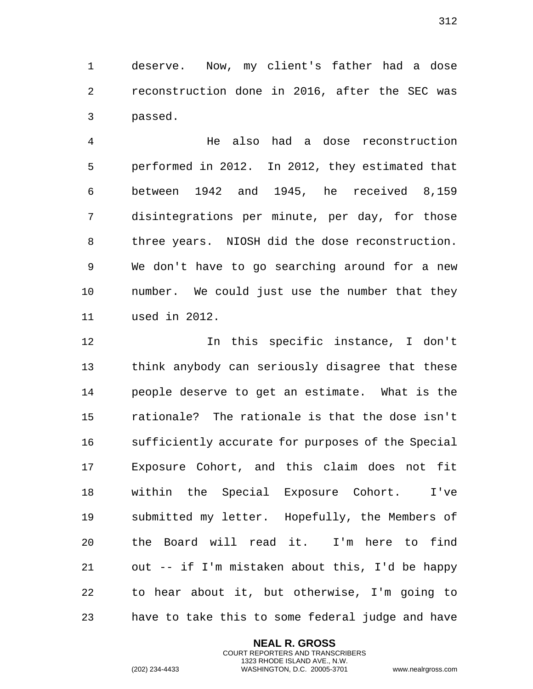deserve. Now, my client's father had a dose reconstruction done in 2016, after the SEC was passed.

 He also had a dose reconstruction performed in 2012. In 2012, they estimated that between 1942 and 1945, he received 8,159 disintegrations per minute, per day, for those three years. NIOSH did the dose reconstruction. We don't have to go searching around for a new number. We could just use the number that they used in 2012.

 In this specific instance, I don't think anybody can seriously disagree that these people deserve to get an estimate. What is the rationale? The rationale is that the dose isn't sufficiently accurate for purposes of the Special Exposure Cohort, and this claim does not fit within the Special Exposure Cohort. I've submitted my letter. Hopefully, the Members of the Board will read it. I'm here to find out -- if I'm mistaken about this, I'd be happy to hear about it, but otherwise, I'm going to have to take this to some federal judge and have

> **NEAL R. GROSS** COURT REPORTERS AND TRANSCRIBERS 1323 RHODE ISLAND AVE., N.W.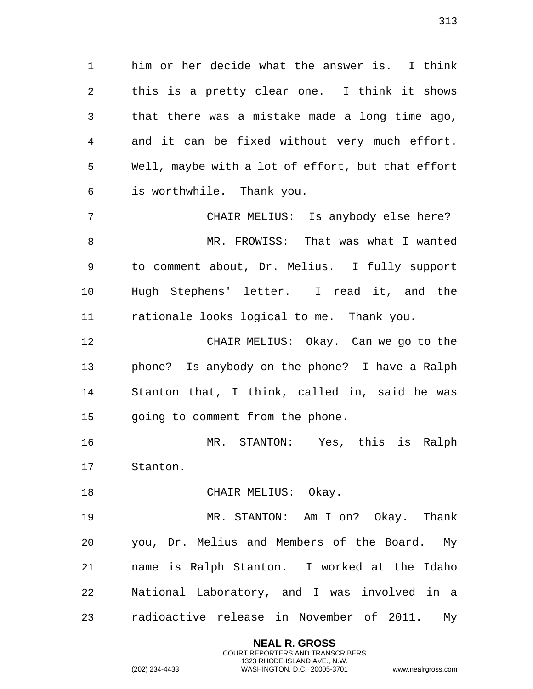him or her decide what the answer is. I think this is a pretty clear one. I think it shows that there was a mistake made a long time ago, and it can be fixed without very much effort. Well, maybe with a lot of effort, but that effort is worthwhile. Thank you.

 CHAIR MELIUS: Is anybody else here? MR. FROWISS: That was what I wanted to comment about, Dr. Melius. I fully support Hugh Stephens' letter. I read it, and the rationale looks logical to me. Thank you.

 CHAIR MELIUS: Okay. Can we go to the phone? Is anybody on the phone? I have a Ralph Stanton that, I think, called in, said he was going to comment from the phone.

 MR. STANTON: Yes, this is Ralph Stanton.

18 CHAIR MELIUS: Okay.

 MR. STANTON: Am I on? Okay. Thank you, Dr. Melius and Members of the Board. My name is Ralph Stanton. I worked at the Idaho National Laboratory, and I was involved in a radioactive release in November of 2011. My

> **NEAL R. GROSS** COURT REPORTERS AND TRANSCRIBERS 1323 RHODE ISLAND AVE., N.W.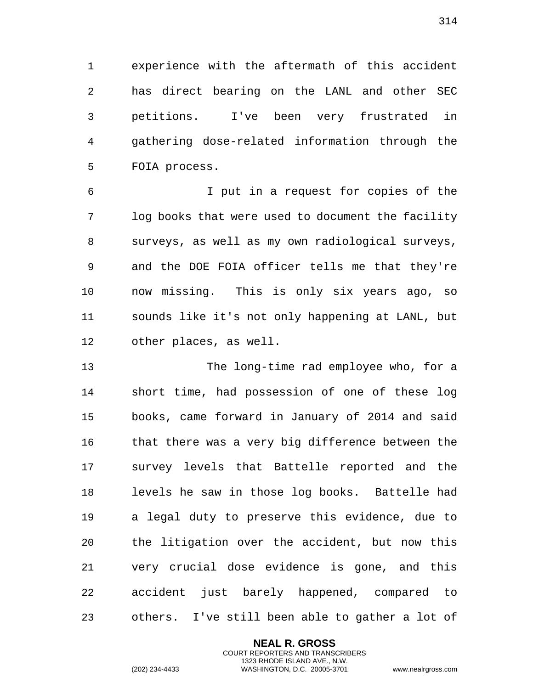experience with the aftermath of this accident has direct bearing on the LANL and other SEC petitions. I've been very frustrated in gathering dose-related information through the FOIA process.

 I put in a request for copies of the log books that were used to document the facility surveys, as well as my own radiological surveys, and the DOE FOIA officer tells me that they're now missing. This is only six years ago, so sounds like it's not only happening at LANL, but other places, as well.

 The long-time rad employee who, for a short time, had possession of one of these log books, came forward in January of 2014 and said that there was a very big difference between the survey levels that Battelle reported and the levels he saw in those log books. Battelle had a legal duty to preserve this evidence, due to the litigation over the accident, but now this very crucial dose evidence is gone, and this accident just barely happened, compared to others. I've still been able to gather a lot of

> **NEAL R. GROSS** COURT REPORTERS AND TRANSCRIBERS 1323 RHODE ISLAND AVE., N.W.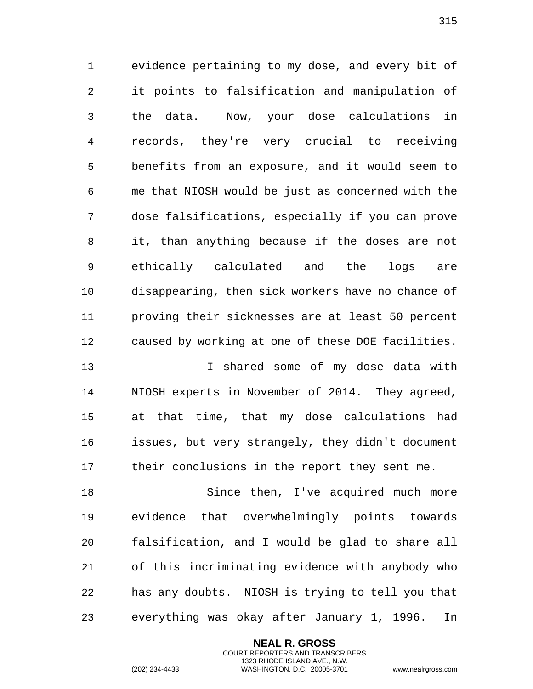evidence pertaining to my dose, and every bit of it points to falsification and manipulation of the data. Now, your dose calculations in records, they're very crucial to receiving benefits from an exposure, and it would seem to me that NIOSH would be just as concerned with the dose falsifications, especially if you can prove it, than anything because if the doses are not ethically calculated and the logs are disappearing, then sick workers have no chance of proving their sicknesses are at least 50 percent caused by working at one of these DOE facilities.

 I shared some of my dose data with NIOSH experts in November of 2014. They agreed, at that time, that my dose calculations had issues, but very strangely, they didn't document their conclusions in the report they sent me.

18 Since then, I've acquired much more evidence that overwhelmingly points towards falsification, and I would be glad to share all of this incriminating evidence with anybody who has any doubts. NIOSH is trying to tell you that everything was okay after January 1, 1996. In

> **NEAL R. GROSS** COURT REPORTERS AND TRANSCRIBERS 1323 RHODE ISLAND AVE., N.W.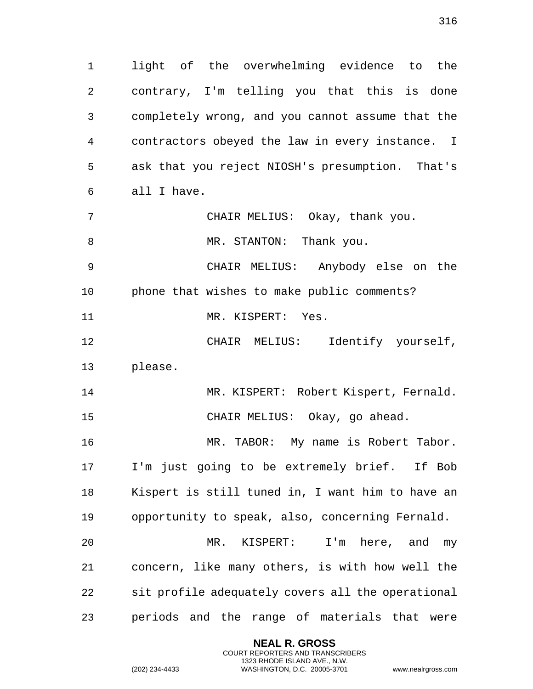light of the overwhelming evidence to the contrary, I'm telling you that this is done completely wrong, and you cannot assume that the contractors obeyed the law in every instance. I ask that you reject NIOSH's presumption. That's all I have.

CHAIR MELIUS: Okay, thank you.

8 MR. STANTON: Thank you.

 CHAIR MELIUS: Anybody else on the phone that wishes to make public comments?

11 MR. KISPERT: Yes.

 CHAIR MELIUS: Identify yourself, please.

 MR. KISPERT: Robert Kispert, Fernald. CHAIR MELIUS: Okay, go ahead.

 MR. TABOR: My name is Robert Tabor. I'm just going to be extremely brief. If Bob Kispert is still tuned in, I want him to have an opportunity to speak, also, concerning Fernald.

 MR. KISPERT: I'm here, and my concern, like many others, is with how well the sit profile adequately covers all the operational periods and the range of materials that were

> **NEAL R. GROSS** COURT REPORTERS AND TRANSCRIBERS 1323 RHODE ISLAND AVE., N.W.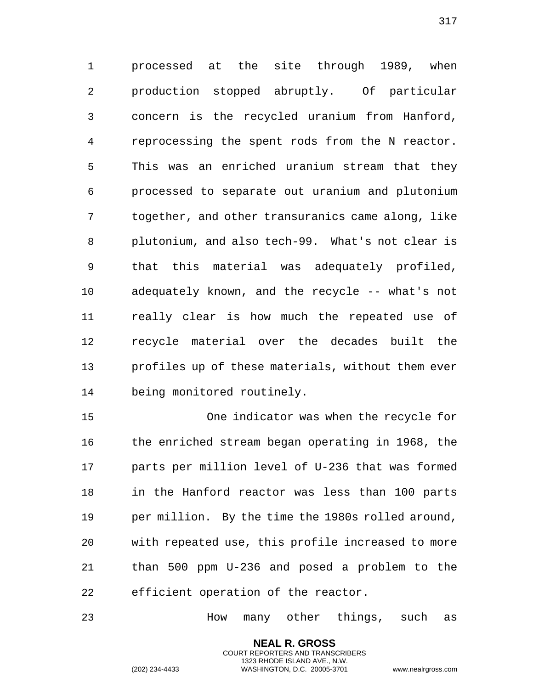processed at the site through 1989, when production stopped abruptly. Of particular concern is the recycled uranium from Hanford, reprocessing the spent rods from the N reactor. This was an enriched uranium stream that they processed to separate out uranium and plutonium together, and other transuranics came along, like plutonium, and also tech-99. What's not clear is that this material was adequately profiled, adequately known, and the recycle -- what's not really clear is how much the repeated use of recycle material over the decades built the profiles up of these materials, without them ever being monitored routinely.

 One indicator was when the recycle for the enriched stream began operating in 1968, the parts per million level of U-236 that was formed in the Hanford reactor was less than 100 parts per million. By the time the 1980s rolled around, with repeated use, this profile increased to more than 500 ppm U-236 and posed a problem to the efficient operation of the reactor.

How many other things, such as

**NEAL R. GROSS** COURT REPORTERS AND TRANSCRIBERS 1323 RHODE ISLAND AVE., N.W.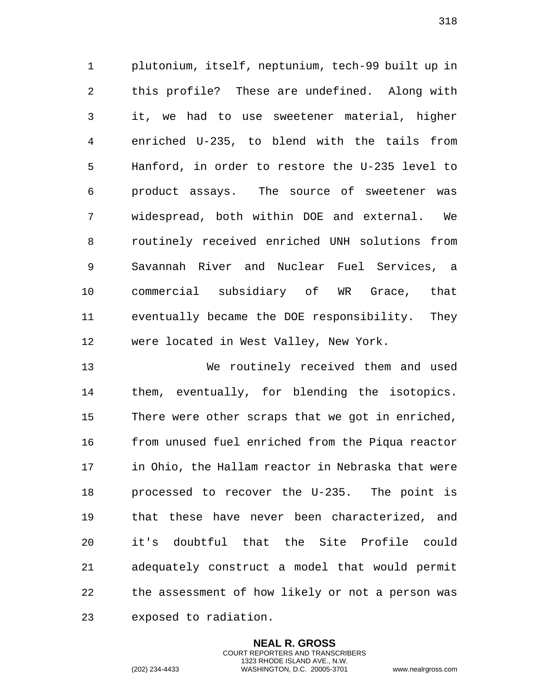plutonium, itself, neptunium, tech-99 built up in this profile? These are undefined. Along with it, we had to use sweetener material, higher enriched U-235, to blend with the tails from Hanford, in order to restore the U-235 level to product assays. The source of sweetener was widespread, both within DOE and external. We routinely received enriched UNH solutions from Savannah River and Nuclear Fuel Services, a commercial subsidiary of WR Grace, that eventually became the DOE responsibility. They were located in West Valley, New York.

 We routinely received them and used them, eventually, for blending the isotopics. There were other scraps that we got in enriched, from unused fuel enriched from the Piqua reactor in Ohio, the Hallam reactor in Nebraska that were processed to recover the U-235. The point is that these have never been characterized, and it's doubtful that the Site Profile could adequately construct a model that would permit the assessment of how likely or not a person was exposed to radiation.

> **NEAL R. GROSS** COURT REPORTERS AND TRANSCRIBERS 1323 RHODE ISLAND AVE., N.W.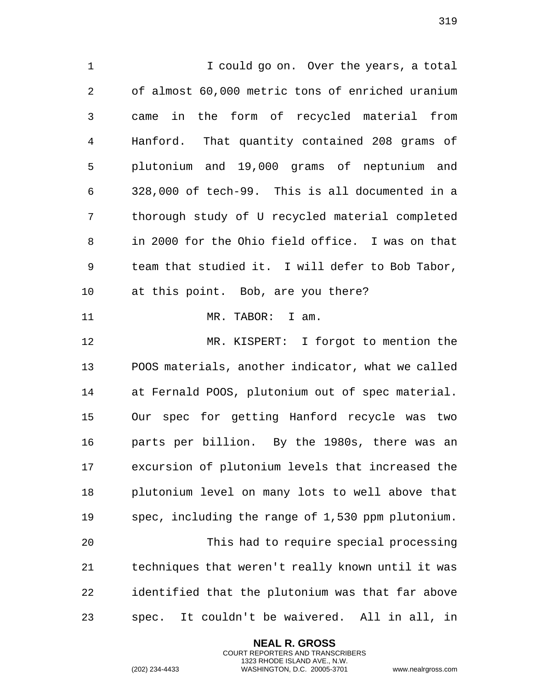I could go on. Over the years, a total of almost 60,000 metric tons of enriched uranium came in the form of recycled material from Hanford. That quantity contained 208 grams of plutonium and 19,000 grams of neptunium and 328,000 of tech-99. This is all documented in a thorough study of U recycled material completed in 2000 for the Ohio field office. I was on that team that studied it. I will defer to Bob Tabor, at this point. Bob, are you there? 11 MR. TABOR: I am. MR. KISPERT: I forgot to mention the POOS materials, another indicator, what we called at Fernald POOS, plutonium out of spec material. Our spec for getting Hanford recycle was two parts per billion. By the 1980s, there was an excursion of plutonium levels that increased the plutonium level on many lots to well above that spec, including the range of 1,530 ppm plutonium. This had to require special processing techniques that weren't really known until it was identified that the plutonium was that far above spec. It couldn't be waivered. All in all, in

> **NEAL R. GROSS** COURT REPORTERS AND TRANSCRIBERS 1323 RHODE ISLAND AVE., N.W.

(202) 234-4433 WASHINGTON, D.C. 20005-3701 www.nealrgross.com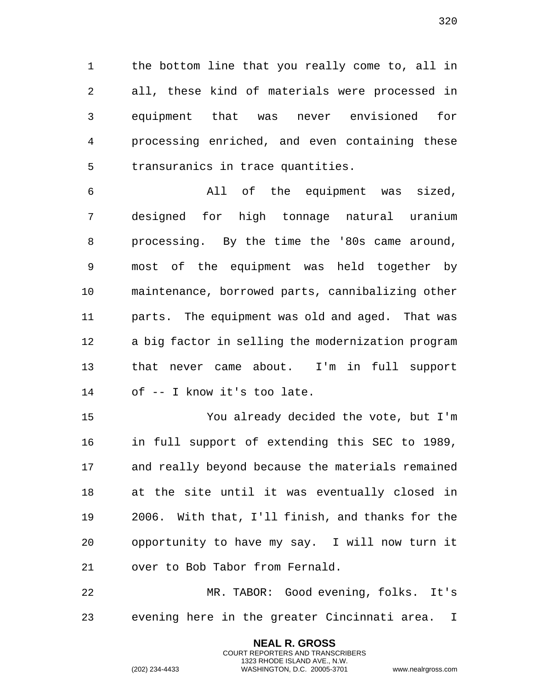the bottom line that you really come to, all in all, these kind of materials were processed in equipment that was never envisioned for processing enriched, and even containing these transuranics in trace quantities.

 All of the equipment was sized, designed for high tonnage natural uranium processing. By the time the '80s came around, most of the equipment was held together by maintenance, borrowed parts, cannibalizing other parts. The equipment was old and aged. That was a big factor in selling the modernization program that never came about. I'm in full support of -- I know it's too late.

 You already decided the vote, but I'm in full support of extending this SEC to 1989, and really beyond because the materials remained at the site until it was eventually closed in 2006. With that, I'll finish, and thanks for the opportunity to have my say. I will now turn it over to Bob Tabor from Fernald.

 MR. TABOR: Good evening, folks. It's evening here in the greater Cincinnati area. I

> **NEAL R. GROSS** COURT REPORTERS AND TRANSCRIBERS 1323 RHODE ISLAND AVE., N.W.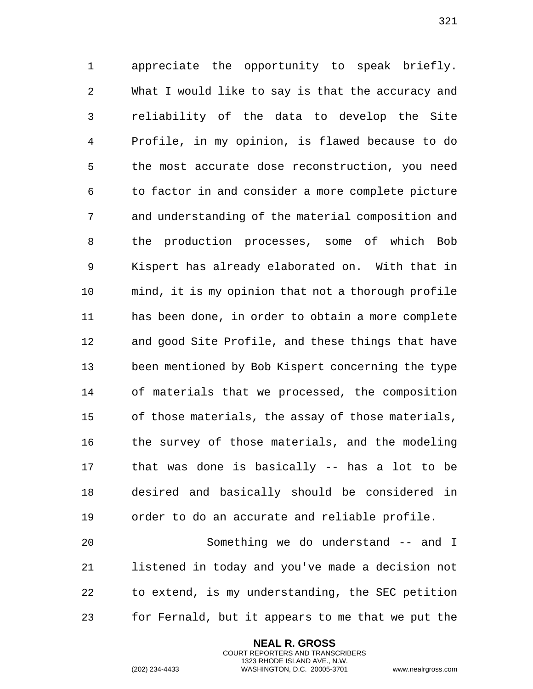appreciate the opportunity to speak briefly. What I would like to say is that the accuracy and reliability of the data to develop the Site Profile, in my opinion, is flawed because to do the most accurate dose reconstruction, you need to factor in and consider a more complete picture and understanding of the material composition and the production processes, some of which Bob Kispert has already elaborated on. With that in mind, it is my opinion that not a thorough profile has been done, in order to obtain a more complete and good Site Profile, and these things that have been mentioned by Bob Kispert concerning the type of materials that we processed, the composition of those materials, the assay of those materials, the survey of those materials, and the modeling that was done is basically -- has a lot to be desired and basically should be considered in order to do an accurate and reliable profile.

 Something we do understand -- and I listened in today and you've made a decision not to extend, is my understanding, the SEC petition for Fernald, but it appears to me that we put the

> **NEAL R. GROSS** COURT REPORTERS AND TRANSCRIBERS 1323 RHODE ISLAND AVE., N.W.

(202) 234-4433 WASHINGTON, D.C. 20005-3701 www.nealrgross.com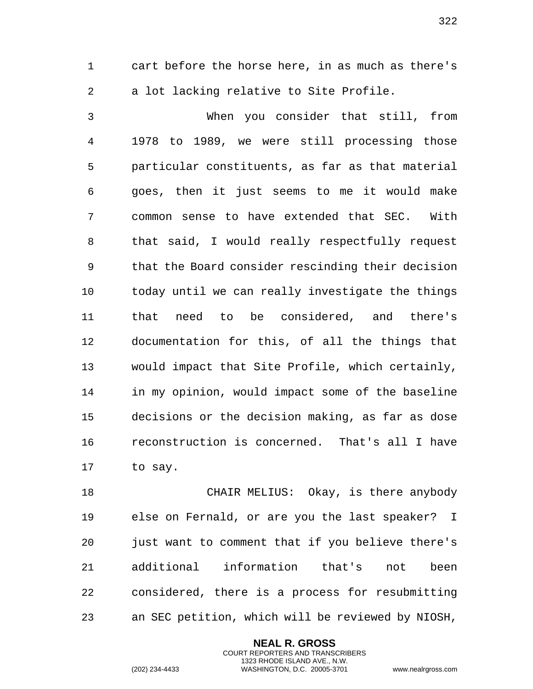cart before the horse here, in as much as there's a lot lacking relative to Site Profile.

 When you consider that still, from 1978 to 1989, we were still processing those particular constituents, as far as that material goes, then it just seems to me it would make common sense to have extended that SEC. With that said, I would really respectfully request that the Board consider rescinding their decision today until we can really investigate the things that need to be considered, and there's documentation for this, of all the things that would impact that Site Profile, which certainly, in my opinion, would impact some of the baseline decisions or the decision making, as far as dose reconstruction is concerned. That's all I have to say.

 CHAIR MELIUS: Okay, is there anybody else on Fernald, or are you the last speaker? I just want to comment that if you believe there's additional information that's not been considered, there is a process for resubmitting an SEC petition, which will be reviewed by NIOSH,

> **NEAL R. GROSS** COURT REPORTERS AND TRANSCRIBERS 1323 RHODE ISLAND AVE., N.W.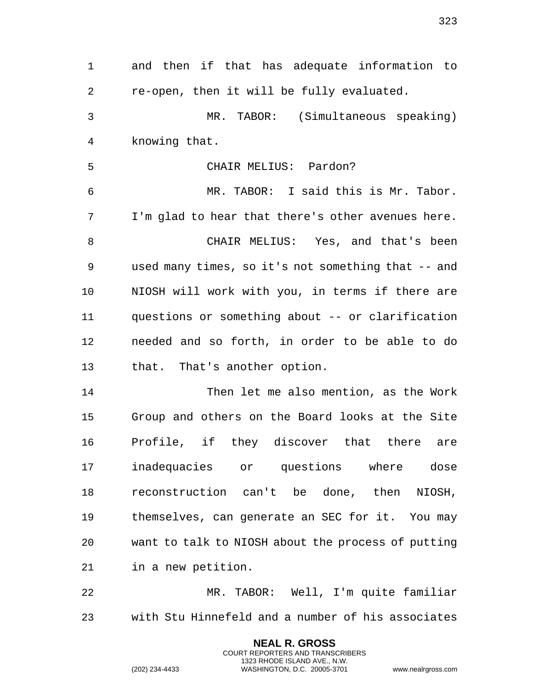and then if that has adequate information to re-open, then it will be fully evaluated. MR. TABOR: (Simultaneous speaking) knowing that. CHAIR MELIUS: Pardon? MR. TABOR: I said this is Mr. Tabor. I'm glad to hear that there's other avenues here. CHAIR MELIUS: Yes, and that's been used many times, so it's not something that -- and NIOSH will work with you, in terms if there are questions or something about -- or clarification needed and so forth, in order to be able to do that. That's another option. Then let me also mention, as the Work Group and others on the Board looks at the Site Profile, if they discover that there are inadequacies or questions where dose reconstruction can't be done, then NIOSH, themselves, can generate an SEC for it. You may want to talk to NIOSH about the process of putting in a new petition. MR. TABOR: Well, I'm quite familiar with Stu Hinnefeld and a number of his associates

> **NEAL R. GROSS** COURT REPORTERS AND TRANSCRIBERS 1323 RHODE ISLAND AVE., N.W.

(202) 234-4433 WASHINGTON, D.C. 20005-3701 www.nealrgross.com